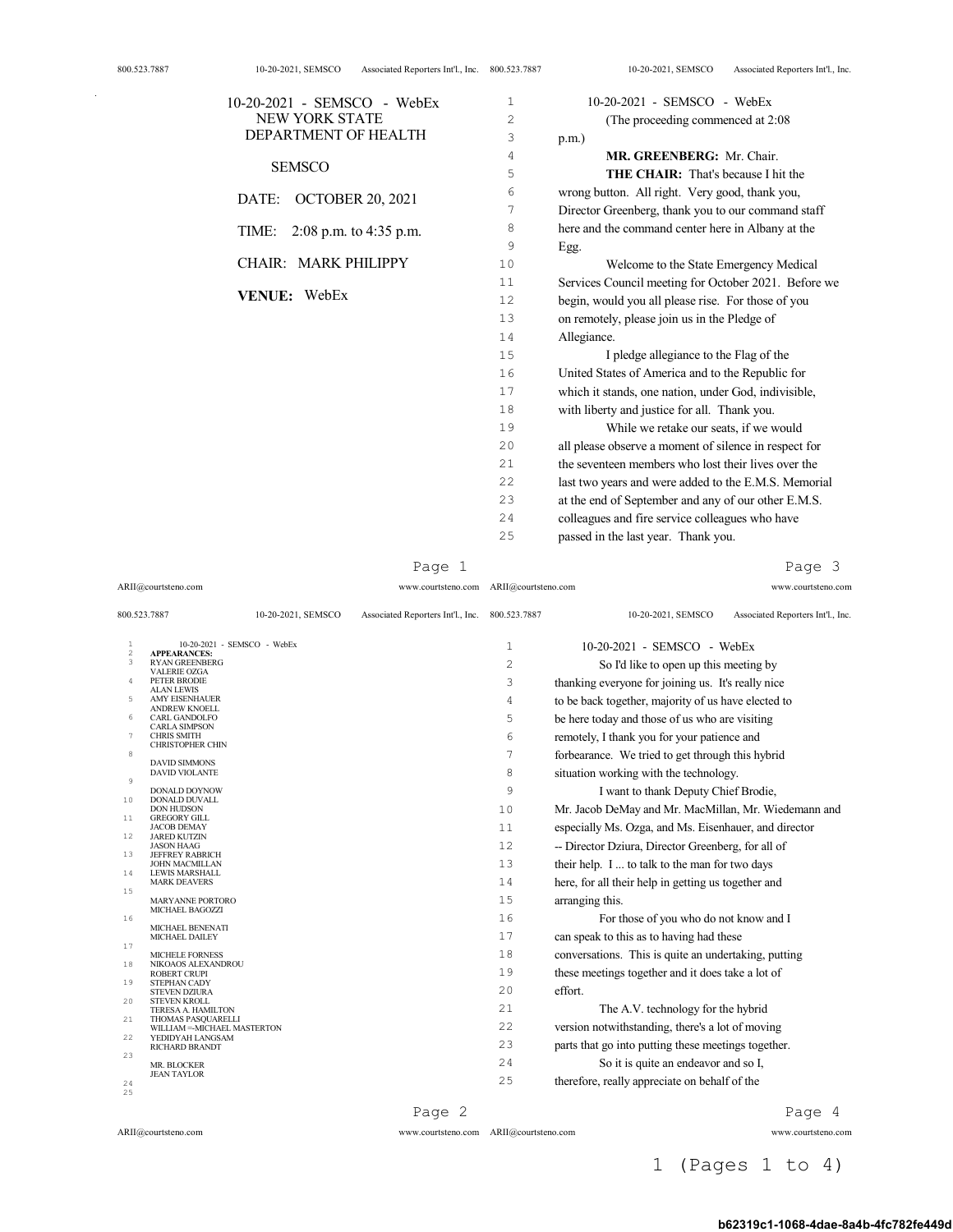| NEW YORK STATE<br>$\overline{a}$<br>(The proceeding commenced at 2:08<br>DEPARTMENT OF HEALTH<br>3<br>$p.m.$ )<br>4<br>MR. GREENBERG: Mr. Chair.<br><b>SEMSCO</b><br>5<br><b>THE CHAIR:</b> That's because I hit the<br>wrong button. All right. Very good, thank you,<br>6<br><b>OCTOBER 20, 2021</b><br>DATE:<br>Director Greenberg, thank you to our command staff<br>7<br>here and the command center here in Albany at the<br>8<br>TIME:<br>2:08 p.m. to 4:35 p.m.<br>9<br>Egg.<br>CHAIR: MARK PHILIPPY<br>10<br>Welcome to the State Emergency Medical<br>11<br>VENUE: WebEx<br>12<br>begin, would you all please rise. For those of you<br>13<br>on remotely, please join us in the Pledge of<br>14<br>Allegiance.<br>15<br>I pledge allegiance to the Flag of the<br>16<br>United States of America and to the Republic for<br>17<br>which it stands, one nation, under God, indivisible,<br>18<br>with liberty and justice for all. Thank you.<br>19<br>While we retake our seats, if we would<br>all please observe a moment of silence in respect for<br>20<br>the seventeen members who lost their lives over the<br>2.1<br>22<br>last two years and were added to the E.M.S. Memorial<br>23<br>at the end of September and any of our other E.M.S.<br>colleagues and fire service colleagues who have<br>24<br>passed in the last year. Thank you.<br>25 | $10-20-2021$ - SEMSCO - WebEx | 1 | 10-20-2021 - SEMSCO - WebEx                          |
|-----------------------------------------------------------------------------------------------------------------------------------------------------------------------------------------------------------------------------------------------------------------------------------------------------------------------------------------------------------------------------------------------------------------------------------------------------------------------------------------------------------------------------------------------------------------------------------------------------------------------------------------------------------------------------------------------------------------------------------------------------------------------------------------------------------------------------------------------------------------------------------------------------------------------------------------------------------------------------------------------------------------------------------------------------------------------------------------------------------------------------------------------------------------------------------------------------------------------------------------------------------------------------------------------------------------------------------------------------------------------|-------------------------------|---|------------------------------------------------------|
|                                                                                                                                                                                                                                                                                                                                                                                                                                                                                                                                                                                                                                                                                                                                                                                                                                                                                                                                                                                                                                                                                                                                                                                                                                                                                                                                                                       |                               |   |                                                      |
|                                                                                                                                                                                                                                                                                                                                                                                                                                                                                                                                                                                                                                                                                                                                                                                                                                                                                                                                                                                                                                                                                                                                                                                                                                                                                                                                                                       |                               |   |                                                      |
|                                                                                                                                                                                                                                                                                                                                                                                                                                                                                                                                                                                                                                                                                                                                                                                                                                                                                                                                                                                                                                                                                                                                                                                                                                                                                                                                                                       |                               |   |                                                      |
|                                                                                                                                                                                                                                                                                                                                                                                                                                                                                                                                                                                                                                                                                                                                                                                                                                                                                                                                                                                                                                                                                                                                                                                                                                                                                                                                                                       |                               |   |                                                      |
|                                                                                                                                                                                                                                                                                                                                                                                                                                                                                                                                                                                                                                                                                                                                                                                                                                                                                                                                                                                                                                                                                                                                                                                                                                                                                                                                                                       |                               |   |                                                      |
|                                                                                                                                                                                                                                                                                                                                                                                                                                                                                                                                                                                                                                                                                                                                                                                                                                                                                                                                                                                                                                                                                                                                                                                                                                                                                                                                                                       |                               |   |                                                      |
|                                                                                                                                                                                                                                                                                                                                                                                                                                                                                                                                                                                                                                                                                                                                                                                                                                                                                                                                                                                                                                                                                                                                                                                                                                                                                                                                                                       |                               |   |                                                      |
|                                                                                                                                                                                                                                                                                                                                                                                                                                                                                                                                                                                                                                                                                                                                                                                                                                                                                                                                                                                                                                                                                                                                                                                                                                                                                                                                                                       |                               |   |                                                      |
|                                                                                                                                                                                                                                                                                                                                                                                                                                                                                                                                                                                                                                                                                                                                                                                                                                                                                                                                                                                                                                                                                                                                                                                                                                                                                                                                                                       |                               |   |                                                      |
|                                                                                                                                                                                                                                                                                                                                                                                                                                                                                                                                                                                                                                                                                                                                                                                                                                                                                                                                                                                                                                                                                                                                                                                                                                                                                                                                                                       |                               |   | Services Council meeting for October 2021. Before we |
|                                                                                                                                                                                                                                                                                                                                                                                                                                                                                                                                                                                                                                                                                                                                                                                                                                                                                                                                                                                                                                                                                                                                                                                                                                                                                                                                                                       |                               |   |                                                      |
|                                                                                                                                                                                                                                                                                                                                                                                                                                                                                                                                                                                                                                                                                                                                                                                                                                                                                                                                                                                                                                                                                                                                                                                                                                                                                                                                                                       |                               |   |                                                      |
|                                                                                                                                                                                                                                                                                                                                                                                                                                                                                                                                                                                                                                                                                                                                                                                                                                                                                                                                                                                                                                                                                                                                                                                                                                                                                                                                                                       |                               |   |                                                      |
|                                                                                                                                                                                                                                                                                                                                                                                                                                                                                                                                                                                                                                                                                                                                                                                                                                                                                                                                                                                                                                                                                                                                                                                                                                                                                                                                                                       |                               |   |                                                      |
|                                                                                                                                                                                                                                                                                                                                                                                                                                                                                                                                                                                                                                                                                                                                                                                                                                                                                                                                                                                                                                                                                                                                                                                                                                                                                                                                                                       |                               |   |                                                      |
|                                                                                                                                                                                                                                                                                                                                                                                                                                                                                                                                                                                                                                                                                                                                                                                                                                                                                                                                                                                                                                                                                                                                                                                                                                                                                                                                                                       |                               |   |                                                      |
|                                                                                                                                                                                                                                                                                                                                                                                                                                                                                                                                                                                                                                                                                                                                                                                                                                                                                                                                                                                                                                                                                                                                                                                                                                                                                                                                                                       |                               |   |                                                      |
|                                                                                                                                                                                                                                                                                                                                                                                                                                                                                                                                                                                                                                                                                                                                                                                                                                                                                                                                                                                                                                                                                                                                                                                                                                                                                                                                                                       |                               |   |                                                      |
|                                                                                                                                                                                                                                                                                                                                                                                                                                                                                                                                                                                                                                                                                                                                                                                                                                                                                                                                                                                                                                                                                                                                                                                                                                                                                                                                                                       |                               |   |                                                      |
|                                                                                                                                                                                                                                                                                                                                                                                                                                                                                                                                                                                                                                                                                                                                                                                                                                                                                                                                                                                                                                                                                                                                                                                                                                                                                                                                                                       |                               |   |                                                      |
|                                                                                                                                                                                                                                                                                                                                                                                                                                                                                                                                                                                                                                                                                                                                                                                                                                                                                                                                                                                                                                                                                                                                                                                                                                                                                                                                                                       |                               |   |                                                      |
|                                                                                                                                                                                                                                                                                                                                                                                                                                                                                                                                                                                                                                                                                                                                                                                                                                                                                                                                                                                                                                                                                                                                                                                                                                                                                                                                                                       |                               |   |                                                      |
|                                                                                                                                                                                                                                                                                                                                                                                                                                                                                                                                                                                                                                                                                                                                                                                                                                                                                                                                                                                                                                                                                                                                                                                                                                                                                                                                                                       |                               |   |                                                      |
|                                                                                                                                                                                                                                                                                                                                                                                                                                                                                                                                                                                                                                                                                                                                                                                                                                                                                                                                                                                                                                                                                                                                                                                                                                                                                                                                                                       |                               |   |                                                      |

Page 1

ARII@courtsteno.com www.courtsteno.com ARII@courtsteno.com www.courtsteno.com

Page 3

| 800.523.7887              |                                                           | 10-20-2021, SEMSCO | Associated Reporters Int'l., Inc. 800.523.7887 |                | 10-20-2021, SEMSCO<br>Associated Reporters Int'l., Inc. |
|---------------------------|-----------------------------------------------------------|--------------------|------------------------------------------------|----------------|---------------------------------------------------------|
| $\mathbf{1}$<br>$\bar{2}$ | 10-20-2021 - SEMSCO - WebEx<br><b>APPEARANCES:</b>        |                    |                                                | $\mathbf{1}$   | 10-20-2021 - SEMSCO - WebEx                             |
| 3                         | <b>RYAN GREENBERG</b>                                     |                    |                                                | $\overline{c}$ | So I'd like to open up this meeting by                  |
| $\overline{4}$            | <b>VALERIE OZGA</b><br>PETER BRODIE                       |                    |                                                | 3              | thanking everyone for joining us. It's really nice      |
| 5                         | <b>ALAN LEWIS</b><br><b>AMY EISENHAUER</b>                |                    |                                                | 4              | to be back together, majority of us have elected to     |
| 6                         | <b>ANDREW KNOELL</b><br><b>CARL GANDOLFO</b>              |                    |                                                | 5              | be here today and those of us who are visiting          |
| 7                         | <b>CARLA SIMPSON</b><br><b>CHRIS SMITH</b>                |                    |                                                | 6              | remotely, I thank you for your patience and             |
| 8                         | <b>CHRISTOPHER CHIN</b>                                   |                    |                                                |                |                                                         |
|                           | <b>DAVID SIMMONS</b>                                      |                    |                                                | 7              | forbearance. We tried to get through this hybrid        |
| $\mathcal{G}$             | <b>DAVID VIOLANTE</b>                                     |                    |                                                | 8              | situation working with the technology.                  |
| 10                        | <b>DONALD DOYNOW</b><br>DONALD DUVALL                     |                    |                                                | 9              | I want to thank Deputy Chief Brodie,                    |
| 11                        | <b>DON HUDSON</b><br><b>GREGORY GILL</b>                  |                    |                                                | 10             | Mr. Jacob DeMay and Mr. MacMillan, Mr. Wiedemann and    |
| 12                        | <b>JACOB DEMAY</b>                                        |                    |                                                | 11             | especially Ms. Ozga, and Ms. Eisenhauer, and director   |
|                           | <b>JARED KUTZIN</b><br><b>JASON HAAG</b>                  |                    |                                                | 12             | -- Director Dziura, Director Greenberg, for all of      |
| 13                        | <b>JEFFREY RABRICH</b><br><b>JOHN MACMILLAN</b>           |                    |                                                | 13             | their help. I  to talk to the man for two days          |
| 14                        | <b>LEWIS MARSHALL</b><br><b>MARK DEAVERS</b>              |                    |                                                | 14             | here, for all their help in getting us together and     |
| 15                        | MARYANNE PORTORO                                          |                    |                                                | 15             | arranging this.                                         |
| 16                        | MICHAEL BAGOZZI                                           |                    |                                                | 16             | For those of you who do not know and I                  |
|                           | MICHAEL BENENATI                                          |                    |                                                | 17             | can speak to this as to having had these                |
| 17                        | MICHAEL DAILEY                                            |                    |                                                |                |                                                         |
| 18                        | <b>MICHELE FORNESS</b><br>NIKOAOS ALEXANDROU              |                    |                                                | 18             | conversations. This is quite an undertaking, putting    |
| 19                        | <b>ROBERT CRUPI</b><br><b>STEPHAN CADY</b>                |                    |                                                | 19             | these meetings together and it does take a lot of       |
| 20                        | <b>STEVEN DZIURA</b><br><b>STEVEN KROLL</b>               |                    |                                                | 20             | effort.                                                 |
|                           | TERESA A. HAMILTON                                        |                    |                                                | 21             | The A.V. technology for the hybrid                      |
| 21                        | <b>THOMAS PASQUARELLI</b><br>WILLIAM =- MICHAEL MASTERTON |                    |                                                | 22             | version notwithstanding, there's a lot of moving        |
| 22                        | YEDIDYAH LANGSAM<br><b>RICHARD BRANDT</b>                 |                    |                                                | 2.3            | parts that go into putting these meetings together.     |
| 23                        | MR. BLOCKER                                               |                    |                                                | 24             | So it is quite an endeavor and so I,                    |
| 24<br>25                  | <b>JEAN TAYLOR</b>                                        |                    |                                                | 25             | therefore, really appreciate on behalf of the           |
|                           |                                                           |                    |                                                |                |                                                         |

Page 2

ARII@courtsteno.com www.courtsteno.com

ARII@courtsteno.com www.courtsteno.com Page 4

1 (Pages 1 to 4)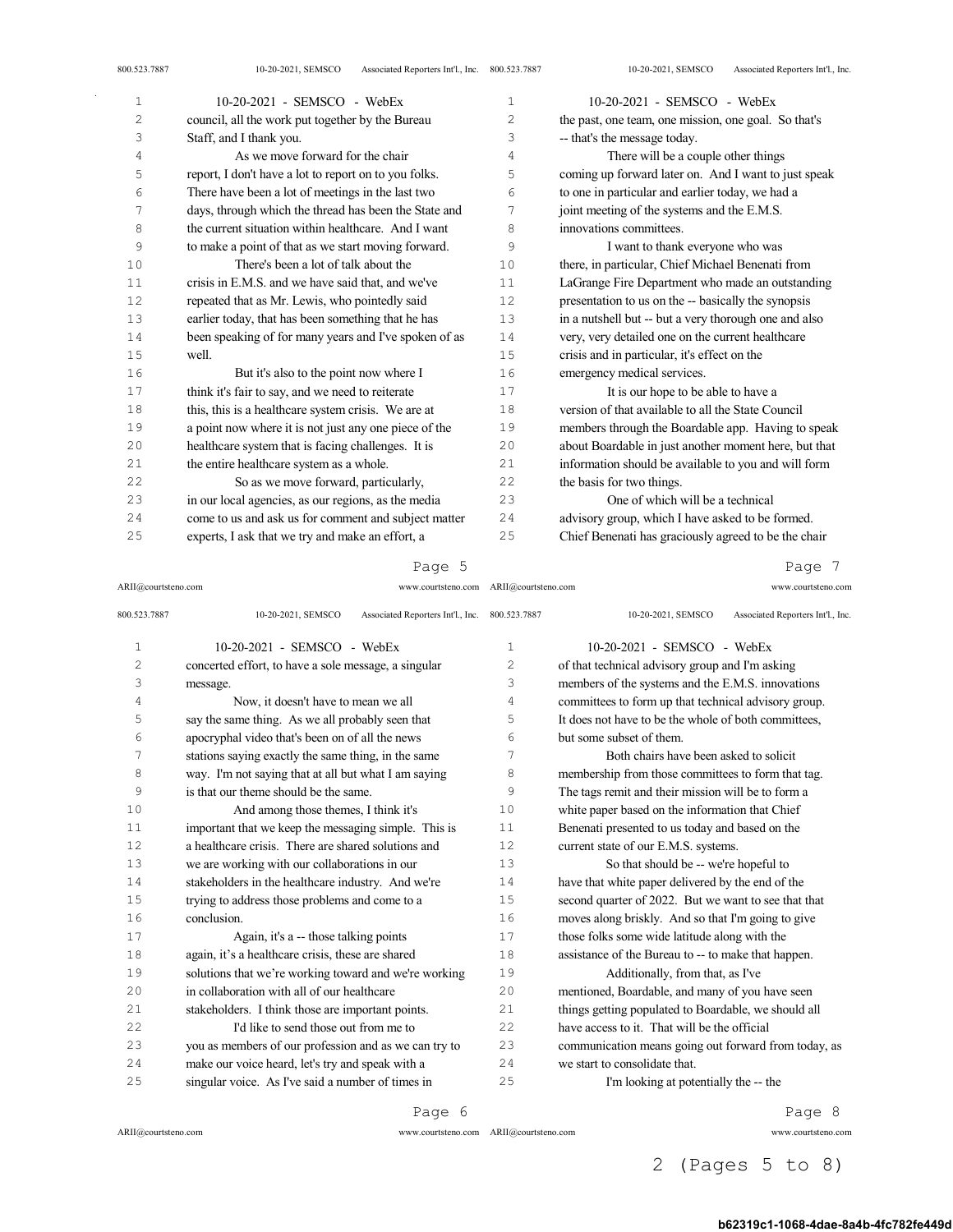| 1  | 10-20-2021 - SEMSCO - WebEx                           | 1   | 10-20-2021 - SEMSCO - WebEx                           |
|----|-------------------------------------------------------|-----|-------------------------------------------------------|
| 2  | council, all the work put together by the Bureau      | 2   | the past, one team, one mission, one goal. So that's  |
| 3  | Staff, and I thank you.                               | 3   | -- that's the message today.                          |
| 4  | As we move forward for the chair                      | 4   | There will be a couple other things                   |
| 5  | report, I don't have a lot to report on to you folks. | 5   | coming up forward later on. And I want to just speak  |
| 6  | There have been a lot of meetings in the last two     | 6   | to one in particular and earlier today, we had a      |
| 7  | days, through which the thread has been the State and | 7   | joint meeting of the systems and the E.M.S.           |
| 8  | the current situation within healthcare. And I want   | 8   | innovations committees.                               |
| 9  | to make a point of that as we start moving forward.   | 9   | I want to thank everyone who was                      |
| 10 | There's been a lot of talk about the                  | 10  | there, in particular, Chief Michael Benenati from     |
| 11 | crisis in E.M.S. and we have said that, and we've     | 11  | LaGrange Fire Department who made an outstanding      |
| 12 | repeated that as Mr. Lewis, who pointedly said        | 12  | presentation to us on the -- basically the synopsis   |
| 13 | earlier today, that has been something that he has    | 13  | in a nutshell but -- but a very thorough one and also |
| 14 | been speaking of for many years and I've spoken of as | 14  | very, very detailed one on the current healthcare     |
| 15 | well.                                                 | 15  | crisis and in particular, it's effect on the          |
| 16 | But it's also to the point now where I                | 16  | emergency medical services.                           |
| 17 | think it's fair to say, and we need to reiterate      | 17  | It is our hope to be able to have a                   |
| 18 | this, this is a healthcare system crisis. We are at   | 18  | version of that available to all the State Council    |
| 19 | a point now where it is not just any one piece of the | 19  | members through the Boardable app. Having to speak    |
| 20 | healthcare system that is facing challenges. It is    | 20  | about Boardable in just another moment here, but that |
| 21 | the entire healthcare system as a whole.              | 2.1 | information should be available to you and will form  |
| 22 | So as we move forward, particularly,                  | 22  | the basis for two things.                             |
| 23 | in our local agencies, as our regions, as the media   | 23  | One of which will be a technical                      |
| 24 | come to us and ask us for comment and subject matter  | 24  | advisory group, which I have asked to be formed.      |
| 25 | experts, I ask that we try and make an effort, a      | 25  | Chief Benenati has graciously agreed to be the chair  |

ARII@courtsteno.com www.courtsteno.com ARII@courtsteno.com www.courtsteno.com Page 7

| 800.523.7887   | Associated Reporters Int'l., Inc. 800.523.7887<br>10-20-2021, SEMSCO |                | Associated Reporters Int'l., Inc.<br>10-20-2021, SEMSCO |
|----------------|----------------------------------------------------------------------|----------------|---------------------------------------------------------|
| $\mathbf{1}$   | 10-20-2021 - SEMSCO - WebEx                                          | 1              | 10-20-2021 - SEMSCO - WebEx                             |
| $\overline{c}$ | concerted effort, to have a sole message, a singular                 | $\overline{c}$ | of that technical advisory group and I'm asking         |
| 3              | message.                                                             | 3              | members of the systems and the E.M.S. innovations       |
| 4              | Now, it doesn't have to mean we all                                  | 4              | committees to form up that technical advisory group.    |
| 5              | say the same thing. As we all probably seen that                     | 5              | It does not have to be the whole of both committees,    |
| 6              | apocryphal video that's been on of all the news                      | 6              | but some subset of them.                                |
| 7              | stations saying exactly the same thing, in the same                  | 7              | Both chairs have been asked to solicit                  |
| 8              | way. I'm not saying that at all but what I am saying                 | 8              | membership from those committees to form that tag.      |
| 9              | is that our theme should be the same.                                | 9              | The tags remit and their mission will be to form a      |
| 10             | And among those themes, I think it's                                 | 10             | white paper based on the information that Chief         |
| 11             | important that we keep the messaging simple. This is                 | 11             | Benenati presented to us today and based on the         |
| 12             | a healthcare crisis. There are shared solutions and                  | 12             | current state of our E.M.S. systems.                    |
| 13             | we are working with our collaborations in our                        | 13             | So that should be -- we're hopeful to                   |
| 14             | stakeholders in the healthcare industry. And we're                   | 14             | have that white paper delivered by the end of the       |
| 15             | trying to address those problems and come to a                       | 15             | second quarter of 2022. But we want to see that that    |
| 16             | conclusion.                                                          | 16             | moves along briskly. And so that I'm going to give      |
| 17             | Again, it's a -- those talking points                                | 17             | those folks some wide latitude along with the           |
| 18             | again, it's a healthcare crisis, these are shared                    | 18             | assistance of the Bureau to -- to make that happen.     |
| 19             | solutions that we're working toward and we're working                | 19             | Additionally, from that, as I've                        |
| 20             | in collaboration with all of our healthcare                          | 20             | mentioned, Boardable, and many of you have seen         |
| 21             | stakeholders. I think those are important points.                    | 21             | things getting populated to Boardable, we should all    |
| 22             | I'd like to send those out from me to                                | 22             | have access to it. That will be the official            |
| 23             | you as members of our profession and as we can try to                | 23             | communication means going out forward from today, as    |
| 24             | make our voice heard, let's try and speak with a                     | 24             | we start to consolidate that.                           |
| 25             | singular voice. As I've said a number of times in                    | 25             | I'm looking at potentially the -- the                   |
|                |                                                                      |                |                                                         |

Page 6

 $\bar{z}$ 

ARII@courtsteno.com www.courtsteno.com

Page 8

ARII@courtsteno.com www.courtsteno.com

2 (Pages 5 to 8)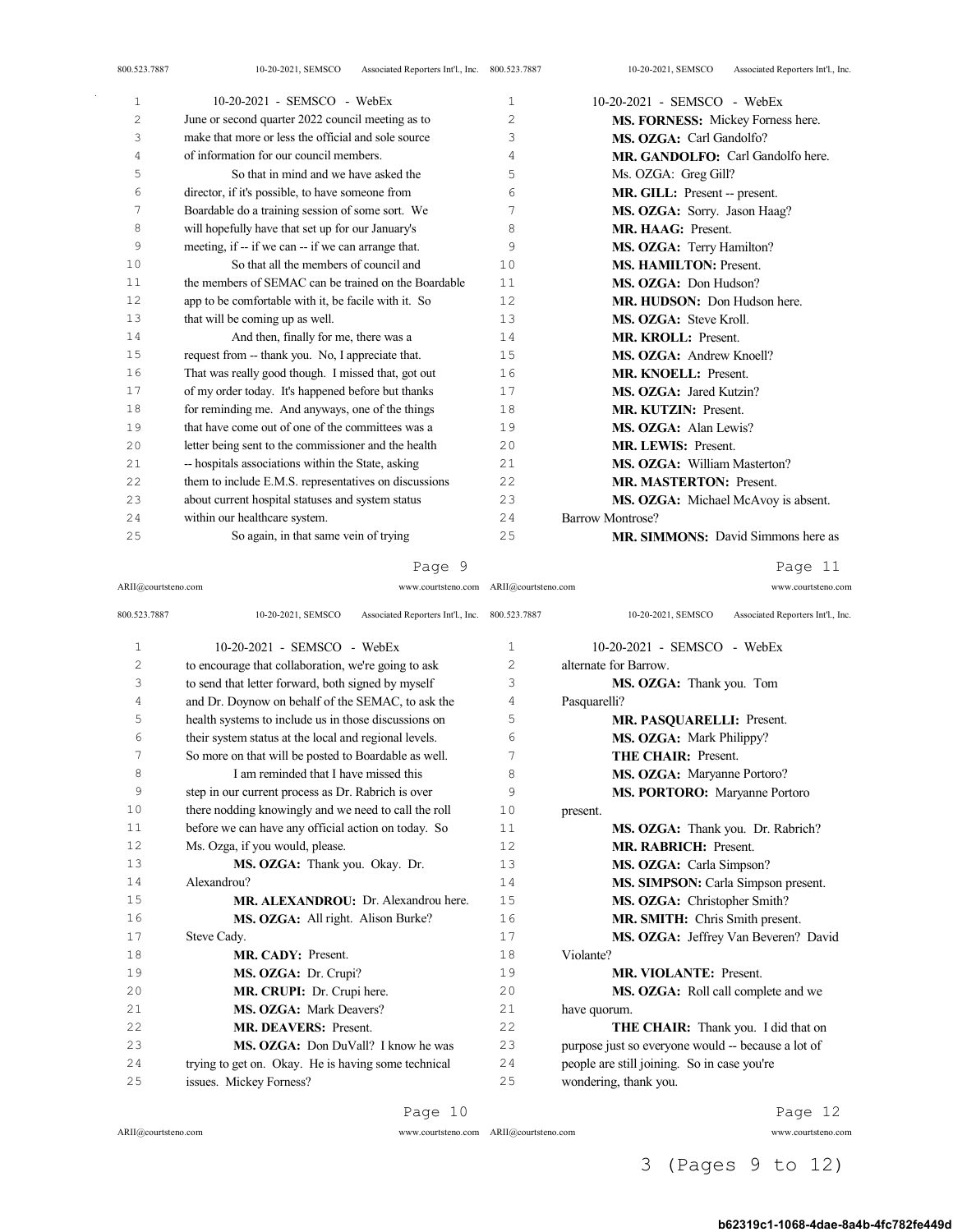| 1                     | $10-20-2021$ - SEMSCO - WebEx                         | 1              | 10-20-2021 - SEMSCO - WebEx               |
|-----------------------|-------------------------------------------------------|----------------|-------------------------------------------|
| $\mathbf{2}^{\prime}$ | June or second quarter 2022 council meeting as to     | $\overline{c}$ | MS. FORNESS: Mickey Forness here.         |
| 3                     | make that more or less the official and sole source   | 3              | MS. OZGA: Carl Gandolfo?                  |
| 4                     | of information for our council members.               | 4              | MR. GANDOLFO: Carl Gandolfo here.         |
| 5                     | So that in mind and we have asked the                 | 5              | Ms. OZGA: Greg Gill?                      |
| 6                     | director, if it's possible, to have someone from      | 6              | MR. GILL: Present -- present.             |
| 7                     | Boardable do a training session of some sort. We      | 7              | MS. OZGA: Sorry. Jason Haag?              |
| 8                     | will hopefully have that set up for our January's     | 8              | <b>MR. HAAG: Present.</b>                 |
| 9                     | meeting, if -- if we can -- if we can arrange that.   | 9              | MS. OZGA: Terry Hamilton?                 |
| 10                    | So that all the members of council and                | 10             | <b>MS. HAMILTON: Present.</b>             |
| 11                    | the members of SEMAC can be trained on the Boardable  | 11             | MS. OZGA: Don Hudson?                     |
| 12                    | app to be comfortable with it, be facile with it. So  | 12             | MR. HUDSON: Don Hudson here.              |
| 13                    | that will be coming up as well.                       | 13             | MS. OZGA: Steve Kroll.                    |
| 14                    | And then, finally for me, there was a                 | 14             | MR. KROLL: Present.                       |
| 15                    | request from -- thank you. No, I appreciate that.     | 15             | <b>MS. OZGA: Andrew Knoell?</b>           |
| 16                    | That was really good though. I missed that, got out   | 16             | <b>MR. KNOELL: Present.</b>               |
| 17                    | of my order today. It's happened before but thanks    | 17             | MS. OZGA: Jared Kutzin?                   |
| 18                    | for reminding me. And anyways, one of the things      | 18             | <b>MR. KUTZIN: Present.</b>               |
| 19                    | that have come out of one of the committees was a     | 19             | MS. OZGA: Alan Lewis?                     |
| 20                    | letter being sent to the commissioner and the health  | 20             | <b>MR. LEWIS: Present.</b>                |
| 21                    | -- hospitals associations within the State, asking    | 21             | MS. OZGA: William Masterton?              |
| 22                    | them to include E.M.S. representatives on discussions | 22             | <b>MR. MASTERTON: Present.</b>            |
| 23                    | about current hospital statuses and system status     | 23             | MS. OZGA: Michael McAvoy is absent.       |
| 24                    | within our healthcare system.                         | 24             | Barrow Montrose?                          |
| 25                    | So again, in that same vein of trying                 | 25             | <b>MR. SIMMONS:</b> David Simmons here as |

Page 11

| ARII@courtsteno.com | www.courtsteno.com ARII@courtsteno.com                               |      | www.courtsteno.com                                      |
|---------------------|----------------------------------------------------------------------|------|---------------------------------------------------------|
| 800.523.7887        | 10-20-2021, SEMSCO<br>Associated Reporters Int'l., Inc. 800.523.7887 |      | 10-20-2021, SEMSCO<br>Associated Reporters Int'l., Inc. |
| $\mathbf{1}$        | $10-20-2021$ - SEMSCO - WebEx                                        | 1    | 10-20-2021 - SEMSCO - WebEx                             |
| $\overline{c}$      | to encourage that collaboration, we're going to ask                  | 2    | alternate for Barrow.                                   |
| 3                   | to send that letter forward, both signed by myself                   | 3    | MS. OZGA: Thank you. Tom                                |
| 4                   | and Dr. Doynow on behalf of the SEMAC, to ask the                    | 4    | Pasquarelli?                                            |
| 5                   | health systems to include us in those discussions on                 | 5    | MR. PASQUARELLI: Present.                               |
| 6                   | their system status at the local and regional levels.                | 6    | <b>MS. OZGA:</b> Mark Philippy?                         |
| 7                   | So more on that will be posted to Boardable as well.                 | 7    | <b>THE CHAIR: Present.</b>                              |
| 8                   | I am reminded that I have missed this                                | 8    | MS. OZGA: Maryanne Portoro?                             |
| 9                   | step in our current process as Dr. Rabrich is over                   | 9    | MS. PORTORO: Maryanne Portoro                           |
| 10                  | there nodding knowingly and we need to call the roll                 | 10   | present.                                                |
| 11                  | before we can have any official action on today. So                  | 11   | MS. OZGA: Thank you. Dr. Rabrich?                       |
| 12                  | Ms. Ozga, if you would, please.                                      | 12.  | <b>MR. RABRICH: Present.</b>                            |
| 13                  | MS. OZGA: Thank you. Okay. Dr.                                       | 13   | MS. OZGA: Carla Simpson?                                |
| 14                  | Alexandrou?                                                          | 14   | MS. SIMPSON: Carla Simpson present.                     |
| 15                  | MR. ALEXANDROU: Dr. Alexandrou here.                                 | 15   | MS. OZGA: Christopher Smith?                            |
| 16                  | MS. OZGA: All right. Alison Burke?                                   | 16   | MR. SMITH: Chris Smith present.                         |
| 17                  | Steve Cady.                                                          | 17   | MS. OZGA: Jeffrey Van Beveren? David                    |
| 18                  | MR. CADY: Present.                                                   | 18   | Violante?                                               |
| 19                  | MS. OZGA: Dr. Crupi?                                                 | 19   | <b>MR. VIOLANTE: Present.</b>                           |
| 20                  | MR. CRUPI: Dr. Crupi here.                                           | 20   | MS. OZGA: Roll call complete and we                     |
| 2.1                 | MS. OZGA: Mark Deavers?                                              | 21   | have quorum.                                            |
| 22                  | <b>MR. DEAVERS: Present.</b>                                         | 2.2. | THE CHAIR: Thank you. I did that on                     |
| 23                  | MS. OZGA: Don DuVall? I know he was                                  | 23   | purpose just so everyone would -- because a lot of      |
| 2.4                 | trying to get on. Okay. He is having some technical                  | 24   | people are still joining. So in case you're             |
| 2.5                 | issues. Mickey Forness?                                              | 25   | wondering, thank you.                                   |
|                     |                                                                      |      |                                                         |

ARII@courtsteno.com www.courtsteno.com

Page 10

Page 12

ARII@courtsteno.com www.courtsteno.com

3 (Pages 9 to 12)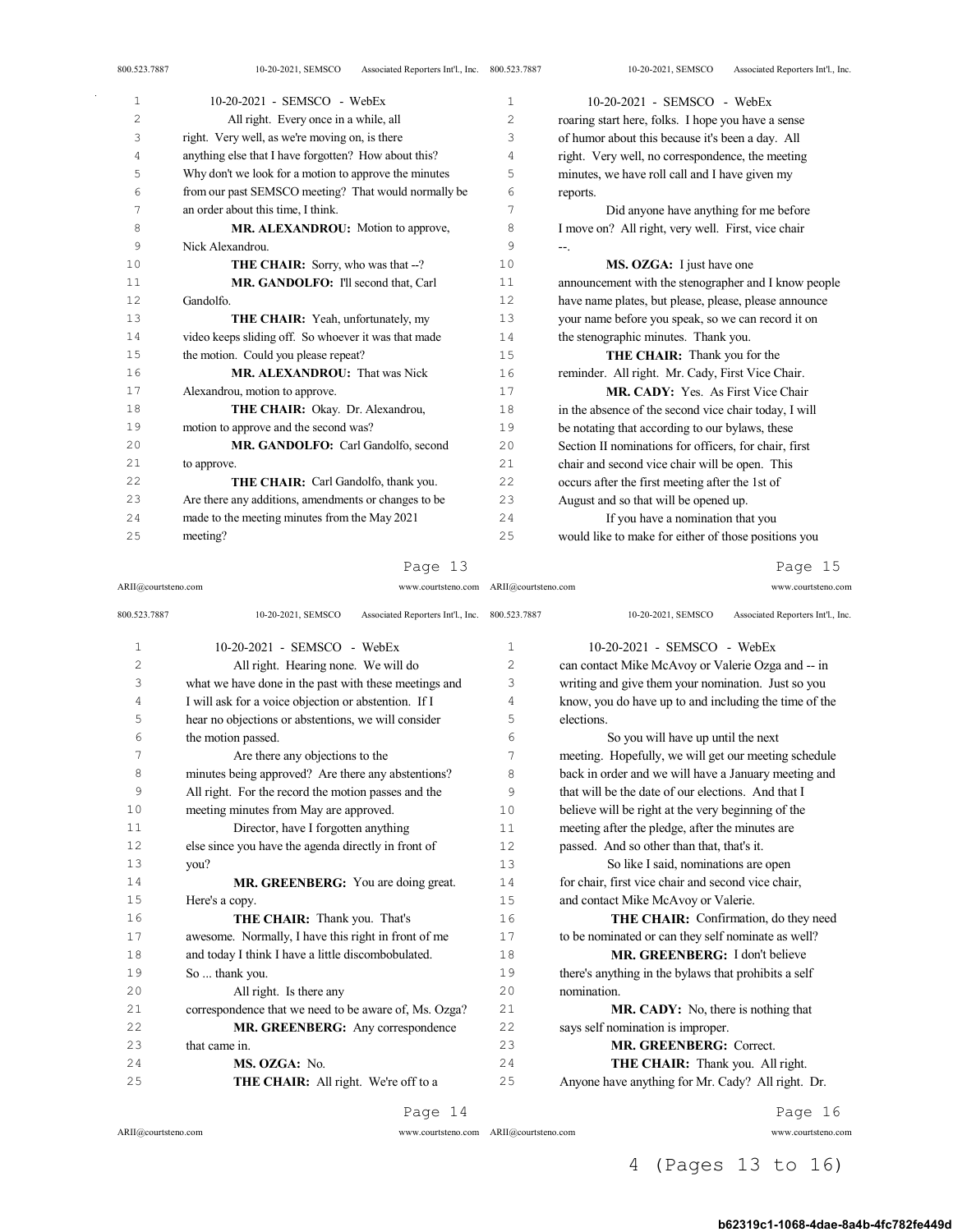| 4  | anything else that I have forgotten? How about this?  | $\overline{4}$ | right. Very well, no correspondence, the meeting      |
|----|-------------------------------------------------------|----------------|-------------------------------------------------------|
| 5  | Why don't we look for a motion to approve the minutes | 5              | minutes, we have roll call and I have given my        |
| 6  | from our past SEMSCO meeting? That would normally be  | 6              | reports.                                              |
| 7  | an order about this time, I think.                    | 7              | Did anyone have anything for me before                |
| 8  | MR. ALEXANDROU: Motion to approve,                    | 8              | I move on? All right, very well. First, vice chair    |
| 9  | Nick Alexandrou.                                      | 9              | $--$                                                  |
| 10 | <b>THE CHAIR:</b> Sorry, who was that --?             | 10             | MS. OZGA: I just have one                             |
| 11 | MR. GANDOLFO: I'll second that, Carl                  | 11             | announcement with the stenographer and I know people  |
| 12 | Gandolfo.                                             | 12             | have name plates, but please, please, please announce |
| 13 | THE CHAIR: Yeah, unfortunately, my                    | 13             | your name before you speak, so we can record it on    |
| 14 | video keeps sliding off. So whoever it was that made  | 14             | the stenographic minutes. Thank you.                  |
| 15 | the motion. Could you please repeat?                  | 15             | <b>THE CHAIR:</b> Thank you for the                   |
| 16 | MR. ALEXANDROU: That was Nick                         | 16             | reminder. All right. Mr. Cady, First Vice Chair.      |
| 17 | Alexandrou, motion to approve.                        | 17             | <b>MR. CADY:</b> Yes. As First Vice Chair             |
| 18 | THE CHAIR: Okay. Dr. Alexandrou,                      | 18             | in the absence of the second vice chair today, I will |
| 19 | motion to approve and the second was?                 | 19             | be notating that according to our bylaws, these       |
| 20 | MR. GANDOLFO: Carl Gandolfo, second                   | 20             | Section II nominations for officers, for chair, first |
| 21 | to approve.                                           | 21             | chair and second vice chair will be open. This        |
| 22 | <b>THE CHAIR:</b> Carl Gandolfo, thank you.           | 22             | occurs after the first meeting after the 1st of       |
| 23 | Are there any additions, amendments or changes to be  | 23             | August and so that will be opened up.                 |
| 24 | made to the meeting minutes from the May 2021         | 24             | If you have a nomination that you                     |
| 25 | meeting?                                              | 25             | would like to make for either of those positions you  |

ARII@courtsteno.com www.courtsteno.com

Page 15

| 800.523.7887   | Associated Reporters Int'l., Inc. 800.523.7887<br>10-20-2021, SEMSCO |              | Associated Reporters Int'l., Inc.<br>10-20-2021, SEMSCO |
|----------------|----------------------------------------------------------------------|--------------|---------------------------------------------------------|
| $\mathbf{1}$   | $10-20-2021$ - SEMSCO - WebEx                                        | $\mathbf{1}$ | $10-20-2021$ - SEMSCO - WebEx                           |
| $\overline{c}$ | All right. Hearing none. We will do                                  | 2            | can contact Mike McAvoy or Valerie Ozga and -- in       |
| 3              | what we have done in the past with these meetings and                | 3            | writing and give them your nomination. Just so you      |
| 4              | I will ask for a voice objection or abstention. If I                 | 4            | know, you do have up to and including the time of the   |
| 5              | hear no objections or abstentions, we will consider                  | 5            | elections.                                              |
| 6              | the motion passed.                                                   | 6            | So you will have up until the next                      |
| 7              | Are there any objections to the                                      | 7            | meeting. Hopefully, we will get our meeting schedule    |
| 8              | minutes being approved? Are there any abstentions?                   | 8            | back in order and we will have a January meeting and    |
| 9              | All right. For the record the motion passes and the                  | 9            | that will be the date of our elections. And that I      |
| 10             | meeting minutes from May are approved.                               | 10           | believe will be right at the very beginning of the      |
| 11             | Director, have I forgotten anything                                  | 11           | meeting after the pledge, after the minutes are         |
| 12             | else since you have the agenda directly in front of                  | 12           | passed. And so other than that, that's it.              |
| 13             | you?                                                                 | 13           | So like I said, nominations are open                    |
| 14             | MR. GREENBERG: You are doing great.                                  | 14           | for chair, first vice chair and second vice chair,      |
| 15             | Here's a copy.                                                       | 15           | and contact Mike McAvoy or Valerie.                     |
| 16             | THE CHAIR: Thank you. That's                                         | 16           | THE CHAIR: Confirmation, do they need                   |
| 17             | awesome. Normally, I have this right in front of me                  | 17           | to be nominated or can they self nominate as well?      |
| 18             | and today I think I have a little discombobulated.                   | 18           | MR. GREENBERG: I don't believe                          |
| 19             | So  thank you.                                                       | 19           | there's anything in the bylaws that prohibits a self    |
| 20             | All right. Is there any                                              | 20           | nomination.                                             |
| 21             | correspondence that we need to be aware of, Ms. Ozga?                | 21           | <b>MR. CADY:</b> No, there is nothing that              |
| 22             | MR. GREENBERG: Any correspondence                                    | 22           | says self nomination is improper.                       |
| 23             | that came in.                                                        | 23           | MR. GREENBERG: Correct.                                 |
| 24             | MS. OZGA: No.                                                        | 24           | THE CHAIR: Thank you. All right.                        |
| 25             | THE CHAIR: All right. We're off to a                                 | 25           | Anyone have anything for Mr. Cady? All right. Dr.       |
|                |                                                                      |              |                                                         |

Page 14

ARII@courtsteno.com

ARII@courtsteno.com www.courtsteno.com ARII@courtsteno.com www.courtsteno.com

Page 16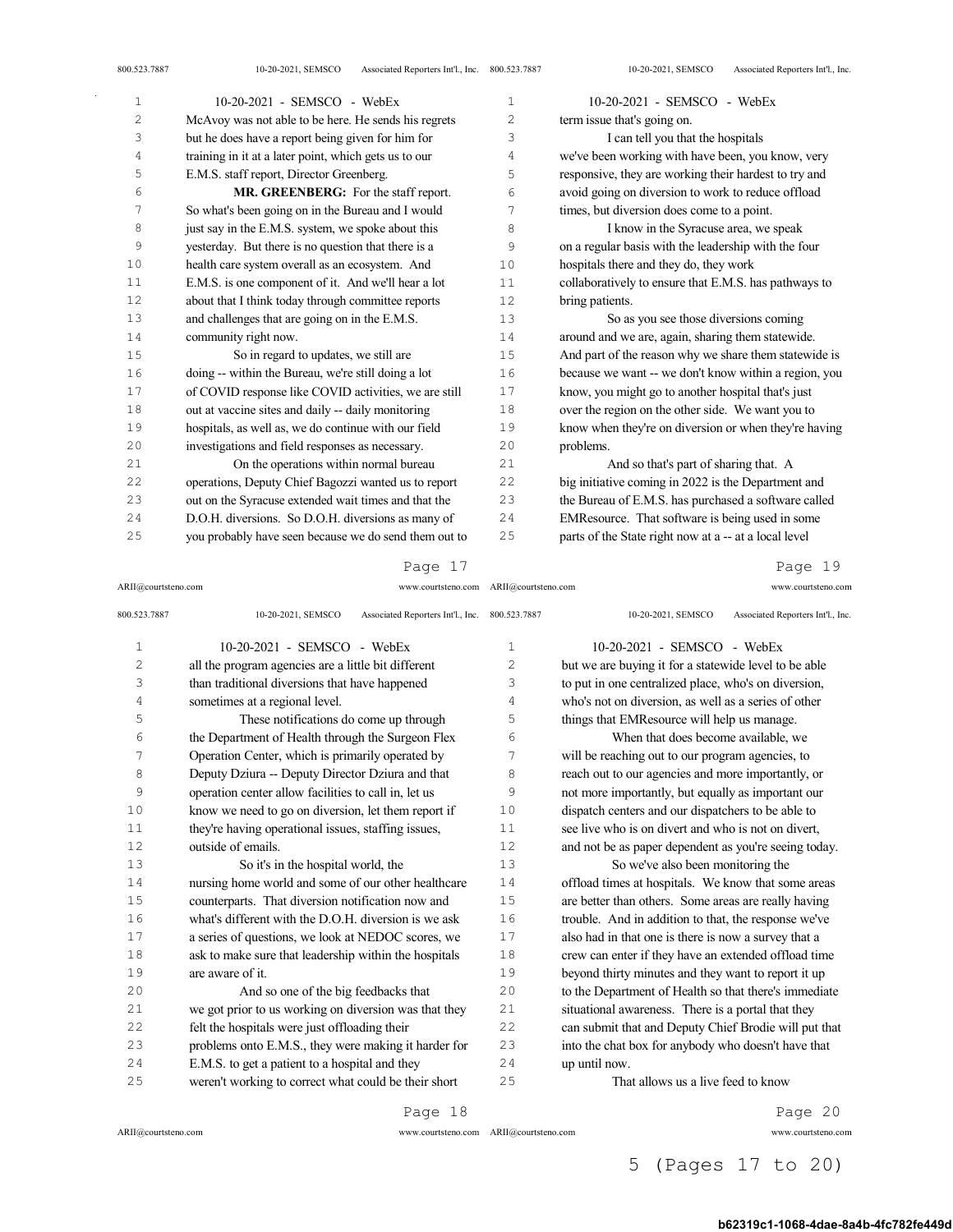| 1  | $10-20-2021$ - SEMSCO - WebEx                         | 1  | 10-20-2021 - SEMSCO - WebEx                           |
|----|-------------------------------------------------------|----|-------------------------------------------------------|
| 2  | McAvoy was not able to be here. He sends his regrets  | 2  | term issue that's going on.                           |
| 3  | but he does have a report being given for him for     | 3  | I can tell you that the hospitals                     |
| 4  | training in it at a later point, which gets us to our | 4  | we've been working with have been, you know, very     |
| 5  | E.M.S. staff report, Director Greenberg.              | 5  | responsive, they are working their hardest to try and |
| 6  | MR. GREENBERG: For the staff report.                  | 6  | avoid going on diversion to work to reduce offload    |
| 7  | So what's been going on in the Bureau and I would     | 7  | times, but diversion does come to a point.            |
| 8  | just say in the E.M.S. system, we spoke about this    | 8  | I know in the Syracuse area, we speak                 |
| 9  | yesterday. But there is no question that there is a   | 9  | on a regular basis with the leadership with the four  |
| 10 | health care system overall as an ecosystem. And       | 10 | hospitals there and they do, they work                |
| 11 | E.M.S. is one component of it. And we'll hear a lot   | 11 | collaboratively to ensure that E.M.S. has pathways to |
| 12 | about that I think today through committee reports    | 12 | bring patients.                                       |
| 13 | and challenges that are going on in the E.M.S.        | 13 | So as you see those diversions coming                 |
| 14 | community right now.                                  | 14 | around and we are, again, sharing them statewide.     |
| 15 | So in regard to updates, we still are                 | 15 | And part of the reason why we share them statewide is |
| 16 | doing -- within the Bureau, we're still doing a lot   | 16 | because we want -- we don't know within a region, you |
| 17 | of COVID response like COVID activities, we are still | 17 | know, you might go to another hospital that's just    |
| 18 | out at vaccine sites and daily -- daily monitoring    | 18 | over the region on the other side. We want you to     |
| 19 | hospitals, as well as, we do continue with our field  | 19 | know when they're on diversion or when they're having |
| 20 | investigations and field responses as necessary.      | 20 | problems.                                             |
| 21 | On the operations within normal bureau                | 21 | And so that's part of sharing that. A                 |
| 22 | operations, Deputy Chief Bagozzi wanted us to report  | 22 | big initiative coming in 2022 is the Department and   |
| 23 | out on the Syracuse extended wait times and that the  | 23 | the Bureau of E.M.S. has purchased a software called  |
| 24 | D.O.H. diversions. So D.O.H. diversions as many of    | 24 | EMResource. That software is being used in some       |
| 25 | you probably have seen because we do send them out to | 25 | parts of the State right now at a -- at a local level |
|    |                                                       |    |                                                       |

#### Page 17

ARII@courtsteno.com www.courtsteno.com Page 19

| 800.523.7887 | Associated Reporters Int'l., Inc. 800.523.7887<br>10-20-2021, SEMSCO |              | Associated Reporters Int'l., Inc.<br>10-20-2021, SEMSCO |
|--------------|----------------------------------------------------------------------|--------------|---------------------------------------------------------|
| $\mathbf{1}$ | 10-20-2021 - SEMSCO - WebEx                                          | $\mathbf{1}$ | 10-20-2021 - SEMSCO - WebEx                             |
| 2            | all the program agencies are a little bit different                  | 2            | but we are buying it for a statewide level to be able   |
| 3            | than traditional diversions that have happened                       | 3            | to put in one centralized place, who's on diversion,    |
| 4            | sometimes at a regional level.                                       | 4            | who's not on diversion, as well as a series of other    |
| 5            | These notifications do come up through                               | 5            | things that EMResource will help us manage.             |
| 6            | the Department of Health through the Surgeon Flex                    | 6            | When that does become available, we                     |
| 7            | Operation Center, which is primarily operated by                     | 7            | will be reaching out to our program agencies, to        |
| 8            | Deputy Dziura -- Deputy Director Dziura and that                     | 8            | reach out to our agencies and more importantly, or      |
| 9            | operation center allow facilities to call in, let us                 | 9            | not more importantly, but equally as important our      |
| 10           | know we need to go on diversion, let them report if                  | 10           | dispatch centers and our dispatchers to be able to      |
| 11           | they're having operational issues, staffing issues,                  | 11           | see live who is on divert and who is not on divert.     |
| 12           | outside of emails.                                                   | 12.          | and not be as paper dependent as you're seeing today.   |
| 1.3          | So it's in the hospital world, the                                   | 13           | So we've also been monitoring the                       |
| 14           | nursing home world and some of our other healthcare                  | 14           | offload times at hospitals. We know that some areas     |
| 1.5          | counterparts. That diversion notification now and                    | 1.5          | are better than others. Some areas are really having    |
| 16           | what's different with the $D.O.H.$ diversion is we ask               | 16           | trouble. And in addition to that, the response we've    |
| 17           | a series of questions, we look at NEDOC scores, we                   | 17           | also had in that one is there is now a survey that a    |
| 18           | ask to make sure that leadership within the hospitals                | 18           | crew can enter if they have an extended offload time    |
| 19           | are aware of it.                                                     | 19           | beyond thirty minutes and they want to report it up     |
| 20           | And so one of the big feedbacks that                                 | 20           | to the Department of Health so that there's immediate   |
| 2.1          | we got prior to us working on diversion was that they                | 21           | situational awareness. There is a portal that they      |
| 2.2          | felt the hospitals were just offloading their                        | 22           | can submit that and Deputy Chief Brodie will put that   |
| 23           | problems onto E.M.S., they were making it harder for                 | 23           | into the chat box for anybody who doesn't have that     |
| 24           | E.M.S. to get a patient to a hospital and they                       | 24           | up until now.                                           |
| 25           | weren't working to correct what could be their short                 | 25           | That allows us a live feed to know                      |
|              |                                                                      |              |                                                         |

Page 18

 $\mathrm{ARII}\xspace$  @courtsteno.com

ARII@courtsteno.com

ARII@courtsteno.com www.courtsteno.com

Page 20

5 (Pages 17 to 20)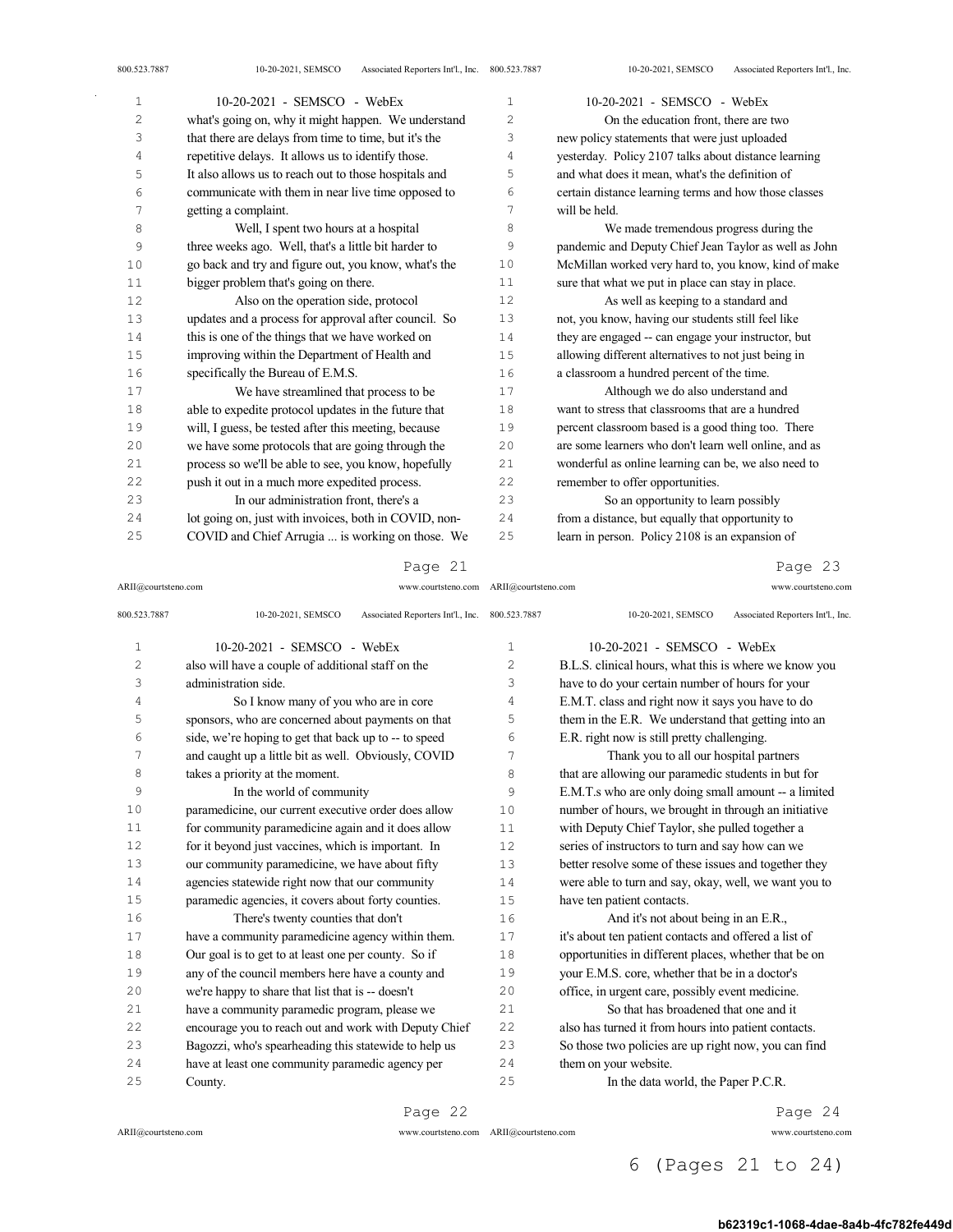| $\mathbf{1}$   | 10-20-2021 - SEMSCO - WebEx                           | $\mathbf{1}$   | 10-20-2021 - SEMSCO - WebEx                           |
|----------------|-------------------------------------------------------|----------------|-------------------------------------------------------|
| $\overline{c}$ | what's going on, why it might happen. We understand   | $\overline{c}$ | On the education front, there are two                 |
| 3              | that there are delays from time to time, but it's the | 3              | new policy statements that were just uploaded         |
| 4              | repetitive delays. It allows us to identify those.    | 4              | yesterday. Policy 2107 talks about distance learning  |
| 5              | It also allows us to reach out to those hospitals and | 5              | and what does it mean, what's the definition of       |
| 6              | communicate with them in near live time opposed to    | 6              | certain distance learning terms and how those classes |
| 7              | getting a complaint.                                  | 7              | will be held.                                         |
| 8              | Well, I spent two hours at a hospital                 | 8              | We made tremendous progress during the                |
| 9              | three weeks ago. Well, that's a little bit harder to  | 9              | pandemic and Deputy Chief Jean Taylor as well as John |
| 10             | go back and try and figure out, you know, what's the  | 10             | McMillan worked very hard to, you know, kind of make  |
| 11             | bigger problem that's going on there.                 | 11             | sure that what we put in place can stay in place.     |
| 12             | Also on the operation side, protocol                  | 12             | As well as keeping to a standard and                  |
| 13             | updates and a process for approval after council. So  | 13             | not, you know, having our students still feel like    |
| 14             | this is one of the things that we have worked on      | 14             | they are engaged -- can engage your instructor, but   |
| 15             | improving within the Department of Health and         | 15             | allowing different alternatives to not just being in  |
| 16             | specifically the Bureau of E.M.S.                     | 16             | a classroom a hundred percent of the time.            |
| 17             | We have streamlined that process to be                | 17             | Although we do also understand and                    |
| 18             | able to expedite protocol updates in the future that  | 18             | want to stress that classrooms that are a hundred     |
| 19             | will, I guess, be tested after this meeting, because  | 19             | percent classroom based is a good thing too. There    |
| 20             | we have some protocols that are going through the     | 20             | are some learners who don't learn well online, and as |
| 21             | process so we'll be able to see, you know, hopefully  | 21             | wonderful as online learning can be, we also need to  |
| 22             | push it out in a much more expedited process.         | 22             | remember to offer opportunities.                      |
| 23             | In our administration front, there's a                | 23             | So an opportunity to learn possibly                   |
| 24             | lot going on, just with invoices, both in COVID, non- | 24             | from a distance, but equally that opportunity to      |
| 25             | COVID and Chief Arrugia  is working on those. We      | 25             | learn in person. Policy 2108 is an expansion of       |

## Page 21

ARII@courtsteno.com www.courtsteno.com ARII@courtsteno.com www.courtsteno.com

# Page 23

| 800.523.7887   | Associated Reporters Int'l., Inc. 800.523.7887<br>10-20-2021, SEMSCO |                | Associated Reporters Int'l., Inc.<br>10-20-2021, SEMSCO |
|----------------|----------------------------------------------------------------------|----------------|---------------------------------------------------------|
| $\mathbf{1}$   | $10-20-2021$ - SEMSCO - WebEx                                        | 1              | $10-20-2021$ - SEMSCO - WebEx                           |
| $\overline{c}$ | also will have a couple of additional staff on the                   | $\overline{c}$ | B.L.S. clinical hours, what this is where we know you   |
| 3              | administration side.                                                 | 3              | have to do your certain number of hours for your        |
| 4              | So I know many of you who are in core                                | 4              | E.M.T. class and right now it says you have to do       |
| 5              | sponsors, who are concerned about payments on that                   | 5              | them in the E.R. We understand that getting into an     |
| 6              | side, we're hoping to get that back up to -- to speed                | 6              | E.R. right now is still pretty challenging.             |
| 7              | and caught up a little bit as well. Obviously, COVID                 | 7              | Thank you to all our hospital partners                  |
| 8              | takes a priority at the moment.                                      | 8              | that are allowing our paramedic students in but for     |
| 9              | In the world of community                                            | 9              | E.M.T.s who are only doing small amount -- a limited    |
| 10             | paramedicine, our current executive order does allow                 | 10             | number of hours, we brought in through an initiative    |
| 11             | for community paramedicine again and it does allow                   | 11             | with Deputy Chief Taylor, she pulled together a         |
| 12             | for it beyond just vaccines, which is important. In                  | 12             | series of instructors to turn and say how can we        |
| 13             | our community paramedicine, we have about fifty                      | 13             | better resolve some of these issues and together they   |
| 14             | agencies statewide right now that our community                      | 14             | were able to turn and say, okay, well, we want you to   |
| 15             | paramedic agencies, it covers about forty counties.                  | 15             | have ten patient contacts.                              |
| 16             | There's twenty counties that don't                                   | 16             | And it's not about being in an E.R.,                    |
| 17             | have a community paramedicine agency within them.                    | 17             | it's about ten patient contacts and offered a list of   |
| 18             | Our goal is to get to at least one per county. So if                 | 18             | opportunities in different places, whether that be on   |
| 19             | any of the council members here have a county and                    | 19             | your E.M.S. core, whether that be in a doctor's         |
| 20             | we're happy to share that list that is -- doesn't                    | 20             | office, in urgent care, possibly event medicine.        |
| 21             | have a community paramedic program, please we                        | 21             | So that has broadened that one and it                   |
| 22             | encourage you to reach out and work with Deputy Chief                | 22             | also has turned it from hours into patient contacts.    |
| 23             | Bagozzi, who's spearheading this statewide to help us                | 23             | So those two policies are up right now, you can find    |
| 24             | have at least one community paramedic agency per                     | 24             | them on your website.                                   |
| 25             | County.                                                              | 25             | In the data world, the Paper P.C.R.                     |
|                |                                                                      |                |                                                         |

Page 22

 $\mathrm{ARII}\xspace$  @courtsteno.com

ARII@courtsteno.com www.courtsteno.com

Page 24

# 6 (Pages 21 to 24)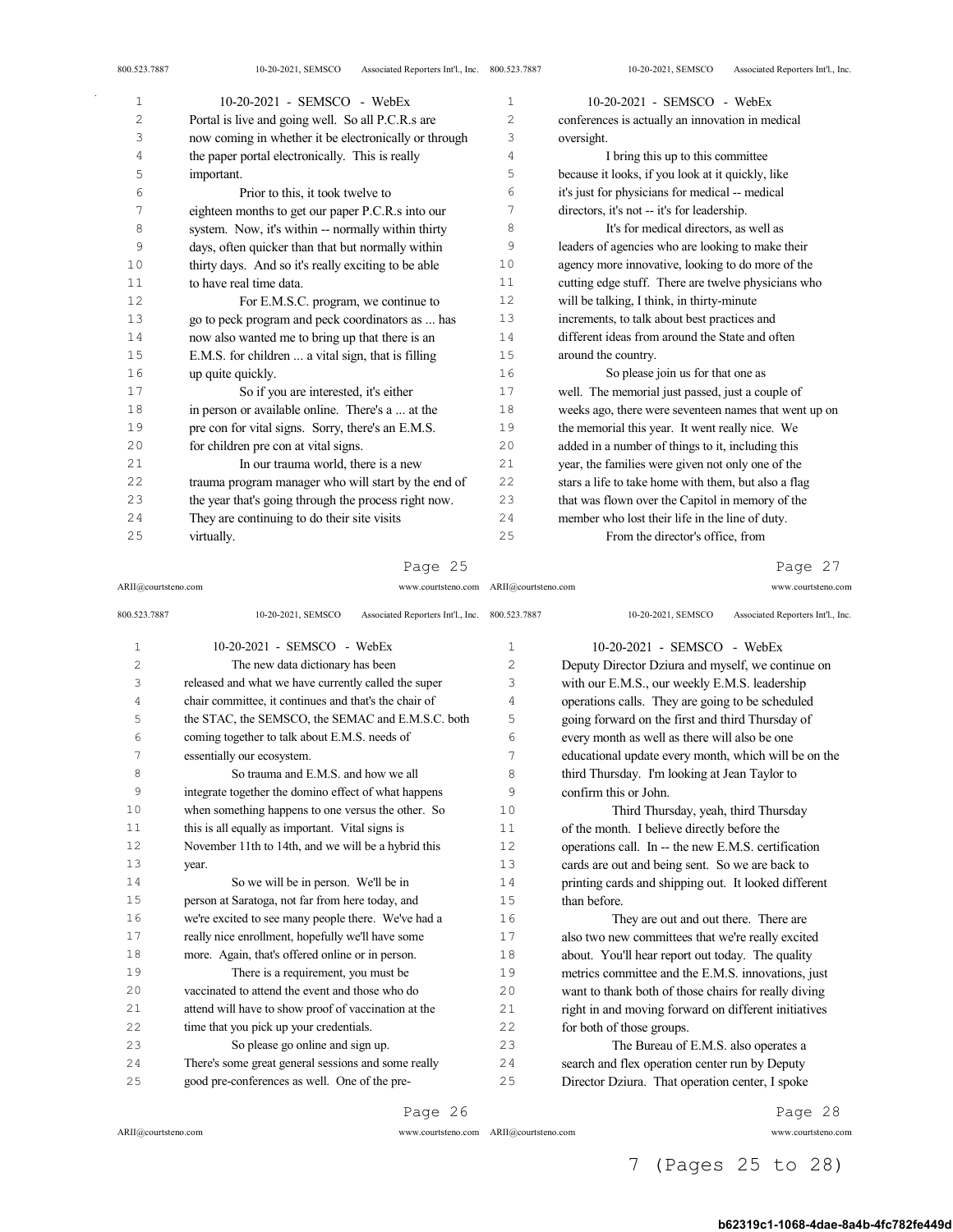| 1  | 10-20-2021 - SEMSCO - WebEx                           | $\mathbf{1}$   | 10-20-2021 - SEMSCO - WebEx                           |
|----|-------------------------------------------------------|----------------|-------------------------------------------------------|
| 2  | Portal is live and going well. So all P.C.R.s are     | $\overline{c}$ | conferences is actually an innovation in medical      |
| 3  | now coming in whether it be electronically or through | 3              | oversight.                                            |
| 4  | the paper portal electronically. This is really       | 4              | I bring this up to this committee                     |
| 5  | important.                                            | 5              | because it looks, if you look at it quickly, like     |
| 6  | Prior to this, it took twelve to                      | 6              | it's just for physicians for medical -- medical       |
| 7  | eighteen months to get our paper P.C.R.s into our     | 7              | directors, it's not -- it's for leadership.           |
| 8  | system. Now, it's within -- normally within thirty    | 8              | It's for medical directors, as well as                |
| 9  | days, often quicker than that but normally within     | 9              | leaders of agencies who are looking to make their     |
| 10 | thirty days. And so it's really exciting to be able   | 10             | agency more innovative, looking to do more of the     |
| 11 | to have real time data.                               | 11             | cutting edge stuff. There are twelve physicians who   |
| 12 | For E.M.S.C. program, we continue to                  | 12             | will be talking, I think, in thirty-minute            |
| 13 | go to peck program and peck coordinators as  has      | 13             | increments, to talk about best practices and          |
| 14 | now also wanted me to bring up that there is an       | 14             | different ideas from around the State and often       |
| 15 | E.M.S. for children  a vital sign, that is filling    | 15             | around the country.                                   |
| 16 | up quite quickly.                                     | 16             | So please join us for that one as                     |
| 17 | So if you are interested, it's either                 | 17             | well. The memorial just passed, just a couple of      |
| 18 | in person or available online. There's a  at the      | 18             | weeks ago, there were seventeen names that went up on |
| 19 | pre con for vital signs. Sorry, there's an E.M.S.     | 19             | the memorial this year. It went really nice. We       |
| 20 | for children pre con at vital signs.                  | 20             | added in a number of things to it, including this     |
| 21 | In our trauma world, there is a new                   | 21             | year, the families were given not only one of the     |
| 22 | trauma program manager who will start by the end of   | 22             | stars a life to take home with them, but also a flag  |
| 23 | the year that's going through the process right now.  | 23             | that was flown over the Capitol in memory of the      |
| 24 | They are continuing to do their site visits           | 24             | member who lost their life in the line of duty.       |
| 25 | virtually.                                            | 25             | From the director's office, from                      |

Page 25

#### ARII@courtsteno.com www.courtsteno.com ARII@courtsteno.com www.courtsteno.com Page 27

| 800.523.7887   | Associated Reporters Int'l., Inc. 800.523.7887<br>10-20-2021, SEMSCO |      | Associated Reporters Int'l., Inc.<br>10-20-2021, SEMSCO |
|----------------|----------------------------------------------------------------------|------|---------------------------------------------------------|
| $\mathbf{1}$   | 10-20-2021 - SEMSCO - WebEx                                          | 1    | $10-20-2021$ - SEMSCO - WebEx                           |
| $\overline{c}$ | The new data dictionary has been                                     | 2    | Deputy Director Dziura and myself, we continue on       |
| 3              | released and what we have currently called the super                 | 3    | with our E.M.S., our weekly E.M.S. leadership           |
| 4              | chair committee, it continues and that's the chair of                | 4    | operations calls. They are going to be scheduled        |
| 5              | the STAC, the SEMSCO, the SEMAC and E.M.S.C. both                    | 5    | going forward on the first and third Thursday of        |
| 6              | coming together to talk about E.M.S. needs of                        | 6    | every month as well as there will also be one           |
| 7              | essentially our ecosystem.                                           | 7    | educational update every month, which will be on the    |
| 8              | So trauma and E.M.S. and how we all                                  | 8    | third Thursday. I'm looking at Jean Taylor to           |
| 9              | integrate together the domino effect of what happens                 | 9    | confirm this or John.                                   |
| 10             | when something happens to one versus the other. So                   | 10   | Third Thursday, yeah, third Thursday                    |
| 11             | this is all equally as important. Vital signs is                     | 11   | of the month. I believe directly before the             |
| 12             | November 11th to 14th, and we will be a hybrid this                  | 12   | operations call. In -- the new E.M.S. certification     |
| 13             | year.                                                                | 13   | cards are out and being sent. So we are back to         |
| 14             | So we will be in person. We'll be in                                 | 14   | printing cards and shipping out. It looked different    |
| 15             | person at Saratoga, not far from here today, and                     | 15   | than before.                                            |
| 16             | we're excited to see many people there. We've had a                  | 16   | They are out and out there. There are                   |
| 17             | really nice enrollment, hopefully we'll have some                    | 17   | also two new committees that we're really excited       |
| 18             | more. Again, that's offered online or in person.                     | 18   | about. You'll hear report out today. The quality        |
| 19             | There is a requirement, you must be                                  | 19   | metrics committee and the E.M.S. innovations, just      |
| 20             | vaccinated to attend the event and those who do                      | 20   | want to thank both of those chairs for really diving    |
| 21             | attend will have to show proof of vaccination at the                 | 21   | right in and moving forward on different initiatives    |
| 22             | time that you pick up your credentials.                              | 2.2. | for both of those groups.                               |
| 23             | So please go online and sign up.                                     | 23   | The Bureau of E.M.S. also operates a                    |
| 2.4            | There's some great general sessions and some really                  | 24   | search and flex operation center run by Deputy          |
| 25             | good pre-conferences as well. One of the pre-                        | 25   | Director Dziura. That operation center, I spoke         |

ARII@courtsteno.com www.courtsteno.com

Page 28

# 7 (Pages 25 to 28)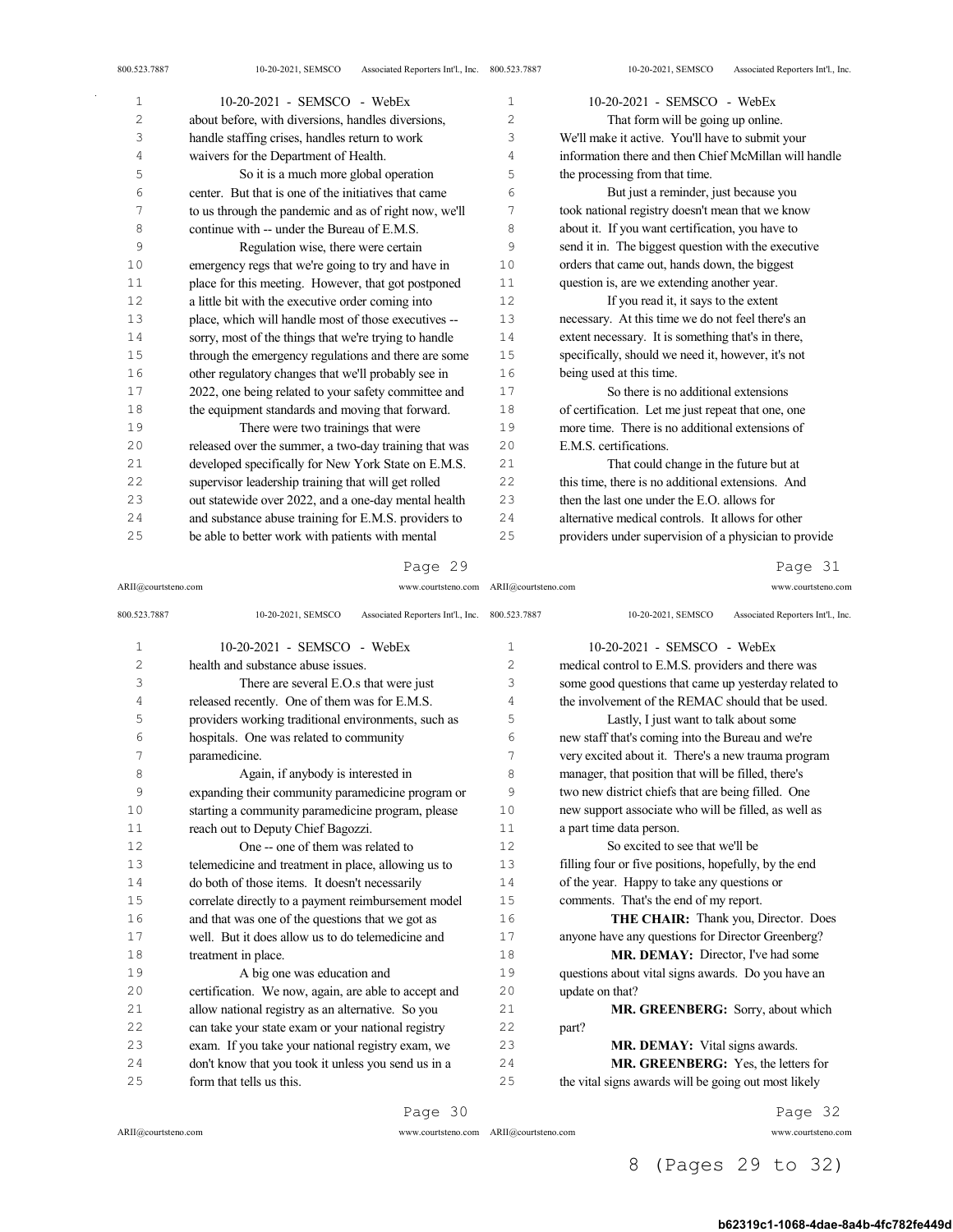| $\mathbf{1}$ | 10-20-2021 - SEMSCO - WebEx                           | $\mathbf{1}$ | $10-20-2021$ - SEMSCO - WebEx                         |
|--------------|-------------------------------------------------------|--------------|-------------------------------------------------------|
| 2            | about before, with diversions, handles diversions,    | 2            | That form will be going up online.                    |
| 3            | handle staffing crises, handles return to work        | 3            | We'll make it active. You'll have to submit your      |
| 4            | waivers for the Department of Health.                 | 4            | information there and then Chief McMillan will handle |
| 5            | So it is a much more global operation                 | 5            | the processing from that time.                        |
| 6            | center. But that is one of the initiatives that came  | 6            | But just a reminder, just because you                 |
| 7            | to us through the pandemic and as of right now, we'll | 7            | took national registry doesn't mean that we know      |
| 8            | continue with -- under the Bureau of E.M.S.           | 8            | about it. If you want certification, you have to      |
| 9            | Regulation wise, there were certain                   | 9            | send it in. The biggest question with the executive   |
| 10           | emergency regs that we're going to try and have in    | 10           | orders that came out, hands down, the biggest         |
| 11           | place for this meeting. However, that got postponed   | 11           | question is, are we extending another year.           |
| 12           | a little bit with the executive order coming into     | 12           | If you read it, it says to the extent                 |
| 13           | place, which will handle most of those executives --  | 13           | necessary. At this time we do not feel there's an     |
| 14           | sorry, most of the things that we're trying to handle | 14           | extent necessary. It is something that's in there,    |
| 15           | through the emergency regulations and there are some  | 15           | specifically, should we need it, however, it's not    |
| 16           | other regulatory changes that we'll probably see in   | 16           | being used at this time.                              |
| 17           | 2022, one being related to your safety committee and  | 17           | So there is no additional extensions                  |
| 18           | the equipment standards and moving that forward.      | 18           | of certification. Let me just repeat that one, one    |
| 19           | There were two trainings that were                    | 19           | more time. There is no additional extensions of       |
| 20           | released over the summer, a two-day training that was | 20           | E.M.S. certifications.                                |
| 21           | developed specifically for New York State on E.M.S.   | 21           | That could change in the future but at                |
| 22           | supervisor leadership training that will get rolled   | 22           | this time, there is no additional extensions. And     |
| 23           | out statewide over 2022, and a one-day mental health  | 23           | then the last one under the E.O. allows for           |
| 24           | and substance abuse training for E.M.S. providers to  | 24           | alternative medical controls. It allows for other     |
| 25           | be able to better work with patients with mental      | 25           | providers under supervision of a physician to provide |

# Page 29

ARII@courtsteno.com www.courtsteno.com ARII@courtsteno.com www.courtsteno.com

Page 31

| 800.523.7887   | Associated Reporters Int'l., Inc. 800.523.7887<br>10-20-2021, SEMSCO |               | 10-20-2021, SEMSCO<br>Associated Reporters Int'l., Inc. |
|----------------|----------------------------------------------------------------------|---------------|---------------------------------------------------------|
| $\mathbf{1}$   | 10-20-2021 - SEMSCO - WebEx                                          | $\mathbf{1}$  | 10-20-2021 - SEMSCO - WebEx                             |
| $\overline{c}$ | health and substance abuse issues.                                   | $\mathcal{L}$ | medical control to E.M.S. providers and there was       |
| 3              | There are several E.O.s that were just                               | 3             | some good questions that came up yesterday related to   |
| 4              | released recently. One of them was for E.M.S.                        | 4             | the involvement of the REMAC should that be used.       |
| 5              | providers working traditional environments, such as                  | 5             | Lastly, I just want to talk about some                  |
| 6              | hospitals. One was related to community                              | 6             | new staff that's coming into the Bureau and we're       |
| 7              | paramedicine.                                                        | 7             | very excited about it. There's a new trauma program     |
| 8              | Again, if anybody is interested in                                   | 8             | manager, that position that will be filled, there's     |
| 9              | expanding their community paramedicine program or                    | 9             | two new district chiefs that are being filled. One      |
| 10             | starting a community paramedicine program, please                    | 10            | new support associate who will be filled, as well as    |
| 11             | reach out to Deputy Chief Bagozzi.                                   | 11            | a part time data person.                                |
| 12             | One -- one of them was related to                                    | 12            | So excited to see that we'll be                         |
| 13             | telemedicine and treatment in place, allowing us to                  | 13            | filling four or five positions, hopefully, by the end   |
| 14             | do both of those items. It doesn't necessarily                       | 14            | of the year. Happy to take any questions or             |
| 15             | correlate directly to a payment reimbursement model                  | 15            | comments. That's the end of my report.                  |
| 16             | and that was one of the questions that we got as                     | 16            | THE CHAIR: Thank you, Director. Does                    |
| 17             | well. But it does allow us to do telemedicine and                    | 17            | anyone have any questions for Director Greenberg?       |
| 18             | treatment in place.                                                  | 18            | MR. DEMAY: Director, I've had some                      |
| 19             | A big one was education and                                          | 19            | questions about vital signs awards. Do you have an      |
| 20             | certification. We now, again, are able to accept and                 | 20            | update on that?                                         |
| 21             | allow national registry as an alternative. So you                    | 21            | MR. GREENBERG: Sorry, about which                       |
| 22             | can take your state exam or your national registry                   | 22            | part?                                                   |
| 23             | exam. If you take your national registry exam, we                    | 23            | MR. DEMAY: Vital signs awards.                          |
| 24             | don't know that you took it unless you send us in a                  | 24            | MR. GREENBERG: Yes, the letters for                     |
| 25             | form that tells us this.                                             | 25            | the vital signs awards will be going out most likely    |

 $\mathrm{ARII}\xspace$  @courtsteno.com

Page 30

ARII@courtsteno.com www.courtsteno.com

Page 32

# 8 (Pages 29 to 32)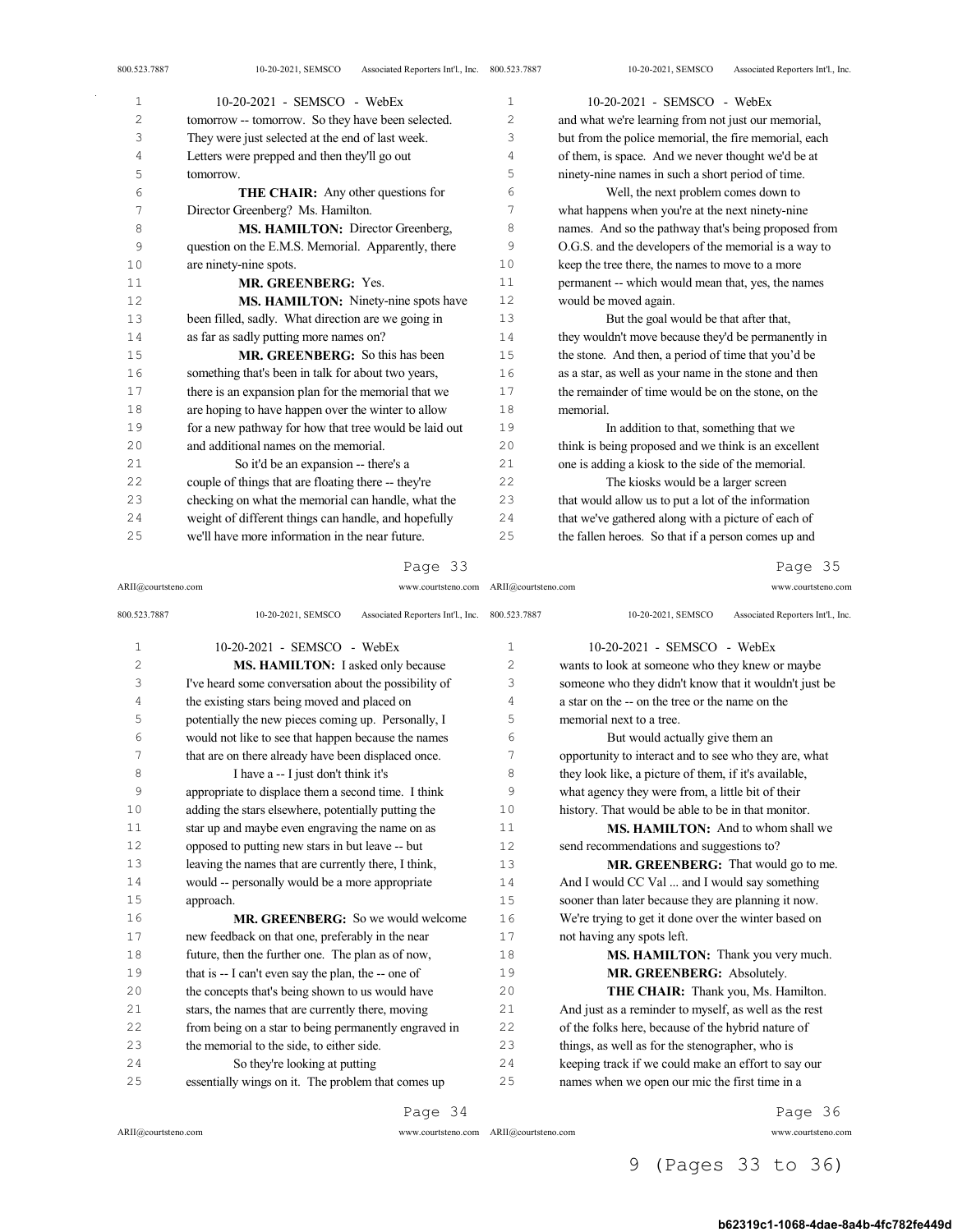| 1      | 10-20-2021 - SEMSCO - WebEx                           | 1              | 10-20-2021 - SEMSCO - WebEx                           |
|--------|-------------------------------------------------------|----------------|-------------------------------------------------------|
| 2      | tomorrow -- tomorrow. So they have been selected.     | $\overline{c}$ | and what we're learning from not just our memorial,   |
| 3      | They were just selected at the end of last week.      | 3              | but from the police memorial, the fire memorial, each |
| 4      | Letters were prepped and then they'll go out          | 4              | of them, is space. And we never thought we'd be at    |
| 5      | tomorrow.                                             | 5              | ninety-nine names in such a short period of time.     |
| 6      | <b>THE CHAIR:</b> Any other questions for             | 6              | Well, the next problem comes down to                  |
| 7      | Director Greenberg? Ms. Hamilton.                     | 7              | what happens when you're at the next ninety-nine      |
| 8      | MS. HAMILTON: Director Greenberg,                     | 8              | names. And so the pathway that's being proposed from  |
| 9      | question on the E.M.S. Memorial. Apparently, there    | 9              | O.G.S. and the developers of the memorial is a way to |
| 10     | are ninety-nine spots.                                | 10             | keep the tree there, the names to move to a more      |
| $1\,1$ | MR. GREENBERG: Yes.                                   | 11             | permanent -- which would mean that, yes, the names    |
| 12     | MS. HAMILTON: Ninety-nine spots have                  | 12             | would be moved again.                                 |
| 13     | been filled, sadly. What direction are we going in    | 13             | But the goal would be that after that,                |
| 14     | as far as sadly putting more names on?                | 14             | they wouldn't move because they'd be permanently in   |
| $15$   | <b>MR. GREENBERG:</b> So this has been                | 15             | the stone. And then, a period of time that you'd be   |
| 16     | something that's been in talk for about two years,    | 16             | as a star, as well as your name in the stone and then |
| $17\,$ | there is an expansion plan for the memorial that we   | 17             | the remainder of time would be on the stone, on the   |
| 18     | are hoping to have happen over the winter to allow    | 18             | memorial.                                             |
| 19     | for a new pathway for how that tree would be laid out | 19             | In addition to that, something that we                |
| 20     | and additional names on the memorial.                 | 20             | think is being proposed and we think is an excellent  |
| 21     | So it'd be an expansion -- there's a                  | 21             | one is adding a kiosk to the side of the memorial.    |
| 22     | couple of things that are floating there -- they're   | 22             | The kiosks would be a larger screen                   |
| 23     | checking on what the memorial can handle, what the    | 23             | that would allow us to put a lot of the information   |
| 24     | weight of different things can handle, and hopefully  | 24             | that we've gathered along with a picture of each of   |
| 25     | we'll have more information in the near future.       | 25             | the fallen heroes. So that if a person comes up and   |

# Page 33

ARII@courtsteno.com www.courtsteno.com ARII@courtsteno.com www.courtsteno.com

Page 35

| 800.523.7887 | Associated Reporters Int'l., Inc. 800.523.7887<br>10-20-2021, SEMSCO |                | 10-20-2021, SEMSCO<br>Associated Reporters Int'l., Inc. |
|--------------|----------------------------------------------------------------------|----------------|---------------------------------------------------------|
| $\mathbf{1}$ | $10-20-2021$ - SEMSCO - WebEx                                        | 1              | $10-20-2021$ - SEMSCO - WebEx                           |
| 2            | MS. HAMILTON: I asked only because                                   | $\overline{2}$ | wants to look at someone who they knew or maybe         |
| 3            | I've heard some conversation about the possibility of                | 3              | someone who they didn't know that it wouldn't just be   |
| 4            | the existing stars being moved and placed on                         | $\overline{4}$ | a star on the -- on the tree or the name on the         |
| 5            | potentially the new pieces coming up. Personally, I                  | 5              | memorial next to a tree.                                |
| 6            | would not like to see that happen because the names                  | 6              | But would actually give them an                         |
| 7            | that are on there already have been displaced once.                  | 7              | opportunity to interact and to see who they are, what   |
| 8            | I have a -- I just don't think it's                                  | 8              | they look like, a picture of them, if it's available,   |
| 9            | appropriate to displace them a second time. I think                  | 9              | what agency they were from, a little bit of their       |
| 10           | adding the stars elsewhere, potentially putting the                  | 10             | history. That would be able to be in that monitor.      |
| 11           | star up and maybe even engraving the name on as                      | 11             | <b>MS. HAMILTON:</b> And to whom shall we               |
| 12           | opposed to putting new stars in but leave -- but                     | 12             | send recommendations and suggestions to?                |
| 13           | leaving the names that are currently there, I think,                 | 13             | MR. GREENBERG: That would go to me.                     |
| 14           | would -- personally would be a more appropriate                      | 14             | And I would CC Val  and I would say something           |
| 15           | approach.                                                            | 15             | sooner than later because they are planning it now.     |
| 16           | <b>MR. GREENBERG:</b> So we would welcome                            | 16             | We're trying to get it done over the winter based on    |
| 17           | new feedback on that one, preferably in the near                     | 17             | not having any spots left.                              |
| 18           | future, then the further one. The plan as of now,                    | 18             | <b>MS. HAMILTON:</b> Thank you very much.               |
| 19           | that is -- I can't even say the plan, the -- one of                  | 19             | MR. GREENBERG: Absolutely.                              |
| 20           | the concepts that's being shown to us would have                     | 20             | THE CHAIR: Thank you, Ms. Hamilton.                     |
| 21           | stars, the names that are currently there, moving                    | 21             | And just as a reminder to myself, as well as the rest   |
| 22           | from being on a star to being permanently engraved in                | 22             | of the folks here, because of the hybrid nature of      |
| 23           | the memorial to the side, to either side.                            | 23             | things, as well as for the stenographer, who is         |
| 24           | So they're looking at putting                                        | 24             | keeping track if we could make an effort to say our     |
| 25           | essentially wings on it. The problem that comes up                   | 25             | names when we open our mic the first time in a          |
|              |                                                                      |                |                                                         |

Page 34

ARII@courtsteno.com www.courtsteno.com

Page 36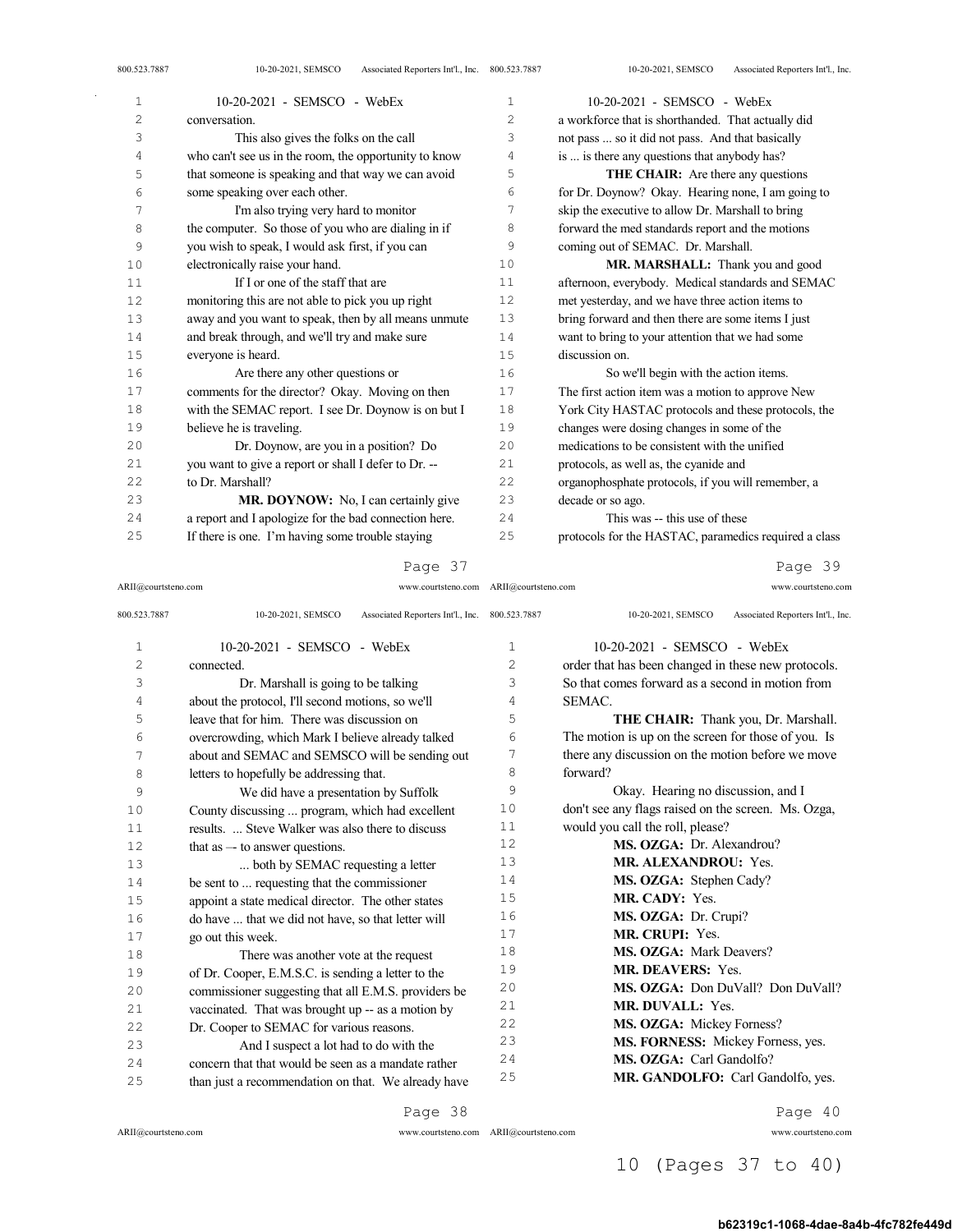| ┻  | $10 - 20 - 2021$ - SENISCO - WEDEX                    | Ŧ.             | $10-20-2021 - 3$ ENISCO - WEDEX                       |
|----|-------------------------------------------------------|----------------|-------------------------------------------------------|
| 2  | conversation.                                         | $\overline{c}$ | a workforce that is shorthanded. That actually did    |
| 3  | This also gives the folks on the call                 | 3              | not pass  so it did not pass. And that basically      |
| 4  | who can't see us in the room, the opportunity to know | 4              | is  is there any questions that anybody has?          |
| 5  | that someone is speaking and that way we can avoid    | 5              | <b>THE CHAIR:</b> Are there any questions             |
| 6  | some speaking over each other.                        | 6              | for Dr. Doynow? Okay. Hearing none, I am going to     |
| 7  | I'm also trying very hard to monitor                  | 7              | skip the executive to allow Dr. Marshall to bring     |
| 8  | the computer. So those of you who are dialing in if   | 8              | forward the med standards report and the motions      |
| 9  | you wish to speak, I would ask first, if you can      | 9              | coming out of SEMAC. Dr. Marshall.                    |
| 10 | electronically raise your hand.                       | 10             | MR. MARSHALL: Thank you and good                      |
| 11 | If I or one of the staff that are                     | 11             | afternoon, everybody. Medical standards and SEMAC     |
| 12 | monitoring this are not able to pick you up right     | 12             | met yesterday, and we have three action items to      |
| 13 | away and you want to speak, then by all means unmute  | 13             | bring forward and then there are some items I just    |
| 14 | and break through, and we'll try and make sure        | 14             | want to bring to your attention that we had some      |
| 15 | everyone is heard.                                    | 15             | discussion on.                                        |
| 16 | Are there any other questions or                      | 16             | So we'll begin with the action items.                 |
| 17 | comments for the director? Okay. Moving on then       | 17             | The first action item was a motion to approve New     |
| 18 | with the SEMAC report. I see Dr. Doynow is on but I   | 18             | York City HASTAC protocols and these protocols, the   |
| 19 | believe he is traveling.                              | 19             | changes were dosing changes in some of the            |
| 20 | Dr. Doynow, are you in a position? Do                 | 20             | medications to be consistent with the unified         |
| 21 | you want to give a report or shall I defer to Dr. --  | 21             | protocols, as well as, the cyanide and                |
| 22 | to Dr. Marshall?                                      | 22             | organophosphate protocols, if you will remember, a    |
| 23 | MR. DOYNOW: No, I can certainly give                  | 23             | decade or so ago.                                     |
| 24 | a report and I apologize for the bad connection here. | 24             | This was -- this use of these                         |
| 25 | If there is one. I'm having some trouble staying      | 25             | protocols for the HASTAC, paramedics required a class |
|    |                                                       |                |                                                       |

ARII@courtsteno.com www.courtsteno.com ARII@courtsteno.com www.courtsteno.com Page 39

| 800.523.7887   | Associated Reporters Int'l., Inc. 800.523.7887<br>10-20-2021, SEMSCO |              | 10-20-2021, SEMSCO<br>Associated Reporters Int'l., Inc. |
|----------------|----------------------------------------------------------------------|--------------|---------------------------------------------------------|
| $\mathbf{1}$   | 10-20-2021 - SEMSCO - WebEx                                          | $\mathbf{1}$ | $10-20-2021$ - SEMSCO - WebEx                           |
| $\overline{c}$ | connected.                                                           | 2            | order that has been changed in these new protocols.     |
| 3              | Dr. Marshall is going to be talking                                  | 3            | So that comes forward as a second in motion from        |
| 4              | about the protocol, I'll second motions, so we'll                    | 4            | SEMAC.                                                  |
| 5              | leave that for him. There was discussion on                          | 5            | THE CHAIR: Thank you, Dr. Marshall.                     |
| 6              | overcrowding, which Mark I believe already talked                    | 6            | The motion is up on the screen for those of you. Is     |
| 7              | about and SEMAC and SEMSCO will be sending out                       | 7            | there any discussion on the motion before we move       |
| 8              | letters to hopefully be addressing that.                             | 8            | forward?                                                |
| 9              | We did have a presentation by Suffolk                                | 9            | Okay. Hearing no discussion, and I                      |
| 10             | County discussing  program, which had excellent                      | 10           | don't see any flags raised on the screen. Ms. Ozga,     |
| 11             | results.  Steve Walker was also there to discuss                     | 11           | would you call the roll, please?                        |
| 12             | that as $-$ to answer questions.                                     | 12           | MS. OZGA: Dr. Alexandrou?                               |
| 13             | both by SEMAC requesting a letter                                    | 13           | <b>MR. ALEXANDROU: Yes.</b>                             |
| 14             | be sent to  requesting that the commissioner                         | 14           | MS. OZGA: Stephen Cady?                                 |
| 15             | appoint a state medical director. The other states                   | 15           | MR. CADY: Yes.                                          |
| 16             | do have  that we did not have, so that letter will                   | 16           | MS. OZGA: Dr. Crupi?                                    |
| 17             | go out this week.                                                    | 17           | MR. CRUPI: Yes.                                         |
| 18             | There was another vote at the request                                | 18           | MS. OZGA: Mark Deavers?                                 |
| 19             | of Dr. Cooper, E.M.S.C. is sending a letter to the                   | 19           | <b>MR. DEAVERS: Yes.</b>                                |
| 20             | commissioner suggesting that all E.M.S. providers be                 | 20           | MS. OZGA: Don DuVall? Don DuVall?                       |
| 21             | vaccinated. That was brought up -- as a motion by                    | 2.1          | <b>MR. DUVALL: Yes.</b>                                 |
| 22             | Dr. Cooper to SEMAC for various reasons.                             | 22           | MS. OZGA: Mickey Forness?                               |
| 23             | And I suspect a lot had to do with the                               | 23           | MS. FORNESS: Mickey Forness, yes.                       |
| 24             | concern that that would be seen as a mandate rather                  | 24           | MS. OZGA: Carl Gandolfo?                                |
| 25             | than just a recommendation on that. We already have                  | 25           | MR. GANDOLFO: Carl Gandolfo, yes.                       |
|                |                                                                      |              |                                                         |

Page 38

ARII@courtsteno.com www.courtsteno.com

Page 40

ARII@courtsteno.com www.courtsteno.com

# 10 (Pages 37 to 40)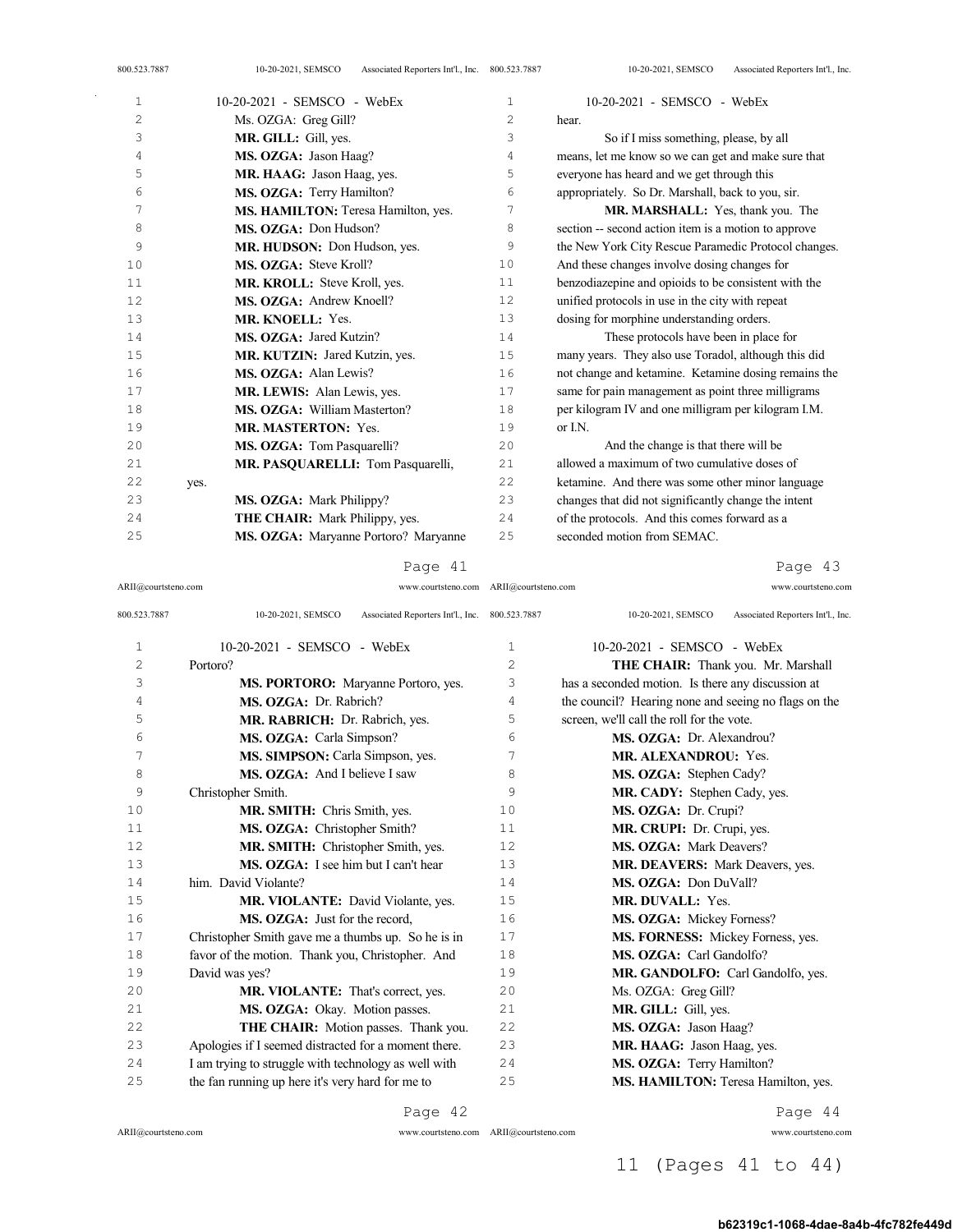| 800.523.7887 | Associated Reporters Int'l., Inc. 800.523.7887<br>10-20-2021, SEMSCO |                | Associated Reporters Int'l., Inc.<br>10-20-2021, SEMSCO |
|--------------|----------------------------------------------------------------------|----------------|---------------------------------------------------------|
| $\mathbf{1}$ | $10-20-2021$ - SEMSCO - WebEx                                        | $\mathbf{1}$   | 10-20-2021 - SEMSCO - WebEx                             |
| $\mathbf{2}$ | Ms. OZGA: Greg Gill?                                                 | $\overline{c}$ | hear.                                                   |
| 3            | MR. GILL: Gill, yes.                                                 | 3              | So if I miss something, please, by all                  |
| 4            | MS. OZGA: Jason Haag?                                                | 4              | means, let me know so we can get and make sure that     |
| 5            | MR. HAAG: Jason Haag, yes.                                           | 5              | everyone has heard and we get through this              |
| 6            | MS. OZGA: Terry Hamilton?                                            | 6              | appropriately. So Dr. Marshall, back to you, sir.       |
| 7            | MS. HAMILTON: Teresa Hamilton, yes.                                  | 7              | MR. MARSHALL: Yes, thank you. The                       |
| 8            | MS. OZGA: Don Hudson?                                                | 8              | section -- second action item is a motion to approve    |
| 9            | MR. HUDSON: Don Hudson, yes.                                         | 9              | the New York City Rescue Paramedic Protocol changes.    |
| 10           | MS. OZGA: Steve Kroll?                                               | 10             | And these changes involve dosing changes for            |
| 11           | MR. KROLL: Steve Kroll, yes.                                         | 11             | benzodiazepine and opioids to be consistent with the    |
| 12           | MS. OZGA: Andrew Knoell?                                             | 12             | unified protocols in use in the city with repeat        |
| 13           | MR. KNOELL: Yes.                                                     | 13             | dosing for morphine understanding orders.               |
| 14           | MS. OZGA: Jared Kutzin?                                              | 14             | These protocols have been in place for                  |
| 15           | MR. KUTZIN: Jared Kutzin, yes.                                       | 15             | many years. They also use Toradol, although this did    |
| 16           | MS. OZGA: Alan Lewis?                                                | 16             | not change and ketamine. Ketamine dosing remains the    |
| 17           | MR. LEWIS: Alan Lewis, yes.                                          | 17             | same for pain management as point three milligrams      |
| 18           | MS. OZGA: William Masterton?                                         | 18             | per kilogram IV and one milligram per kilogram I.M.     |
| 19           | <b>MR. MASTERTON: Yes.</b>                                           | 19             | or I.N.                                                 |
| 20           | MS. OZGA: Tom Pasquarelli?                                           | 20             | And the change is that there will be                    |
| 21           | MR. PASOUARELLI: Tom Pasquarelli,                                    | 21             | allowed a maximum of two cumulative doses of            |
| 22           | yes.                                                                 | 22             | ketamine. And there was some other minor language       |
| 23           | MS. OZGA: Mark Philippy?                                             | 23             | changes that did not significantly change the intent    |
| 24           | THE CHAIR: Mark Philippy, yes.                                       | 24             | of the protocols. And this comes forward as a           |
| 25           | MS. OZGA: Maryanne Portoro? Maryanne                                 | 25             | seconded motion from SEMAC.                             |
|              |                                                                      |                |                                                         |

# Page 43

ARII@courtsteno.com www.courtsteno.com ARII@courtsteno.com www.courtsteno.com

| 800.523.7887   | 10-20-2021, SEMSCO<br>Associated Reporters Int'l., Inc. 800.523.7887 |    | 10-20-2021, SEMSCO<br>Associated Reporters Int'l., Inc. |
|----------------|----------------------------------------------------------------------|----|---------------------------------------------------------|
| $\mathbf{1}$   | 10-20-2021 - SEMSCO - WebEx                                          | 1  | 10-20-2021 - SEMSCO - WebEx                             |
| $\overline{c}$ | Portoro?                                                             | 2  | THE CHAIR: Thank you. Mr. Marshall                      |
| 3              | <b>MS. PORTORO:</b> Maryanne Portoro, yes.                           | 3  | has a seconded motion. Is there any discussion at       |
| 4              | MS. OZGA: Dr. Rabrich?                                               | 4  | the council? Hearing none and seeing no flags on the    |
| 5              | MR. RABRICH: Dr. Rabrich, yes.                                       | 5  | screen, we'll call the roll for the vote.               |
| 6              | MS. OZGA: Carla Simpson?                                             | 6  | MS. OZGA: Dr. Alexandrou?                               |
| 7              | MS. SIMPSON: Carla Simpson, yes.                                     | 7  | <b>MR. ALEXANDROU: Yes.</b>                             |
| 8              | <b>MS. OZGA:</b> And I believe I saw                                 | 8  | MS. OZGA: Stephen Cady?                                 |
| 9              | Christopher Smith.                                                   | 9  | MR. CADY: Stephen Cady, yes.                            |
| 10             | MR. SMITH: Chris Smith, yes.                                         | 10 | MS. OZGA: Dr. Crupi?                                    |
| 11             | MS. OZGA: Christopher Smith?                                         | 11 | MR. CRUPI: Dr. Crupi, yes.                              |
| 12             | MR. SMITH: Christopher Smith, yes.                                   | 12 | MS. OZGA: Mark Deavers?                                 |
| 13             | MS. OZGA: I see him but I can't hear                                 | 13 | MR. DEAVERS: Mark Deavers, yes.                         |
| 14             | him. David Violante?                                                 | 14 | MS. OZGA: Don DuVall?                                   |
| 15             | MR. VIOLANTE: David Violante, yes.                                   | 15 | <b>MR. DUVALL: Yes.</b>                                 |
| 16             | MS. OZGA: Just for the record,                                       | 16 | MS. OZGA: Mickey Forness?                               |
| 17             | Christopher Smith gave me a thumbs up. So he is in                   | 17 | MS. FORNESS: Mickey Forness, yes.                       |
| 18             | favor of the motion. Thank you, Christopher. And                     | 18 | MS. OZGA: Carl Gandolfo?                                |
| 19             | David was yes?                                                       | 19 | MR. GANDOLFO: Carl Gandolfo, yes.                       |
| 20             | MR. VIOLANTE: That's correct, yes.                                   | 20 | Ms. OZGA: Greg Gill?                                    |
| 21             | MS. OZGA: Okay. Motion passes.                                       | 21 | MR. GILL: Gill, yes.                                    |
| 22             | THE CHAIR: Motion passes. Thank you.                                 | 22 | MS. OZGA: Jason Haag?                                   |
| 23             | Apologies if I seemed distracted for a moment there.                 | 23 | MR. HAAG: Jason Haag, yes.                              |
| 24             | I am trying to struggle with technology as well with                 | 24 | MS. OZGA: Terry Hamilton?                               |
| 25             | the fan running up here it's very hard for me to                     | 25 | MS. HAMILTON: Teresa Hamilton, yes.                     |

Page 42

 $\bar{\gamma}$ 

ARII@courtsteno.com www.courtsteno.com

Page 44

11 (Pages 41 to 44)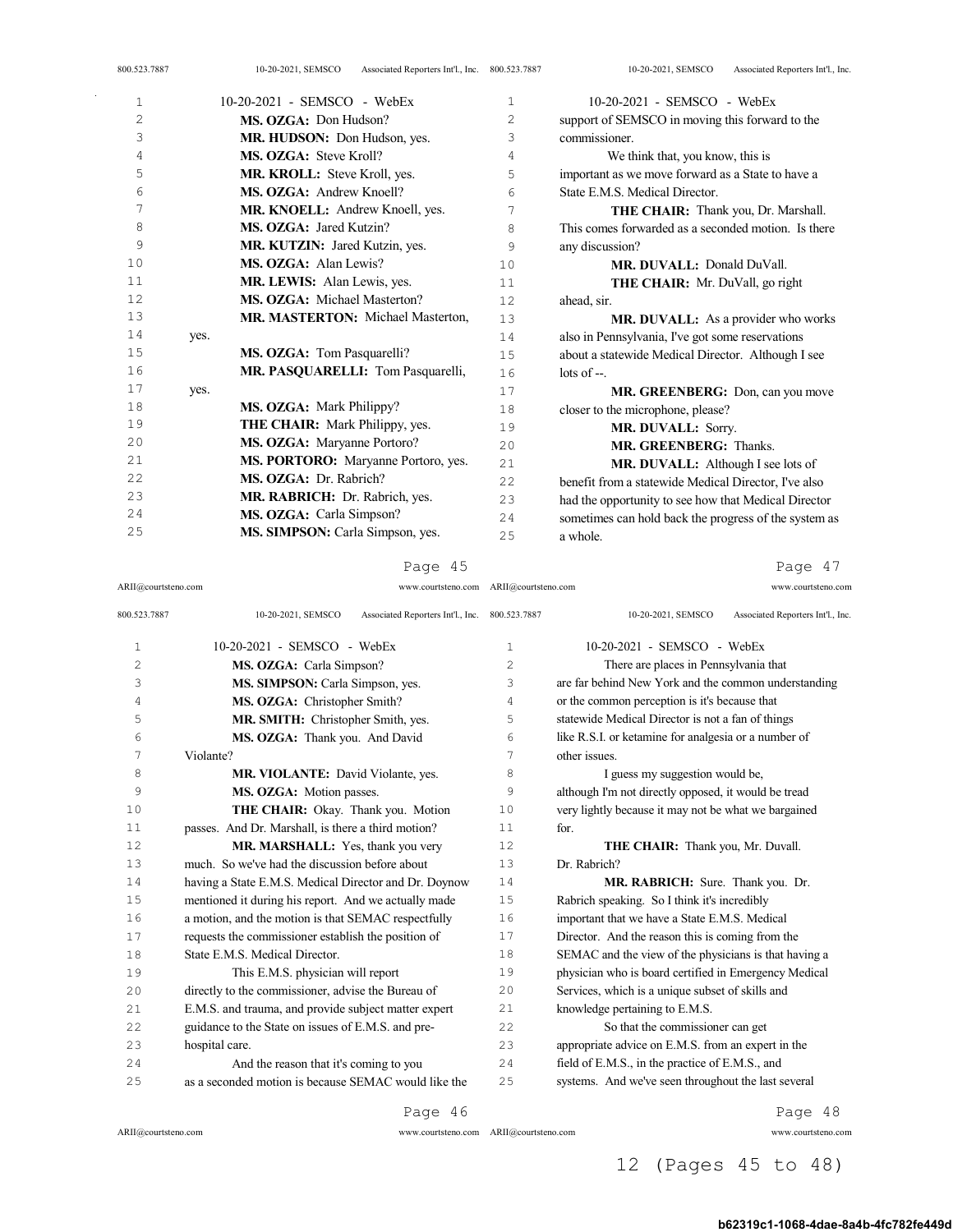| 800.523.7887 | Associated Reporters Int'l., Inc. 800.523.7887<br>10-20-2021, SEMSCO |                | Associated Reporters Int'l., Inc.<br>10-20-2021, SEMSCO |
|--------------|----------------------------------------------------------------------|----------------|---------------------------------------------------------|
| 1            | 10-20-2021 - SEMSCO - WebEx                                          | 1              | 10-20-2021 - SEMSCO - WebEx                             |
| 2            | MS. OZGA: Don Hudson?                                                | $\overline{c}$ | support of SEMSCO in moving this forward to the         |
| 3            | MR. HUDSON: Don Hudson, yes.                                         | 3              | commissioner.                                           |
| 4            | MS. OZGA: Steve Kroll?                                               | 4              | We think that, you know, this is                        |
| 5            | MR. KROLL: Steve Kroll, yes.                                         | 5              | important as we move forward as a State to have a       |
| 6            | MS. OZGA: Andrew Knoell?                                             | 6              | State E.M.S. Medical Director.                          |
| 7            | MR. KNOELL: Andrew Knoell, yes.                                      | 7              | THE CHAIR: Thank you, Dr. Marshall.                     |
| 8            | MS. OZGA: Jared Kutzin?                                              | 8              | This comes forwarded as a seconded motion. Is there     |
| 9            | MR. KUTZIN: Jared Kutzin, yes.                                       | 9              | any discussion?                                         |
| 10           | MS. OZGA: Alan Lewis?                                                | 10             | MR. DUVALL: Donald DuVall.                              |
| 11           | <b>MR. LEWIS:</b> Alan Lewis, yes.                                   | 11             | <b>THE CHAIR:</b> Mr. DuVall, go right                  |
| 12           | MS. OZGA: Michael Masterton?                                         | 12             | ahead, sir.                                             |
| 13           | MR. MASTERTON: Michael Masterton,                                    | 13             | <b>MR. DUVALL:</b> As a provider who works              |
| 14           | yes.                                                                 | 14             | also in Pennsylvania, I've got some reservations        |
| 15           | MS. OZGA: Tom Pasquarelli?                                           | 15             | about a statewide Medical Director. Although I see      |
| 16           | MR. PASQUARELLI: Tom Pasquarelli,                                    | 16             | $\frac{1}{1}$ of $\frac{1}{1}$ .                        |
| 17           | yes.                                                                 | 17             | MR. GREENBERG: Don, can you move                        |
| 18           | MS. OZGA: Mark Philippy?                                             | 18             | closer to the microphone, please?                       |
| 19           | <b>THE CHAIR:</b> Mark Philippy, yes.                                | 19             | MR. DUVALL: Sorry.                                      |
| 20           | MS. OZGA: Maryanne Portoro?                                          | 20             | MR. GREENBERG: Thanks.                                  |
| 21           | MS. PORTORO: Maryanne Portoro, yes.                                  | 21             | <b>MR. DUVALL:</b> Although I see lots of               |

**MS. OZGA:** Dr. Rabrich? 23 MR. RABRICH: Dr. Rabrich, yes. MS. OZGA: Carla Simpson? **MS. SIMPSON:** Carla Simpson, yes.

Page 45

Page 47

| 800.523.7887   | Associated Reporters Int'l., Inc. 800.523.7887<br>10-20-2021, SEMSCO |              | Associated Reporters Int'l., Inc.<br>10-20-2021, SEMSCO |
|----------------|----------------------------------------------------------------------|--------------|---------------------------------------------------------|
| $\mathbf{1}$   | 10-20-2021 - SEMSCO - WebEx                                          | $\mathbf{1}$ | 10-20-2021 - SEMSCO - WebEx                             |
| $\overline{c}$ | MS. OZGA: Carla Simpson?                                             | 2            | There are places in Pennsylvania that                   |
| 3              | MS. SIMPSON: Carla Simpson, yes.                                     | 3            | are far behind New York and the common understanding    |
| 4              | MS. OZGA: Christopher Smith?                                         | 4            | or the common perception is it's because that           |
| 5              | MR. SMITH: Christopher Smith, yes.                                   | 5            | statewide Medical Director is not a fan of things       |
| 6              | MS. OZGA: Thank you. And David                                       | 6            | like R.S.I. or ketamine for analgesia or a number of    |
| 7              | Violante?                                                            | 7            | other issues.                                           |
| 8              | MR. VIOLANTE: David Violante, yes.                                   | 8            | I guess my suggestion would be,                         |
| 9              | MS. OZGA: Motion passes.                                             | 9            | although I'm not directly opposed, it would be tread    |
| 10             | THE CHAIR: Okay. Thank you. Motion                                   | 10           | very lightly because it may not be what we bargained    |
| 11             | passes. And Dr. Marshall, is there a third motion?                   | 11           | for.                                                    |
| 12.            | MR. MARSHALL: Yes, thank you very                                    | 12.          | THE CHAIR: Thank you, Mr. Duvall.                       |
| 13             | much. So we've had the discussion before about                       | 13           | Dr. Rabrich?                                            |
| 14             | having a State E.M.S. Medical Director and Dr. Doynow                | 14           | MR. RABRICH: Sure. Thank you. Dr.                       |
| 15             | mentioned it during his report. And we actually made                 | 15           | Rabrich speaking. So I think it's incredibly            |
| 16             | a motion, and the motion is that SEMAC respectfully                  | 16           | important that we have a State E.M.S. Medical           |
| 17             | requests the commissioner establish the position of                  | 17           | Director. And the reason this is coming from the        |
| 18             | State F.M.S. Medical Director.                                       | 18           | SEMAC and the view of the physicians is that having a   |
| 19             | This E.M.S. physician will report                                    | 19           | physician who is board certified in Emergency Medical   |
| 2.0            | directly to the commissioner, advise the Bureau of                   | 20           | Services, which is a unique subset of skills and        |
| 21             | E.M.S. and trauma, and provide subject matter expert                 | 2.1          | knowledge pertaining to E.M.S.                          |
| 22             | guidance to the State on issues of E.M.S. and pre-                   | 22           | So that the commissioner can get                        |
| 2.3            | hospital care.                                                       | 2.3          | appropriate advice on E.M.S. from an expert in the      |
| 2.4            | And the reason that it's coming to you                               | 24           | field of E.M.S., in the practice of E.M.S., and         |
| 25             | as a seconded motion is because SEMAC would like the                 | 25           | systems. And we've seen throughout the last several     |

Page 46

ARII@courtsteno.com

ARII@courtsteno.com www.courtsteno.com

a whole.

 benefit from a statewide Medical Director, I've also had the opportunity to see how that Medical Director sometimes can hold back the progress of the system as

Page 48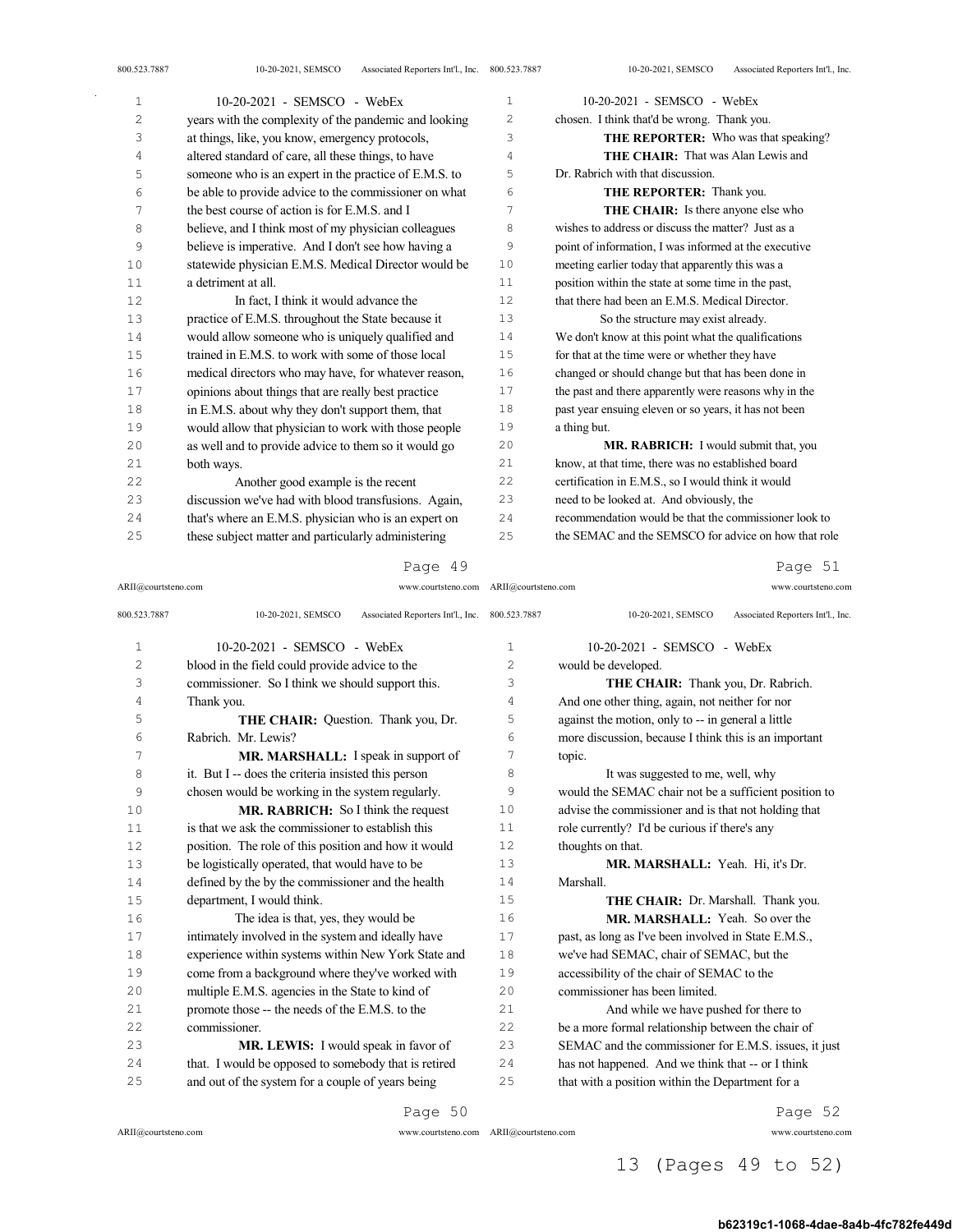| 1  | 10-20-2021 - SEMSCO - WebEx                           | $\mathbf{1}$ | 10-20-2021 - SEMSCO - WebEx                           |
|----|-------------------------------------------------------|--------------|-------------------------------------------------------|
| 2  | years with the complexity of the pandemic and looking | 2            | chosen. I think that'd be wrong. Thank you.           |
| 3  | at things, like, you know, emergency protocols,       | 3            | THE REPORTER: Who was that speaking?                  |
| 4  | altered standard of care, all these things, to have   | 4            | <b>THE CHAIR:</b> That was Alan Lewis and             |
| 5  | someone who is an expert in the practice of E.M.S. to | 5            | Dr. Rabrich with that discussion.                     |
| 6  | be able to provide advice to the commissioner on what | 6            | THE REPORTER: Thank you.                              |
| 7  | the best course of action is for E.M.S. and I         | 7            | <b>THE CHAIR:</b> Is there anyone else who            |
| 8  | believe, and I think most of my physician colleagues  | 8            | wishes to address or discuss the matter? Just as a    |
| 9  | believe is imperative. And I don't see how having a   | 9            | point of information, I was informed at the executive |
| 10 | statewide physician E.M.S. Medical Director would be  | 10           | meeting earlier today that apparently this was a      |
| 11 | a detriment at all.                                   | 11           | position within the state at some time in the past,   |
| 12 | In fact, I think it would advance the                 | 12           | that there had been an E.M.S. Medical Director.       |
| 13 | practice of E.M.S. throughout the State because it    | 13           | So the structure may exist already.                   |
| 14 | would allow someone who is uniquely qualified and     | 14           | We don't know at this point what the qualifications   |
| 15 | trained in E.M.S. to work with some of those local    | 15           | for that at the time were or whether they have        |
| 16 | medical directors who may have, for whatever reason,  | 16           | changed or should change but that has been done in    |
| 17 | opinions about things that are really best practice   | 17           | the past and there apparently were reasons why in the |
| 18 | in E.M.S. about why they don't support them, that     | 18           | past year ensuing eleven or so years, it has not been |
| 19 | would allow that physician to work with those people  | 19           | a thing but.                                          |
| 20 | as well and to provide advice to them so it would go  | 20           | MR. RABRICH: I would submit that, you                 |
| 21 | both ways.                                            | 21           | know, at that time, there was no established board    |
| 22 | Another good example is the recent                    | 22           | certification in E.M.S., so I would think it would    |
| 23 | discussion we've had with blood transfusions. Again,  | 23           | need to be looked at. And obviously, the              |
| 24 | that's where an E.M.S. physician who is an expert on  | 24           | recommendation would be that the commissioner look to |
| 25 | these subject matter and particularly administering   | 25           | the SEMAC and the SEMSCO for advice on how that role  |

ARII@courtsteno.com www.courtsteno.com ARII@courtsteno.com www.courtsteno.com Page 51

| 800.523.7887   | Associated Reporters Int'l., Inc. 800.523.7887<br>10-20-2021, SEMSCO |                | Associated Reporters Int'l., Inc.<br>10-20-2021, SEMSCO |
|----------------|----------------------------------------------------------------------|----------------|---------------------------------------------------------|
| $\mathbf{1}$   | 10-20-2021 - SEMSCO - WebEx                                          | 1              | 10-20-2021 - SEMSCO - WebEx                             |
| $\overline{c}$ | blood in the field could provide advice to the                       | $\overline{c}$ | would be developed.                                     |
| 3              | commissioner. So I think we should support this.                     | 3              | THE CHAIR: Thank you, Dr. Rabrich.                      |
| $\overline{4}$ | Thank you.                                                           | 4              | And one other thing, again, not neither for nor         |
| 5              | THE CHAIR: Question. Thank you, Dr.                                  | 5              | against the motion, only to -- in general a little      |
| 6              | Rabrich. Mr. Lewis?                                                  | 6              | more discussion, because I think this is an important   |
| 7              | MR. MARSHALL: I speak in support of                                  | 7              | topic.                                                  |
| 8              | it. But I -- does the criteria insisted this person                  | 8              | It was suggested to me, well, why                       |
| 9              | chosen would be working in the system regularly.                     | 9              | would the SEMAC chair not be a sufficient position to   |
| 10             | MR. RABRICH: So I think the request                                  | 10             | advise the commissioner and is that not holding that    |
| 11             | is that we ask the commissioner to establish this                    | 11             | role currently? I'd be curious if there's any           |
| 12             | position. The role of this position and how it would                 | 12             | thoughts on that.                                       |
| 13             | be logistically operated, that would have to be                      | 13             | MR. MARSHALL: Yeah. Hi, it's Dr.                        |
| 14             | defined by the by the commissioner and the health                    | 14             | Marshall.                                               |
| 15             | department, I would think.                                           | 15             | THE CHAIR: Dr. Marshall. Thank you.                     |
| 16             | The idea is that, yes, they would be                                 | 16             | MR. MARSHALL: Yeah. So over the                         |
| 17             | intimately involved in the system and ideally have                   | 17             | past, as long as I've been involved in State E.M.S.,    |
| 18             | experience within systems within New York State and                  | 18             | we've had SEMAC, chair of SEMAC, but the                |
| 19             | come from a background where they've worked with                     | 19             | accessibility of the chair of SEMAC to the              |
| 20             | multiple E.M.S. agencies in the State to kind of                     | 20             | commissioner has been limited.                          |
| 21             | promote those -- the needs of the E.M.S. to the                      | 21             | And while we have pushed for there to                   |
| 22             | commissioner.                                                        | 22.2           | be a more formal relationship between the chair of      |
| 23             | MR. LEWIS: I would speak in favor of                                 | 23             | SEMAC and the commissioner for E.M.S. issues, it just   |
| 24             | that. I would be opposed to somebody that is retired                 | 24             | has not happened. And we think that -- or I think       |
| 25             | and out of the system for a couple of years being                    | 25             | that with a position within the Department for a        |
|                | Page 50                                                              |                | Page 52                                                 |

 $\mathrm{ARII}\xspace$  @courtsteno.com

ARII@courtsteno.com www.courtsteno.com

Page 52

# 13 (Pages 49 to 52)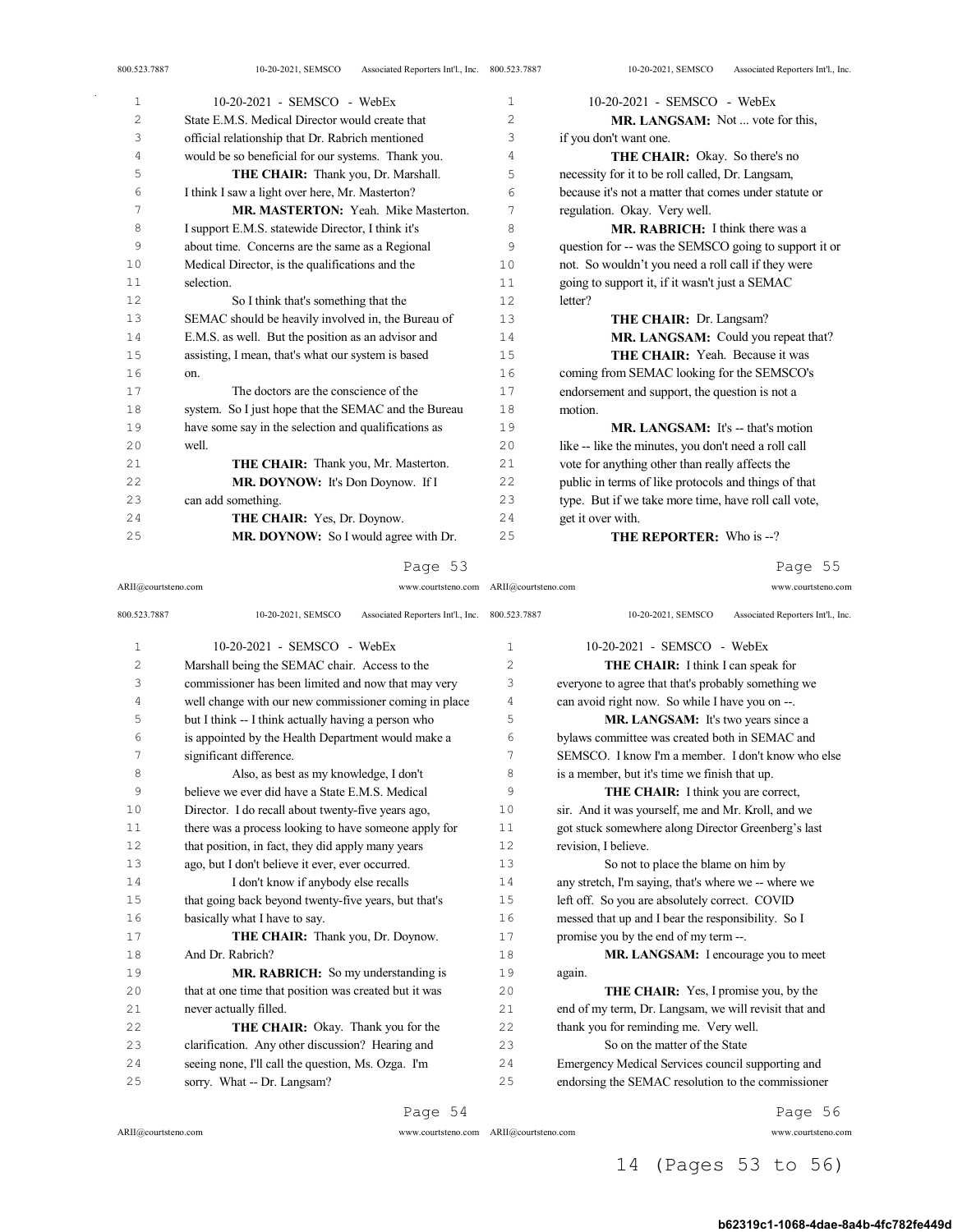|                | 10-20-2021 - SEMSCO - WebEx                          |    | 10-20-2021 - SEMSCO - WebEx                           |
|----------------|------------------------------------------------------|----|-------------------------------------------------------|
| 1              |                                                      | 1  |                                                       |
| $\overline{c}$ | State F.M.S. Medical Director would create that      | 2  | <b>MR. LANGSAM:</b> Not  vote for this,               |
| 3              | official relationship that Dr. Rabrich mentioned     | 3  | if you don't want one.                                |
| 4              | would be so beneficial for our systems. Thank you.   | 4  | <b>THE CHAIR:</b> Okay. So there's no                 |
| 5              | THE CHAIR: Thank you, Dr. Marshall.                  | 5  | necessity for it to be roll called, Dr. Langsam,      |
| 6              | I think I saw a light over here, Mr. Masterton?      | 6  | because it's not a matter that comes under statute or |
| 7              | MR. MASTERTON: Yeah. Mike Masterton.                 | 7  | regulation. Okay. Very well.                          |
| 8              | I support E.M.S. statewide Director, I think it's    | 8  | <b>MR. RABRICH:</b> I think there was a               |
| 9              | about time. Concerns are the same as a Regional      | 9  | question for -- was the SEMSCO going to support it or |
| 10             | Medical Director, is the qualifications and the      | 10 | not. So wouldn't you need a roll call if they were    |
| 11             | selection.                                           | 11 | going to support it, if it wasn't just a SEMAC        |
| 12             | So I think that's something that the                 | 12 | letter?                                               |
| 13             | SEMAC should be heavily involved in, the Bureau of   | 13 | THE CHAIR: Dr. Langsam?                               |
| 14             | E.M.S. as well. But the position as an advisor and   | 14 | MR. LANGSAM: Could you repeat that?                   |
| 15             | assisting, I mean, that's what our system is based   | 15 | <b>THE CHAIR:</b> Yeah. Because it was                |
| 16             | on.                                                  | 16 | coming from SEMAC looking for the SEMSCO's            |
| 17             | The doctors are the conscience of the                | 17 | endorsement and support, the question is not a        |
| 18             | system. So I just hope that the SEMAC and the Bureau | 18 | motion.                                               |
| 19             | have some say in the selection and qualifications as | 19 | $MR$ , LANGSAM: It's -- that's motion                 |
| 20             | well.                                                | 20 | like -- like the minutes, you don't need a roll call  |
| 21             | THE CHAIR: Thank you, Mr. Masterton.                 | 21 | vote for anything other than really affects the       |
| 22             | MR. DOYNOW: It's Don Doynow. If I                    | 22 | public in terms of like protocols and things of that  |
| 23             | can add something.                                   | 23 | type. But if we take more time, have roll call vote,  |
| 24             | <b>THE CHAIR:</b> Yes, Dr. Doynow.                   | 24 | get it over with.                                     |
| 25             | MR. DOYNOW: So I would agree with Dr.                | 25 | THE REPORTER: Who is --?                              |
|                |                                                      |    |                                                       |

## Page 53

ARII@courtsteno.com www.courtsteno.com ARII@courtsteno.com www.courtsteno.com Page 55

| 800.523.7887   | 10-20-2021, SEMSCO<br>Associated Reporters Int'l., Inc. 800.523.7887 |                | 10-20-2021, SEMSCO<br>Associated Reporters Int'l., Inc. |
|----------------|----------------------------------------------------------------------|----------------|---------------------------------------------------------|
| 1              | 10-20-2021 - SEMSCO - WebEx                                          | 1              | 10-20-2021 - SEMSCO - WebEx                             |
| $\overline{c}$ | Marshall being the SEMAC chair. Access to the                        | $\overline{c}$ | THE CHAIR: I think I can speak for                      |
| 3              | commissioner has been limited and now that may very                  | 3              | everyone to agree that that's probably something we     |
| 4              | well change with our new commissioner coming in place                | 4              | can avoid right now. So while I have you on --.         |
| 5              | but I think -- I think actually having a person who                  | 5              | MR. LANGSAM: It's two years since a                     |
| 6              | is appointed by the Health Department would make a                   | 6              | bylaws committee was created both in SEMAC and          |
| 7              | significant difference.                                              | 7              | SEMSCO. I know I'm a member. I don't know who else      |
| 8              | Also, as best as my knowledge, I don't                               | 8              | is a member, but it's time we finish that up.           |
| 9              | believe we ever did have a State F.M.S. Medical                      | 9              | THE CHAIR: I think you are correct,                     |
| 10             | Director. I do recall about twenty-five years ago,                   | 10             | sir. And it was yourself, me and Mr. Kroll, and we      |
| 11             | there was a process looking to have someone apply for                | 11             | got stuck somewhere along Director Greenberg's last     |
| 12             | that position, in fact, they did apply many years                    | 12             | revision, I believe.                                    |
| 13             | ago, but I don't believe it ever, ever occurred.                     | 13             | So not to place the blame on him by                     |
| 14             | I don't know if anybody else recalls                                 | 14             | any stretch, I'm saying, that's where we -- where we    |
| 15             | that going back beyond twenty-five years, but that's                 | 15             | left off. So you are absolutely correct. COVID          |
| 16             | basically what I have to say.                                        | 16             | messed that up and I bear the responsibility. So I      |
| 17             | THE CHAIR: Thank you, Dr. Doynow.                                    | 17             | promise you by the end of my term --.                   |
| 18             | And Dr. Rabrich?                                                     | 18             | MR. LANGSAM: I encourage you to meet                    |
| 19             | MR. RABRICH: So my understanding is                                  | 19             | again.                                                  |
| 20             | that at one time that position was created but it was                | 20             | <b>THE CHAIR:</b> Yes, I promise you, by the            |
| 2.1            | never actually filled.                                               | 2.1            | end of my term, Dr. Langsam, we will revisit that and   |
| 22             | THE CHAIR: Okay. Thank you for the                                   | 22             | thank you for reminding me. Very well.                  |
| 23             | clarification. Any other discussion? Hearing and                     | 23             | So on the matter of the State                           |
| 24             | seeing none, I'll call the question, Ms. Ozga. I'm                   | 24             | Emergency Medical Services council supporting and       |
| 25             | sorry. What -- Dr. Langsam?                                          | 25             | endorsing the SEMAC resolution to the commissioner      |
|                |                                                                      |                |                                                         |

 $\mathrm{ARII}\xspace$  @courtsteno.com

ARII@courtsteno.com www.courtsteno.com

Page 54

Page 56

# 14 (Pages 53 to 56)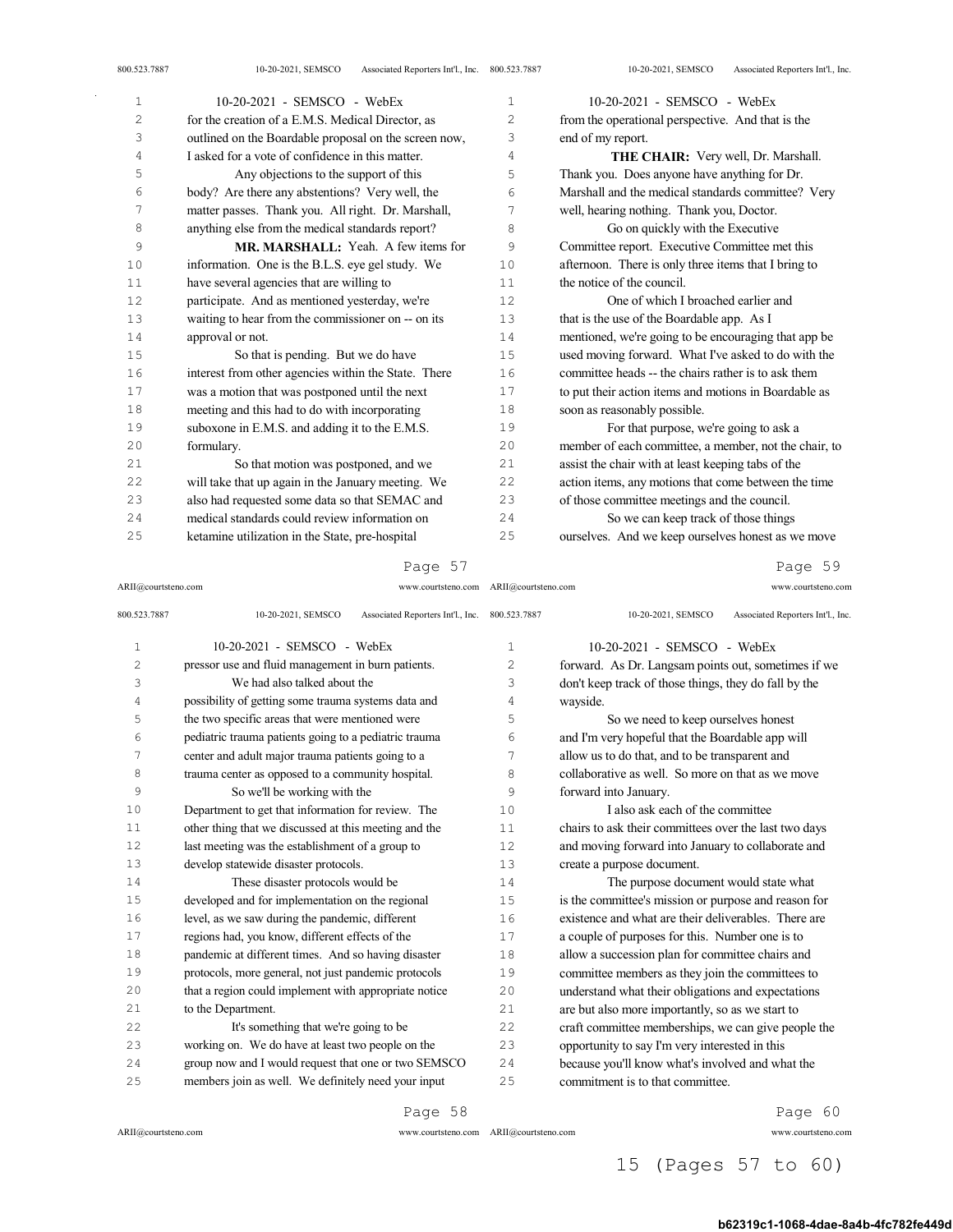| $\mathbf{1}$   | $10-20-2021$ - SEMSCO - WebEx                         | $\mathbf{1}$   | $10-20-2021$ - SEMSCO - WebEx                         |
|----------------|-------------------------------------------------------|----------------|-------------------------------------------------------|
| $\overline{c}$ | for the creation of a E.M.S. Medical Director, as     | $\overline{c}$ | from the operational perspective. And that is the     |
| 3              | outlined on the Boardable proposal on the screen now, | 3              | end of my report.                                     |
| 4              | I asked for a vote of confidence in this matter.      | 4              | THE CHAIR: Very well, Dr. Marshall.                   |
| 5              | Any objections to the support of this                 | 5              | Thank you. Does anyone have anything for Dr.          |
| 6              | body? Are there any abstentions? Very well, the       | 6              | Marshall and the medical standards committee? Very    |
| 7              | matter passes. Thank you. All right. Dr. Marshall,    | 7              | well, hearing nothing. Thank you, Doctor.             |
| 8              | anything else from the medical standards report?      | 8              | Go on quickly with the Executive                      |
| 9              | MR. MARSHALL: Yeah. A few items for                   | 9              | Committee report. Executive Committee met this        |
| 10             | information. One is the B.L.S. eye gel study. We      | 10             | afternoon. There is only three items that I bring to  |
| 11             | have several agencies that are willing to             | 11             | the notice of the council.                            |
| 12             | participate. And as mentioned yesterday, we're        | 12             | One of which I broached earlier and                   |
| 13             | waiting to hear from the commissioner on -- on its    | 13             | that is the use of the Boardable app. As I            |
| 14             | approval or not.                                      | 14             | mentioned, we're going to be encouraging that app be  |
| 15             | So that is pending. But we do have                    | 15             | used moving forward. What I've asked to do with the   |
| 16             | interest from other agencies within the State. There  | 16             | committee heads -- the chairs rather is to ask them   |
| 17             | was a motion that was postponed until the next        | 17             | to put their action items and motions in Boardable as |
| 18             | meeting and this had to do with incorporating         | 18             | soon as reasonably possible.                          |
| 19             | suboxone in E.M.S. and adding it to the E.M.S.        | 19             | For that purpose, we're going to ask a                |
| 20             | formulary.                                            | 20             | member of each committee, a member, not the chair, to |
| 21             | So that motion was postponed, and we                  | 21             | assist the chair with at least keeping tabs of the    |
| 22             | will take that up again in the January meeting. We    | 22             | action items, any motions that come between the time  |
| 23             | also had requested some data so that SEMAC and        | 23             | of those committee meetings and the council.          |
| 24             | medical standards could review information on         | 2.4            | So we can keep track of those things                  |
| 25             | ketamine utilization in the State, pre-hospital       | 25             | ourselves. And we keep ourselves honest as we move    |

ARII@courtsteno.com www.courtsteno.com ARII@courtsteno.com www.courtsteno.com Page 59

| 800.523.7887 | Associated Reporters Int'l., Inc. 800.523.7887<br>10-20-2021, SEMSCO |                | 10-20-2021, SEMSCO<br>Associated Reporters Int'l., Inc. |
|--------------|----------------------------------------------------------------------|----------------|---------------------------------------------------------|
| $\mathbf{1}$ | $10-20-2021$ - SEMSCO - WebEx                                        | 1              | 10-20-2021 - SEMSCO - WebEx                             |
| 2            | pressor use and fluid management in burn patients.                   | $\overline{2}$ | forward. As Dr. Langsam points out, sometimes if we     |
| 3            | We had also talked about the                                         | 3              | don't keep track of those things, they do fall by the   |
| 4            | possibility of getting some trauma systems data and                  | 4              | wayside.                                                |
| 5            | the two specific areas that were mentioned were                      | 5              | So we need to keep ourselves honest                     |
| 6            | pediatric trauma patients going to a pediatric trauma                | 6              | and I'm very hopeful that the Boardable app will        |
| 7            | center and adult major trauma patients going to a                    | 7              | allow us to do that, and to be transparent and          |
| 8            | trauma center as opposed to a community hospital.                    | 8              | collaborative as well. So more on that as we move       |
| 9            | So we'll be working with the                                         | 9              | forward into January.                                   |
| 10           | Department to get that information for review. The                   | 10             | I also ask each of the committee                        |
| 11           | other thing that we discussed at this meeting and the                | 11             | chairs to ask their committees over the last two days   |
| 12           | last meeting was the establishment of a group to                     | 12             | and moving forward into January to collaborate and      |
| 13           | develop statewide disaster protocols.                                | 13             | create a purpose document.                              |
| 14           | These disaster protocols would be                                    | 14             | The purpose document would state what                   |
| 15           | developed and for implementation on the regional                     | 15             | is the committee's mission or purpose and reason for    |
| 16           | level, as we saw during the pandemic, different                      | 16             | existence and what are their deliverables. There are    |
| 17           | regions had, you know, different effects of the                      | 17             | a couple of purposes for this. Number one is to         |
| 18           | pandemic at different times. And so having disaster                  | 18             | allow a succession plan for committee chairs and        |
| 19           | protocols, more general, not just pandemic protocols                 | 19             | committee members as they join the committees to        |
| 20           | that a region could implement with appropriate notice                | 20             | understand what their obligations and expectations      |
| 21           | to the Department.                                                   | 21             | are but also more importantly, so as we start to        |
| 22           | It's something that we're going to be                                | 22             | craft committee memberships, we can give people the     |
| 23           | working on. We do have at least two people on the                    | 23             | opportunity to say I'm very interested in this          |
| 24           | group now and I would request that one or two SEMSCO                 | 24             | because you'll know what's involved and what the        |
| 25           | members join as well. We definitely need your input                  | 25             | commitment is to that committee.                        |
|              |                                                                      |                |                                                         |

Page 58

 $\mathrm{ARII}\xspace$  @courtsteno.com

ARII@courtsteno.com www.courtsteno.com

Page 60

# 15 (Pages 57 to 60)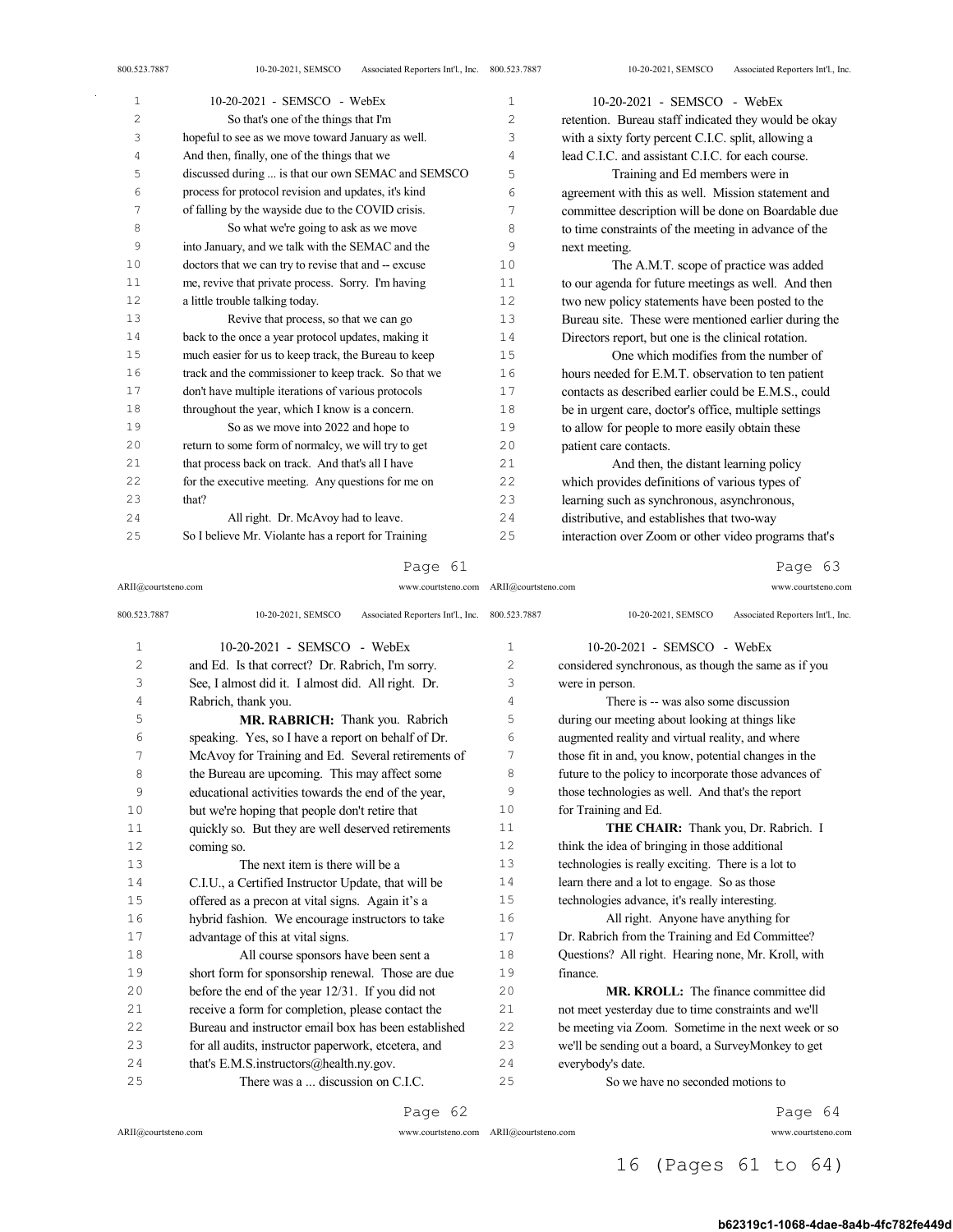| $\mathbf{1}$   | $10-20-2021$ - SEMSCO - WebEx                        | $\mathbf{1}$   | $10-20-2021$ - SEMSCO - WebEx                         |
|----------------|------------------------------------------------------|----------------|-------------------------------------------------------|
| $\overline{c}$ | So that's one of the things that I'm                 | $\overline{2}$ | retention. Bureau staff indicated they would be okay  |
| 3              | hopeful to see as we move toward January as well.    | 3              | with a sixty forty percent C.I.C. split, allowing a   |
| 4              | And then, finally, one of the things that we         | 4              | lead C.I.C. and assistant C.I.C. for each course.     |
| 5              | discussed during  is that our own SEMAC and SEMSCO   | 5              | Training and Ed members were in                       |
| 6              | process for protocol revision and updates, it's kind | 6              | agreement with this as well. Mission statement and    |
| 7              | of falling by the wayside due to the COVID crisis.   | 7              | committee description will be done on Boardable due   |
| 8              | So what we're going to ask as we move                | 8              | to time constraints of the meeting in advance of the  |
| 9              | into January, and we talk with the SEMAC and the     | 9              | next meeting.                                         |
| 10             | doctors that we can try to revise that and -- excuse | 10             | The A.M.T. scope of practice was added                |
| 11             | me, revive that private process. Sorry. I'm having   | 11             | to our agenda for future meetings as well. And then   |
| 12             | a little trouble talking today.                      | 12             | two new policy statements have been posted to the     |
| 13             | Revive that process, so that we can go               | 13             | Bureau site. These were mentioned earlier during the  |
| 14             | back to the once a year protocol updates, making it  | 14             | Directors report, but one is the clinical rotation.   |
| 15             | much easier for us to keep track, the Bureau to keep | 15             | One which modifies from the number of                 |
| 16             | track and the commissioner to keep track. So that we | 16             | hours needed for E.M.T. observation to ten patient    |
| 17             | don't have multiple iterations of various protocols  | 17             | contacts as described earlier could be E.M.S., could  |
| 18             | throughout the year, which I know is a concern.      | 18             | be in urgent care, doctor's office, multiple settings |
| 19             | So as we move into 2022 and hope to                  | 19             | to allow for people to more easily obtain these       |
| 20             | return to some form of normalcy, we will try to get  | 20             | patient care contacts.                                |
| 21             | that process back on track. And that's all I have    | 21             | And then, the distant learning policy                 |
| 22             | for the executive meeting. Any questions for me on   | 22             | which provides definitions of various types of        |
| 23             | that?                                                | 23             | learning such as synchronous, asynchronous,           |
| 24             | All right. Dr. McAvoy had to leave.                  | 24             | distributive, and establishes that two-way            |
| 25             | So I believe Mr. Violante has a report for Training  | 25             | interaction over Zoom or other video programs that's  |

## Page 61

ARII@courtsteno.com www.courtsteno.com ARII@courtsteno.com www.courtsteno.com

Page 63

| 800.523.7887   | Associated Reporters Int'l., Inc. 800.523.7887<br>10-20-2021, SEMSCO |                | 10-20-2021, SEMSCO<br>Associated Reporters Int'l., Inc. |
|----------------|----------------------------------------------------------------------|----------------|---------------------------------------------------------|
| $\mathbf{1}$   | 10-20-2021 - SEMSCO - WebEx                                          | $\mathbf{1}$   | $10-20-2021$ - SEMSCO - WebEx                           |
| $\overline{c}$ | and Ed. Is that correct? Dr. Rabrich, I'm sorry.                     | $\overline{c}$ | considered synchronous, as though the same as if you    |
| 3              | See, I almost did it. I almost did. All right. Dr.                   | 3              | were in person.                                         |
| 4              | Rabrich, thank you.                                                  | 4              | There is -- was also some discussion                    |
| 5              | MR. RABRICH: Thank you. Rabrich                                      | 5              | during our meeting about looking at things like         |
| 6              | speaking. Yes, so I have a report on behalf of Dr.                   | 6              | augmented reality and virtual reality, and where        |
| 7              | McAvoy for Training and Ed. Several retirements of                   | 7              | those fit in and, you know, potential changes in the    |
| 8              | the Bureau are upcoming. This may affect some                        | 8              | future to the policy to incorporate those advances of   |
| 9              | educational activities towards the end of the year,                  | 9              | those technologies as well. And that's the report       |
| 10             | but we're hoping that people don't retire that                       | 1 <sub>0</sub> | for Training and Ed.                                    |
| 11             | quickly so. But they are well deserved retirements                   | 11             | THE CHAIR: Thank you, Dr. Rabrich. I                    |
| 12             | coming so.                                                           | 12             | think the idea of bringing in those additional          |
| 13             | The next item is there will be a                                     | 13             | technologies is really exciting. There is a lot to      |
| 14             | C.I.U., a Certified Instructor Update, that will be                  | 14             | learn there and a lot to engage. So as those            |
| 1.5            | offered as a precon at vital signs. Again it's a                     | 15             | technologies advance, it's really interesting.          |
| 16             | hybrid fashion. We encourage instructors to take                     | 16             | All right. Anyone have anything for                     |
| 17             | advantage of this at vital signs.                                    | 17             | Dr. Rabrich from the Training and Ed Committee?         |
| 18             | All course sponsors have been sent a                                 | 18             | Questions? All right. Hearing none, Mr. Kroll, with     |
| 19             | short form for sponsorship renewal. Those are due                    | 19             | finance.                                                |
| 20             | before the end of the year 12/31. If you did not                     | 20             | <b>MR. KROLL:</b> The finance committee did             |
| 2.1            | receive a form for completion, please contact the                    | 21             | not meet yesterday due to time constraints and we'll    |
| 2.2            | Bureau and instructor email box has been established                 | 22             | be meeting via Zoom. Sometime in the next week or so    |
| 23             | for all audits, instructor paperwork, etcetera, and                  | 23             | we'll be sending out a board, a SurveyMonkey to get     |
| 24             | that's E.M.S.instructors@health.ny.gov.                              | 24             | everybody's date.                                       |
| 25             | There was a  discussion on C.L.C.                                    | 25             | So we have no seconded motions to                       |
|                |                                                                      |                |                                                         |

Page 62

 $\mathrm{ARII}\xspace$  @courtsteno.com

ARII@courtsteno.com www.courtsteno.com

Page 64

# 16 (Pages 61 to 64)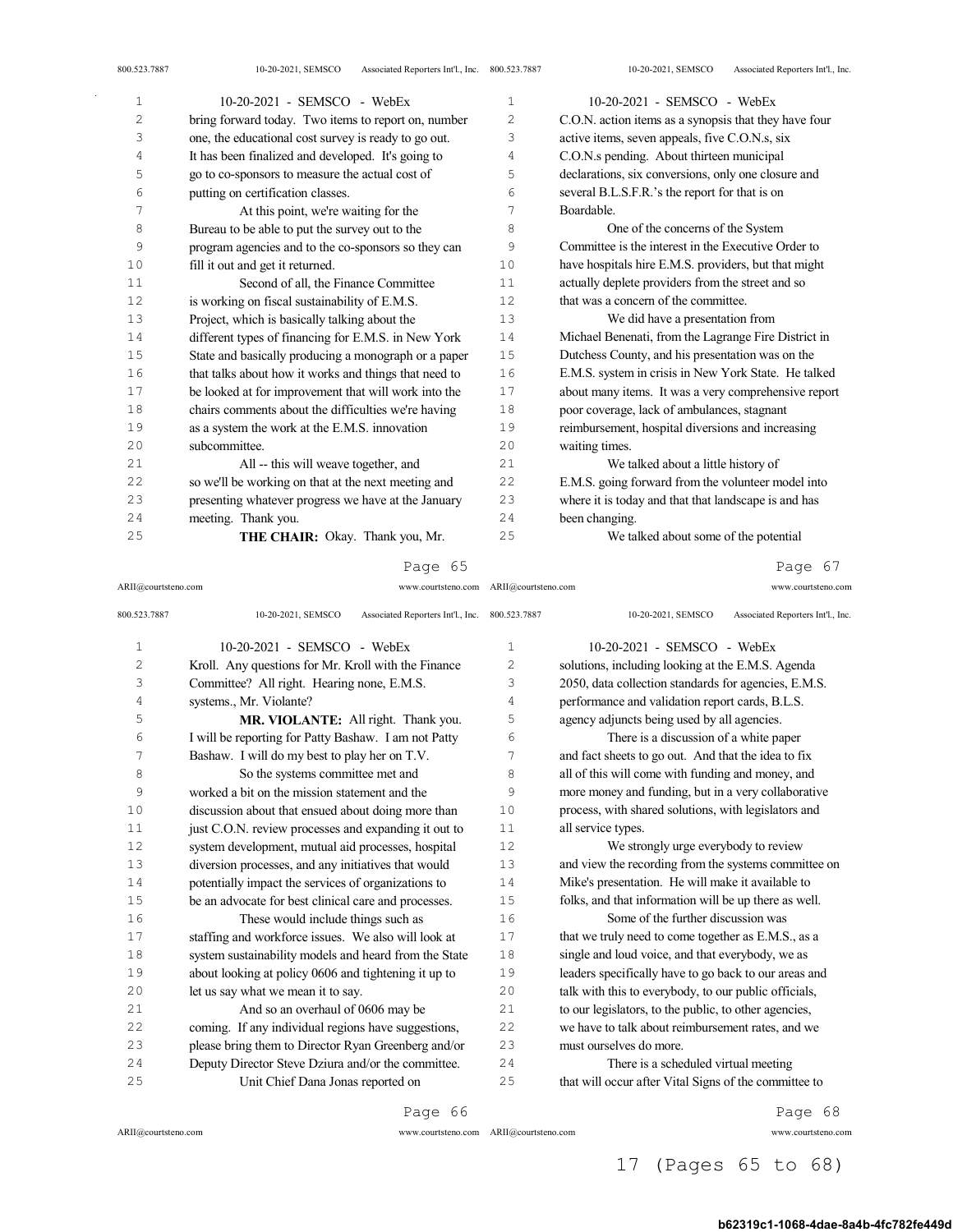| 1  | 10-20-2021 - SEMSCO - WebEx                           | 1   | 10-20-2021 - SEMSCO - WebEx                           |
|----|-------------------------------------------------------|-----|-------------------------------------------------------|
| 2  | bring forward today. Two items to report on, number   | 2   | C.O.N. action items as a synopsis that they have four |
| 3  | one, the educational cost survey is ready to go out.  | 3   | active items, seven appeals, five C.O.N.s, six        |
| 4  | It has been finalized and developed. It's going to    | 4   | C.O.N.s pending. About thirteen municipal             |
| 5  | go to co-sponsors to measure the actual cost of       | 5   | declarations, six conversions, only one closure and   |
| 6  | putting on certification classes.                     | 6   | several B.L.S.F.R.'s the report for that is on        |
| 7  | At this point, we're waiting for the                  | 7   | Boardable.                                            |
| 8  | Bureau to be able to put the survey out to the        | 8   | One of the concerns of the System                     |
| 9  | program agencies and to the co-sponsors so they can   | 9   | Committee is the interest in the Executive Order to   |
| 10 | fill it out and get it returned.                      | 10  | have hospitals hire E.M.S. providers, but that might  |
| 11 | Second of all, the Finance Committee                  | 11  | actually deplete providers from the street and so     |
| 12 | is working on fiscal sustainability of E.M.S.         | 12  | that was a concern of the committee.                  |
| 13 | Project, which is basically talking about the         | 13  | We did have a presentation from                       |
| 14 | different types of financing for E.M.S. in New York   | 14  | Michael Benenati, from the Lagrange Fire District in  |
| 15 | State and basically producing a monograph or a paper  | 15  | Dutchess County, and his presentation was on the      |
| 16 | that talks about how it works and things that need to | 16  | E.M.S. system in crisis in New York State. He talked  |
| 17 | be looked at for improvement that will work into the  | 17  | about many items. It was a very comprehensive report  |
| 18 | chairs comments about the difficulties we're having   | 18  | poor coverage, lack of ambulances, stagnant           |
| 19 | as a system the work at the E.M.S. innovation         | 19  | reimbursement, hospital diversions and increasing     |
| 20 | subcommittee.                                         | 20  | waiting times.                                        |
| 21 | All -- this will weave together, and                  | 2.1 | We talked about a little history of                   |
| 22 | so we'll be working on that at the next meeting and   | 22  | E.M.S. going forward from the volunteer model into    |
| 23 | presenting whatever progress we have at the January   | 23  | where it is today and that that landscape is and has  |
| 24 | meeting. Thank you.                                   | 24  | been changing.                                        |
| 25 | <b>THE CHAIR:</b> Okay. Thank you, Mr.                | 25  | We talked about some of the potential                 |

ARII@courtsteno.com www.courtsteno.com ARII@courtsteno.com www.courtsteno.com Page 67

| 800.523.7887 | Associated Reporters Int'l., Inc. 800.523.7887<br>10-20-2021, SEMSCO |                | Associated Reporters Int'l., Inc.<br>10-20-2021, SEMSCO |
|--------------|----------------------------------------------------------------------|----------------|---------------------------------------------------------|
| $\mathbf{1}$ | 10-20-2021 - SEMSCO - WebEx                                          | $\mathbf{1}$   | $10-20-2021$ - SEMSCO - WebEx                           |
| 2            | Kroll. Any questions for Mr. Kroll with the Finance                  | $\overline{c}$ | solutions, including looking at the E.M.S. Agenda       |
| 3            | Committee? All right. Hearing none, E.M.S.                           | 3              | 2050, data collection standards for agencies, E.M.S.    |
| 4            | systems., Mr. Violante?                                              | 4              | performance and validation report cards, B.L.S.         |
| 5            | MR. VIOLANTE: All right. Thank you.                                  | 5              | agency adjuncts being used by all agencies.             |
| 6            | I will be reporting for Patty Bashaw. I am not Patty                 | 6              | There is a discussion of a white paper                  |
| 7            | Bashaw. I will do my best to play her on T.V.                        | 7              | and fact sheets to go out. And that the idea to fix     |
| 8            | So the systems committee met and                                     | 8              | all of this will come with funding and money, and       |
| 9            | worked a bit on the mission statement and the                        | 9              | more money and funding, but in a very collaborative     |
| 10           | discussion about that ensued about doing more than                   | 10             | process, with shared solutions, with legislators and    |
| 11           | just C.O.N. review processes and expanding it out to                 | 11             | all service types.                                      |
| 12           | system development, mutual aid processes, hospital                   | 12             | We strongly urge everybody to review                    |
| 13           | diversion processes, and any initiatives that would                  | 13             | and view the recording from the systems committee on    |
| 14           | potentially impact the services of organizations to                  | 14             | Mike's presentation. He will make it available to       |
| 15           | be an advocate for best clinical care and processes.                 | 15             | folks, and that information will be up there as well.   |
| 16           | These would include things such as                                   | 16             | Some of the further discussion was                      |
| 17           | staffing and workforce issues. We also will look at                  | 17             | that we truly need to come together as E.M.S., as a     |
| 18           | system sustainability models and heard from the State                | 18             | single and loud voice, and that everybody, we as        |
| 19           | about looking at policy 0606 and tightening it up to                 | 19             | leaders specifically have to go back to our areas and   |
| 20           | let us say what we mean it to say.                                   | 20             | talk with this to everybody, to our public officials,   |
| 21           | And so an overhaul of 0606 may be                                    | 21             | to our legislators, to the public, to other agencies,   |
| 22           | coming. If any individual regions have suggestions,                  | 22             | we have to talk about reimbursement rates, and we       |
| 23           | please bring them to Director Ryan Greenberg and/or                  | 23             | must ourselves do more.                                 |
| 24           | Deputy Director Steve Dziura and/or the committee.                   | 24             | There is a scheduled virtual meeting                    |
| 25           | Unit Chief Dana Jonas reported on                                    | 25             | that will occur after Vital Signs of the committee to   |
|              |                                                                      |                |                                                         |

Page 66

 $\mathrm{ARII}\xspace$  @courtsteno.com

ARII@courtsteno.com www.courtsteno.com

Page 68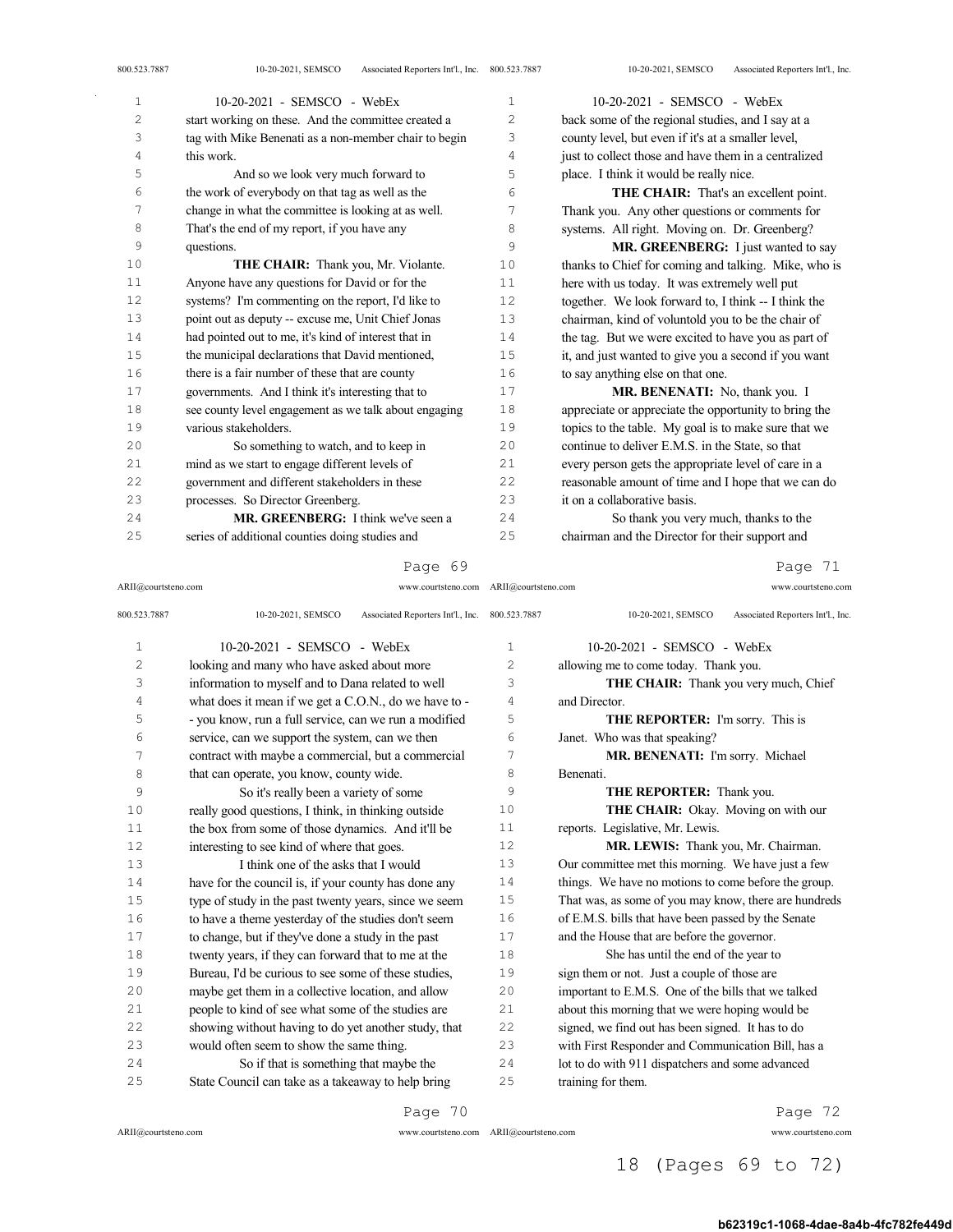| 10-20-2021 - SEMSCO - WebEx                           | $\mathbf{1}$   | 10-20-2021 - SEMSCO - WebEx                           |
|-------------------------------------------------------|----------------|-------------------------------------------------------|
| start working on these. And the committee created a   | $\overline{c}$ | back some of the regional studies, and I say at a     |
| tag with Mike Benenati as a non-member chair to begin | 3              | county level, but even if it's at a smaller level,    |
| this work.                                            | 4              | just to collect those and have them in a centralized  |
| And so we look very much forward to                   | 5              | place. I think it would be really nice.               |
| the work of everybody on that tag as well as the      | 6              | THE CHAIR: That's an excellent point.                 |
| change in what the committee is looking at as well.   | 7              | Thank you. Any other questions or comments for        |
| That's the end of my report, if you have any          | 8              | systems. All right. Moving on. Dr. Greenberg?         |
| questions.                                            | 9              | MR. GREENBERG: I just wanted to say                   |
| THE CHAIR: Thank you, Mr. Violante.                   | 10             | thanks to Chief for coming and talking. Mike, who is  |
| Anyone have any questions for David or for the        | 11             | here with us today. It was extremely well put         |
| systems? I'm commenting on the report, I'd like to    | 12             | together. We look forward to, I think -- I think the  |
| point out as deputy -- excuse me, Unit Chief Jonas    | 13             | chairman, kind of voluntold you to be the chair of    |
| had pointed out to me, it's kind of interest that in  | 14             | the tag. But we were excited to have you as part of   |
| the municipal declarations that David mentioned,      | 15             | it, and just wanted to give you a second if you want  |
| there is a fair number of these that are county       | 16             | to say anything else on that one.                     |
| governments. And I think it's interesting that to     | 17             | MR. BENENATI: No, thank you. I                        |
| see county level engagement as we talk about engaging | 18             | appreciate or appreciate the opportunity to bring the |
| various stakeholders.                                 | 19             | topics to the table. My goal is to make sure that we  |
| So something to watch, and to keep in                 | 20             | continue to deliver E.M.S. in the State, so that      |
| mind as we start to engage different levels of        | 21             | every person gets the appropriate level of care in a  |
| government and different stakeholders in these        | 22.2           | reasonable amount of time and I hope that we can do   |
| processes. So Director Greenberg.                     | 2.3            | it on a collaborative basis.                          |
| MR. GREENBERG: I think we've seen a                   | 2.4            | So thank you very much, thanks to the                 |
| series of additional counties doing studies and       | 25             | chairman and the Director for their support and       |
|                                                       |                |                                                       |

ARII@courtsteno.com www.courtsteno.com ARII@courtsteno.com www.courtsteno.com

Page 71

| 800.523.7887   | Associated Reporters Int'l., Inc. 800.523.7887<br>10-20-2021, SEMSCO |                | 10-20-2021, SEMSCO<br>Associated Reporters Int'l., Inc. |
|----------------|----------------------------------------------------------------------|----------------|---------------------------------------------------------|
| 1              | 10-20-2021 - SEMSCO - WebEx                                          | $\mathbf{1}$   | 10-20-2021 - SEMSCO - WebEx                             |
| $\overline{c}$ | looking and many who have asked about more                           | $\overline{c}$ | allowing me to come today. Thank you.                   |
| 3              | information to myself and to Dana related to well                    | 3              | THE CHAIR: Thank you very much, Chief                   |
| 4              | what does it mean if we get a C.O.N., do we have to -                | 4              | and Director.                                           |
| 5              | - you know, run a full service, can we run a modified                | 5              | THE REPORTER: I'm sorry. This is                        |
| 6              | service, can we support the system, can we then                      | 6              | Janet. Who was that speaking?                           |
| 7              | contract with maybe a commercial, but a commercial                   | 7              | MR. BENENATI: I'm sorry. Michael                        |
| 8              | that can operate, you know, county wide.                             | 8              | Benenati.                                               |
| 9              | So it's really been a variety of some                                | 9              | THE REPORTER: Thank you.                                |
| 10             | really good questions, I think, in thinking outside                  | 10             | THE CHAIR: Okay. Moving on with our                     |
| 11             | the box from some of those dynamics. And it'll be                    | 11             | reports. Legislative, Mr. Lewis.                        |
| 12             | interesting to see kind of where that goes.                          | 12             | MR. LEWIS: Thank you, Mr. Chairman.                     |
| 13             | I think one of the asks that I would                                 | 13             | Our committee met this morning. We have just a few      |
| 14             | have for the council is, if your county has done any                 | 14             | things. We have no motions to come before the group.    |
| 15             | type of study in the past twenty years, since we seem                | 15             | That was, as some of you may know, there are hundreds   |
| 16             | to have a theme yesterday of the studies don't seem                  | 16             | of E.M.S. bills that have been passed by the Senate     |
| 17             | to change, but if they've done a study in the past                   | 17             | and the House that are before the governor.             |
| 18             | twenty years, if they can forward that to me at the                  | 18             | She has until the end of the year to                    |
| 19             | Bureau, I'd be curious to see some of these studies,                 | 19             | sign them or not. Just a couple of those are            |
| 20             | maybe get them in a collective location, and allow                   | 20             | important to E.M.S. One of the bills that we talked     |
| 21             | people to kind of see what some of the studies are                   | 21             | about this morning that we were hoping would be         |
| 22             | showing without having to do yet another study, that                 | 22             | signed, we find out has been signed. It has to do       |
| 23             | would often seem to show the same thing.                             | 23             | with First Responder and Communication Bill, has a      |
| 24             | So if that is something that maybe the                               | 24             | lot to do with 911 dispatchers and some advanced        |
| 25             | State Council can take as a takeaway to help bring                   | 25             | training for them.                                      |
|                |                                                                      |                |                                                         |

Page 70

ARII@courtsteno.com www.courtsteno.com

Page 72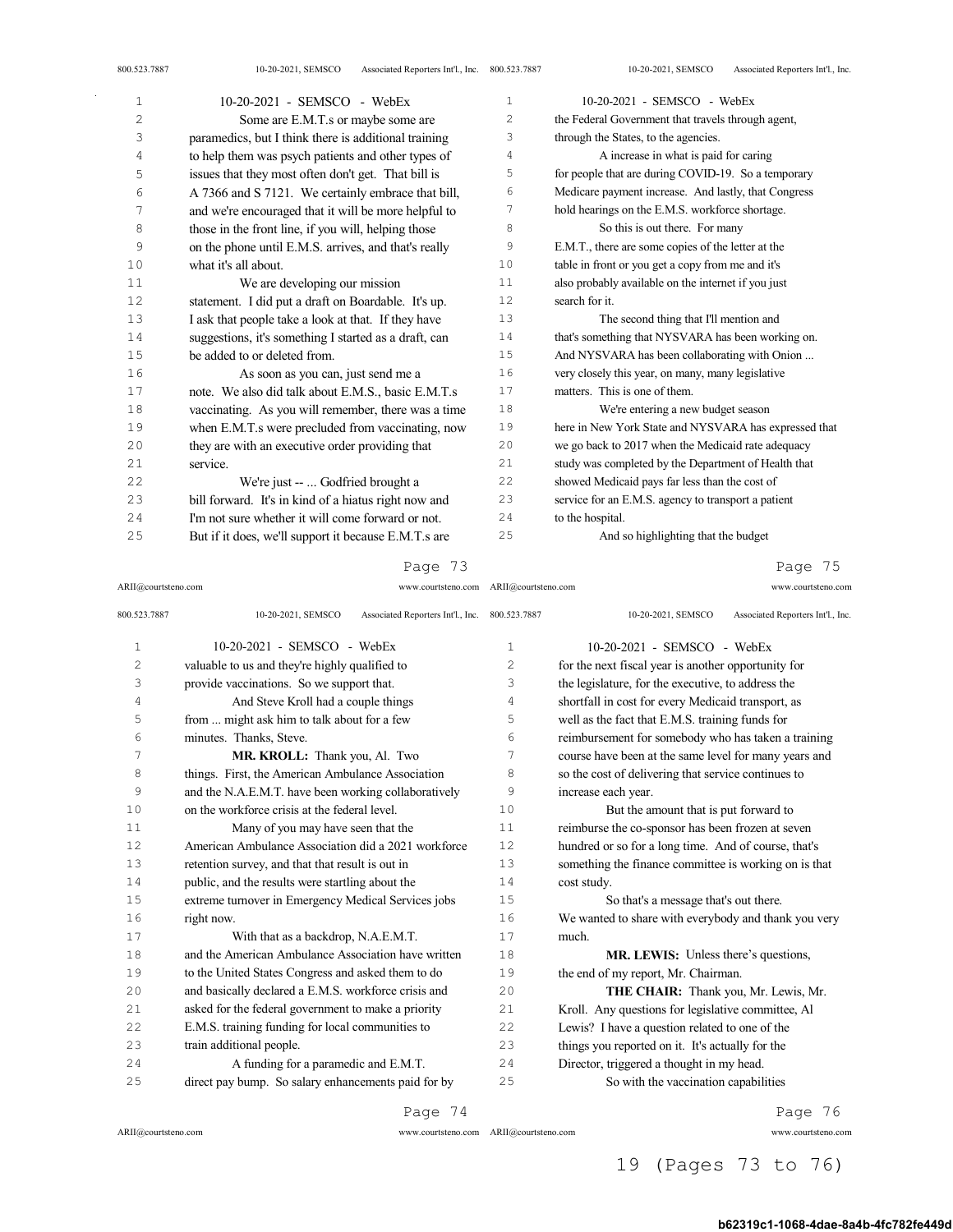ARII@courtsteno.com

| 1  | 10-20-2021 - SEMSCO - WebEx                           | $\mathbf{1}$   | 10-20-2021 - SEMSCO - WebEx                           |
|----|-------------------------------------------------------|----------------|-------------------------------------------------------|
| 2  | Some are E.M.T.s or maybe some are                    | $\overline{c}$ | the Federal Government that travels through agent,    |
| 3  | paramedics, but I think there is additional training  | 3              | through the States, to the agencies.                  |
| 4  | to help them was psych patients and other types of    | 4              | A increase in what is paid for caring                 |
| 5  | issues that they most often don't get. That bill is   | 5              | for people that are during COVID-19. So a temporary   |
| 6  | A 7366 and S 7121. We certainly embrace that bill,    | 6              | Medicare payment increase. And lastly, that Congress  |
| 7  | and we're encouraged that it will be more helpful to  | 7              | hold hearings on the E.M.S. workforce shortage.       |
| 8  | those in the front line, if you will, helping those   | 8              | So this is out there. For many                        |
| 9  | on the phone until E.M.S. arrives, and that's really  | 9              | E.M.T., there are some copies of the letter at the    |
| 10 | what it's all about.                                  | 10             | table in front or you get a copy from me and it's     |
| 11 | We are developing our mission                         | 11             | also probably available on the internet if you just   |
| 12 | statement. I did put a draft on Boardable. It's up.   | 12             | search for it.                                        |
| 13 | I ask that people take a look at that. If they have   | 13             | The second thing that I'll mention and                |
| 14 | suggestions, it's something I started as a draft, can | 14             | that's something that NYSVARA has been working on.    |
| 15 | be added to or deleted from.                          | 15             | And NYSVARA has been collaborating with Onion         |
| 16 | As soon as you can, just send me a                    | 16             | very closely this year, on many, many legislative     |
| 17 | note. We also did talk about E.M.S., basic E.M.T.s    | 17             | matters. This is one of them.                         |
| 18 | vaccinating. As you will remember, there was a time   | 18             | We're entering a new budget season                    |
| 19 | when E.M.T.s were precluded from vaccinating, now     | 19             | here in New York State and NYSVARA has expressed that |
| 20 | they are with an executive order providing that       | 20             | we go back to 2017 when the Medicaid rate adequacy    |
| 21 | service.                                              | 2.1            | study was completed by the Department of Health that  |
| 22 | We're just --  Godfried brought a                     | 22             | showed Medicaid pays far less than the cost of        |
| 23 | bill forward. It's in kind of a hiatus right now and  | 23             | service for an E.M.S. agency to transport a patient   |
| 24 | I'm not sure whether it will come forward or not.     | 24             | to the hospital.                                      |
| 25 | But if it does, we'll support it because E.M.T.s are  | 25             | And so highlighting that the budget                   |

## Page 73

ARII@courtsteno.com www.courtsteno.com

Page 75

| 800.523.7887   | Associated Reporters Int'l., Inc.<br>10-20-2021, SEMSCO | 800.523.7887   | Associated Reporters Int'l., Inc.<br>10-20-2021, SEMSCO |
|----------------|---------------------------------------------------------|----------------|---------------------------------------------------------|
| 1              | 10-20-2021 - SEMSCO - WebEx                             | $\mathbf{1}$   | 10-20-2021 - SEMSCO - WebEx                             |
| $\overline{c}$ | valuable to us and they're highly qualified to          | $\overline{c}$ | for the next fiscal year is another opportunity for     |
| 3              | provide vaccinations. So we support that.               | 3              | the legislature, for the executive, to address the      |
| 4              | And Steve Kroll had a couple things                     | 4              | shortfall in cost for every Medicaid transport, as      |
| 5              | from  might ask him to talk about for a few             | 5              | well as the fact that E.M.S. training funds for         |
| 6              | minutes. Thanks, Steve.                                 | 6              | reimbursement for somebody who has taken a training     |
| 7              | MR. KROLL: Thank you, Al. Two                           | 7              | course have been at the same level for many years and   |
| 8              | things. First, the American Ambulance Association       | 8              | so the cost of delivering that service continues to     |
| 9              | and the N.A.E.M.T. have been working collaboratively    | 9              | increase each year.                                     |
| 10             | on the workforce crisis at the federal level.           | 10             | But the amount that is put forward to                   |
| 11             | Many of you may have seen that the                      | 11             | reimburse the co-sponsor has been frozen at seven       |
| 12             | American Ambulance Association did a 2021 workforce     | 12             | hundred or so for a long time. And of course, that's    |
| 13             | retention survey, and that that result is out in        | 13             | something the finance committee is working on is that   |
| 14             | public, and the results were startling about the        | 14             | cost study.                                             |
| 15             | extreme turnover in Emergency Medical Services jobs     | 15             | So that's a message that's out there.                   |
| 16             | right now.                                              | 16             | We wanted to share with everybody and thank you very    |
| 17             | With that as a backdrop, N.A.E.M.T.                     | 17             | much.                                                   |
| 18             | and the American Ambulance Association have written     | 18             | <b>MR. LEWIS:</b> Unless there's questions,             |
| 19             | to the United States Congress and asked them to do      | 19             | the end of my report, Mr. Chairman.                     |
| 2.0            | and basically declared a E.M.S. workforce crisis and    | 20             | THE CHAIR: Thank you, Mr. Lewis, Mr.                    |
| 21             | asked for the federal government to make a priority     | 21             | Kroll. Any questions for legislative committee, Al      |
| 2.2.           | E.M.S. training funding for local communities to        | 22.2           | Lewis? I have a question related to one of the          |
| 23             | train additional people.                                | 23             | things you reported on it. It's actually for the        |
| 2.4            | A funding for a paramedic and E.M.T.                    | 2.4            | Director, triggered a thought in my head.               |
| 25             | direct pay bump. So salary enhancements paid for by     | 25             | So with the vaccination capabilities                    |
|                | Page 74                                                 |                | Page 76                                                 |

ARII@courtsteno.com www.courtsteno.com

Page 76

19 (Pages 73 to 76)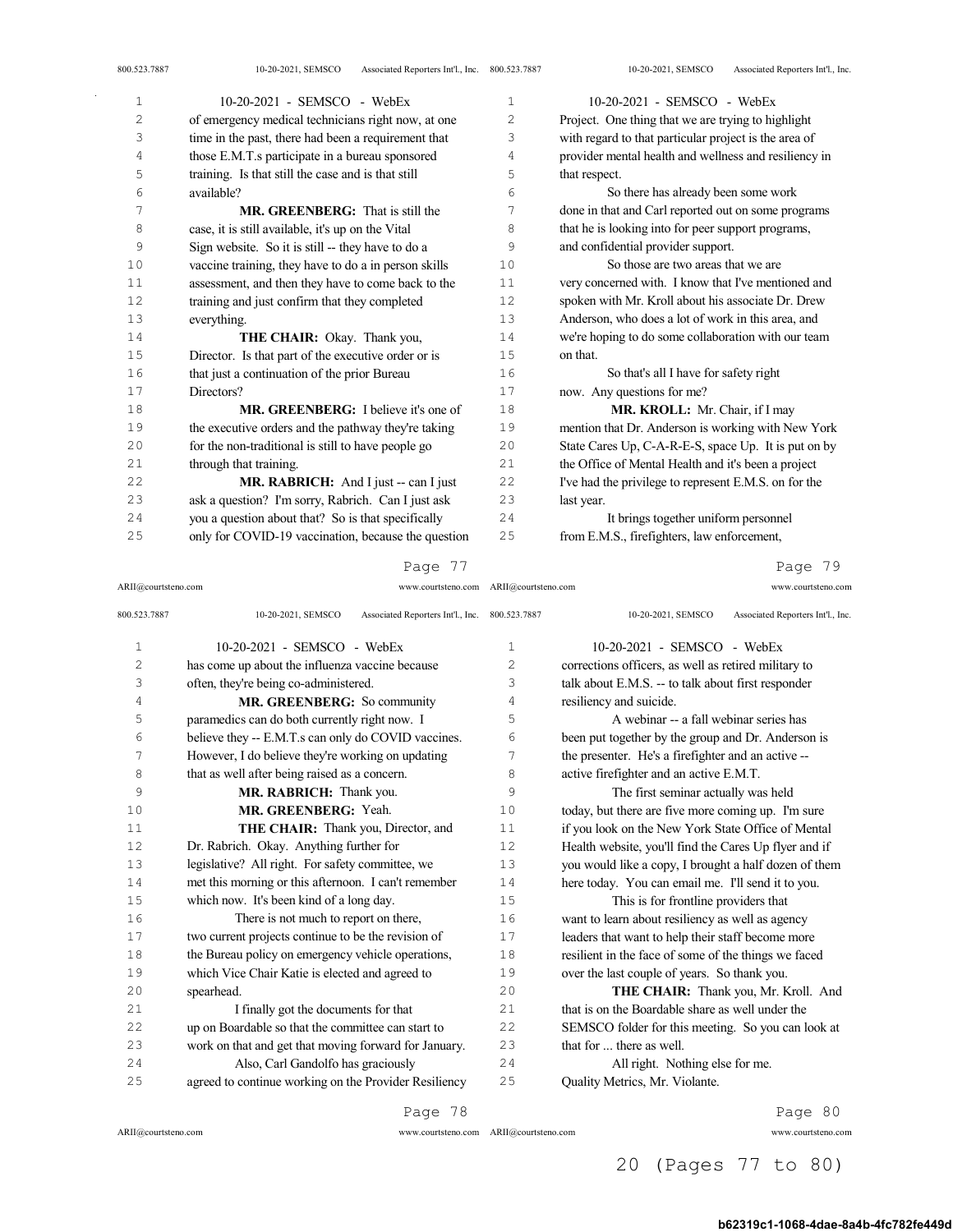| $\mathbf{1}$ | 10-20-2021 - SEMSCO - WebEx                          | 1                 | 10-20-2021 - SEMSCO - WebEx                           |
|--------------|------------------------------------------------------|-------------------|-------------------------------------------------------|
| 2            | of emergency medical technicians right now, at one   | 2                 | Project. One thing that we are trying to highlight    |
| 3            | time in the past, there had been a requirement that  | 3                 | with regard to that particular project is the area of |
| 4            | those E.M.T.s participate in a bureau sponsored      | 4                 | provider mental health and wellness and resiliency in |
| 5            | training. Is that still the case and is that still   | 5                 | that respect.                                         |
| 6            | available?                                           | 6                 | So there has already been some work                   |
| 7            | <b>MR. GREENBERG:</b> That is still the              | 7                 | done in that and Carl reported out on some programs   |
| 8            | case, it is still available, it's up on the Vital    | 8                 | that he is looking into for peer support programs,    |
| 9            | Sign website. So it is still -- they have to do a    | 9                 | and confidential provider support.                    |
| 10           | vaccine training, they have to do a in person skills | 10                | So those are two areas that we are                    |
| 11           | assessment, and then they have to come back to the   | 11                | very concerned with. I know that I've mentioned and   |
| 12           | training and just confirm that they completed        | $12 \overline{ }$ | spoken with Mr. Kroll about his associate Dr. Drew    |
| $13$         | everything.                                          | 13                | Anderson, who does a lot of work in this area, and    |
| 14           | THE CHAIR: Okay. Thank you,                          | 14                | we're hoping to do some collaboration with our team   |
| $1\,5$       | Director. Is that part of the executive order or is  | 15                | on that.                                              |
| 16           | that just a continuation of the prior Bureau         | 16                | So that's all I have for safety right                 |
| $1\,7$       | Directors?                                           | 17                | now. Any questions for me?                            |
| 18           | <b>MR. GREENBERG:</b> I believe it's one of          | 18                | MR. KROLL: Mr. Chair, if I may                        |
| 19           | the executive orders and the pathway they're taking  | 19                | mention that Dr. Anderson is working with New York    |
| 20           | for the non-traditional is still to have people go   | 20                | State Cares Up, C-A-R-E-S, space Up. It is put on by  |
| 21           | through that training.                               | 21                | the Office of Mental Health and it's been a project   |
| 22           | MR. RABRICH: And I just -- can I just                | 22                | I've had the privilege to represent E.M.S. on for the |
| 23           | ask a question? I'm sorry, Rabrich. Can I just ask   | 23                | last year.                                            |
| 24           | you a question about that? So is that specifically   | 24                | It brings together uniform personnel                  |
| 25           | only for COVID-19 vaccination, because the question  | 25                | from E.M.S., firefighters, law enforcement,           |
|              |                                                      |                   |                                                       |

#### Page 77

#### ARII@courtsteno.com www.courtsteno.com ARII@courtsteno.com www.courtsteno.com Page 79

| 800.523.7887   | 10-20-2021, SEMSCO<br>Associated Reporters Int'l., Inc. 800.523.7887 |                | 10-20-2021, SEMSCO<br>Associated Reporters Int'l., Inc. |
|----------------|----------------------------------------------------------------------|----------------|---------------------------------------------------------|
| 1              | 10-20-2021 - SEMSCO - WebEx                                          | 1              | 10-20-2021 - SEMSCO - WebEx                             |
| $\overline{2}$ | has come up about the influenza vaccine because                      | $\overline{c}$ | corrections officers, as well as retired military to    |
| 3              | often, they're being co-administered.                                | 3              | talk about E.M.S. -- to talk about first responder      |
| $\sqrt{4}$     | MR. GREENBERG: So community                                          | 4              | resiliency and suicide.                                 |
| 5              | paramedics can do both currently right now. I                        | 5              | A webinar -- a fall webinar series has                  |
| 6              | believe they -- E.M.T.s can only do COVID vaccines.                  | 6              | been put together by the group and Dr. Anderson is      |
| 7              | However, I do believe they're working on updating                    | 7              | the presenter. He's a firefighter and an active --      |
| 8              | that as well after being raised as a concern.                        | 8              | active firefighter and an active E.M.T.                 |
| 9              | MR. RABRICH: Thank you.                                              | 9              | The first seminar actually was held                     |
| 10             | MR. GREENBERG: Yeah.                                                 | 10             | today, but there are five more coming up. I'm sure      |
| 11             | THE CHAIR: Thank you, Director, and                                  | 11             | if you look on the New York State Office of Mental      |
| 12             | Dr. Rabrich. Okay. Anything further for                              | 12             | Health website, you'll find the Cares Up flyer and if   |
| 13             | legislative? All right. For safety committee, we                     | 13             | you would like a copy, I brought a half dozen of them   |
| 14             | met this morning or this afternoon. I can't remember                 | 14             | here today. You can email me. I'll send it to you.      |
| 15             | which now. It's been kind of a long day.                             | 15             | This is for frontline providers that                    |
| 16             | There is not much to report on there,                                | 16             | want to learn about resiliency as well as agency        |
| 17             | two current projects continue to be the revision of                  | 17             | leaders that want to help their staff become more       |
| 18             | the Bureau policy on emergency vehicle operations,                   | 18             | resilient in the face of some of the things we faced    |
| 19             | which Vice Chair Katie is elected and agreed to                      | 19             | over the last couple of years. So thank you.            |
| 20             | spearhead.                                                           | 20             | THE CHAIR: Thank you, Mr. Kroll. And                    |
| 21             | I finally got the documents for that                                 | 21             | that is on the Boardable share as well under the        |
| 22             | up on Boardable so that the committee can start to                   | 22             | SEMSCO folder for this meeting. So you can look at      |
| 23             | work on that and get that moving forward for January.                | 23             | that for  there as well.                                |
| 24             | Also, Carl Gandolfo has graciously                                   | 24             | All right. Nothing else for me.                         |
| 25             | agreed to continue working on the Provider Resiliency                | 25             | Quality Metrics, Mr. Violante.                          |
|                | Page 78                                                              |                | Page 80                                                 |

ARII@courtsteno.com www.courtsteno.com

ARII@courtsteno.com www.courtsteno.com Page 80

20 (Pages 77 to 80)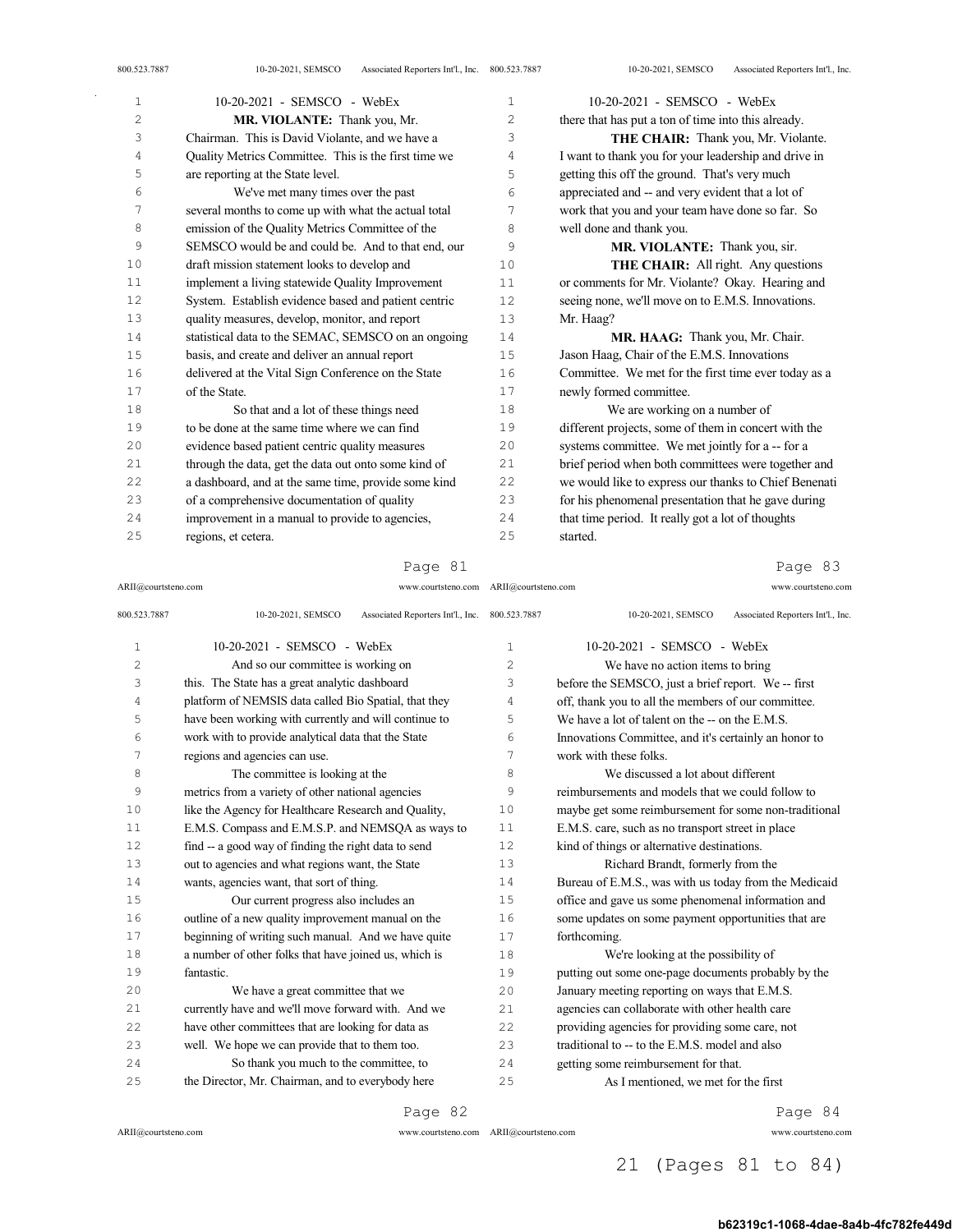| 800.523.7887 | Associated Reporters Int'l., Inc. 800.523.7887<br>10-20-2021, SEMSCO |                | 10-20-2021, SEMSCO<br>Associated Reporters Int'l., Inc. |
|--------------|----------------------------------------------------------------------|----------------|---------------------------------------------------------|
| $\mathbf 1$  | $10-20-2021$ - SEMSCO - WebEx                                        | $\mathbf{1}$   | 10-20-2021 - SEMSCO - WebEx                             |
| 2            | MR. VIOLANTE: Thank you, Mr.                                         | $\overline{c}$ | there that has put a ton of time into this already.     |
| 3            | Chairman. This is David Violante, and we have a                      | 3              | THE CHAIR: Thank you, Mr. Violante.                     |
| 4            | Quality Metrics Committee. This is the first time we                 | $\overline{4}$ | I want to thank you for your leadership and drive in    |
| 5            | are reporting at the State level.                                    | 5              | getting this off the ground. That's very much           |
| 6            | We've met many times over the past                                   | 6              | appreciated and -- and very evident that a lot of       |
| 7            | several months to come up with what the actual total                 | 7              | work that you and your team have done so far. So        |
| 8            | emission of the Quality Metrics Committee of the                     | 8              | well done and thank you.                                |
| 9            | SEMSCO would be and could be. And to that end, our                   | 9              | MR. VIOLANTE: Thank you, sir.                           |
| 10           | draft mission statement looks to develop and                         | 10             | <b>THE CHAIR:</b> All right. Any questions              |
| 11           | implement a living statewide Quality Improvement                     | 11             | or comments for Mr. Violante? Okay. Hearing and         |
| 12           | System. Establish evidence based and patient centric                 | 12.            | seeing none, we'll move on to E.M.S. Innovations.       |
| 13           | quality measures, develop, monitor, and report                       | 13             | Mr. Haag?                                               |
| 14           | statistical data to the SEMAC, SEMSCO on an ongoing                  | 14             | MR. HAAG: Thank you, Mr. Chair.                         |
| 15           | basis, and create and deliver an annual report                       | 15             | Jason Haag, Chair of the E.M.S. Innovations             |
| 16           | delivered at the Vital Sign Conference on the State                  | 16             | Committee. We met for the first time ever today as a    |
| 17           | of the State.                                                        | 17             | newly formed committee.                                 |
| 18           | So that and a lot of these things need                               | 18             | We are working on a number of                           |
| 19           | to be done at the same time where we can find                        | 19             | different projects, some of them in concert with the    |
| 20           | evidence based patient centric quality measures                      | 20             | systems committee. We met jointly for a -- for a        |
| 21           | through the data, get the data out onto some kind of                 | 21             | brief period when both committees were together and     |
| 2.2.         | a dashboard, and at the same time, provide some kind                 | 2.2.           | we would like to express our thanks to Chief Benenati   |
| 23           | of a comprehensive documentation of quality                          | 23             | for his phenomenal presentation that he gave during     |
| 24           | improvement in a manual to provide to agencies,                      | 24             | that time period. It really got a lot of thoughts       |
| 25           | regions, et cetera.                                                  | 25             | started.                                                |

ARII@courtsteno.com www.courtsteno.com ARII@courtsteno.com www.courtsteno.com

## Page 83

| 800.523.7887 | 10-20-2021, SEMSCO<br>Associated Reporters Int'l., Inc. 800.523.7887 |              | 10-20-2021, SEMSCO<br>Associated Reporters Int'l., Inc. |
|--------------|----------------------------------------------------------------------|--------------|---------------------------------------------------------|
| $\mathbf{1}$ | 10-20-2021 - SEMSCO - WebEx                                          | $\mathbf{1}$ | 10-20-2021 - SEMSCO - WebEx                             |
| 2            | And so our committee is working on                                   | 2            | We have no action items to bring                        |
| 3            | this. The State has a great analytic dashboard                       | 3            | before the SEMSCO, just a brief report. We -- first     |
| 4            | platform of NEMSIS data called Bio Spatial, that they                | 4            | off, thank you to all the members of our committee.     |
| 5            | have been working with currently and will continue to                | 5            | We have a lot of talent on the -- on the E.M.S.         |
| 6            | work with to provide analytical data that the State                  | 6            | Innovations Committee, and it's certainly an honor to   |
| 7            | regions and agencies can use.                                        | 7            | work with these folks.                                  |
| 8            | The committee is looking at the                                      | 8            | We discussed a lot about different                      |
| 9            | metrics from a variety of other national agencies                    | 9            | reimbursements and models that we could follow to       |
| 10           | like the Agency for Healthcare Research and Quality,                 | 10           | maybe get some reimbursement for some non-traditional   |
| 11           | E.M.S. Compass and E.M.S.P. and NEMSOA as ways to                    | 11           | E.M.S. care, such as no transport street in place       |
| 12           | find -- a good way of finding the right data to send                 | 12           | kind of things or alternative destinations.             |
| 13           | out to agencies and what regions want, the State                     | 13           | Richard Brandt, formerly from the                       |
| 14           | wants, agencies want, that sort of thing.                            | 14           | Bureau of E.M.S., was with us today from the Medicaid   |
| 15           | Our current progress also includes an                                | 15           | office and gave us some phenomenal information and      |
| 16           | outline of a new quality improvement manual on the                   | 16           | some updates on some payment opportunities that are     |
| 17           | beginning of writing such manual. And we have quite                  | 17           | forthcoming.                                            |
| 18           | a number of other folks that have joined us, which is                | 18           | We're looking at the possibility of                     |
| 19           | fantastic.                                                           | 19           | putting out some one-page documents probably by the     |
| 20           | We have a great committee that we                                    | 20           | January meeting reporting on ways that E.M.S.           |
| 21           | currently have and we'll move forward with. And we                   | 21           | agencies can collaborate with other health care         |
| 2.2.         | have other committees that are looking for data as                   | 2.2.         | providing agencies for providing some care, not         |
| 23           | well. We hope we can provide that to them too.                       | 23           | traditional to -- to the E.M.S. model and also          |
| 2.4          | So thank you much to the committee, to                               | 24           | getting some reimbursement for that.                    |
| 25           | the Director, Mr. Chairman, and to everybody here                    | 25           | As I mentioned, we met for the first                    |

Page 82

ARII@courtsteno.com www.courtsteno.com

Page 84

# 21 (Pages 81 to 84)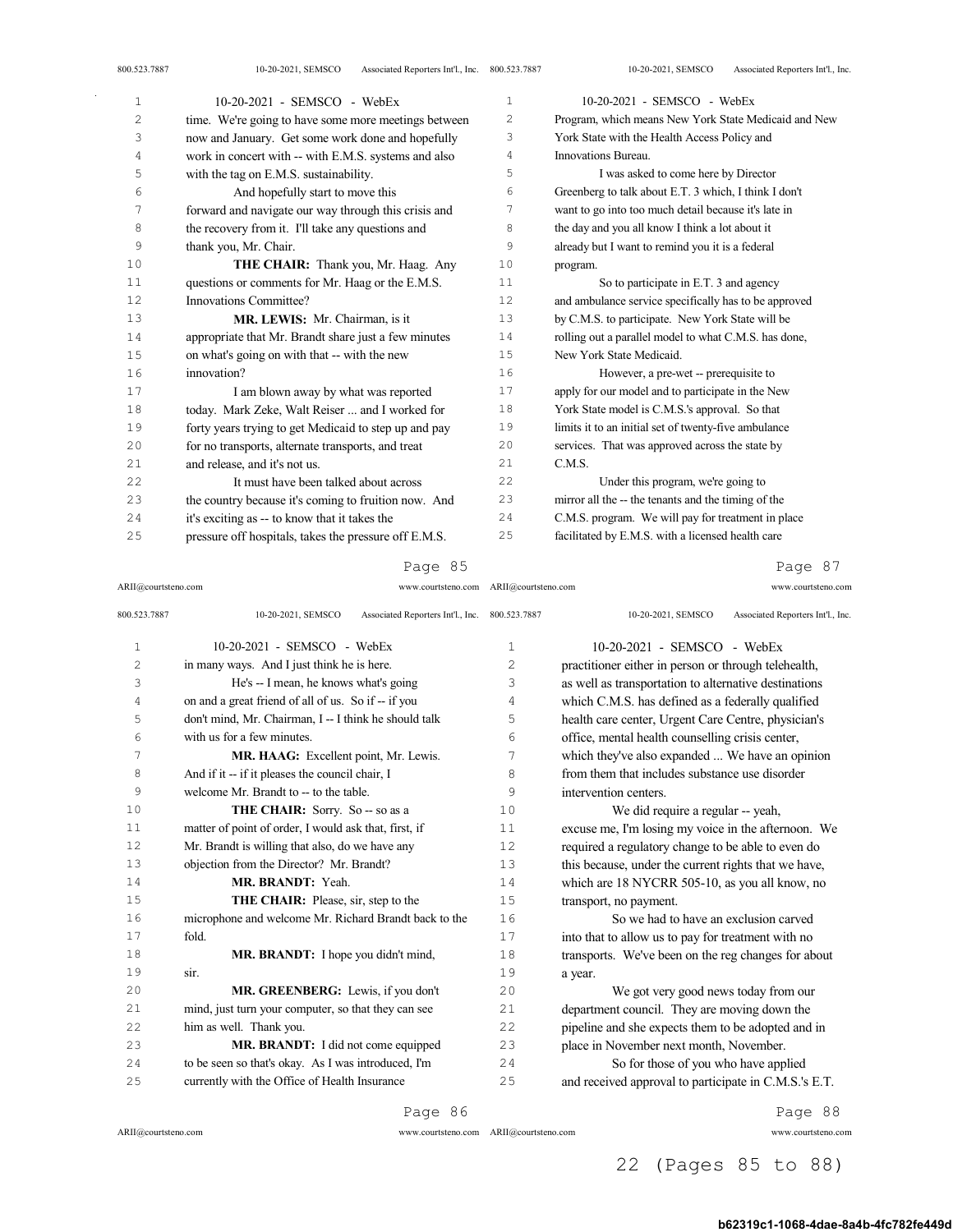| $\mathbf{1}$   | 10-20-2021 - SEMSCO - WebEx                           | 1  | 10-20-2021 - SEMSCO - WebEx                           |
|----------------|-------------------------------------------------------|----|-------------------------------------------------------|
| $\overline{2}$ | time. We're going to have some more meetings between  | 2  | Program, which means New York State Medicaid and New  |
| 3              | now and January. Get some work done and hopefully     | 3  | York State with the Health Access Policy and          |
| 4              | work in concert with -- with E.M.S. systems and also  | 4  | Innovations Bureau.                                   |
| 5              | with the tag on E.M.S. sustainability.                | 5  | I was asked to come here by Director                  |
| 6              | And hopefully start to move this                      | 6  | Greenberg to talk about E.T. 3 which, I think I don't |
| 7              | forward and navigate our way through this crisis and  | 7  | want to go into too much detail because it's late in  |
| 8              | the recovery from it. I'll take any questions and     | 8  | the day and you all know I think a lot about it       |
| 9              | thank you, Mr. Chair.                                 | 9  | already but I want to remind you it is a federal      |
| 10             | THE CHAIR: Thank you, Mr. Haag. Any                   | 10 | program.                                              |
| 11             | questions or comments for Mr. Haag or the E.M.S.      | 11 | So to participate in E.T. 3 and agency                |
| 12             | Innovations Committee?                                | 12 | and ambulance service specifically has to be approved |
| 13             | MR. LEWIS: Mr. Chairman, is it                        | 13 | by C.M.S. to participate. New York State will be      |
| 14             | appropriate that Mr. Brandt share just a few minutes  | 14 | rolling out a parallel model to what C.M.S. has done, |
| 15             | on what's going on with that -- with the new          | 15 | New York State Medicaid.                              |
| 16             | innovation?                                           | 16 | However, a pre-wet -- prerequisite to                 |
| 17             | I am blown away by what was reported                  | 17 | apply for our model and to participate in the New     |
| 18             | today. Mark Zeke, Walt Reiser  and I worked for       | 18 | York State model is C.M.S.'s approval. So that        |
| 19             | forty years trying to get Medicaid to step up and pay | 19 | limits it to an initial set of twenty-five ambulance  |
| 20             | for no transports, alternate transports, and treat    | 20 | services. That was approved across the state by       |
| 21             | and release, and it's not us.                         | 21 | C.M.S.                                                |
| 22             | It must have been talked about across                 | 22 | Under this program, we're going to                    |
| 23             | the country because it's coming to fruition now. And  | 23 | mirror all the -- the tenants and the timing of the   |
| 24             | it's exciting as -- to know that it takes the         | 24 | C.M.S. program. We will pay for treatment in place    |
| 25             | pressure off hospitals, takes the pressure off E.M.S. | 25 | facilitated by E.M.S. with a licensed health care     |

ARII@courtsteno.com www.courtsteno.com ARII@courtsteno.com www.courtsteno.com

Page 87

| 800.523.7887   | Associated Reporters Int'l., Inc. 800.523.7887<br>10-20-2021, SEMSCO |              | Associated Reporters Int'l., Inc.<br>10-20-2021, SEMSCO |
|----------------|----------------------------------------------------------------------|--------------|---------------------------------------------------------|
| $\mathbf{1}$   | 10-20-2021 - SEMSCO - WebEx                                          | $\mathbf{1}$ | 10-20-2021 - SEMSCO - WebEx                             |
| $\overline{c}$ | in many ways. And I just think he is here.                           | 2            | practitioner either in person or through telehealth,    |
| 3              | He's -- I mean, he knows what's going                                | 3            | as well as transportation to alternative destinations   |
| 4              | on and a great friend of all of us. So if -- if you                  | 4            | which C.M.S. has defined as a federally qualified       |
| 5              | don't mind, Mr. Chairman, I -- I think he should talk                | 5            | health care center, Urgent Care Centre, physician's     |
| 6              | with us for a few minutes.                                           | 6            | office, mental health counselling crisis center,        |
| 7              | MR. HAAG: Excellent point, Mr. Lewis.                                | 7            | which they've also expanded  We have an opinion         |
| 8              | And if it -- if it pleases the council chair, I                      | 8            | from them that includes substance use disorder          |
| 9              | welcome Mr. Brandt to -- to the table.                               | 9            | intervention centers.                                   |
| 10             | THE CHAIR: Sorry. So -- so as a                                      | 10           | We did require a regular -- yeah,                       |
| 11             | matter of point of order, I would ask that, first, if                | 11           | excuse me, I'm losing my voice in the afternoon. We     |
| 12             | Mr. Brandt is willing that also, do we have any                      | 12           | required a regulatory change to be able to even do      |
| 13             | objection from the Director? Mr. Brandt?                             | 13           | this because, under the current rights that we have,    |
| 14             | MR. BRANDT: Yeah.                                                    | 14           | which are 18 NYCRR 505-10, as you all know, no          |
| 15             | THE CHAIR: Please, sir, step to the                                  | 15           | transport, no payment.                                  |
| 16             | microphone and welcome Mr. Richard Brandt back to the                | 16           | So we had to have an exclusion carved                   |
| 17             | fold.                                                                | 17           | into that to allow us to pay for treatment with no      |
| 18             | MR. BRANDT: I hope you didn't mind,                                  | 18           | transports. We've been on the reg changes for about     |
| 19             | sir.                                                                 | 19           | a year.                                                 |
| 20             | MR. GREENBERG: Lewis, if you don't                                   | 20           | We got very good news today from our                    |
| 21             | mind, just turn your computer, so that they can see                  | 21           | department council. They are moving down the            |
| 22             | him as well. Thank you.                                              | 22           | pipeline and she expects them to be adopted and in      |
| 23             | MR. BRANDT: I did not come equipped                                  | 23           | place in November next month, November.                 |
| 24             | to be seen so that's okay. As I was introduced, I'm                  | 24           | So for those of you who have applied                    |
| 25             | currently with the Office of Health Insurance                        | 25           | and received approval to participate in C.M.S.'s E.T.   |

Page 86

 $\mathrm{ARII}\xspace$  @courtsteno.com

ARII@courtsteno.com www.courtsteno.com

Page 88

# 22 (Pages 85 to 88)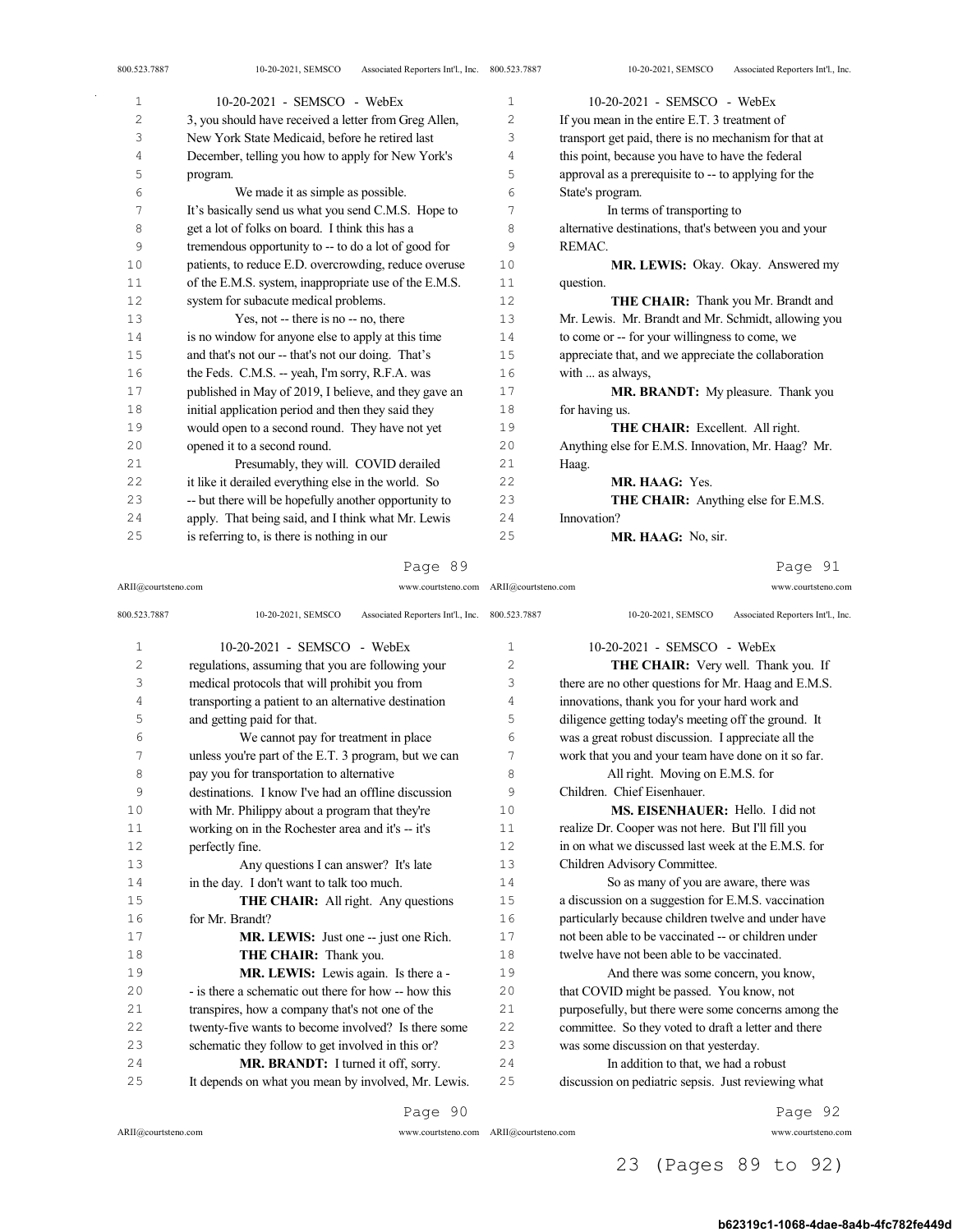| 800.523.7887 | Associated Reporters Int'l., Inc. 800.523.7887<br>10-20-2021, SEMSCO |              | Associated Reporters Int'l., Inc.<br>10-20-2021, SEMSCO |
|--------------|----------------------------------------------------------------------|--------------|---------------------------------------------------------|
| $\mathbf{1}$ | 10-20-2021 - SEMSCO - WebEx                                          | $\mathbf{1}$ | $10-20-2021$ - SEMSCO - WebEx                           |
| 2            | 3, you should have received a letter from Greg Allen,                | 2            | If you mean in the entire E.T. 3 treatment of           |
| 3            | New York State Medicaid, before he retired last                      | 3            | transport get paid, there is no mechanism for that at   |
| 4            | December, telling you how to apply for New York's                    | 4            | this point, because you have to have the federal        |
| 5            | program.                                                             | 5            | approval as a prerequisite to -- to applying for the    |
| 6            | We made it as simple as possible.                                    | 6            | State's program.                                        |
| 7            | It's basically send us what you send C.M.S. Hope to                  | 7            | In terms of transporting to                             |
| 8            | get a lot of folks on board. I think this has a                      | 8            | alternative destinations, that's between you and your   |
| 9            | tremendous opportunity to -- to do a lot of good for                 | 9            | REMAC.                                                  |
| 10           | patients, to reduce E.D. overcrowding, reduce overuse                | 10           | MR. LEWIS: Okay. Okay. Answered my                      |
| 11           | of the E.M.S. system, inappropriate use of the E.M.S.                | 11           | question.                                               |
| 12           | system for subacute medical problems.                                | 12           | THE CHAIR: Thank you Mr. Brandt and                     |
| 13           | Yes, not -- there is no -- no, there                                 | 13           | Mr. Lewis. Mr. Brandt and Mr. Schmidt, allowing you     |
| 14           | is no window for anyone else to apply at this time                   | 14           | to come or -- for your willingness to come, we          |
| 15           | and that's not our -- that's not our doing. That's                   | 15           | appreciate that, and we appreciate the collaboration    |
| 16           | the Feds. C.M.S. -- yeah, I'm sorry, R.F.A. was                      | 16           | with  as always,                                        |
| 17           | published in May of 2019, I believe, and they gave an                | 17           | MR. BRANDT: My pleasure. Thank you                      |
| 18           | initial application period and then they said they                   | 18           | for having us.                                          |
| 19           | would open to a second round. They have not yet                      | 19           | THE CHAIR: Excellent. All right.                        |
| 20           | opened it to a second round.                                         | 20           | Anything else for E.M.S. Innovation, Mr. Haag? Mr.      |
| 21           | Presumably, they will. COVID derailed                                | 21           | Haag.                                                   |
| 22           | it like it derailed everything else in the world. So                 | 22           | MR. HAAG: Yes.                                          |
| 23           | -- but there will be hopefully another opportunity to                | 23           | <b>THE CHAIR:</b> Anything else for E.M.S.              |
| 24           | apply. That being said, and I think what Mr. Lewis                   | 24           | Innovation?                                             |
| 25           | is referring to, is there is nothing in our                          | 25           | MR. HAAG: No, sir.                                      |

Page 91

| ARII@courtsteno.com | www.courtsteno.com ARII@courtsteno.com                               |                | www.courtsteno.com                                      |
|---------------------|----------------------------------------------------------------------|----------------|---------------------------------------------------------|
| 800.523.7887        | Associated Reporters Int'l., Inc. 800.523.7887<br>10-20-2021, SEMSCO |                | Associated Reporters Int'l., Inc.<br>10-20-2021, SEMSCO |
| $\mathbf{1}$        | 10-20-2021 - SEMSCO - WebEx                                          | $\mathbf{1}$   | 10-20-2021 - SEMSCO - WebEx                             |
| 2                   | regulations, assuming that you are following your                    | $\overline{c}$ | THE CHAIR: Very well. Thank you. If                     |
| 3                   | medical protocols that will prohibit you from                        | 3              | there are no other questions for Mr. Haag and E.M.S.    |
| 4                   | transporting a patient to an alternative destination                 | 4              | innovations, thank you for your hard work and           |
| 5                   | and getting paid for that.                                           | 5              | diligence getting today's meeting off the ground. It    |
| 6                   | We cannot pay for treatment in place                                 | 6              | was a great robust discussion. I appreciate all the     |
| 7                   | unless you're part of the E.T. 3 program, but we can                 | 7              | work that you and your team have done on it so far.     |
| 8                   | pay you for transportation to alternative                            | 8              | All right. Moving on E.M.S. for                         |
| 9                   | destinations. I know I've had an offline discussion                  | 9              | Children. Chief Eisenhauer.                             |
| 10                  | with Mr. Philippy about a program that they're                       | 10             | MS. EISENHAUER: Hello. I did not                        |
| 11                  | working on in the Rochester area and it's -- it's                    | 11             | realize Dr. Cooper was not here. But I'll fill you      |
| 12                  | perfectly fine.                                                      | 12.            | in on what we discussed last week at the E.M.S. for     |
| 13                  | Any questions I can answer? It's late                                | 13             | Children Advisory Committee.                            |
| 14                  | in the day. I don't want to talk too much.                           | 14             | So as many of you are aware, there was                  |
| 15                  | <b>THE CHAIR:</b> All right. Any questions                           | 15             | a discussion on a suggestion for E.M.S. vaccination     |
| 16                  | for Mr. Brandt?                                                      | 16             | particularly because children twelve and under have     |
| 17                  | <b>MR. LEWIS:</b> Just one -- just one Rich.                         | 17             | not been able to be vaccinated -- or children under     |
| 18                  | THE CHAIR: Thank you.                                                | 18             | twelve have not been able to be vaccinated.             |
| 19                  | MR. LEWIS: Lewis again. Is there a -                                 | 19             | And there was some concern, you know,                   |
| 2.0                 | - is there a schematic out there for how -- how this                 | 2.0            | that COVID might be passed. You know, not               |
| 2.1                 | transpires, how a company that's not one of the                      | 2.1            | purposefully, but there were some concerns among the    |
| 2.2                 | twenty-five wants to become involved? Is there some                  | 2.2.           | committee. So they voted to draft a letter and there    |
| 23                  | schematic they follow to get involved in this or?                    | 23             | was some discussion on that yesterday.                  |
| 2.4                 | MR. BRANDT: I turned it off, sorry.                                  | 2.4            | In addition to that, we had a robust                    |
| 25                  | It depends on what you mean by involved, Mr. Lewis.                  | 2.5            | discussion on pediatric sepsis. Just reviewing what     |
|                     | Page 90                                                              |                | Page 92                                                 |

 $\sim$   $\sim$ 

ARII@courtsteno.com www.courtsteno.com

ARII@courtsteno.com www.courtsteno.com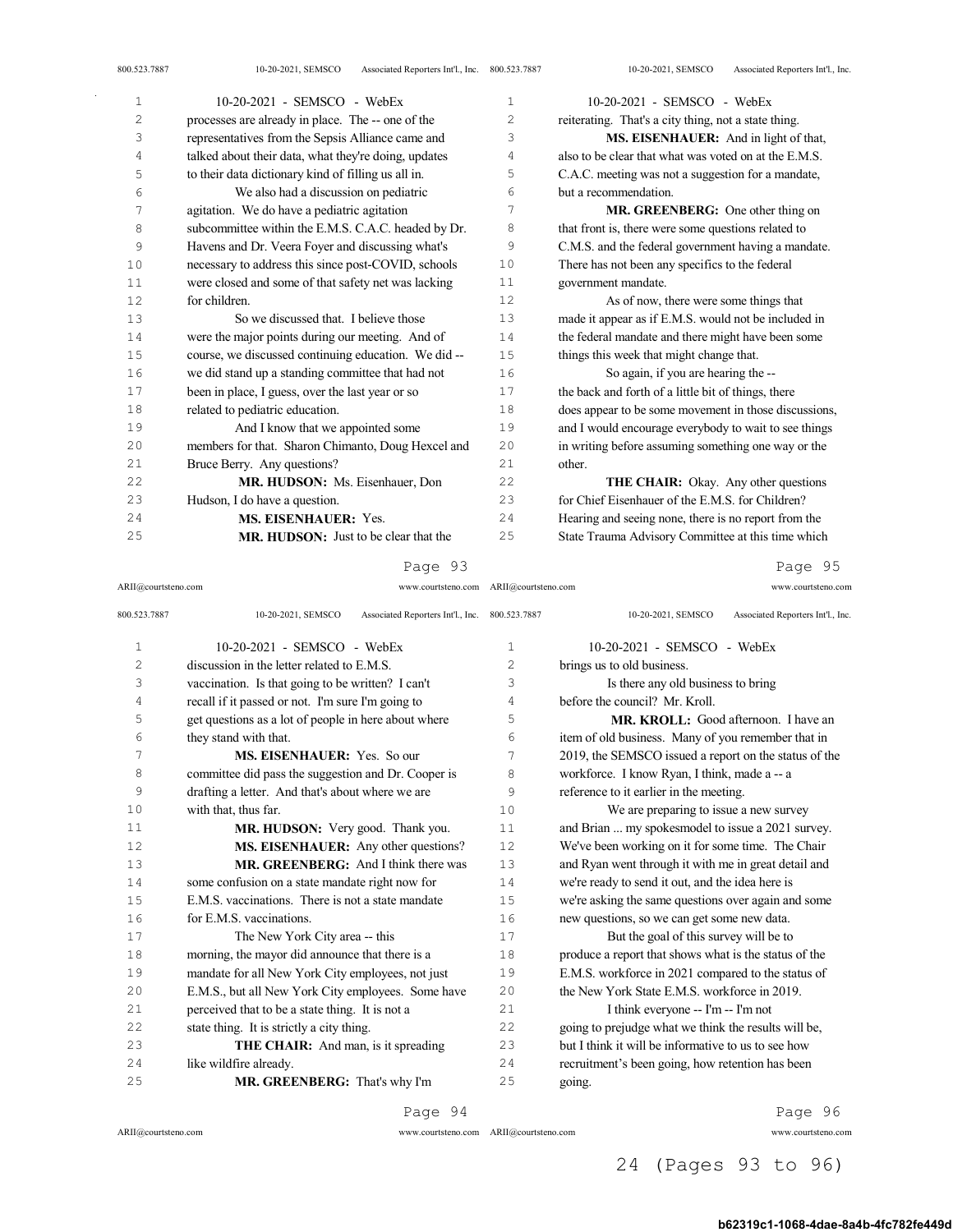| 10-20-2021 - SEMSCO - WebEx                          | 1              | 10-20-2021 - SEMSCO - WebEx                           |
|------------------------------------------------------|----------------|-------------------------------------------------------|
| processes are already in place. The -- one of the    | $\overline{c}$ | reiterating. That's a city thing, not a state thing.  |
| representatives from the Sepsis Alliance came and    | 3              | MS. EISENHAUER: And in light of that,                 |
| talked about their data, what they're doing, updates | 4              | also to be clear that what was voted on at the E.M.S. |
| to their data dictionary kind of filling us all in.  | 5              | C.A.C. meeting was not a suggestion for a mandate,    |
| We also had a discussion on pediatric                | 6              | but a recommendation.                                 |
| agitation. We do have a pediatric agitation          | 7              | MR. GREENBERG: One other thing on                     |
| subcommittee within the E.M.S. C.A.C. headed by Dr.  | 8              | that front is, there were some questions related to   |
| Havens and Dr. Veera Foyer and discussing what's     | 9              | C.M.S. and the federal government having a mandate.   |
| necessary to address this since post-COVID, schools  | 10             | There has not been any specifics to the federal       |
| were closed and some of that safety net was lacking  | 11             | government mandate.                                   |
| for children.                                        | 12.            | As of now, there were some things that                |
| So we discussed that. I believe those                | 13             | made it appear as if E.M.S. would not be included in  |
| were the major points during our meeting. And of     | 14             | the federal mandate and there might have been some    |
| course, we discussed continuing education. We did-   | 15             | things this week that might change that.              |
| we did stand up a standing committee that had not    | 16             | So again, if you are hearing the --                   |
| been in place, I guess, over the last year or so     | 17             | the back and forth of a little bit of things, there   |
| related to pediatric education.                      | 18             | does appear to be some movement in those discussions, |
| And I know that we appointed some                    | 19             | and I would encourage everybody to wait to see things |
| members for that. Sharon Chimanto, Doug Hexcel and   | 20             | in writing before assuming something one way or the   |
| Bruce Berry. Any questions?                          | 2.1            | other.                                                |
| MR. HUDSON: Ms. Eisenhauer, Don                      | 22             | THE CHAIR: Okay. Any other questions                  |
| Hudson, I do have a question.                        | 23             | for Chief Eisenhauer of the E.M.S. for Children?      |
| <b>MS. EISENHAUER: Yes.</b>                          | 2.4            | Hearing and seeing none, there is no report from the  |
| <b>MR. HUDSON:</b> Just to be clear that the         | 25             | State Trauma Advisory Committee at this time which    |
|                                                      |                |                                                       |

## Page 93

ARII@courtsteno.com www.courtsteno.com ARII@courtsteno.com www.courtsteno.com Page 95

| 800.523.7887   | Associated Reporters Int'l., Inc. 800.523.7887<br>10-20-2021, SEMSCO |                   | Associated Reporters Int'l., Inc.<br>10-20-2021, SEMSCO |
|----------------|----------------------------------------------------------------------|-------------------|---------------------------------------------------------|
| $\mathbf{1}$   | $10-20-2021$ - SEMSCO - WebEx                                        | $\mathbf{1}$      | 10-20-2021 - SEMSCO - WebEx                             |
| $\overline{c}$ | discussion in the letter related to E.M.S.                           | $\overline{c}$    | brings us to old business.                              |
| 3              | vaccination. Is that going to be written? I can't                    | 3                 | Is there any old business to bring                      |
| 4              | recall if it passed or not. I'm sure I'm going to                    | 4                 | before the council? Mr. Kroll.                          |
| 5              | get questions as a lot of people in here about where                 | 5                 | <b>MR. KROLL:</b> Good afternoon. I have an             |
| 6              | they stand with that.                                                | 6                 | item of old business. Many of you remember that in      |
| 7              | MS. EISENHAUER: Yes. So our                                          | 7                 | 2019, the SEMSCO issued a report on the status of the   |
| 8              | committee did pass the suggestion and Dr. Cooper is                  | 8                 | workforce. I know Ryan, I think, made a -- a            |
| 9              | drafting a letter. And that's about where we are                     | 9                 | reference to it earlier in the meeting.                 |
| 10             | with that, thus far.                                                 | 10                | We are preparing to issue a new survey                  |
| 11             | MR. HUDSON: Very good. Thank you.                                    | 11                | and Brian  my spokesmodel to issue a 2021 survey.       |
| 12             | MS. EISENHAUER: Any other questions?                                 | $12 \overline{ }$ | We've been working on it for some time. The Chair       |
| 13             | <b>MR. GREENBERG:</b> And I think there was                          | 13                | and Ryan went through it with me in great detail and    |
| 14             | some confusion on a state mandate right now for                      | 14                | we're ready to send it out, and the idea here is        |
| 15             | E.M.S. vaccinations. There is not a state mandate                    | 15                | we're asking the same questions over again and some     |
| 16             | for E.M.S. vaccinations.                                             | 16                | new questions, so we can get some new data.             |
| 17             | The New York City area -- this                                       | 17                | But the goal of this survey will be to                  |
| 18             | morning, the mayor did announce that there is a                      | 18                | produce a report that shows what is the status of the   |
| 19             | mandate for all New York City employees, not just                    | 19                | E.M.S. workforce in 2021 compared to the status of      |
| 20             | E.M.S., but all New York City employees. Some have                   | 2.0               | the New York State E.M.S. workforce in 2019.            |
| 21             | perceived that to be a state thing. It is not a                      | 21                | I think everyone -- I'm -- I'm not                      |
| 22             | state thing. It is strictly a city thing.                            | 22                | going to prejudge what we think the results will be,    |
| 23             | THE CHAIR: And man, is it spreading                                  | 23                | but I think it will be informative to us to see how     |
| 24             | like wildfire already.                                               | 24                | recruitment's been going, how retention has been        |
| 25             | MR. GREENBERG: That's why I'm                                        | 25                | going.                                                  |
|                |                                                                      |                   |                                                         |

Page 94

ARII@courtsteno.com www.courtsteno.com

Page 96

ARII@courtsteno.com www.courtsteno.com

# 24 (Pages 93 to 96)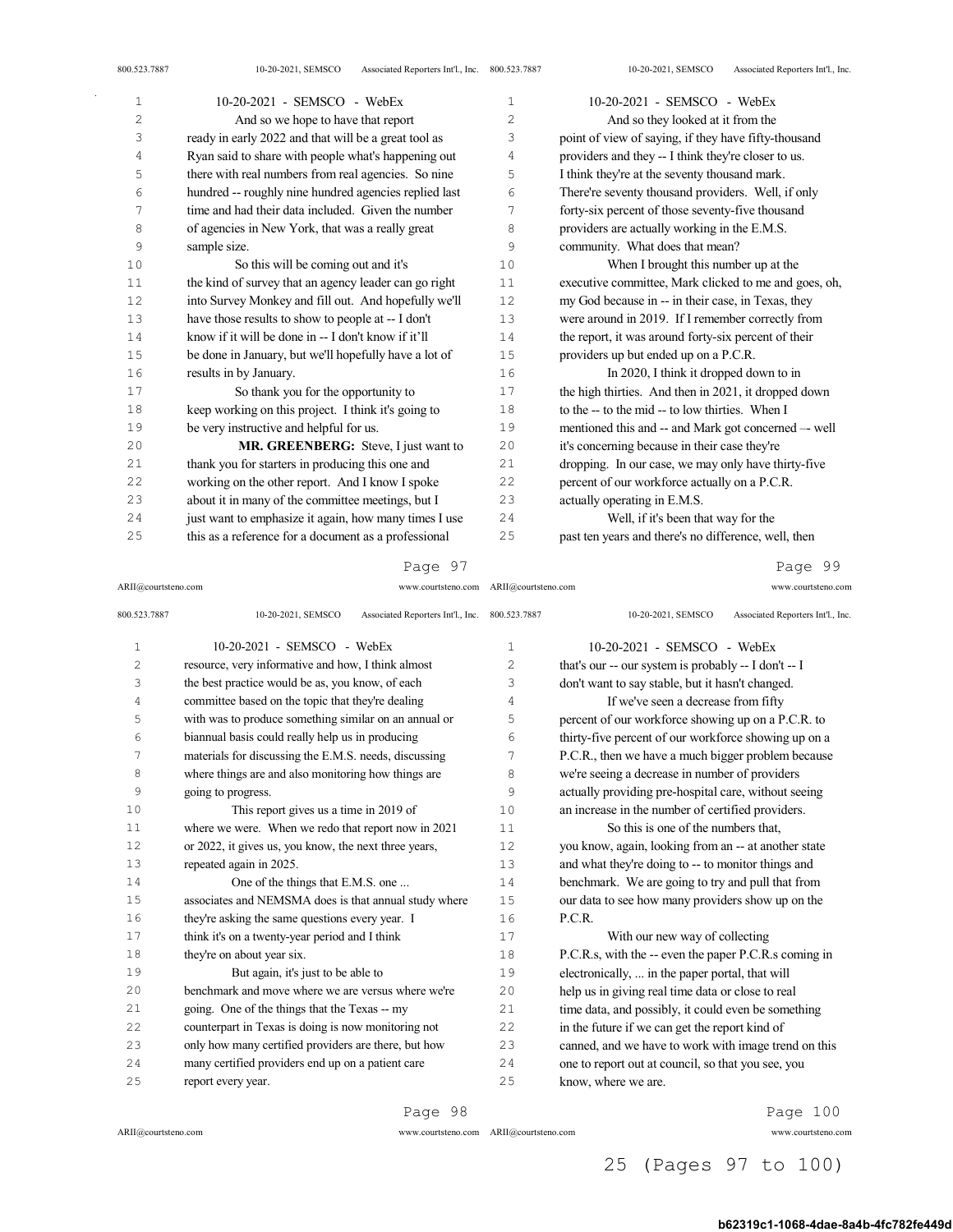| 10-20-2021 - SEMSCO - WebEx                           | $\mathbf{1}$   | 10-20-2021 - SEMSCO - WebEx                           |
|-------------------------------------------------------|----------------|-------------------------------------------------------|
| And so we hope to have that report                    | $\overline{c}$ | And so they looked at it from the                     |
| ready in early 2022 and that will be a great tool as  | 3              | point of view of saying, if they have fifty-thousand  |
| Ryan said to share with people what's happening out   | 4              | providers and they -- I think they're closer to us.   |
| there with real numbers from real agencies. So nine   | 5              | I think they're at the seventy thousand mark.         |
| hundred -- roughly nine hundred agencies replied last | 6              | There're seventy thousand providers. Well, if only    |
| time and had their data included. Given the number    | 7              | forty-six percent of those seventy-five thousand      |
| of agencies in New York, that was a really great      | 8              | providers are actually working in the E.M.S.          |
| sample size.                                          | 9              | community. What does that mean?                       |
| So this will be coming out and it's                   | 10             | When I brought this number up at the                  |
| the kind of survey that an agency leader can go right | 11             | executive committee, Mark clicked to me and goes, oh, |
| into Survey Monkey and fill out. And hopefully we'll  | 12             | my God because in -- in their case, in Texas, they    |
| have those results to show to people at -- I don't    | 13             | were around in 2019. If I remember correctly from     |
| know if it will be done in -- I don't know if it'll   | 14             | the report, it was around forty-six percent of their  |
| be done in January, but we'll hopefully have a lot of | 15             | providers up but ended up on a P.C.R.                 |
| results in by January.                                | 16             | In 2020, I think it dropped down to in                |
| So thank you for the opportunity to                   | 17             | the high thirties. And then in 2021, it dropped down  |
| keep working on this project. I think it's going to   | 18             | to the -- to the mid -- to low thirties. When I       |
| be very instructive and helpful for us.               | 19             | mentioned this and -- and Mark got concerned -- well  |
| MR. GREENBERG: Steve, I just want to                  | 20             | it's concerning because in their case they're         |
| thank you for starters in producing this one and      | 21             | dropping. In our case, we may only have thirty-five   |
| working on the other report. And I know I spoke       | 22             | percent of our workforce actually on a P.C.R.         |
| about it in many of the committee meetings, but I     | 23             | actually operating in E.M.S.                          |
| just want to emphasize it again, how many times I use | 24             | Well, if it's been that way for the                   |
| this as a reference for a document as a professional  | 25             | past ten years and there's no difference, well, then  |
|                                                       |                |                                                       |

ARII@courtsteno.com www.courtsteno.com ARII@courtsteno.com www.courtsteno.com

Page 99

| 800.523.7887   | Associated Reporters Int'l., Inc. 800.523.7887<br>10-20-2021, SEMSCO |    | Associated Reporters Int'l., Inc.<br>10-20-2021, SEMSCO |
|----------------|----------------------------------------------------------------------|----|---------------------------------------------------------|
| $\mathbf{1}$   | 10-20-2021 - SEMSCO - WebEx                                          | 1  | 10-20-2021 - SEMSCO - WebEx                             |
| $\overline{c}$ | resource, very informative and how, I think almost                   | 2  | that's our -- our system is probably -- I don't -- I    |
| 3              | the best practice would be as, you know, of each                     | 3  | don't want to say stable, but it hasn't changed.        |
| 4              | committee based on the topic that they're dealing                    | 4  | If we've seen a decrease from fifty                     |
| 5              | with was to produce something similar on an annual or                | 5  | percent of our workforce showing up on a P.C.R. to      |
| 6              | biannual basis could really help us in producing                     | 6  | thirty-five percent of our workforce showing up on a    |
| 7              | materials for discussing the E.M.S. needs, discussing                | 7  | P.C.R., then we have a much bigger problem because      |
| 8              | where things are and also monitoring how things are                  | 8  | we're seeing a decrease in number of providers          |
| 9              | going to progress.                                                   | 9  | actually providing pre-hospital care, without seeing    |
| 10             | This report gives us a time in 2019 of                               | 10 | an increase in the number of certified providers.       |
| 11             | where we were. When we redo that report now in 2021                  | 11 | So this is one of the numbers that.                     |
| 12             | or 2022, it gives us, you know, the next three years,                | 12 | you know, again, looking from an -- at another state    |
| 13             | repeated again in 2025.                                              | 13 | and what they're doing to -- to monitor things and      |
| 14             | One of the things that E.M.S. one                                    | 14 | benchmark. We are going to try and pull that from       |
| 15             | associates and NEMSMA does is that annual study where                | 15 | our data to see how many providers show up on the       |
| 16             | they're asking the same questions every year. I                      | 16 | P.C.R.                                                  |
| 17             | think it's on a twenty-year period and I think                       | 17 | With our new way of collecting                          |
| 18             | they're on about year six.                                           | 18 | P.C.R.s, with the -- even the paper P.C.R.s coming in   |
| 19             | But again, it's just to be able to                                   | 19 | electronically,  in the paper portal, that will         |
| 20             | benchmark and move where we are versus where we're                   | 20 | help us in giving real time data or close to real       |
| 2.1            | going. One of the things that the Texas -- my                        | 21 | time data, and possibly, it could even be something     |
| 2.2            | counterpart in Texas is doing is now monitoring not                  | 22 | in the future if we can get the report kind of          |
| 23             | only how many certified providers are there, but how                 | 23 | canned, and we have to work with image trend on this    |
| 2.4            | many certified providers end up on a patient care                    | 24 | one to report out at council, so that you see, you      |
| 25             | report every year.                                                   | 25 | know, where we are.                                     |
|                |                                                                      |    |                                                         |

Page 98

ARII@courtsteno.com www.courtsteno.com

ARII@courtsteno.com www.courtsteno.com Page 100

# 25 (Pages 97 to 100)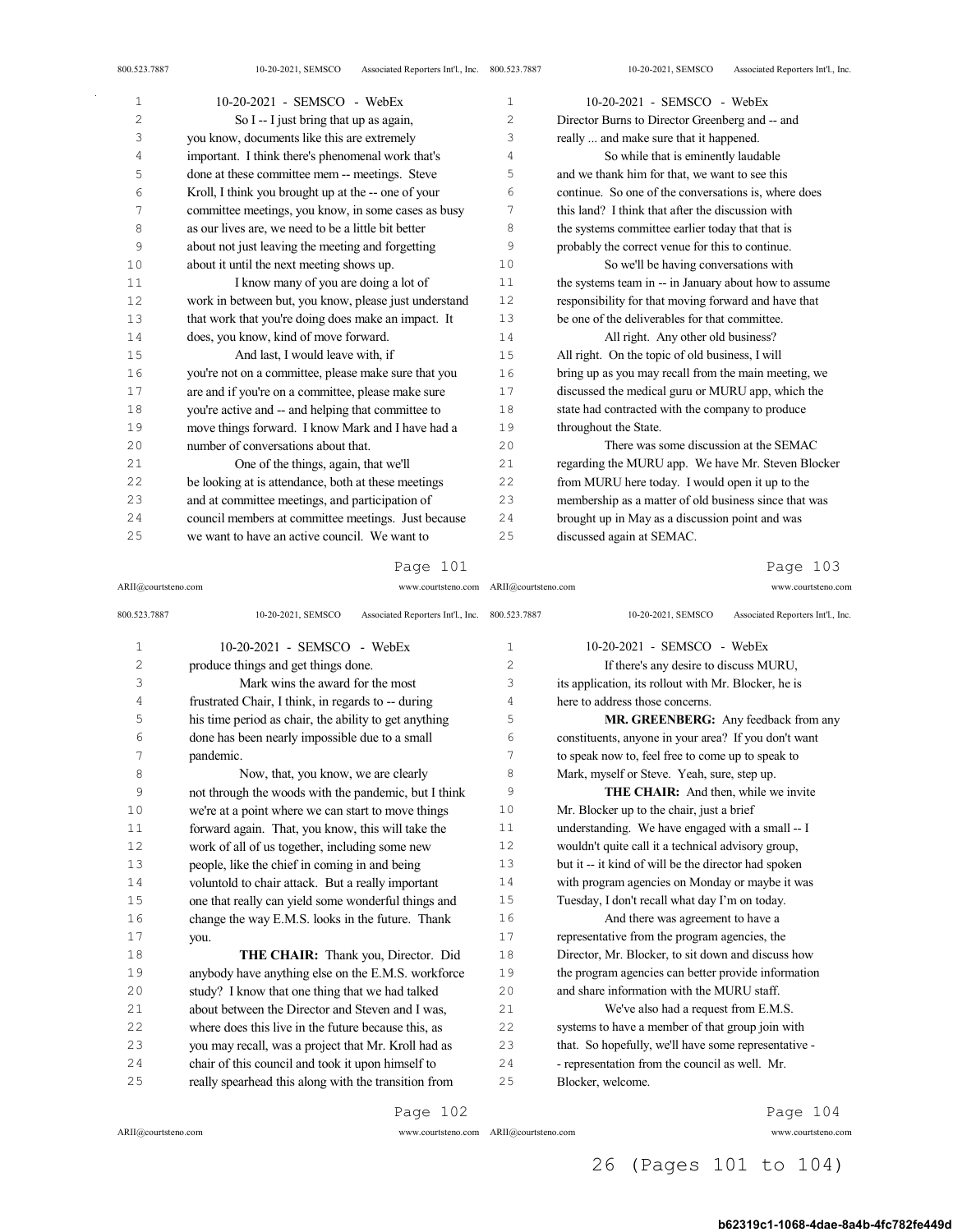| $\mathbf 1$ | 10-20-2021 - SEMSCO - WebEx                           | $\mathbf{1}$   | 10-20-2021 - SEMSCO - WebEx                           |
|-------------|-------------------------------------------------------|----------------|-------------------------------------------------------|
| 2           | So I -- I just bring that up as again,                | $\overline{c}$ | Director Burns to Director Greenberg and -- and       |
| 3           | you know, documents like this are extremely           | 3              | really  and make sure that it happened.               |
| 4           | important. I think there's phenomenal work that's     | 4              | So while that is eminently laudable                   |
| 5           | done at these committee mem -- meetings. Steve        | 5              | and we thank him for that, we want to see this        |
| 6           | Kroll, I think you brought up at the -- one of your   | 6              | continue. So one of the conversations is, where does  |
| 7           | committee meetings, you know, in some cases as busy   | 7              | this land? I think that after the discussion with     |
| 8           | as our lives are, we need to be a little bit better   | 8              | the systems committee earlier today that that is      |
| 9           | about not just leaving the meeting and forgetting     | 9              | probably the correct venue for this to continue.      |
| 10          | about it until the next meeting shows up.             | 10             | So we'll be having conversations with                 |
| 11          | I know many of you are doing a lot of                 | 11             | the systems team in -- in January about how to assume |
| 12          | work in between but, you know, please just understand | 12             | responsibility for that moving forward and have that  |
| 13          | that work that you're doing does make an impact. It   | 13             | be one of the deliverables for that committee.        |
| 14          | does, you know, kind of move forward.                 | 14             | All right. Any other old business?                    |
| $15$        | And last, I would leave with, if                      | 15             | All right. On the topic of old business, I will       |
| 16          | you're not on a committee, please make sure that you  | 16             | bring up as you may recall from the main meeting, we  |
| 17          | are and if you're on a committee, please make sure    | 17             | discussed the medical guru or MURU app, which the     |
| 18          | you're active and -- and helping that committee to    | 18             | state had contracted with the company to produce      |
| 19          | move things forward. I know Mark and I have had a     | 19             | throughout the State.                                 |
| 20          | number of conversations about that.                   | 20             | There was some discussion at the SEMAC                |
| 21          | One of the things, again, that we'll                  | 21             | regarding the MURU app. We have Mr. Steven Blocker    |
| 22          | be looking at is attendance, both at these meetings   | 22             | from MURU here today. I would open it up to the       |
| 23          | and at committee meetings, and participation of       | 23             | membership as a matter of old business since that was |
| 24          | council members at committee meetings. Just because   | 24             | brought up in May as a discussion point and was       |
| 25          | we want to have an active council. We want to         | 25             | discussed again at SEMAC.                             |

#### ARII@courtsteno.com www.courtsteno.com ARII@courtsteno.com www.courtsteno.com Page 103

| 800.523.7887   | 10-20-2021, SEMSCO<br>Associated Reporters Int'l., Inc. | 800.523.7887   | Associated Reporters Int'l., Inc.<br>10-20-2021, SEMSCO |
|----------------|---------------------------------------------------------|----------------|---------------------------------------------------------|
| $\mathbf{1}$   | 10-20-2021 - SEMSCO - WebEx                             | 1              | $10-20-2021$ - SEMSCO - WebEx                           |
| $\overline{c}$ | produce things and get things done.                     | $\overline{c}$ | If there's any desire to discuss MURU,                  |
| 3              | Mark wins the award for the most                        | 3              | its application, its rollout with Mr. Blocker, he is    |
| 4              | frustrated Chair, I think, in regards to -- during      | 4              | here to address those concerns.                         |
| 5              | his time period as chair, the ability to get anything   | 5              | MR. GREENBERG: Any feedback from any                    |
| 6              | done has been nearly impossible due to a small          | 6              | constituents, anyone in your area? If you don't want    |
| 7              | pandemic.                                               | 7              | to speak now to, feel free to come up to speak to       |
| 8              | Now, that, you know, we are clearly                     | 8              | Mark, myself or Steve. Yeah, sure, step up.             |
| 9              | not through the woods with the pandemic, but I think    | 9              | <b>THE CHAIR:</b> And then, while we invite             |
| 10             | we're at a point where we can start to move things      | 10             | Mr. Blocker up to the chair, just a brief               |
| 11             | forward again. That, you know, this will take the       | 11             | understanding. We have engaged with a small -- I        |
| 12             | work of all of us together, including some new          | 12             | wouldn't quite call it a technical advisory group,      |
| 13             | people, like the chief in coming in and being           | 13             | but it -- it kind of will be the director had spoken    |
| 14             | voluntold to chair attack. But a really important       | 14             | with program agencies on Monday or maybe it was         |
| 15             | one that really can yield some wonderful things and     | 15             | Tuesday, I don't recall what day I'm on today.          |
| 16             | change the way E.M.S. looks in the future. Thank        | 16             | And there was agreement to have a                       |
| 17             | you.                                                    | 17             | representative from the program agencies, the           |
| 18             | <b>THE CHAIR:</b> Thank you, Director. Did              | 18             | Director, Mr. Blocker, to sit down and discuss how      |
| 19             | anybody have anything else on the E.M.S. workforce      | 19             | the program agencies can better provide information     |
| 20             | study? I know that one thing that we had talked         | 20             | and share information with the MURU staff.              |
| 2.1            | about between the Director and Steven and I was.        | 21             | We've also had a request from E.M.S.                    |
| 22             | where does this live in the future because this, as     | 22             | systems to have a member of that group join with        |
| 23             | you may recall, was a project that Mr. Kroll had as     | 23             | that. So hopefully, we'll have some representative -    |
| 2.4            | chair of this council and took it upon himself to       | 24             | - representation from the council as well. Mr.          |
| 25             | really spearhead this along with the transition from    | 25             | Blocker, welcome.                                       |
|                |                                                         |                |                                                         |

Page 102

ARII@courtsteno.com www.courtsteno.com

Page 104

# ARII@courtsteno.com www.courtsteno.com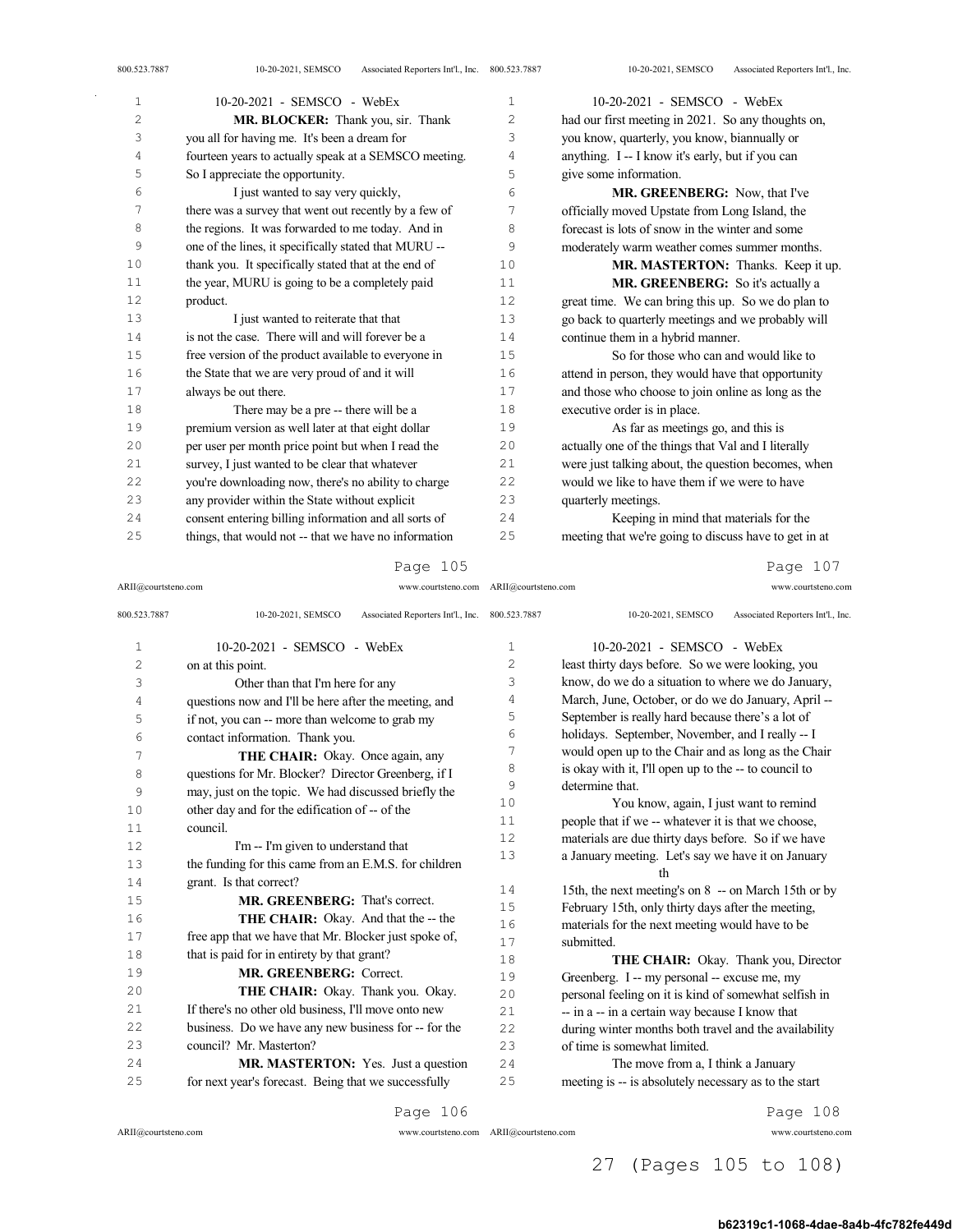| $\overline{4}$ | fourteen years to actually speak at a SEMSCO meeting. | 4  | anything. I -- I know it's early, but if you can      |
|----------------|-------------------------------------------------------|----|-------------------------------------------------------|
| 5              | So I appreciate the opportunity.                      | 5  | give some information.                                |
| 6              | I just wanted to say very quickly,                    | 6  | MR. GREENBERG: Now, that I've                         |
| 7              | there was a survey that went out recently by a few of | 7  | officially moved Upstate from Long Island, the        |
| 8              | the regions. It was forwarded to me today. And in     | 8  | forecast is lots of snow in the winter and some       |
| 9              | one of the lines, it specifically stated that MURU -- | 9  | moderately warm weather comes summer months.          |
| 10             | thank you. It specifically stated that at the end of  | 10 | MR. MASTERTON: Thanks. Keep it up.                    |
| 11             | the year, MURU is going to be a completely paid       | 11 | MR. GREENBERG: So it's actually a                     |
| 12             | product.                                              | 12 | great time. We can bring this up. So we do plan to    |
| 13             | I just wanted to reiterate that that                  | 13 | go back to quarterly meetings and we probably will    |
| 14             | is not the case. There will and will forever be a     | 14 | continue them in a hybrid manner.                     |
| 15             | free version of the product available to everyone in  | 15 | So for those who can and would like to                |
| 16             | the State that we are very proud of and it will       | 16 | attend in person, they would have that opportunity    |
| 17             | always be out there.                                  | 17 | and those who choose to join online as long as the    |
| 18             | There may be a pre -- there will be a                 | 18 | executive order is in place.                          |
| 19             | premium version as well later at that eight dollar    | 19 | As far as meetings go, and this is                    |
| 20             | per user per month price point but when I read the    | 20 | actually one of the things that Val and I literally   |
| 21             | survey, I just wanted to be clear that whatever       | 21 | were just talking about, the question becomes, when   |
| 22             | you're downloading now, there's no ability to charge  | 22 | would we like to have them if we were to have         |
| 23             | any provider within the State without explicit        | 23 | quarterly meetings.                                   |
| 24             | consent entering billing information and all sorts of | 24 | Keeping in mind that materials for the                |
| 25             | things, that would not -- that we have no information | 25 | meeting that we're going to discuss have to get in at |
|                |                                                       |    |                                                       |

ARII@courtsteno.com www.courtsteno.com ARII@courtsteno.com www.courtsteno.com Page 107

| 800.523.7887   | Associated Reporters Int'l., Inc. 800.523.7887<br>10-20-2021, SEMSCO |                | Associated Reporters Int'l., Inc.<br>10-20-2021, SEMSCO |
|----------------|----------------------------------------------------------------------|----------------|---------------------------------------------------------|
| $\mathbf{1}$   | 10-20-2021 - SEMSCO - WebEx                                          | $\mathbf{1}$   | 10-20-2021 - SEMSCO - WebEx                             |
| $\overline{c}$ | on at this point.                                                    | $\overline{c}$ | least thirty days before. So we were looking, you       |
| 3              | Other than that I'm here for any                                     | 3              | know, do we do a situation to where we do January,      |
| 4              | questions now and I'll be here after the meeting, and                | 4              | March, June, October, or do we do January, April --     |
| 5              | if not, you can -- more than welcome to grab my                      | 5              | September is really hard because there's a lot of       |
| 6              | contact information. Thank you.                                      | 6              | holidays. September, November, and I really -- I        |
| 7              | THE CHAIR: Okay. Once again, any                                     | 7              | would open up to the Chair and as long as the Chair     |
| 8              | questions for Mr. Blocker? Director Greenberg, if I                  | 8              | is okay with it, I'll open up to the -- to council to   |
| 9              | may, just on the topic. We had discussed briefly the                 | 9              | determine that.                                         |
| 10             | other day and for the edification of -- of the                       | 10             | You know, again, I just want to remind                  |
| 11             | council.                                                             | 11             | people that if we -- whatever it is that we choose,     |
| 12             | I'm -- I'm given to understand that                                  | 12             | materials are due thirty days before. So if we have     |
| 13             | the funding for this came from an E.M.S. for children                | 13             | a January meeting. Let's say we have it on January      |
| 14             | grant. Is that correct?                                              |                | th                                                      |
| 15             | MR. GREENBERG: That's correct.                                       | 14             | 15th, the next meeting's on 8 -- on March 15th or by    |
| 16             | THE CHAIR: Okay. And that the -- the                                 | 15             | February 15th, only thirty days after the meeting,      |
| 17             |                                                                      | 16             | materials for the next meeting would have to be         |
|                | free app that we have that Mr. Blocker just spoke of,                | 17             | submitted.                                              |
| 18             | that is paid for in entirety by that grant?                          | 18             | <b>THE CHAIR:</b> Okay. Thank you, Director             |
| 19             | <b>MR. GREENBERG: Correct.</b>                                       | 19             | Greenberg. I -- my personal -- excuse me, my            |
| 20             | THE CHAIR: Okay. Thank you. Okay.                                    | 20             | personal feeling on it is kind of somewhat selfish in   |
| 21             | If there's no other old business, I'll move onto new                 | 21             | -- in a -- in a certain way because I know that         |
| 22             | business. Do we have any new business for -- for the                 | 22             | during winter months both travel and the availability   |
| 23             | council? Mr. Masterton?                                              | 23             | of time is somewhat limited.                            |
| 24             | <b>MR. MASTERTON:</b> Yes. Just a question                           | 24             | The move from a, I think a January                      |
| 25             | for next year's forecast. Being that we successfully                 | 25             | meeting is -- is absolutely necessary as to the start   |
|                |                                                                      |                |                                                         |

Page 106

Page 108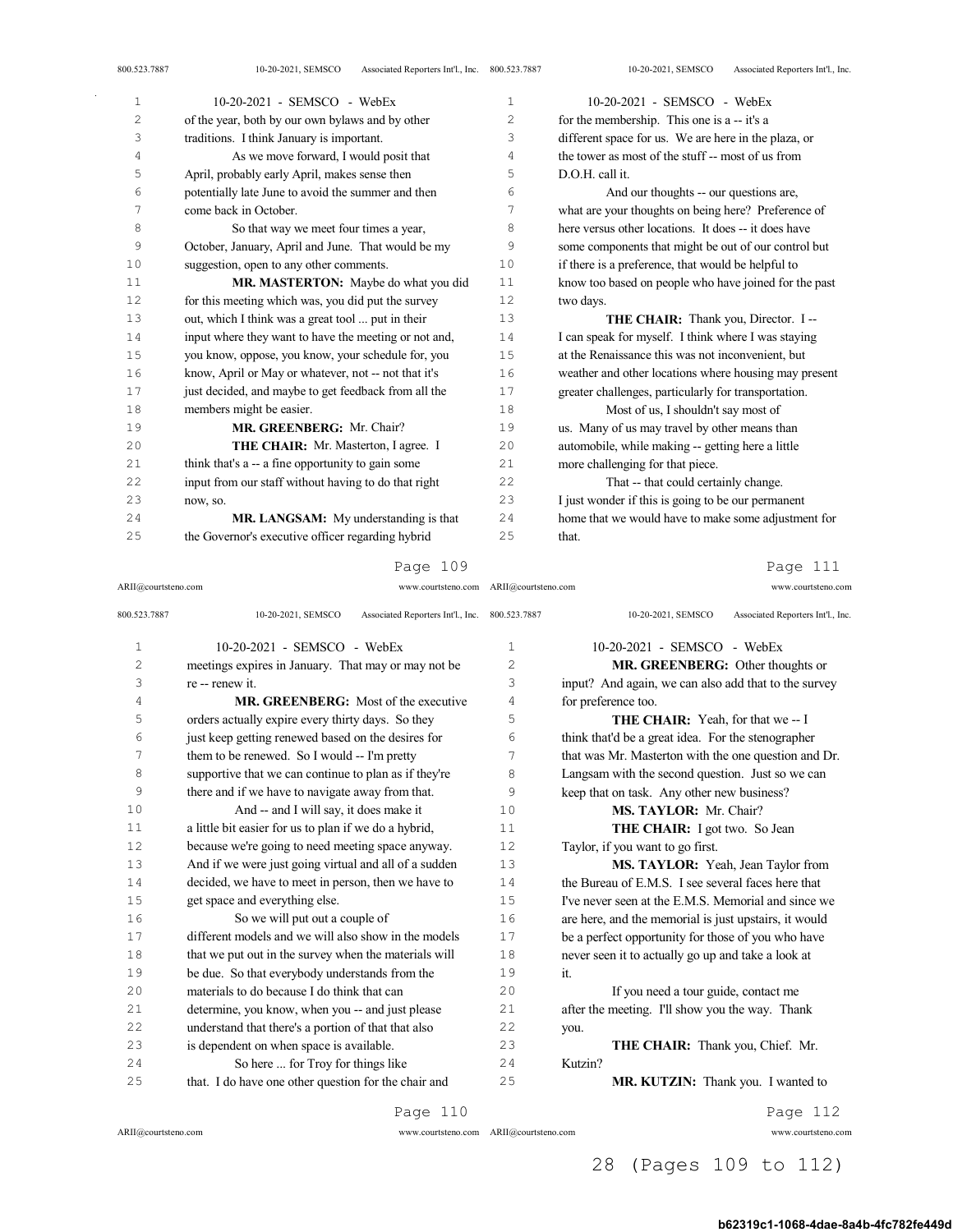| 1  | 10-20-2021 - SEMSCO - WebEx                           | 1              | 10-20-2021 - SEMSCO - WebEx                           |
|----|-------------------------------------------------------|----------------|-------------------------------------------------------|
| 2  | of the year, both by our own bylaws and by other      | 2              | for the membership. This one is a -- it's a           |
| 3  | traditions. I think January is important.             | 3              | different space for us. We are here in the plaza, or  |
| 4  | As we move forward, I would posit that                | $\overline{4}$ | the tower as most of the stuff -- most of us from     |
| 5  | April, probably early April, makes sense then         | 5              | D.O.H. call it.                                       |
| 6  | potentially late June to avoid the summer and then    | 6              | And our thoughts -- our questions are,                |
| 7  | come back in October.                                 | 7              | what are your thoughts on being here? Preference of   |
| 8  | So that way we meet four times a year,                | 8              | here versus other locations. It does -- it does have  |
| 9  | October, January, April and June. That would be my    | 9              | some components that might be out of our control but  |
| 10 | suggestion, open to any other comments.               | 10             | if there is a preference, that would be helpful to    |
| 11 | MR. MASTERTON: Maybe do what you did                  | 11             | know too based on people who have joined for the past |
| 12 | for this meeting which was, you did put the survey    | 12             | two days.                                             |
| 13 | out, which I think was a great tool  put in their     | 13             | THE CHAIR: Thank you, Director. I --                  |
| 14 | input where they want to have the meeting or not and, | 14             | I can speak for myself. I think where I was staying   |
| 15 | you know, oppose, you know, your schedule for, you    | 15             | at the Renaissance this was not inconvenient, but     |
| 16 | know, April or May or whatever, not -- not that it's  | 16             | weather and other locations where housing may present |
| 17 | just decided, and maybe to get feedback from all the  | 17             | greater challenges, particularly for transportation.  |
| 18 | members might be easier.                              | 18             | Most of us, I shouldn't say most of                   |
| 19 | MR. GREENBERG: Mr. Chair?                             | 19             | us. Many of us may travel by other means than         |
| 20 | THE CHAIR: Mr. Masterton, I agree. I                  | 20             | automobile, while making -- getting here a little     |
| 21 | think that's a -- a fine opportunity to gain some     | 21             | more challenging for that piece.                      |
| 22 | input from our staff without having to do that right  | 22             | That -- that could certainly change.                  |
| 23 | now, so.                                              | 23             | I just wonder if this is going to be our permanent    |
| 24 | MR. LANGSAM: My understanding is that                 | 24             | home that we would have to make some adjustment for   |
| 25 | the Governor's executive officer regarding hybrid     | 25             | that.                                                 |

ARII@courtsteno.com www.courtsteno.com ARII@courtsteno.com www.courtsteno.com

Page 111

| 800.523.7887 | Associated Reporters Int'l., Inc. 800.523.7887<br>10-20-2021, SEMSCO |     | Associated Reporters Int'l., Inc.<br>10-20-2021, SEMSCO |
|--------------|----------------------------------------------------------------------|-----|---------------------------------------------------------|
| 1            | $10-20-2021$ - SEMSCO - WebEx                                        | 1   | 10-20-2021 - SEMSCO - WebEx                             |
| 2            | meetings expires in January. That may or may not be                  | 2   | MR. GREENBERG: Other thoughts or                        |
| 3            | re -- renew it.                                                      | 3   | input? And again, we can also add that to the survey    |
| 4            | <b>MR. GREENBERG:</b> Most of the executive                          | 4   | for preference too.                                     |
| 5            | orders actually expire every thirty days. So they                    | 5   | <b>THE CHAIR:</b> Yeah, for that we -- I                |
| 6            | just keep getting renewed based on the desires for                   | 6   | think that'd be a great idea. For the stenographer      |
| 7            | them to be renewed. So I would -- I'm pretty                         | 7   | that was Mr. Masterton with the one question and Dr.    |
| 8            | supportive that we can continue to plan as if they're                | 8   | Langsam with the second question. Just so we can        |
| 9            | there and if we have to navigate away from that.                     | 9   | keep that on task. Any other new business?              |
| 10           | And -- and I will say, it does make it                               | 10  | MS. TAYLOR: Mr. Chair?                                  |
| 11           | a little bit easier for us to plan if we do a hybrid,                | 11  | THE CHAIR: I got two. So Jean                           |
| 12           | because we're going to need meeting space anyway.                    | 12. | Taylor, if you want to go first.                        |
| 13           | And if we were just going virtual and all of a sudden                | 13  | MS. TAYLOR: Yeah, Jean Taylor from                      |
| 14           | decided, we have to meet in person, then we have to                  | 14  | the Bureau of E.M.S. I see several faces here that      |
| 15           | get space and everything else.                                       | 15  | I've never seen at the E.M.S. Memorial and since we     |
| 16           | So we will put out a couple of                                       | 16  | are here, and the memorial is just upstairs, it would   |
| 17           | different models and we will also show in the models                 | 17  | be a perfect opportunity for those of you who have      |
| 18           | that we put out in the survey when the materials will                | 18  | never seen it to actually go up and take a look at      |
| 19           | be due. So that everybody understands from the                       | 19  | it.                                                     |
| 20           | materials to do because I do think that can                          | 20  | If you need a tour guide, contact me                    |
| 21           | determine, you know, when you -- and just please                     | 21  | after the meeting. I'll show you the way. Thank         |
| 22           | understand that there's a portion of that that also                  | 22  | you.                                                    |
| 23           | is dependent on when space is available.                             | 23  | THE CHAIR: Thank you, Chief. Mr.                        |
| 24           | So here  for Troy for things like                                    | 24  | Kutzin?                                                 |
| 25           | that. I do have one other question for the chair and                 | 25  | MR. KUTZIN: Thank you. I wanted to                      |
|              | Page 110                                                             |     | Page 112                                                |

ARII@courtsteno.com www.courtsteno.com

Page 112

ARII@courtsteno.com www.courtsteno.com

28 (Pages 109 to 112)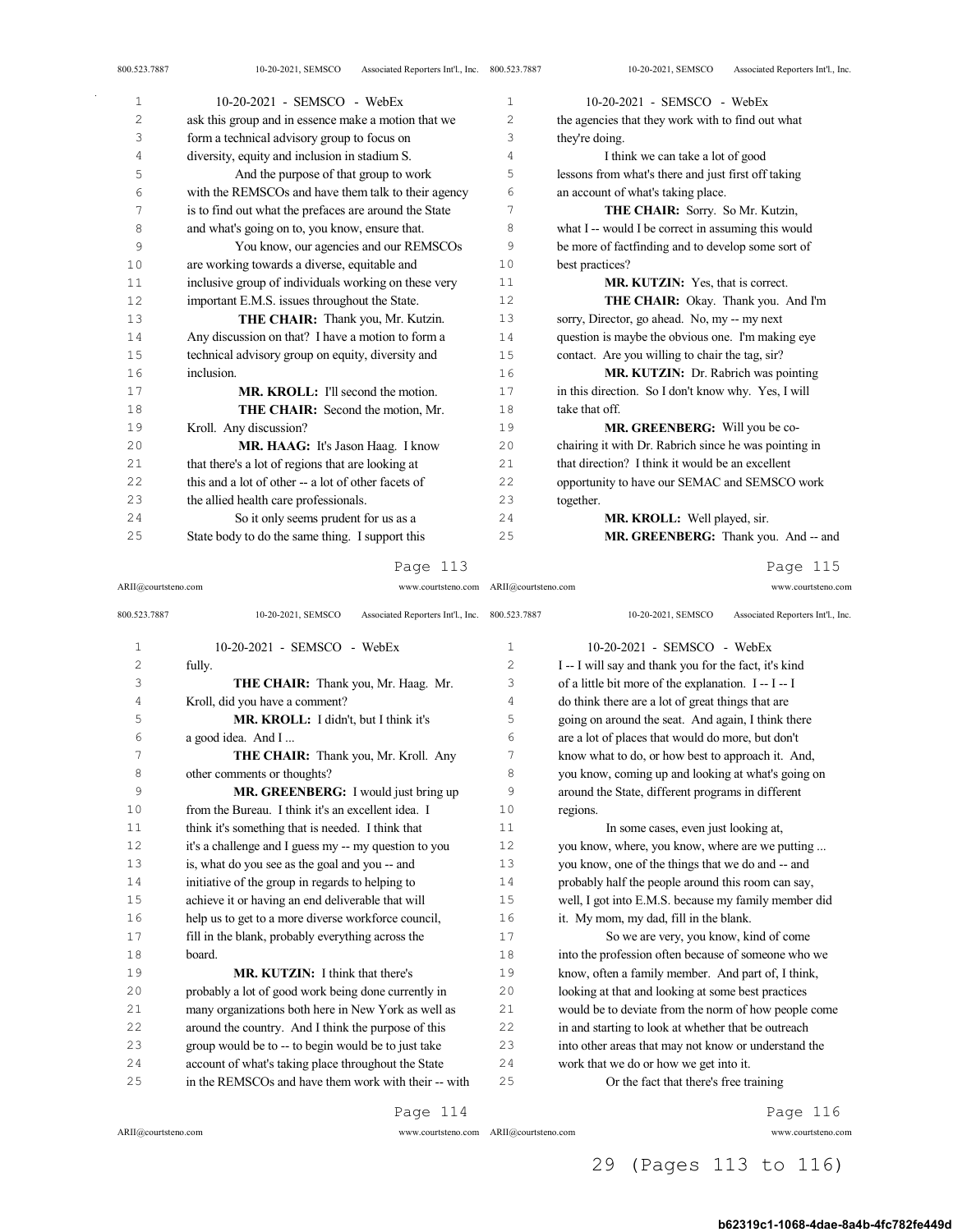| $\mathbf{1}$ | 10-20-2021 - SEMSCO - WebEx                           | $\mathbf{1}$   | 10-20-2021 - SEMSCO - WebEx                           |
|--------------|-------------------------------------------------------|----------------|-------------------------------------------------------|
| 2            | ask this group and in essence make a motion that we   | $\overline{2}$ | the agencies that they work with to find out what     |
| 3            | form a technical advisory group to focus on           | 3              | they're doing.                                        |
| 4            | diversity, equity and inclusion in stadium S.         | 4              | I think we can take a lot of good                     |
| 5            | And the purpose of that group to work                 | 5              | lessons from what's there and just first off taking   |
| 6            | with the REMSCOs and have them talk to their agency   | 6              | an account of what's taking place.                    |
| 7            | is to find out what the prefaces are around the State | 7              | THE CHAIR: Sorry. So Mr. Kutzin,                      |
| 8            | and what's going on to, you know, ensure that.        | 8              | what I -- would I be correct in assuming this would   |
| 9            | You know, our agencies and our REMSCOs                | 9              | be more of factfinding and to develop some sort of    |
| 10           | are working towards a diverse, equitable and          | 10             | best practices?                                       |
| 11           | inclusive group of individuals working on these very  | 11             | <b>MR. KUTZIN:</b> Yes, that is correct.              |
| 12           | important E.M.S. issues throughout the State.         | 12             | THE CHAIR: Okay. Thank you. And I'm                   |
| 13           | THE CHAIR: Thank you, Mr. Kutzin.                     | 13             | sorry, Director, go ahead. No, my -- my next          |
| 14           | Any discussion on that? I have a motion to form a     | 14             | question is maybe the obvious one. I'm making eye     |
| 15           | technical advisory group on equity, diversity and     | 15             | contact. Are you willing to chair the tag, sir?       |
| 16           | inclusion.                                            | 16             | MR. KUTZIN: Dr. Rabrich was pointing                  |
| 17           | <b>MR. KROLL:</b> I'll second the motion.             | 17             | in this direction. So I don't know why. Yes, I will   |
| 18           | <b>THE CHAIR:</b> Second the motion, Mr.              | 18             | take that off.                                        |
| 19           | Kroll. Any discussion?                                | 19             | MR. GREENBERG: Will you be co-                        |
| 20           | <b>MR. HAAG:</b> It's Jason Haag. I know              | 20             | chairing it with Dr. Rabrich since he was pointing in |
| 21           | that there's a lot of regions that are looking at     | 21             | that direction? I think it would be an excellent      |
| 22           | this and a lot of other -- a lot of other facets of   | 22             | opportunity to have our SEMAC and SEMSCO work         |
| 23           | the allied health care professionals.                 | 23             | together.                                             |
| 24           | So it only seems prudent for us as a                  | 24             | MR. KROLL: Well played, sir.                          |
| 25           | State body to do the same thing. I support this       | 25             | MR. GREENBERG: Thank you. And -- and                  |

ARII@courtsteno.com www.courtsteno.com ARII@courtsteno.com www.courtsteno.com

Page 115

| 800.523.7887 | 10-20-2021, SEMSCO<br>Associated Reporters Int'l., Inc. 800.523.7887 |              | 10-20-2021, SEMSCO<br>Associated Reporters Int'l., Inc. |
|--------------|----------------------------------------------------------------------|--------------|---------------------------------------------------------|
| $\mathbf 1$  | $10-20-2021$ - SEMSCO - WebEx                                        | $\mathbf{1}$ | $10-20-2021$ - SEMSCO - WebEx                           |
| 2            | fully.                                                               | 2            | I -- I will say and thank you for the fact, it's kind   |
| 3            | THE CHAIR: Thank you, Mr. Haag. Mr.                                  | 3            | of a little bit more of the explanation. I--I-I         |
| 4            | Kroll, did you have a comment?                                       | 4            | do think there are a lot of great things that are       |
| 5            | MR. KROLL: I didn't, but I think it's                                | 5            | going on around the seat. And again, I think there      |
| 6            | a good idea. And I                                                   | 6            | are a lot of places that would do more, but don't       |
| 7            | THE CHAIR: Thank you, Mr. Kroll. Any                                 | 7            | know what to do, or how best to approach it. And,       |
| 8            | other comments or thoughts?                                          | 8            | you know, coming up and looking at what's going on      |
| 9            | MR. GREENBERG: I would just bring up                                 | 9            | around the State, different programs in different       |
| 10           | from the Bureau. I think it's an excellent idea. I                   | 10           | regions.                                                |
| 11           | think it's something that is needed. I think that                    | 11           | In some cases, even just looking at,                    |
| 12           | it's a challenge and I guess my -- my question to you                | 12           | you know, where, you know, where are we putting         |
| 13           | is, what do you see as the goal and you -- and                       | 13           | you know, one of the things that we do and -- and       |
| 14           | initiative of the group in regards to helping to                     | 14           | probably half the people around this room can say,      |
| 15           | achieve it or having an end deliverable that will                    | 15           | well, I got into E.M.S. because my family member did    |
| 16           | help us to get to a more diverse workforce council,                  | 16           | it. My mom, my dad, fill in the blank.                  |
| 17           | fill in the blank, probably everything across the                    | 17           | So we are very, you know, kind of come                  |
| 18           | board.                                                               | 18           | into the profession often because of someone who we     |
| 19           | <b>MR. KUTZIN:</b> I think that there's                              | 19           | know, often a family member. And part of, I think,      |
| 20           | probably a lot of good work being done currently in                  | 20           | looking at that and looking at some best practices      |
| 21           | many organizations both here in New York as well as                  | 21           | would be to deviate from the norm of how people come    |
| 2.2.         | around the country. And I think the purpose of this                  | 22           | in and starting to look at whether that be outreach     |
| 23           | group would be to -- to begin would be to just take                  | 23           | into other areas that may not know or understand the    |
| 2.4          | account of what's taking place throughout the State                  | 24           | work that we do or how we get into it.                  |
| 25           | in the REMSCOs and have them work with their -- with                 | 25           | Or the fact that there's free training                  |

Page 114

ARII@courtsteno.com www.courtsteno.com

ARII@courtsteno.com www.courtsteno.com Page 116

# 29 (Pages 113 to 116)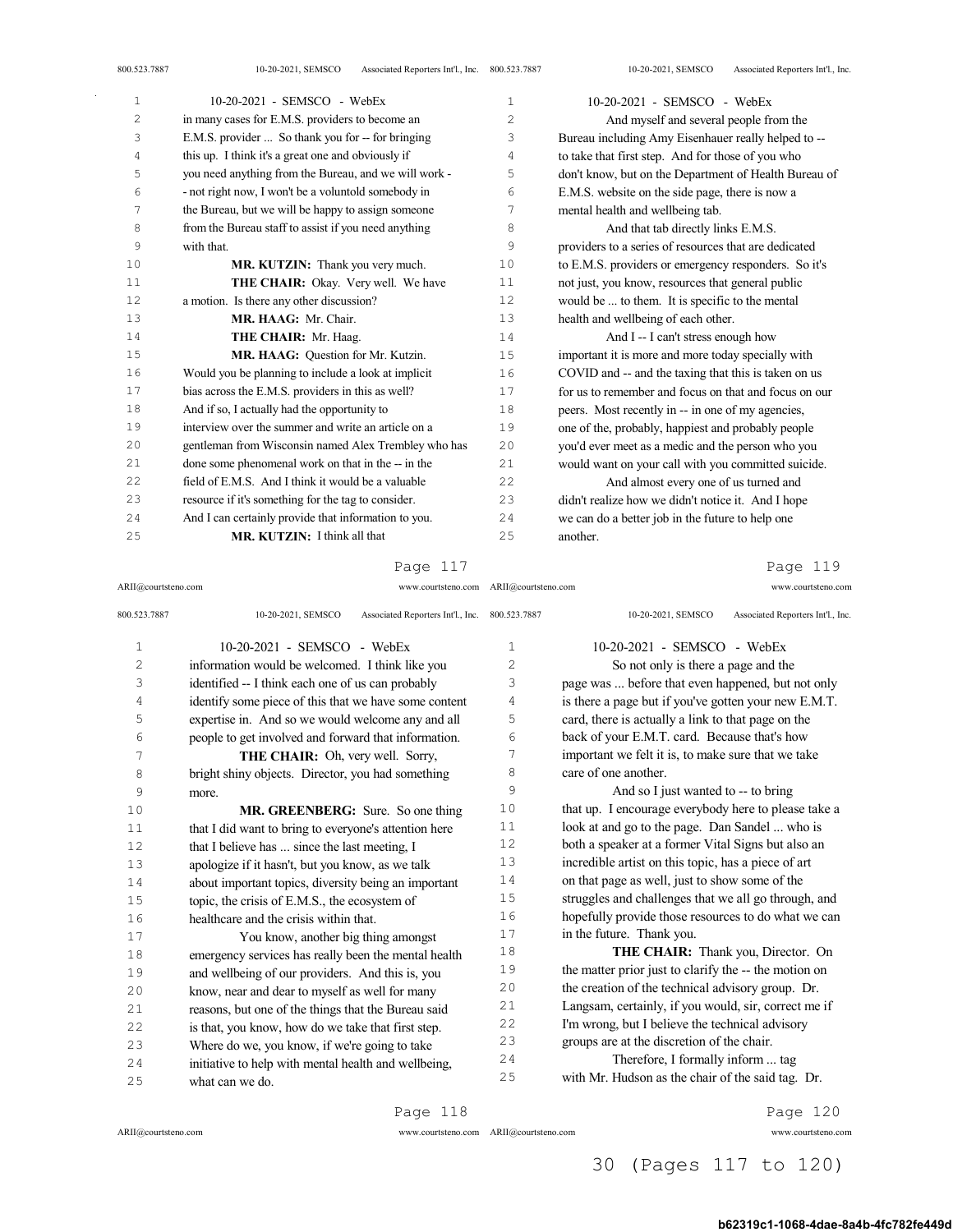| 1  | 10-20-2021 - SEMSCO - WebEx                           | $\mathbf{1}$   | 10-20-2021 - SEMSCO - WebEx                           |
|----|-------------------------------------------------------|----------------|-------------------------------------------------------|
| 2  | in many cases for E.M.S. providers to become an       | $\overline{c}$ | And myself and several people from the                |
| 3  | E.M.S. provider  So thank you for -- for bringing     | 3              | Bureau including Amy Eisenhauer really helped to --   |
| 4  | this up. I think it's a great one and obviously if    | 4              | to take that first step. And for those of you who     |
| 5  | you need anything from the Bureau, and we will work - | 5              | don't know, but on the Department of Health Bureau of |
| 6  | - not right now, I won't be a voluntold somebody in   | 6              | E.M.S. website on the side page, there is now a       |
| 7  | the Bureau, but we will be happy to assign someone    | 7              | mental health and wellbeing tab.                      |
| 8  | from the Bureau staff to assist if you need anything  | 8              | And that tab directly links E.M.S.                    |
| 9  | with that.                                            | 9              | providers to a series of resources that are dedicated |
| 10 | MR. KUTZIN: Thank you very much.                      | 10             | to E.M.S. providers or emergency responders. So it's  |
| 11 | THE CHAIR: Okay. Very well. We have                   | 11             | not just, you know, resources that general public     |
| 12 | a motion. Is there any other discussion?              | 12             | would be  to them. It is specific to the mental       |
| 13 | MR. HAAG: Mr. Chair.                                  | 13             | health and wellbeing of each other.                   |
| 14 | THE CHAIR: Mr. Haag.                                  | 14             | And I -- I can't stress enough how                    |
| 15 | MR. HAAG: Question for Mr. Kutzin.                    | 15             | important it is more and more today specially with    |
| 16 | Would you be planning to include a look at implicit   | 16             | COVID and -- and the taxing that this is taken on us  |
| 17 | bias across the E.M.S. providers in this as well?     | 17             | for us to remember and focus on that and focus on our |
| 18 | And if so, I actually had the opportunity to          | 18             | peers. Most recently in -- in one of my agencies,     |
| 19 | interview over the summer and write an article on a   | 19             | one of the, probably, happiest and probably people    |
| 20 | gentleman from Wisconsin named Alex Trembley who has  | 20             | you'd ever meet as a medic and the person who you     |
| 21 | done some phenomenal work on that in the -- in the    | 2.1            | would want on your call with you committed suicide.   |
| 22 | field of E.M.S. And I think it would be a valuable    | 22.2           | And almost every one of us turned and                 |
| 23 | resource if it's something for the tag to consider.   | 23             | didn't realize how we didn't notice it. And I hope    |
| 24 | And I can certainly provide that information to you.  | 24             | we can do a better job in the future to help one      |
| 25 | MR. KUTZIN: I think all that                          | 25             | another.                                              |

ARII@courtsteno.com www.courtsteno.com ARII@courtsteno.com www.courtsteno.com

Page 119

| 800.523.7887   | 10-20-2021, SEMSCO<br>Associated Reporters Int'l., Inc. 800.523.7887 |                | 10-20-2021, SEMSCO<br>Associated Reporters Int'l., Inc. |
|----------------|----------------------------------------------------------------------|----------------|---------------------------------------------------------|
| $\mathbf{1}$   | 10-20-2021 - SEMSCO - WebEx                                          | 1              | $10-20-2021$ - SEMSCO - WebEx                           |
| $\overline{c}$ | information would be welcomed. I think like you                      | $\overline{c}$ | So not only is there a page and the                     |
| 3              | identified -- I think each one of us can probably                    | 3              | page was  before that even happened, but not only       |
| 4              | identify some piece of this that we have some content                | 4              | is there a page but if you've gotten your new E.M.T.    |
| 5              | expertise in. And so we would welcome any and all                    | 5              | card, there is actually a link to that page on the      |
| 6              | people to get involved and forward that information.                 | 6              | back of your E.M.T. card. Because that's how            |
| 7              | THE CHAIR: Oh, very well. Sorry,                                     | 7              | important we felt it is, to make sure that we take      |
| 8              | bright shiny objects. Director, you had something                    | 8              | care of one another.                                    |
| 9              | more.                                                                | 9              | And so I just wanted to -- to bring                     |
| 10             | MR. GREENBERG: Sure. So one thing                                    | 10             | that up. I encourage everybody here to please take a    |
| 11             | that I did want to bring to everyone's attention here                | 11             | look at and go to the page. Dan Sandel  who is          |
| 12             | that I believe has  since the last meeting, I                        | 12             | both a speaker at a former Vital Signs but also an      |
| 13             | apologize if it hasn't, but you know, as we talk                     | 13             | incredible artist on this topic, has a piece of art     |
| 14             | about important topics, diversity being an important                 | 14             | on that page as well, just to show some of the          |
| 15             | topic, the crisis of E.M.S., the ecosystem of                        | 15             | struggles and challenges that we all go through, and    |
| 16             | healthcare and the crisis within that.                               | 16             | hopefully provide those resources to do what we can     |
| 17             | You know, another big thing amongst                                  | 17             | in the future. Thank you.                               |
| 18             | emergency services has really been the mental health                 | 18             | <b>THE CHAIR:</b> Thank you, Director. On               |
| 19             | and wellbeing of our providers. And this is, you                     | 19             | the matter prior just to clarify the -- the motion on   |
| 20             | know, near and dear to myself as well for many                       | 20             | the creation of the technical advisory group. Dr.       |
| 2.1            | reasons, but one of the things that the Bureau said                  | 21             | Langsam, certainly, if you would, sir, correct me if    |
| 22             | is that, you know, how do we take that first step.                   | 2.2.           | I'm wrong, but I believe the technical advisory         |
| 23             | Where do we, you know, if we're going to take                        | 23             | groups are at the discretion of the chair.              |
| 2.4            | initiative to help with mental health and wellbeing,                 | 24             | Therefore, I formally inform  tag                       |
| 25             | what can we do.                                                      | 25             | with Mr. Hudson as the chair of the said tag. Dr.       |
|                |                                                                      |                |                                                         |

Page 118

ARII@courtsteno.com www.courtsteno.com

ARII@courtsteno.com www.courtsteno.com Page 120

# 30 (Pages 117 to 120)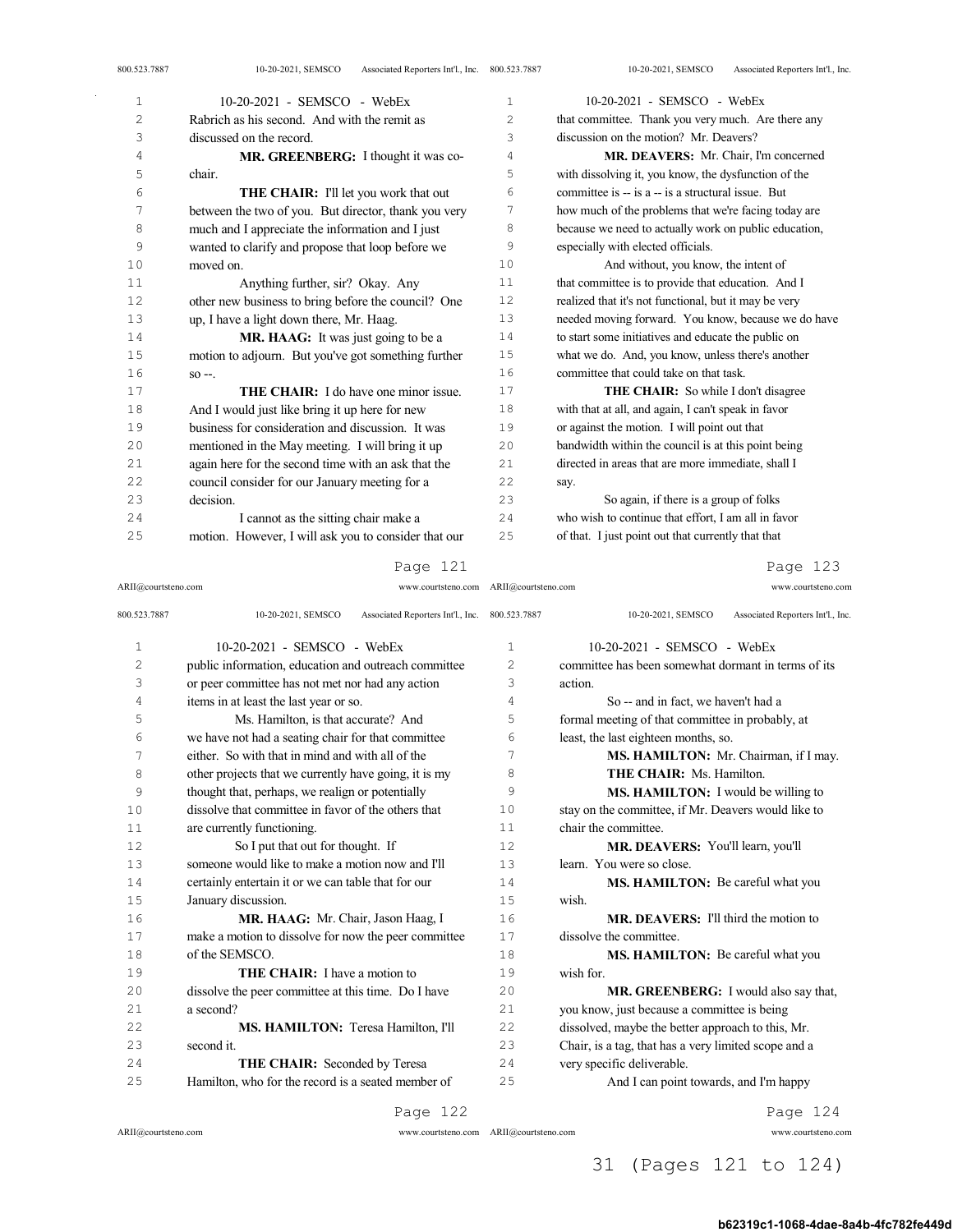| 10-20-2021 - SEMSCO - WebEx                          | 1              | 10-20-2021 - SEMSCO - WebEx                           |
|------------------------------------------------------|----------------|-------------------------------------------------------|
| Rabrich as his second. And with the remit as         | $\overline{c}$ | that committee. Thank you very much. Are there any    |
| discussed on the record.                             | 3              | discussion on the motion? Mr. Deavers?                |
| MR. GREENBERG: I thought it was co-                  | 4              | MR. DEAVERS: Mr. Chair, I'm concerned                 |
| chair.                                               | 5              | with dissolving it, you know, the dysfunction of the  |
| <b>THE CHAIR:</b> I'll let you work that out         | 6              | committee is -- is a -- is a structural issue. But    |
| between the two of you. But director, thank you very | 7              | how much of the problems that we're facing today are  |
| much and I appreciate the information and I just     | 8              | because we need to actually work on public education, |
| wanted to clarify and propose that loop before we    | 9              | especially with elected officials.                    |
| moved on.                                            | 10             | And without, you know, the intent of                  |
| Anything further, sir? Okay. Any                     | 11             | that committee is to provide that education. And I    |
| other new business to bring before the council? One  | 12             | realized that it's not functional, but it may be very |
| up, I have a light down there, Mr. Haag.             | 13             | needed moving forward. You know, because we do have   |
| MR. HAAG: It was just going to be a                  | 14             | to start some initiatives and educate the public on   |
| motion to adjourn. But you've got something further  | 15             | what we do. And, you know, unless there's another     |
| $SO -$ .                                             | 16             | committee that could take on that task.               |
| <b>THE CHAIR:</b> I do have one minor issue.         | 17             | <b>THE CHAIR:</b> So while I don't disagree           |
| And I would just like bring it up here for new       | 18             | with that at all, and again, I can't speak in favor   |
| business for consideration and discussion. It was    | 19             | or against the motion. I will point out that          |
| mentioned in the May meeting. I will bring it up     | 20             | bandwidth within the council is at this point being   |
| again here for the second time with an ask that the  | 21             | directed in areas that are more immediate, shall I    |
| council consider for our January meeting for a       | 22             | say.                                                  |
| decision.                                            | 23             | So again, if there is a group of folks                |
| I cannot as the sitting chair make a                 | 24             | who wish to continue that effort, I am all in favor   |
| motion. However, I will ask you to consider that our | 25             | of that. I just point out that currently that that    |
|                                                      |                |                                                       |

ARII@courtsteno.com www.courtsteno.com ARII@courtsteno.com www.courtsteno.com

# Page 123

| 800.523.7887   | Associated Reporters Int'l., Inc. 800.523.7887<br>10-20-2021, SEMSCO |                | Associated Reporters Int'l., Inc.<br>10-20-2021, SEMSCO |
|----------------|----------------------------------------------------------------------|----------------|---------------------------------------------------------|
| $\mathbf{1}$   | 10-20-2021 - SEMSCO - WebEx                                          | $\mathbf{1}$   | 10-20-2021 - SEMSCO - WebEx                             |
| $\overline{c}$ | public information, education and outreach committee                 | $\overline{2}$ | committee has been somewhat dormant in terms of its     |
| 3              | or peer committee has not met nor had any action                     | 3              | action.                                                 |
| 4              | items in at least the last year or so.                               | 4              | So -- and in fact, we haven't had a                     |
| 5              | Ms. Hamilton, is that accurate? And                                  | 5              | formal meeting of that committee in probably, at        |
| 6              | we have not had a seating chair for that committee                   | 6              | least, the last eighteen months, so.                    |
| 7              | either. So with that in mind and with all of the                     | 7              | MS. HAMILTON: Mr. Chairman, if I may.                   |
| 8              | other projects that we currently have going, it is my                | 8              | THE CHAIR: Ms. Hamilton.                                |
| 9              | thought that, perhaps, we realign or potentially                     | 9              | MS. HAMILTON: I would be willing to                     |
| 10             | dissolve that committee in favor of the others that                  | 10             | stay on the committee, if Mr. Deavers would like to     |
| 11             | are currently functioning.                                           | 11             | chair the committee.                                    |
| 12             | So I put that out for thought. If                                    | 12.            | MR. DEAVERS: You'll learn, you'll                       |
| 13             | someone would like to make a motion now and I'll                     | 13             | learn. You were so close.                               |
| 14             | certainly entertain it or we can table that for our                  | 14             | MS. HAMILTON: Be careful what you                       |
| 15             | January discussion.                                                  | 15             | wish.                                                   |
| 16             | MR. HAAG: Mr. Chair, Jason Haag, I                                   | 16             | MR. DEAVERS: I'll third the motion to                   |
| 17             | make a motion to dissolve for now the peer committee                 | 17             | dissolve the committee.                                 |
| 18             | of the SEMSCO.                                                       | 18             | MS. HAMILTON: Be careful what you                       |
| 19             | <b>THE CHAIR:</b> I have a motion to                                 | 19             | wish for.                                               |
| 20             | dissolve the peer committee at this time. Do I have                  | 20             | MR. GREENBERG: I would also say that,                   |
| 21             | a second?                                                            | 21             | you know, just because a committee is being             |
| 22             | MS. HAMILTON: Teresa Hamilton, I'll                                  | 22             | dissolved, maybe the better approach to this, Mr.       |
| 23             | second it.                                                           | 23             | Chair, is a tag, that has a very limited scope and a    |
| 24             | THE CHAIR: Seconded by Teresa                                        | 24             | very specific deliverable.                              |
| 25             | Hamilton, who for the record is a seated member of                   | 25             | And I can point towards, and I'm happy                  |
|                |                                                                      |                |                                                         |

Page 122

ARII@courtsteno.com www.courtsteno.com

ARII@courtsteno.com www.courtsteno.com Page 124

# 31 (Pages 121 to 124)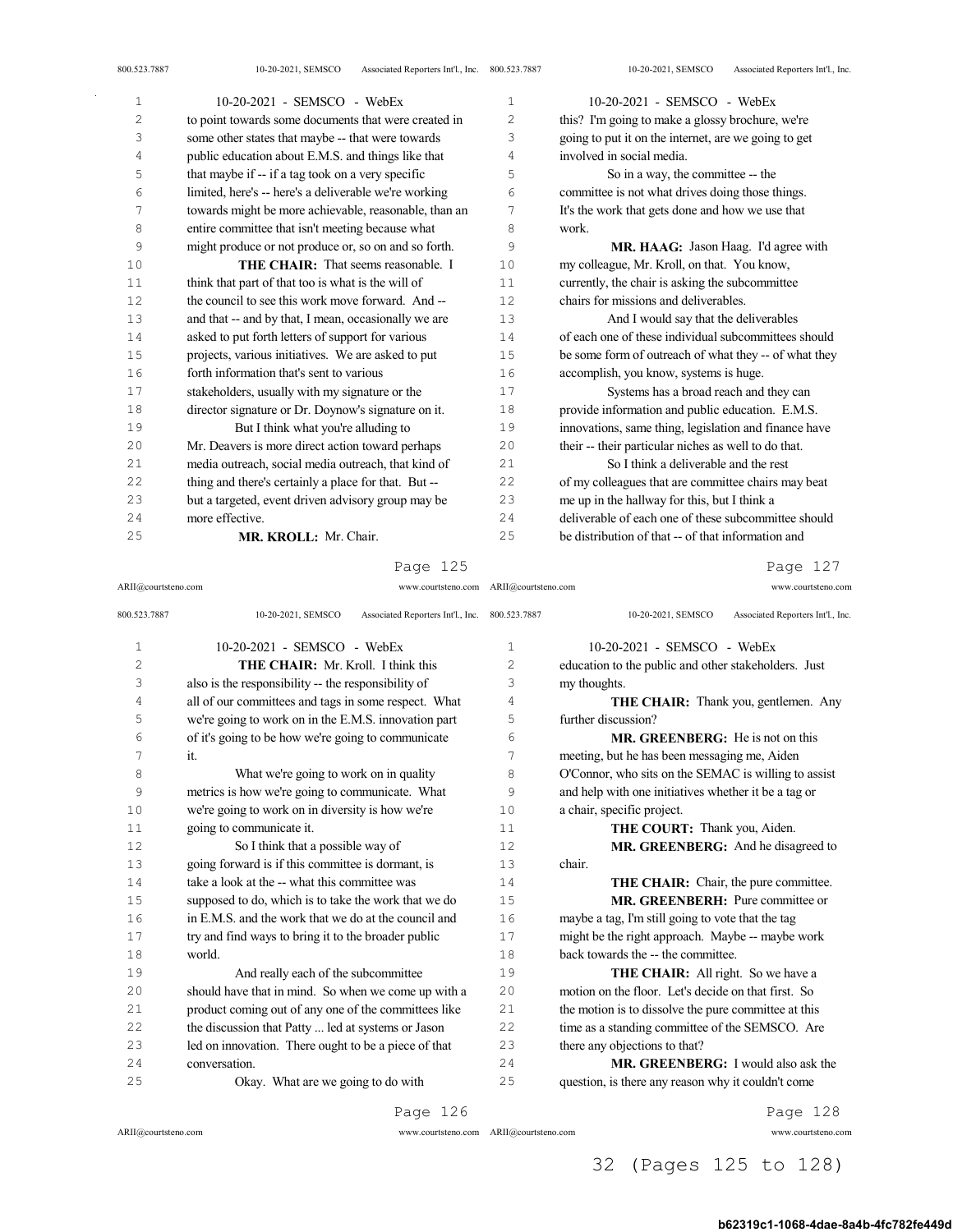| $\mathbf{1}$ | 10-20-2021 - SEMSCO - WebEx                           | 1   | 10-20-2021 - SEMSCO - WebEx                           |
|--------------|-------------------------------------------------------|-----|-------------------------------------------------------|
| 2            | to point towards some documents that were created in  | 2   | this? I'm going to make a glossy brochure, we're      |
| 3            | some other states that maybe -- that were towards     | 3   | going to put it on the internet, are we going to get  |
| 4            | public education about E.M.S. and things like that    | 4   | involved in social media.                             |
| 5            | that maybe if -- if a tag took on a very specific     | 5   | So in a way, the committee -- the                     |
| 6            | limited, here's -- here's a deliverable we're working | 6   | committee is not what drives doing those things.      |
| 7            | towards might be more achievable, reasonable, than an | 7   | It's the work that gets done and how we use that      |
| 8            | entire committee that isn't meeting because what      | 8   | work.                                                 |
| 9            | might produce or not produce or, so on and so forth.  | 9   | MR, HAAG: Jason Haag. I'd agree with                  |
| 10           | THE CHAIR: That seems reasonable. I                   | 10  | my colleague, Mr. Kroll, on that. You know,           |
| 11           | think that part of that too is what is the will of    | 11  | currently, the chair is asking the subcommittee       |
| 12           | the council to see this work move forward. And --     | 12  | chairs for missions and deliverables.                 |
| 13           | and that -- and by that, I mean, occasionally we are  | 13  | And I would say that the deliverables                 |
| 14           | asked to put forth letters of support for various     | 14  | of each one of these individual subcommittees should  |
| 15           | projects, various initiatives. We are asked to put    | 15  | be some form of outreach of what they -- of what they |
| 16           | forth information that's sent to various              | 16  | accomplish, you know, systems is huge.                |
| 17           | stakeholders, usually with my signature or the        | 17  | Systems has a broad reach and they can                |
| 18           | director signature or Dr. Doynow's signature on it.   | 18  | provide information and public education. E.M.S.      |
| 19           | But I think what you're alluding to                   | 19  | innovations, same thing, legislation and finance have |
| 20           | Mr. Deavers is more direct action toward perhaps      | 20  | their -- their particular niches as well to do that.  |
| 21           | media outreach, social media outreach, that kind of   | 2.1 | So I think a deliverable and the rest                 |
| 22           | thing and there's certainly a place for that. But --  | 22  | of my colleagues that are committee chairs may beat   |
| 23           | but a targeted, event driven advisory group may be    | 23  | me up in the hallway for this, but I think a          |
| 24           | more effective.                                       | 2.4 | deliverable of each one of these subcommittee should  |
| 25           | MR. KROLL: Mr. Chair.                                 | 25  | be distribution of that -- of that information and    |

ARII@courtsteno.com www.courtsteno.com ARII@courtsteno.com www.courtsteno.com

Page 127

| 800.523.7887   | 10-20-2021, SEMSCO<br>Associated Reporters Int'l., Inc. 800.523.7887 |              | Associated Reporters Int'l., Inc.<br>10-20-2021, SEMSCO |
|----------------|----------------------------------------------------------------------|--------------|---------------------------------------------------------|
| $\mathbf 1$    | 10-20-2021 - SEMSCO - WebEx                                          | $\mathbf{1}$ | $10-20-2021$ - SEMSCO - WebEx                           |
| $\overline{c}$ | THE CHAIR: Mr. Kroll. I think this                                   | 2            | education to the public and other stakeholders. Just    |
| 3              | also is the responsibility -- the responsibility of                  | 3            | my thoughts.                                            |
| 4              | all of our committees and tags in some respect. What                 | 4            | <b>THE CHAIR:</b> Thank you, gentlemen. Any             |
| 5              | we're going to work on in the E.M.S. innovation part                 | 5            | further discussion?                                     |
| 6              | of it's going to be how we're going to communicate                   | 6            | <b>MR. GREENBERG:</b> He is not on this                 |
| 7              | it.                                                                  | 7            | meeting, but he has been messaging me, Aiden            |
| 8              | What we're going to work on in quality                               | 8            | O'Connor, who sits on the SEMAC is willing to assist    |
| 9              | metrics is how we're going to communicate. What                      | 9            | and help with one initiatives whether it be a tag or    |
| 10             | we're going to work on in diversity is how we're                     | 10           | a chair, specific project.                              |
| 11             | going to communicate it.                                             | 11           | THE COURT: Thank you, Aiden.                            |
| 12             | So I think that a possible way of                                    | 12           | MR. GREENBERG: And he disagreed to                      |
| 13             | going forward is if this committee is dormant, is                    | 13           | chair.                                                  |
| 14             | take a look at the -- what this committee was                        | 14           | THE CHAIR: Chair, the pure committee.                   |
| 15             | supposed to do, which is to take the work that we do                 | 15           | MR. GREENBERH: Pure committee or                        |
| 16             | in E.M.S. and the work that we do at the council and                 | 16           | maybe a tag, I'm still going to vote that the tag       |
| 17             | try and find ways to bring it to the broader public                  | 17           | might be the right approach. Maybe -- maybe work        |
| 18             | world.                                                               | 18           | back towards the -- the committee.                      |
| 19             | And really each of the subcommittee                                  | 19           | <b>THE CHAIR:</b> All right. So we have a               |
| 20             | should have that in mind. So when we come up with a                  | 20           | motion on the floor. Let's decide on that first. So     |
| 21             | product coming out of any one of the committees like                 | 21           | the motion is to dissolve the pure committee at this    |
| 22             | the discussion that Patty  led at systems or Jason                   | 2.2.         | time as a standing committee of the SEMSCO. Are         |
| 23             | led on innovation. There ought to be a piece of that                 | 23           | there any objections to that?                           |
| 2.4            | conversation.                                                        | 2.4          | MR. GREENBERG: I would also ask the                     |
| 25             | Okay. What are we going to do with                                   | 25           | question, is there any reason why it couldn't come      |
|                |                                                                      |              |                                                         |

Page 126

ARII@courtsteno.com www.courtsteno.com

ARII@courtsteno.com www.courtsteno.com Page 128

# 32 (Pages 125 to 128)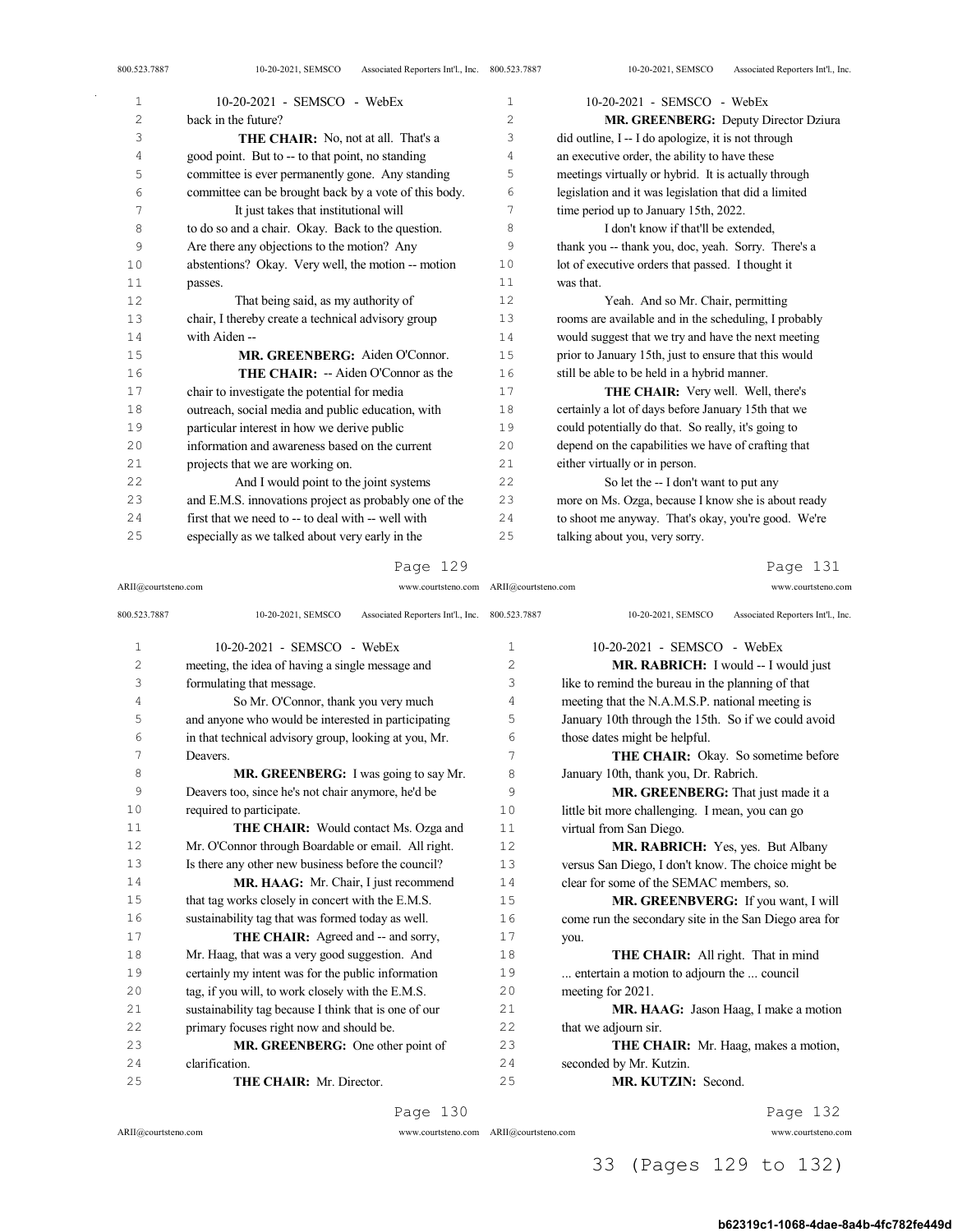| Τ. | $10 - 20 - 2021 - 5$ ENISCO - WEDEX                   | Ŧ. | $10 - 20 - 2021 - 3$ EINISCO - WEDEX                  |
|----|-------------------------------------------------------|----|-------------------------------------------------------|
| 2  | back in the future?                                   | 2  | MR. GREENBERG: Deputy Director Dziura                 |
| 3  | <b>THE CHAIR:</b> No, not at all. That's a            | 3  | did outline, I -- I do apologize, it is not through   |
| 4  | good point. But to -- to that point, no standing      | 4  | an executive order, the ability to have these         |
| 5  | committee is ever permanently gone. Any standing      | 5  | meetings virtually or hybrid. It is actually through  |
| 6  | committee can be brought back by a vote of this body. | 6  | legislation and it was legislation that did a limited |
| 7  | It just takes that institutional will                 | 7  | time period up to January 15th, 2022.                 |
| 8  | to do so and a chair. Okay. Back to the question.     | 8  | I don't know if that'll be extended,                  |
| 9  | Are there any objections to the motion? Any           | 9  | thank you -- thank you, doc, yeah. Sorry. There's a   |
| 10 | abstentions? Okay. Very well, the motion -- motion    | 10 | lot of executive orders that passed. I thought it     |
| 11 | passes.                                               | 11 | was that.                                             |
| 12 | That being said, as my authority of                   | 12 | Yeah. And so Mr. Chair, permitting                    |
| 13 | chair, I thereby create a technical advisory group    | 13 | rooms are available and in the scheduling, I probably |
| 14 | with Aiden --                                         | 14 | would suggest that we try and have the next meeting   |
| 15 | MR. GREENBERG: Aiden O'Connor.                        | 15 | prior to January 15th, just to ensure that this would |
| 16 | <b>THE CHAIR:</b> -- Aiden O'Connor as the            | 16 | still be able to be held in a hybrid manner.          |
| 17 | chair to investigate the potential for media          | 17 | <b>THE CHAIR:</b> Very well. Well, there's            |
| 18 | outreach, social media and public education, with     | 18 | certainly a lot of days before January 15th that we   |
| 19 | particular interest in how we derive public           | 19 | could potentially do that. So really, it's going to   |
| 20 | information and awareness based on the current        | 20 | depend on the capabilities we have of crafting that   |
| 21 | projects that we are working on.                      | 21 | either virtually or in person.                        |
| 22 | And I would point to the joint systems                | 22 | So let the -- I don't want to put any                 |
| 23 | and E.M.S. innovations project as probably one of the | 23 | more on Ms. Ozga, because I know she is about ready   |
| 24 | first that we need to -- to deal with -- well with    | 24 | to shoot me anyway. That's okay, you're good. We're   |
| 25 | especially as we talked about very early in the       | 25 | talking about you, very sorry.                        |
|    |                                                       |    |                                                       |

#### ARII@courtsteno.com www.courtsteno.com ARII@courtsteno.com www.courtsteno.com Page 131

| 800.523.7887   | Associated Reporters Int'l., Inc. 800.523.7887<br>10-20-2021, SEMSCO |                | 10-20-2021, SEMSCO<br>Associated Reporters Int'l., Inc. |
|----------------|----------------------------------------------------------------------|----------------|---------------------------------------------------------|
| $\mathbf{1}$   | $10-20-2021$ - SEMSCO - WebEx                                        | 1              | 10-20-2021 - SEMSCO - WebEx                             |
| $\overline{c}$ | meeting, the idea of having a single message and                     | $\overline{2}$ | MR. RABRICH: I would -- I would just                    |
| 3              | formulating that message.                                            | 3              | like to remind the bureau in the planning of that       |
| 4              | So Mr. O'Connor, thank you very much                                 | 4              | meeting that the N.A.M.S.P. national meeting is         |
| 5              | and anyone who would be interested in participating                  | 5              | January 10th through the 15th. So if we could avoid     |
| 6              | in that technical advisory group, looking at you, Mr.                | 6              | those dates might be helpful.                           |
| 7              | Deavers.                                                             | 7              | <b>THE CHAIR:</b> Okay. So sometime before              |
| 8              | MR. GREENBERG: I was going to say Mr.                                | 8              | January 10th, thank you, Dr. Rabrich.                   |
| 9              | Deavers too, since he's not chair anymore, he'd be                   | 9              | MR. GREENBERG: That just made it a                      |
| 10             | required to participate.                                             | 10             | little bit more challenging. I mean, you can go         |
| 11             | THE CHAIR: Would contact Ms. Ozga and                                | 11             | virtual from San Diego.                                 |
| 12             | Mr. O'Connor through Boardable or email. All right.                  | 12             | <b>MR. RABRICH:</b> Yes, yes. But Albany                |
| 13             | Is there any other new business before the council?                  | 13             | versus San Diego, I don't know. The choice might be     |
| 14             | MR. HAAG: Mr. Chair, I just recommend                                | 14             | clear for some of the SEMAC members, so.                |
| 15             | that tag works closely in concert with the E.M.S.                    | 15             | MR. GREENBVERG: If you want, I will                     |
| 16             | sustainability tag that was formed today as well.                    | 16             | come run the secondary site in the San Diego area for   |
| 17             | THE CHAIR: Agreed and -- and sorry,                                  | 17             | you.                                                    |
| 18             | Mr. Haag, that was a very good suggestion. And                       | 18             | THE CHAIR: All right. That in mind                      |
| 19             | certainly my intent was for the public information                   | 19             | entertain a motion to adjourn the  council              |
| 20             | tag, if you will, to work closely with the E.M.S.                    | 20             | meeting for 2021.                                       |
| 21             | sustainability tag because I think that is one of our                | 21             | <b>MR. HAAG:</b> Jason Haag, I make a motion            |
| 22             | primary focuses right now and should be.                             | 22             | that we adjourn sir.                                    |
| 23             | MR. GREENBERG: One other point of                                    | 23             | <b>THE CHAIR:</b> Mr. Haag, makes a motion,             |
| 24             | clarification.                                                       | 24             | seconded by Mr. Kutzin.                                 |
| 25             | THE CHAIR: Mr. Director.                                             | 25             | MR. KUTZIN: Second.                                     |

Page 130

ARII@courtsteno.com www.courtsteno.com

ARII@courtsteno.com www.courtsteno.com Page 132

33 (Pages 129 to 132)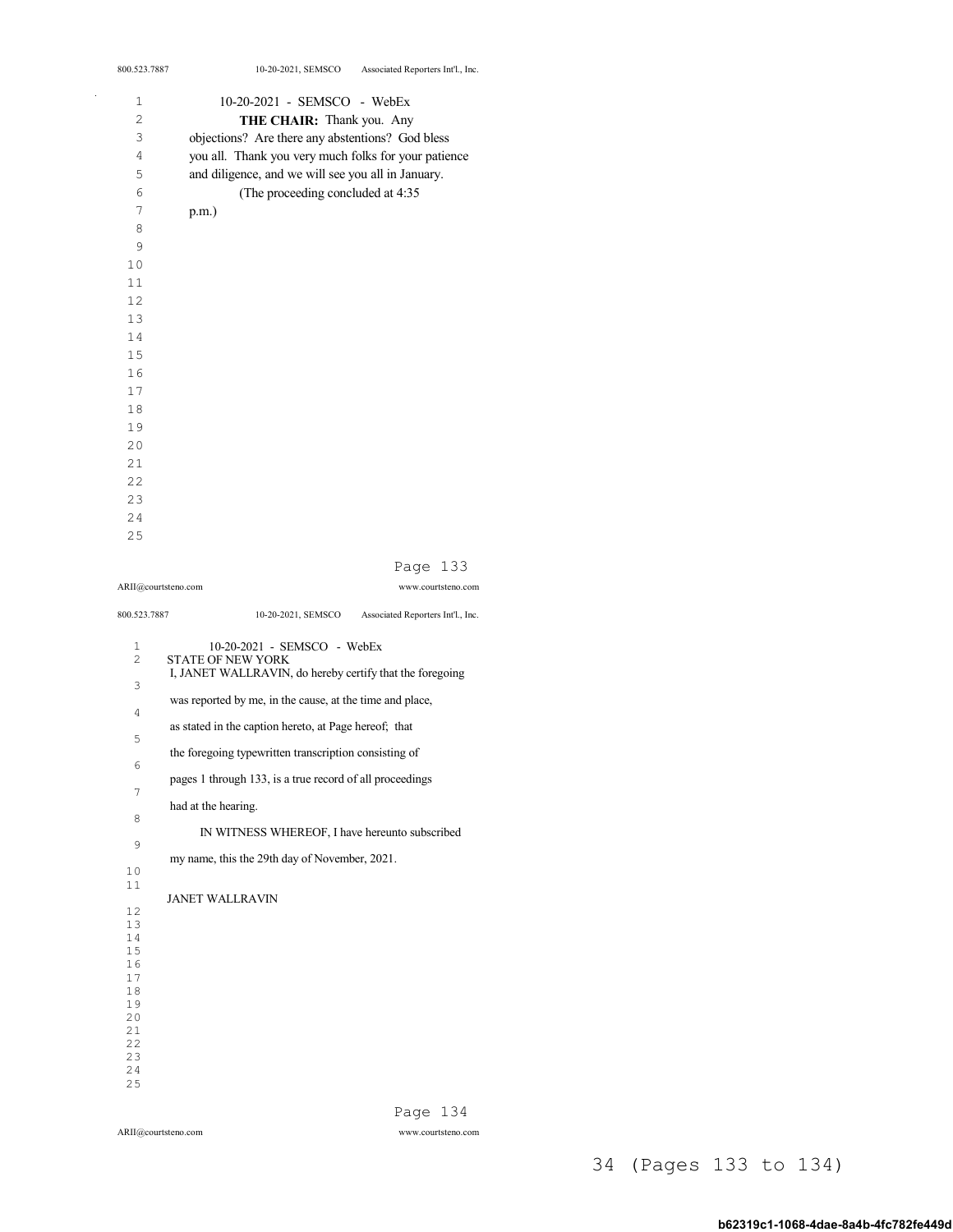| 800.523.7887        | Associated Reporters Int'l., Inc.<br>10-20-2021, SEMSCO  |
|---------------------|----------------------------------------------------------|
| 1                   | 10-20-2021 - SEMSCO - WebEx                              |
| 2                   | THE CHAIR: Thank you. Any                                |
| 3                   | objections? Are there any abstentions? God bless         |
| 4                   | you all. Thank you very much folks for your patience     |
| 5                   | and diligence, and we will see you all in January.       |
| 6                   | (The proceeding concluded at 4:35                        |
| 7                   | $p.m.$ )                                                 |
| 8                   |                                                          |
| 9                   |                                                          |
| 10                  |                                                          |
| 11                  |                                                          |
| 12                  |                                                          |
| 13                  |                                                          |
| 14                  |                                                          |
| 15                  |                                                          |
| 16                  |                                                          |
| 17                  |                                                          |
| 18                  |                                                          |
| 19                  |                                                          |
| 20                  |                                                          |
| 21                  |                                                          |
| 2.2                 |                                                          |
| 23                  |                                                          |
| 24                  |                                                          |
| 25                  |                                                          |
|                     |                                                          |
|                     | 133<br>Page                                              |
| ARII@courtsteno.com | www.courtsteno.com                                       |
| 800.523.7887        | 10-20-2021, SEMSCO<br>Associated Reporters Int'l., Inc.  |
| 1                   | 10-20-2021 - SEMSCO - WebEx                              |
| 2                   | <b>STATE OF NEW YORK</b>                                 |
| 3                   | I, JANET WALLRAVIN, do hereby certify that the foregoing |
|                     | was reported by me, in the cause, at the time and place, |
| 4                   |                                                          |
| 5                   | as stated in the caption hereto, at Page hereof; that    |
|                     | the foregoing typewritten transcription consisting of    |
| 6                   |                                                          |
| 7                   | pages 1 through 133, is a true record of all proceedings |

 had at the hearing. IN WITNESS WHEREOF, I have hereunto subscribed my name, this the 29th day of November, 2021. JANET WALLRAVIN 

ARII@courtsteno.com www.courtsteno.com Page 134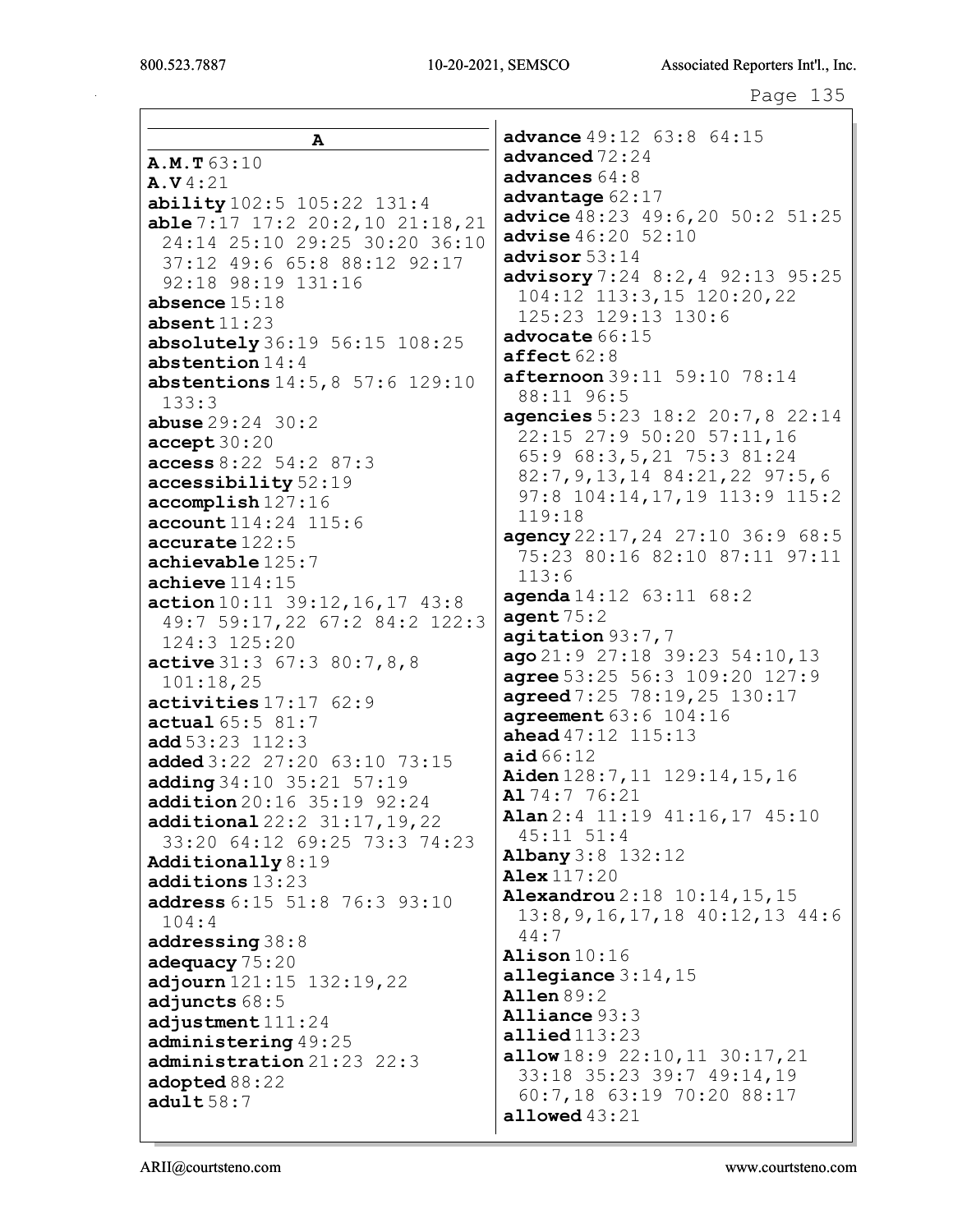A A.M.T 63:10 A.V 4:21 ability 102:5 105:22 131:4 able 7:17 17:2 20:2,10 21:18,21 24:14 25:10 29:25 30:20 36:10 37:12 49:6 65:8 88:12 92:17 92:18 98:19 131:16 absence 15:18 absent 11:23 absolutely 36:19 56:15 108:25 abstention 14:4 abstentions 14:5,8 57:6 129:10 133:3 abuse 29:24 30:2 accept 30:20 access 8:22 54:2 87:3 accessibility 52:19 accomplish 127:16 account 114:24 115:6 accurate 122:5 achievable 125:7 achieve 114:15 action 10:11 39:12,16,17 43:8 49:7 59:17,22 67:2 84:2 122:3 124:3 125:20 active 31:3 67:3 80:7,8,8 101:18,25 activities 17:17 62:9 actual 65:5 81:7 add  $53:23$   $112:3$ added 3:22 27:20 63:10 73:15 adding 34:10 35:21 57:19 addition 20:16 35:19 92:24 additional 22:2 31:17,19,22 33:20 64:12 69:25 73:3 74:23 Additionally 8:19 additions 13:23 address 6:15 51:8 76:3 93:10 104:4 addressing 38:8 adequacy 75:20 adjourn 121:15 132:19,22 adjuncts 68:5 adjustment  $111:24$ administering 49:25 administration 21:23 22:3 adopted 88:22 adult  $58:7$ advance 49:12 63:8 64:15 advanced  $72:24$ advances  $64:8$ advantage  $62:17$ advice 48:23 49:6,20 50:2 51:25 advise  $46:20$  52:10 advisor 53:14 advisory 7:24 8:2, 4 92:13 95:25 104:12 113:3,15 120:20,22 125:23 129:13 130:6 advocate 66:15  $\texttt{affect}$  62:8 afternoon 39:11 59:10 78:14 88:11 96:5 agencies 5:23 18:2 20:7,8 22:14 22:15 27:9 50:20 57:11,16 65:9 68:3,5,21 75:3 81:24 82:7,9,13,14 84:21,22 97:5,6 97:8 104:14,17,19 113:9 115:2 119:18 agency 22:17,24 27:10 36:9 68:5 75:23 80:16 82:10 87:11 97:11 113:6 **agenda** 14:12 63:11 68:2 agent  $75:2$ agitation 93:7,7 ago 21:9 27:18 39:23 54:10,13 agree 53:25 56:3 109:20 127:9 agreed 7:25 78:19, 25 130:17 agreement 63:6 104:16 ahead 47:12 115:13 aid  $66:12$ Aiden 128:7,11 129:14,15,16 Al 74:7 76:21 Alan 2:4 11:19 41:16,17 45:10 45:11 51:4 Albany 3:8 132:12 Alex 117:20 Alexandrou 2:18 10:14,15,15 13:8,9,16,17,18 40:12,13 44:6 44:7 Alison 10:16 allegiance 3:14,15 Allen 89:2 Alliance 93:3 allied 113:23 allow 18:9 22:10,11 30:17,21 33:18 35:23 39:7 49:14,19 60:7,18 63:19 70:20 88:17 allowed 43:21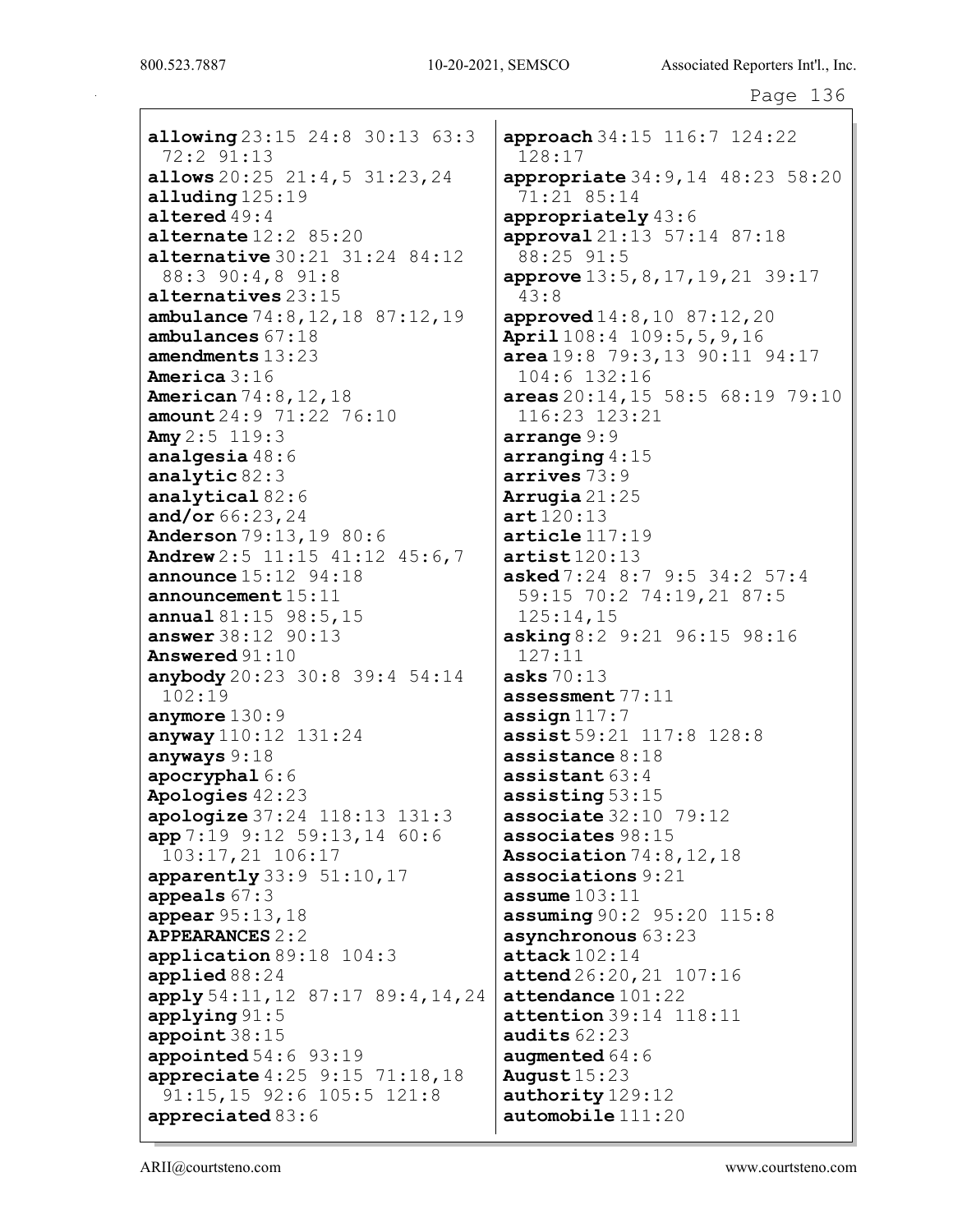allowing 23:15 24:8 30:13 63:3 72:2 91:13 allows  $20:25$   $21:4,5$   $31:23,24$ alluding 125:19 altered 49:4 alternate 12:2 85:20 alternative 30:21 31:24 84:12 88:3 90:4,8 91:8 alternatives 23:15 ambulance 74:8,12,18 87:12,19 ambulances 67:18 amendments 13:23 America 3:16 American 74:8,12,18 amount 24:9 71:22 76:10 Amy  $2:5$  119:3 analgesia 48:6 analytic 82:3 analytical 82:6 and/or 66:23,24 Anderson 79:13,19 80:6 Andrew 2:5 11:15 41:12 45:6,7 announce 15:12 94:18 announcement 15:11 annual 81:15 98:5,15 answer 38:12 90:13 Answered 91:10 anybody 20:23 30:8 39:4 54:14 102:19 anymore 130:9 anyway 110:12 131:24 anyways 9:18 apocryphal 6:6 Apologies 42:23 apologize 37:24 118:13 131:3 app 7:19 9:12 59:13,14 60:6 103:17,21 106:17  $apparently 33:9 51:10,17$ appeals 67:3 appear 95:13,18 APPEARANCES 2:2 application 89:18 104:3 applied 88:24 apply 54:11,12 87:17 89:4,14,24 applying 91:5 appoint 38:15 appointed 54:6 93:19 appreciate 4:25 9:15 71:18,18 91:15,15 92:6 105:5 121:8 appreciated 83:6

approach 34:15 116:7 124:22 128:17 appropriate 34:9,14 48:23 58:20 71:21 85:14 appropriately 43:6 approval 21:13 57:14 87:18 88:25 91:5 approve 13:5,8,17,19,21 39:17 43:8 approved  $14:8,10 87:12,20$ April 108:4 109:5,5,9,16 area 19:8 79:3,13 90:11 94:17 104:6 132:16 areas 20:14,15 58:5 68:19 79:10 116:23 123:21 arrange 9:9 arranging 4:15 arrives 73:9 Arrugia 21:25 art 120:13 article 117:19 artist 120:13 asked 7:24 8:7 9:5 34:2 57:4 59:15 70:2 74:19,21 87:5 125:14,15 asking 8:2 9:21 96:15 98:16 127:11 asks  $70:13$ assessment 77:11 assign 117:7 assist 59:21 117:8 128:8 assistance  $8:18$ assistant 63:4 assisting 53:15 associate 32:10 79:12 associates 98:15 Association 74:8,12,18 associations 9:21 assume  $103:11$ assuming 90:2 95:20 115:8 asynchronous 63:23 attack  $102:14$ attend 26:20,21 107:16 attendance 101:22 **attention** 39:14 118:11 audits  $62:23$ augmented 64:6 August 15:23 authority 129:12 automobile 111:20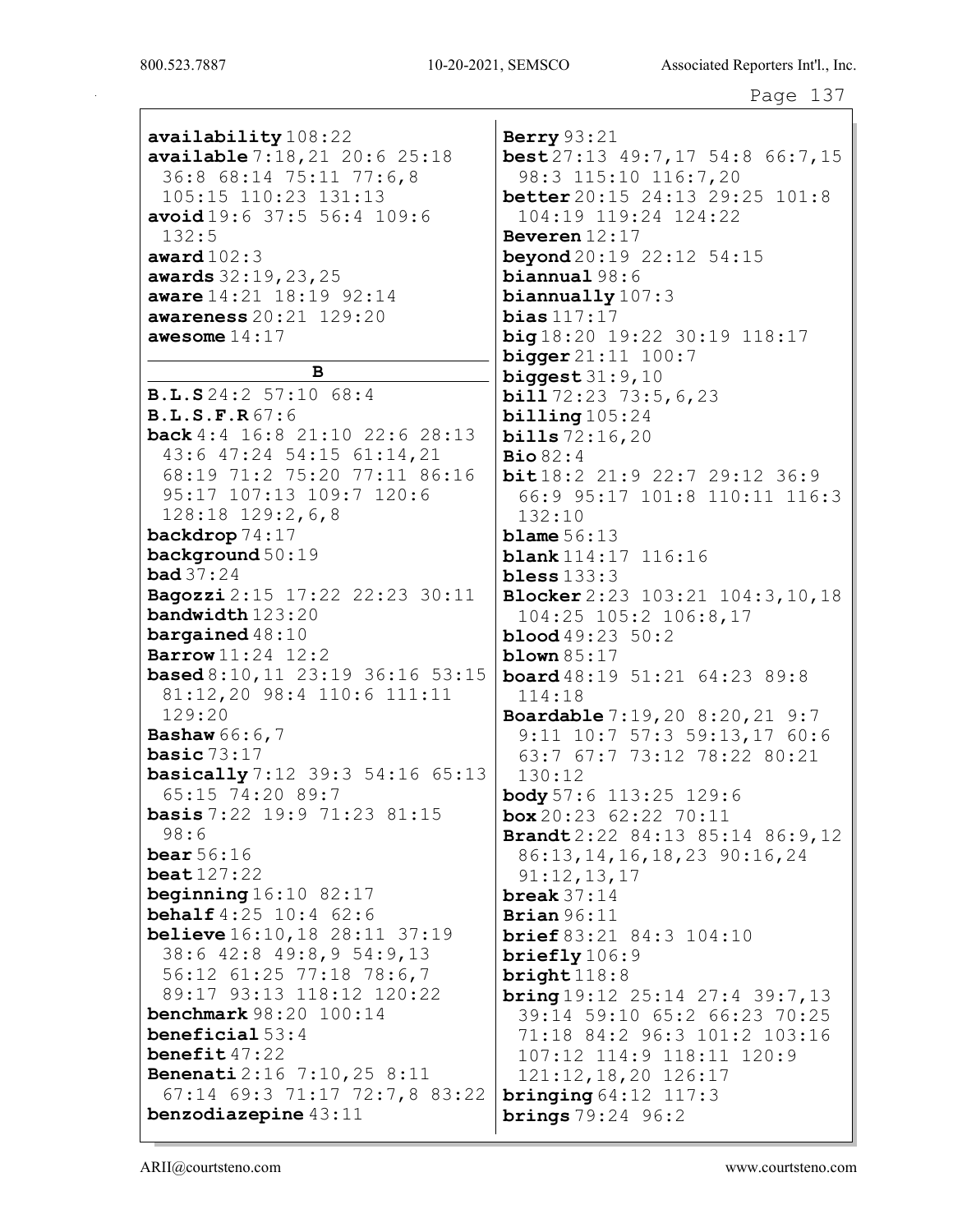availability 108:22 available 7:18,21 20:6 25:18 36:8 68:14 75:11 77:6,8 105:15 110:23 131:13 avoid 19:6 37:5 56:4 109:6 132:5 award 102:3 awards 32:19,23,25 aware 14:21 18:19 92:14 awareness 20:21 129:20 awesome 14:17

#### B

B.L.S 24:2 57:10 68:4 B.L.S.F.R 67:6 back 4:4 16:8 21:10 22:6 28:13 43:6 47:24 54:15 61:14,21 68:19 71:2 75:20 77:11 86:16 95:17 107:13 109:7 120:6 128:18 129:2,6,8 backdrop 74:17 background 50:19 bad 37:24 Bagozzi 2:15 17:22 22:23 30:11 bandwidth 123:20 bargained  $48:10$ Barrow 11:24 12:2 based 8:10,11 23:19 36:16 53:15 81:12,20 98:4 110:6 111:11 129:20 Bashaw 66:6,7 basic 73:17 basically 7:12 39:3 54:16 65:13 65:15 74:20 89:7 basis 7:22 19:9 71:23 81:15 98:6 bear 56:16 beat 127:22 beginning  $16:10$  82:17 **behalf** 4:25 10:4 62:6 believe 16:10,18 28:11 37:19 38:6 42:8 49:8,9 54:9,13 56:12 61:25 77:18 78:6,7 89:17 93:13 118:12 120:22 benchmark 98:20 100:14 beneficial 53:4 benefit 47:22 Benenati 2:16 7:10,25 8:11 67:14 69:3 71:17 72:7,8 83:22 benzodiazepine 43:11

Berry 93:21 best 27:13 49:7,17 54:8 66:7,15 98:3 115:10 116:7,20 better 20:15 24:13 29:25 101:8 104:19 119:24 124:22 Beveren 12:17 **beyond** 20:19 22:12 54:15 biannual 98:6 biannually 107:3 bias 117:17 big 18:20 19:22 30:19 118:17 **bigger** 21:11 100:7 biggest  $31:9,10$ **bill**  $72:23$   $73:5,6,23$ billing 105:24 bills 72:16,20 Bio 82:4 bit 18:2 21:9 22:7 29:12 36:9 66:9 95:17 101:8 110:11 116:3 132:10 blame  $56:13$ blank 114:17 116:16  $$ Blocker 2:23 103:21 104:3,10,18 104:25 105:2 106:8,17 blood 49:23 50:2 **blown** 85:17 board 48:19 51:21 64:23 89:8 114:18 Boardable 7:19,20 8:20,21 9:7 9:11 10:7 57:3 59:13,17 60:6 63:7 67:7 73:12 78:22 80:21 130:12 body 57:6 113:25 129:6  $box 20:23 62:22 70:11$ Brandt 2:22 84:13 85:14 86:9,12 86:13,14,16,18,23 90:16,24 91:12,13,17 break 37:14 Brian  $96:11$ brief 83:21 84:3 104:10 briefly 106:9 bright 118:8  $bring 19:12 25:14 27:4 39:7.13$ 39:14 59:10 65:2 66:23 70:25 71:18 84:2 96:3 101:2 103:16 107:12 114:9 118:11 120:9 121:12,18,20 126:17 bringing 64:12 117:3 brings 79:24 96:2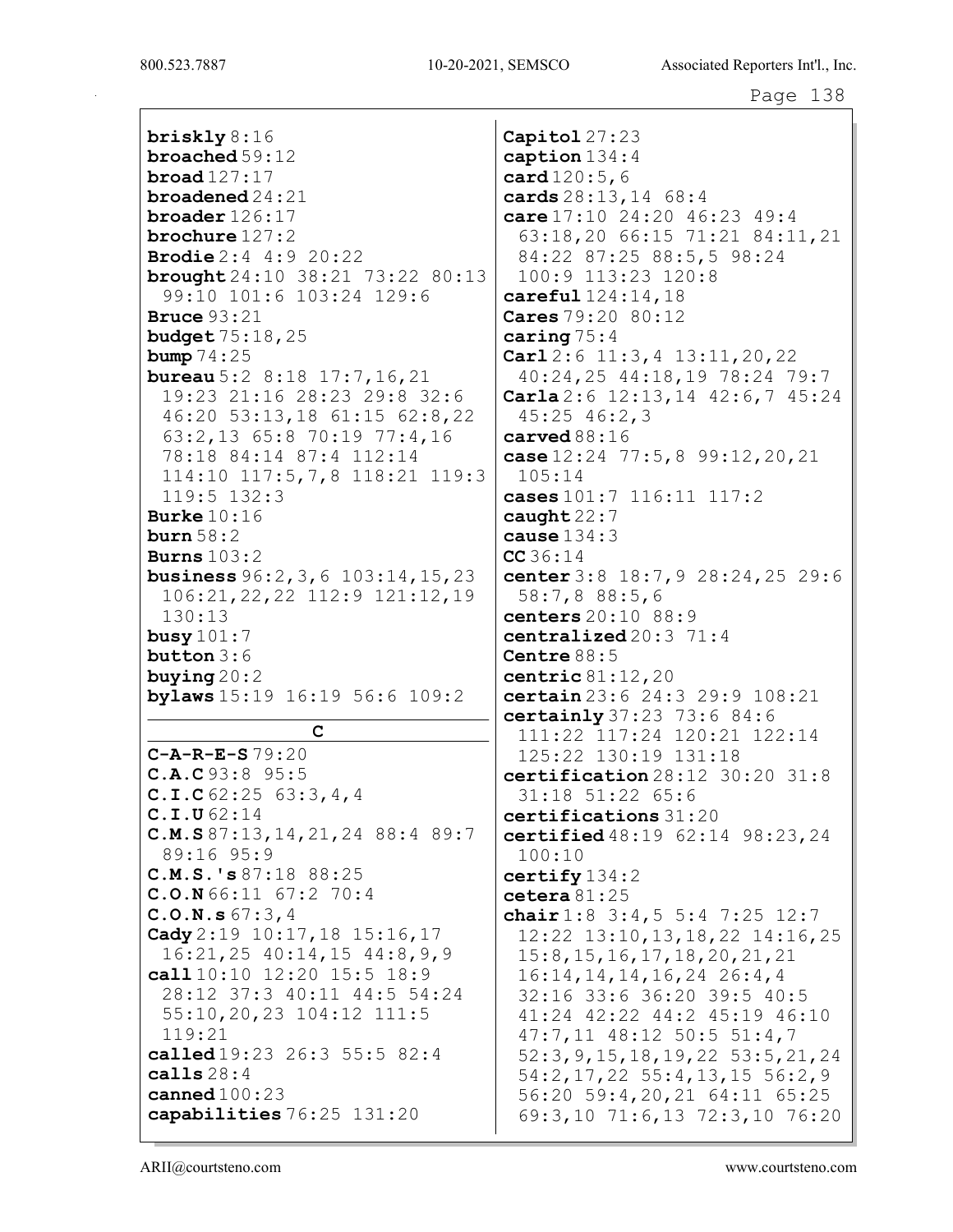briskly 8:16 broached 59:12 broad 127:17 broadened 24:21 broader 126:17 brochure 127:2 Brodie 2:4 4:9 20:22 brought 24:10 38:21 73:22 80:13 99:10 101:6 103:24 129:6 Bruce 93:21 budget 75:18,25 **bump** 74:25 **bureau** 5:2 8:18 17:7, 16, 21 19:23 21:16 28:23 29:8 32:6 46:20 53:13,18 61:15 62:8,22 63:2,13 65:8 70:19 77:4,16 78:18 84:14 87:4 112:14 114:10 117:5,7,8 118:21 119:3 119:5 132:3 Burke  $10:16$ burn 58:2 Burns 103:2 business 96:2,3,6 103:14,15,23 106:21,22,22 112:9 121:12,19 130:13 busy 101:7 button 3:6 buying 20:2 bylaws 15:19 16:19 56:6 109:2 C C-A-R-E-S 79:20 C.A.C 93:8 95:5 C.I.C 62:25 63:3,4,4 C.I.U 62:14 C.M.S 87:13,14,21,24 88:4 89:7 89:16 95:9 C.M.S.'s 87:18 88:25 C.O.N 66:11 67:2 70:4 C.O.N.s 67:3,4 Cady 2:19 10:17,18 15:16,17 16:21,25 40:14,15 44:8,9,9 call 10:10 12:20 15:5 18:9 28:12 37:3 40:11 44:5 54:24 55:10,20,23 104:12 111:5 119:21 called 19:23 26:3 55:5 82:4 calls 28:4 canned 100:23 capabilities 76:25 131:20 Capitol 27:23 caption 134:4 card 120:5,6 cards 28:13,14 68:4 care 17:10 24:20 46:23 49:4 63:18,20 66:15 71:21 84:11,21 84:22 87:25 88:5,5 98:24 100:9 113:23 120:8 careful 124:14,18 Cares 79:20 80:12 caring  $75:4$ Carl 2:6 11:3,4 13:11,20,22 40:24,25 44:18,19 78:24 79:7 Carla 2:6 12:13,14 42:6,7 45:24 45:25 46:2,3 carved 88:16 case 12:24 77:5,8 99:12,20,21 105:14 cases 101:7 116:11 117:2 caught 22:7 cause 134:3 CC 36:14 center 3:8 18:7,9 28:24,25 29:6 58:7,8 88:5,6 centers 20:10 88:9 centralized  $20:3$   $71:4$ Centre 88:5 centric 81:12,20 certain 23:6 24:3 29:9 108:21 certainly 37:23 73:6 84:6 111:22 117:24 120:21 122:14 125:22 130:19 131:18 certification 28:12 30:20 31:8 31:18 51:22 65:6 certifications 31:20 certified 48:19 62:14 98:23,24 100:10 certify 134:2 cetera 81:25 chair 1:8 3:4,5 5:4 7:25 12:7 12:22 13:10,13,18,22 14:16,25 15:8,15,16,17,18,20,21,21 16:14,14,14,16,24 26:4,4 32:16 33:6 36:20 39:5 40:5 41:24 42:22 44:2 45:19 46:10 47:7,11 48:12 50:5 51:4,7 52:3,9,15,18,19,22 53:5,21,24 54:2,17,22 55:4,13,15 56:2,9 56:20 59:4,20,21 64:11 65:25 69:3,10 71:6,13 72:3,10 76:20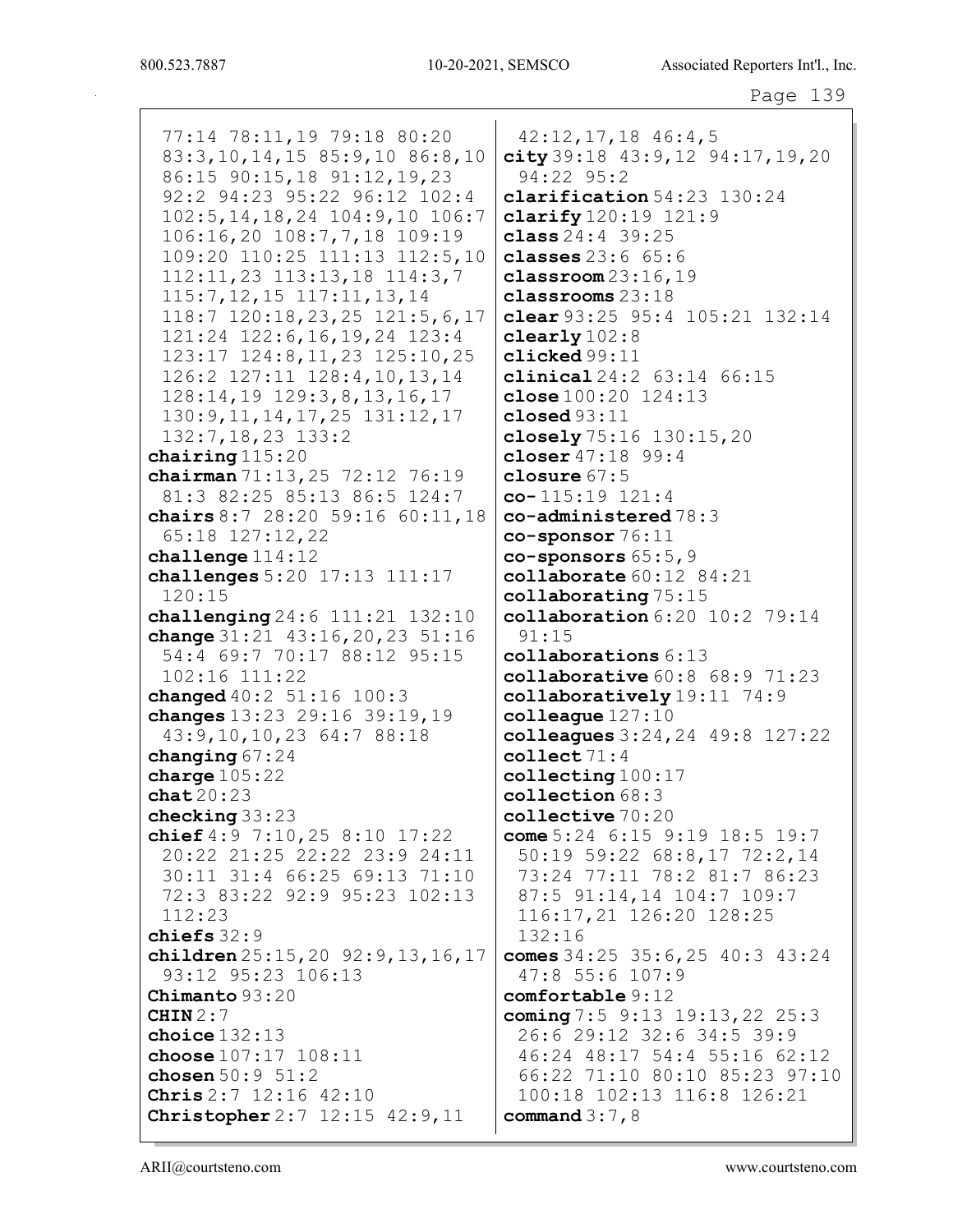77:14 78:11,19 79:18 80:20 83:3,10,14,15 85:9,10 86:8,10 86:15 90:15,18 91:12,19,23 92:2 94:23 95:22 96:12 102:4 102:5,14,18,24 104:9,10 106:7 106:16,20 108:7,7,18 109:19 109:20 110:25 111:13 112:5,10 112:11,23 113:13,18 114:3,7 115:7,12,15 117:11,13,14 118:7 120:18,23,25 121:5,6,17 121:24 122:6,16,19,24 123:4 123:17 124:8,11,23 125:10,25 126:2 127:11 128:4,10,13,14 128:14,19 129:3,8,13,16,17 130:9,11,14,17,25 131:12,17 132:7,18,23 133:2 chairing 115:20 chairman 71:13,25 72:12 76:19 81:3 82:25 85:13 86:5 124:7 chairs 8:7 28:20 59:16 60:11,18 65:18 127:12,22 challenge 114:12 challenges 5:20 17:13 111:17 120:15 challenging 24:6 111:21 132:10 change 31:21 43:16,20,23 51:16 54:4 69:7 70:17 88:12 95:15 102:16 111:22 changed 40:2 51:16 100:3 changes 13:23 29:16 39:19,19 43:9,10,10,23 64:7 88:18 changing 67:24 charge  $105:22$ chat 20:23 checking 33:23 chief 4:9 7:10,25 8:10 17:22 20:22 21:25 22:22 23:9 24:11 30:11 31:4 66:25 69:13 71:10 72:3 83:22 92:9 95:23 102:13 112:23 chiefs 32:9 children 25:15,20 92:9,13,16,17 93:12 95:23 106:13 Chimanto 93:20 CHTN  $2:7$ choice 132:13 choose 107:17 108:11 chosen 50:9 51:2 Chris 2:7 12:16 42:10 Christopher 2:7 12:15 42:9,11 42:12,17,18 46:4,5 city 39:18 43:9,12 94:17,19,20 94:22 95:2 clarification  $54:23$   $130:24$  $\text{clarity} 120:19 121:9$ class  $24:4$  39:25 classes 23:6 65:6 classroom 23:16,19 classrooms 23:18 clear 93:25 95:4 105:21 132:14  $\texttt{clearlv}$   $102:8$ clicked 99:11 clinical 24:2 63:14 66:15 close 100:20 124:13 closed 93:11 closely 75:16 130:15, 20 closer 47:18 99:4 closure 67:5  $co-115:19$  121:4 co-administered 78:3  $co-spons$ or  $76:11$ co-sponsors 65:5,9 collaborate 60:12 84:21 collaborating 75:15 collaboration 6:20 10:2 79:14 91:15 collaborations 6:13 collaborative 60:8 68:9 71:23 collaboratively 19:11 74:9 colleague 127:10 colleagues 3:24,24 49:8 127:22 collect 71:4 collecting 100:17 collection 68:3 collective 70:20 come 5:24 6:15 9:19 18:5 19:7 50:19 59:22 68:8,17 72:2,14 73:24 77:11 78:2 81:7 86:23 87:5 91:14,14 104:7 109:7 116:17,21 126:20 128:25 132:16 comes 34:25 35:6,25 40:3 43:24 47:8 55:6 107:9 comfortable 9:12 coming 7:5 9:13 19:13,22 25:3 26:6 29:12 32:6 34:5 39:9 46:24 48:17 54:4 55:16 62:12 66:22 71:10 80:10 85:23 97:10 100:18 102:13 116:8 126:21 command  $3:7,8$ 

ARII@courtsteno.com www.courtsteno.com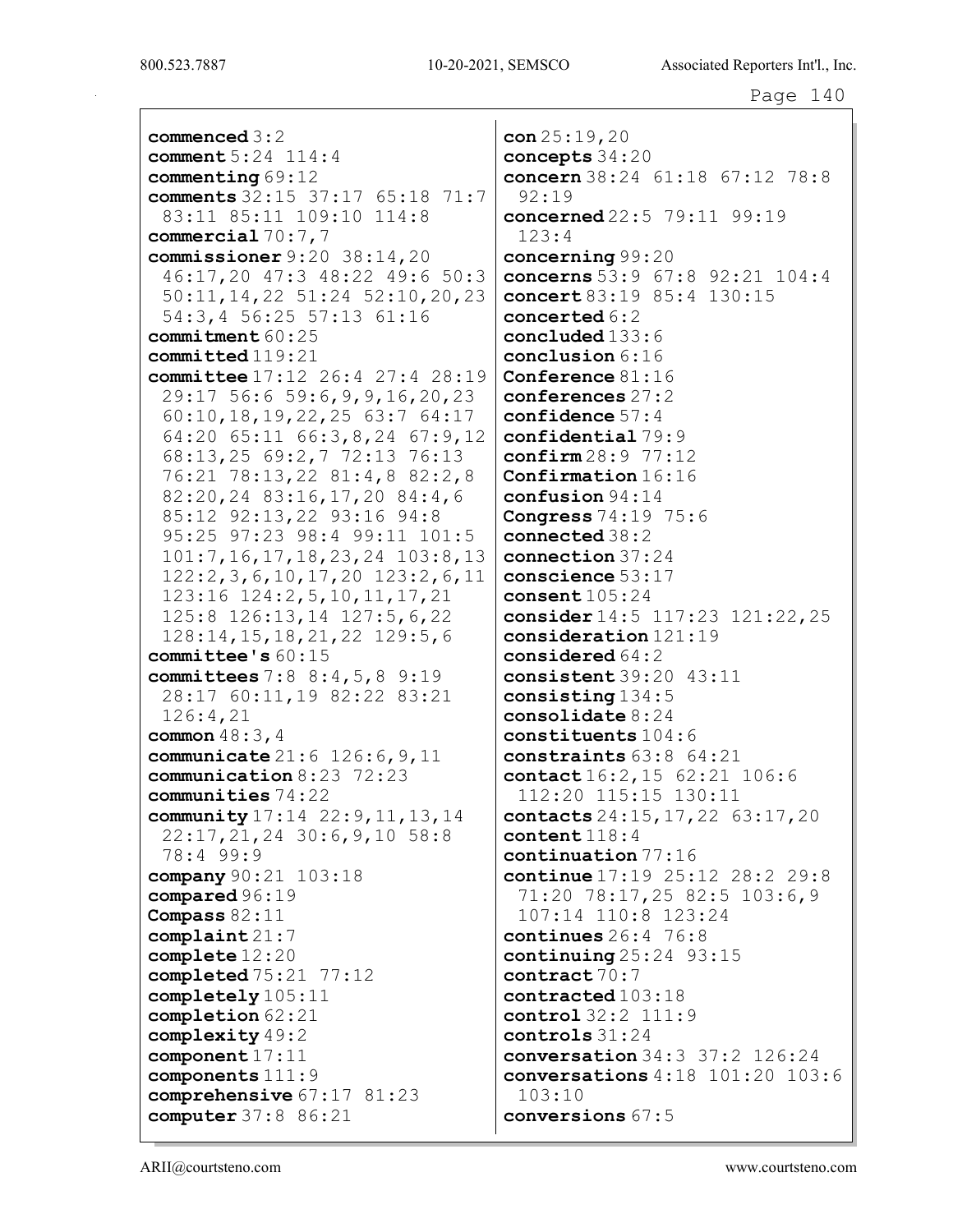| $commenced 3:2$                                                     | con $25:19,20$                                     |
|---------------------------------------------------------------------|----------------------------------------------------|
| comment 5:24 114:4                                                  | concepts 34:20                                     |
| commenting $69:12$                                                  | concern 38:24 61:18 67:12 78:8<br>92:19            |
| comments 32:15 37:17 65:18 71:7                                     |                                                    |
| 83:11 85:11 109:10 114:8                                            | concerned 22:5 79:11 99:19<br>123:4                |
| commercial $70:7,7$<br>commissioner $9:20$ 38:14,20                 |                                                    |
| 46:17,20 47:3 48:22 49:6 50:3                                       | concerning 99:20<br>concerns 53:9 67:8 92:21 104:4 |
| 50:11, 14, 22 51:24 52:10, 20, 23                                   | concert 83:19 85:4 130:15                          |
| 54:3,4 56:25 57:13 61:16                                            | concerted 6:2                                      |
| commitment $60:25$                                                  | concluded 133:6                                    |
| ${\tt committed}$ 119:21                                            | conclusion 6:16                                    |
| committee 17:12 26:4 27:4 28:19                                     | Conference $81:16$                                 |
| 29:17 56:6 59:6, 9, 9, 16, 20, 23                                   | conferences 27:2                                   |
|                                                                     | confidence $57:4$                                  |
| 60:10, 18, 19, 22, 25, 63:7, 64:17<br>64:20 65:11 66:3,8,24 67:9,12 | confidential 79:9                                  |
|                                                                     | $\texttt{confirm28:9}$ 77:12                       |
| 68:13,25 69:2,7 72:13 76:13<br>76:21 78:13,22 81:4,8 82:2,8         | Confirmation 16:16                                 |
| 82:20,24 83:16,17,20 84:4,6                                         | $\text{confusion } 94:14$                          |
|                                                                     |                                                    |
| 85:12 92:13,22 93:16 94:8                                           | <b>Congress</b> $74:19$ $75:6$<br>connected 38:2   |
| 95:25 97:23 98:4 99:11 101:5                                        |                                                    |
| $101:7, 16, 17, 18, 23, 24$ $103:8, 13$                             | connection 37:24                                   |
| $122:2,3,6,10,17,20$ $123:2,6,11$                                   | conscience $53:17$                                 |
| 123:16 124:2,5,10,11,17,21                                          | consent $105:24$                                   |
| 125:8 126:13,14 127:5,6,22                                          | consider 14:5 117:23 121:22, 25                    |
| $128:14, 15, 18, 21, 22$ 129:5,6                                    | consideration 121:19                               |
| committee's $60:15$                                                 | considered $64:2$<br>consistent $39:20$ $43:11$    |
| committees $7:88:4,5,89:19$<br>28:17 60:11,19 82:22 83:21           | consisting $134:5$                                 |
| 126:4,21                                                            | consolidate $8:24$                                 |
| common $48:3, 4$                                                    | constituents $104:6$                               |
| <b>communicate</b> $21:6$ $126:6$ , $9$ , $11$                      | constraints $63:8$ $64:21$                         |
| communication 8:23 72:23                                            | contact 16:2, 15 62:21 106:6                       |
| communities $74:22$                                                 | 112:20 115:15 130:11                               |
| community 17:14 22:9, 11, 13, 14                                    | contacts 24:15, 17, 22 63:17, 20                   |
| $22:17, 21, 24$ 30:6, 9, 10 58:8                                    | content $118:4$                                    |
| 78:4 99:9                                                           | continuation 77:16                                 |
| company 90:21 103:18                                                | continue 17:19 25:12 28:2 29:8                     |
| compared 96:19                                                      | 71:20 78:17,25 82:5 103:6,9                        |
| Compass $82:11$                                                     | 107:14 110:8 123:24                                |
| complaint21:7                                                       | continues $26:4$ 76:8                              |
| complete $12:20$                                                    | continuing $25:24$ 93:15                           |
| completed $75:21$ $77:12$                                           | contract 70:7                                      |
| completely 105:11                                                   | contracted 103:18                                  |
| completion 62:21                                                    | control 32:2 111:9                                 |
| complexity 49:2                                                     | controls $31:24$                                   |
| component 17:11                                                     | <b>conversation</b> $34:3$ $37:2$ $126:24$         |
| components 111:9                                                    | conversations $4:18$ $101:20$ $103:6$              |
| comprehensive $67:17$ $81:23$                                       | 103:10                                             |
| computer 37:8 86:21                                                 | conversions 67:5                                   |
|                                                                     |                                                    |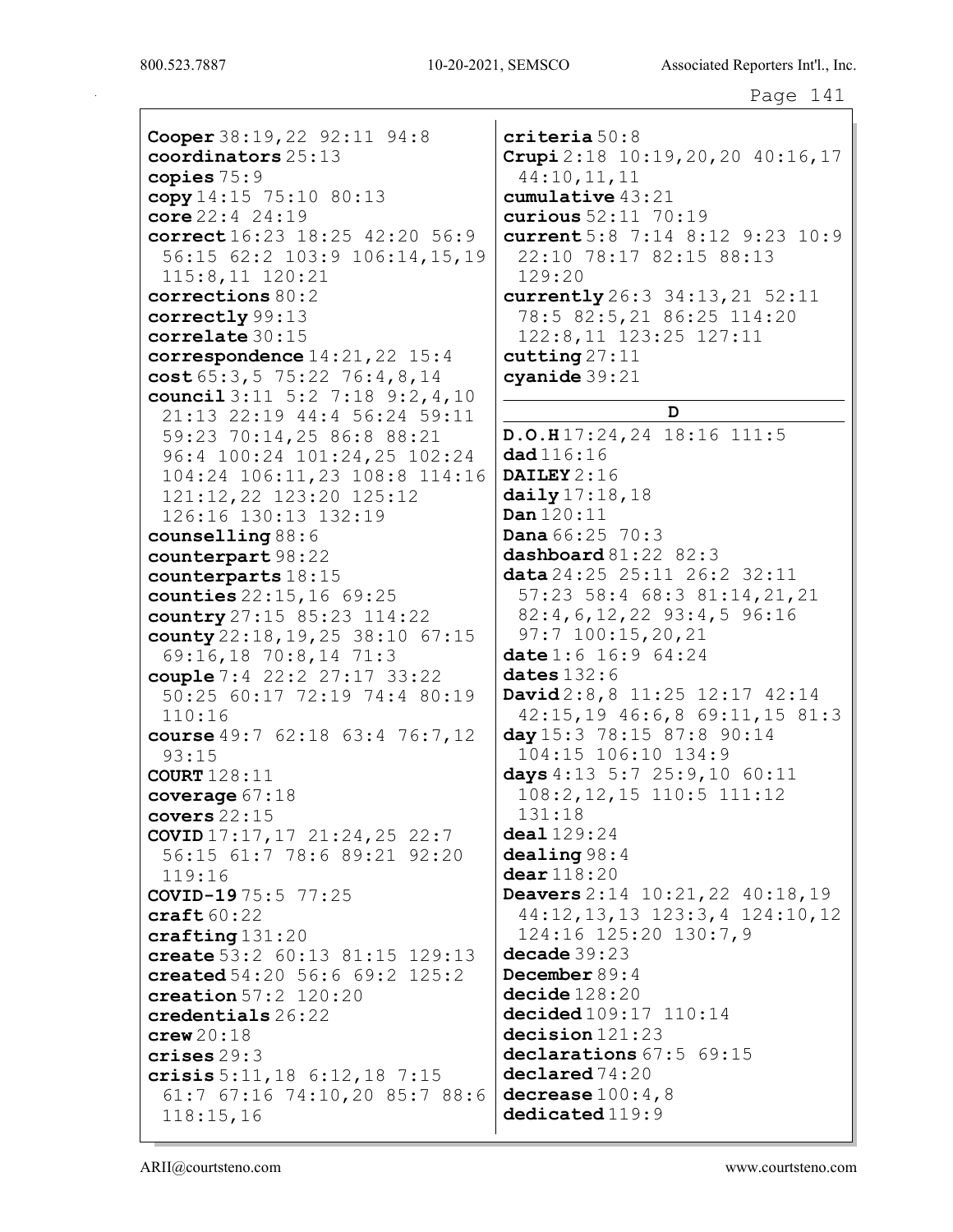Cooper 38:19,22 92:11 94:8 coordinators 25:13 copies 75:9 copy 14:15 75:10 80:13 core 22:4 24:19 correct 16:23 18:25 42:20 56:9 56:15 62:2 103:9 106:14,15,19 115:8,11 120:21 corrections 80:2 correctly 99:13 correlate 30:15 correspondence 14:21,22 15:4 cost 65:3,5 75:22 76:4,8,14 council 3:11 5:2 7:18 9:2,4,10 21:13 22:19 44:4 56:24 59:11 59:23 70:14,25 86:8 88:21 96:4 100:24 101:24,25 102:24 104:24 106:11,23 108:8 114:16 121:12,22 123:20 125:12 126:16 130:13 132:19 counselling 88:6 counterpart 98:22 counterparts 18:15 counties 22:15,16 69:25 country 27:15 85:23 114:22 county 22:18,19,25 38:10 67:15 69:16,18 70:8,14 71:3 couple 7:4 22:2 27:17 33:22 50:25 60:17 72:19 74:4 80:19 110:16 course 49:7 62:18 63:4 76:7,12 93:15 COURT 128:11 coverage 67:18 covers 22:15 COVID 17:17,17 21:24,25 22:7 56:15 61:7 78:6 89:21 92:20 119:16 COVID-19 75:5 77:25 craft 60:22 crafting 131:20 create 53:2 60:13 81:15 129:13 created 54:20 56:6 69:2 125:2 creation 57:2 120:20 credentials 26:22 crew 20:18 crises 29:3 crisis 5:11,18 6:12,18 7:15 61:7 67:16 74:10,20 85:7 88:6 118:15,16

criteria 50:8 Crupi 2:18 10:19,20,20 40:16,17 44:10,11,11 cumulative 43:21 curious 52:11 70:19 current 5:8 7:14 8:12 9:23 10:9 22:10 78:17 82:15 88:13 129:20 currently 26:3 34:13,21 52:11 78:5 82:5,21 86:25 114:20 122:8,11 123:25 127:11  $cutting 27:11$ cyanide 39:21 D D.O.H 17:24,24 18:16 111:5 dad 116:16 DAILEY 2:16 daily 17:18,18 Dan 120:11 **Dana**  $66:25$   $70:3$ dashboard 81:22 82:3 data 24:25 25:11 26:2 32:11 57:23 58:4 68:3 81:14,21,21 82:4,6,12,22 93:4,5 96:16 97:7 100:15,20,21 date 1:6 16:9 64:24 dates 132:6 David 2:8,8 11:25 12:17 42:14 42:15,19 46:6,8 69:11,15 81:3 day 15:3 78:15 87:8 90:14 104:15 106:10 134:9 days 4:13 5:7 25:9,10 60:11 108:2,12,15 110:5 111:12 131:18 deal 129:24 dealing 98:4 dear 118:20 Deavers 2:14 10:21,22 40:18,19 44:12,13,13 123:3,4 124:10,12 124:16 125:20 130:7,9 decade 39:23 December 89:4 decide 128:20 decided 109:17 110:14 decision 121:23 declarations 67:5 69:15 declared 74:20 decrease  $100:4,8$ dedicated  $119:9$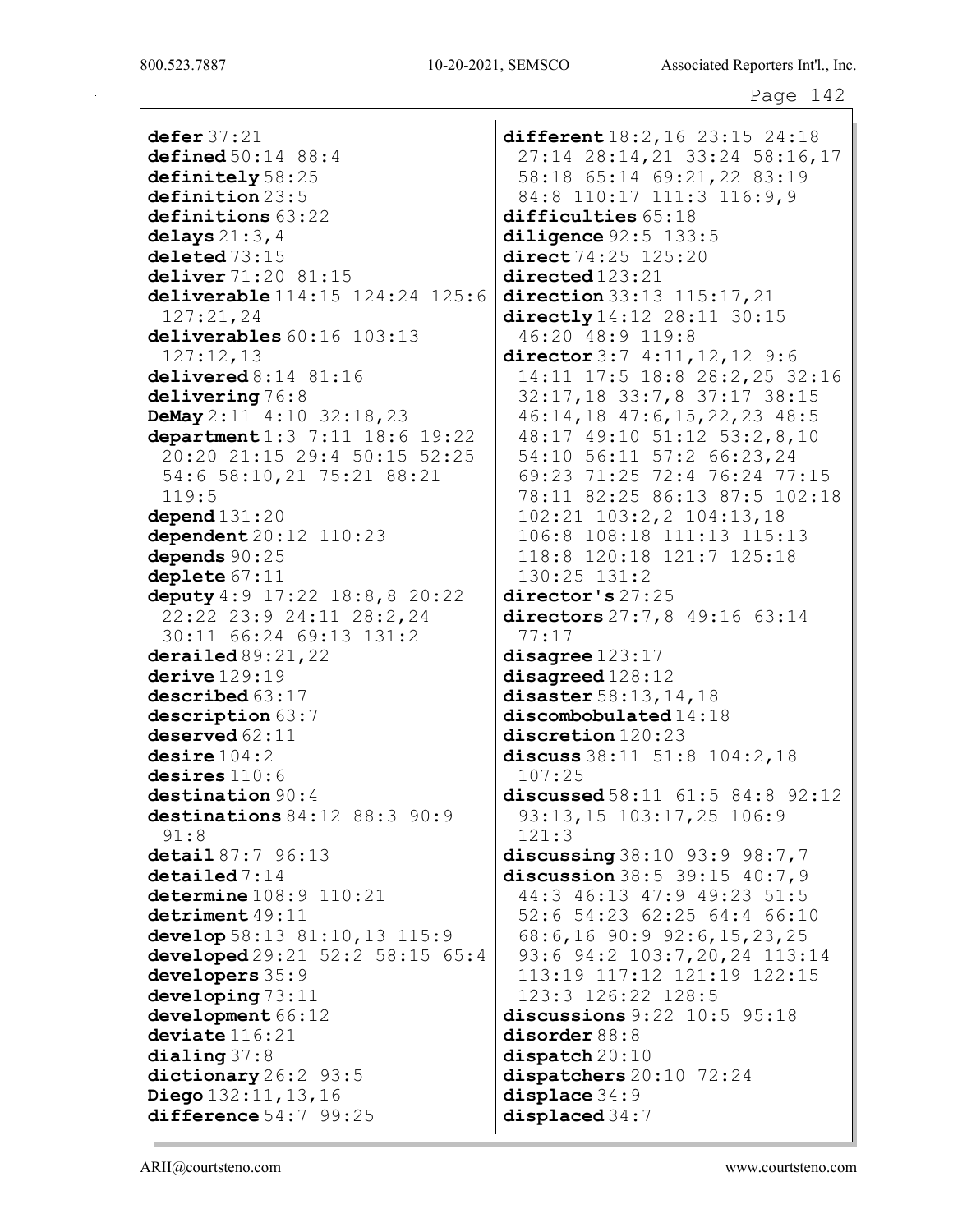```
Page 142
```
defer 37:21 defined 50:14 88:4 definitely 58:25 definition 23:5 definitions 63:22 delays  $21:3,4$ deleted 73:15 deliver 71:20 81:15 deliverable 114:15 124:24 125:6 127:21,24 deliverables  $60:16$  103:13 127:12,13 delivered 8:14 81:16 delivering 76:8 DeMay 2:11 4:10 32:18,23 department 1:3 7:11 18:6 19:22 20:20 21:15 29:4 50:15 52:25 54:6 58:10,21 75:21 88:21 119:5 depend 131:20 dependent 20:12 110:23 depends 90:25 deplete 67:11 deputy 4:9 17:22 18:8,8 20:22 22:22 23:9 24:11 28:2,24 30:11 66:24 69:13 131:2 derailed 89:21, 22 derive  $129:19$ described 63:17 description 63:7 deserved 62:11 desire  $104:2$ desires 110:6 destination 90:4 destinations 84:12 88:3 90:9 91:8 detail 87:7 96:13 detailed 7:14 determine 108:9 110:21 detriment 49:11 develop 58:13 81:10,13 115:9 developed 29:21 52:2 58:15 65:4 developers 35:9 developing 73:11 development  $66:12$ deviate 116:21 dialing 37:8 dictionary 26:2 93:5 Diego 132:11,13,16 difference 54:7 99:25

different 18:2,16 23:15 24:18 27:14 28:14,21 33:24 58:16,17 58:18 65:14 69:21,22 83:19 84:8 110:17 111:3 116:9,9 difficulties 65:18 diligence 92:5 133:5 direct 74:25 125:20 directed 123:21 direction 33:13 115:17, 21 directly 14:12 28:11 30:15 46:20 48:9 119:8 director 3:7 4:11, 12, 12 9:6 14:11 17:5 18:8 28:2,25 32:16 32:17,18 33:7,8 37:17 38:15 46:14,18 47:6,15,22,23 48:5 48:17 49:10 51:12 53:2,8,10 54:10 56:11 57:2 66:23,24 69:23 71:25 72:4 76:24 77:15 78:11 82:25 86:13 87:5 102:18 102:21 103:2,2 104:13,18 106:8 108:18 111:13 115:13 118:8 120:18 121:7 125:18 130:25 131:2 director's 27:25 directors 27:7,8 49:16 63:14 77:17 disagree 123:17 disagreed 128:12 disaster 58:13,14,18 discombobulated 14:18 discretion 120:23 discuss 38:11 51:8 104:2,18 107:25 discussed 58:11 61:5 84:8 92:12 93:13,15 103:17,25 106:9 121:3 discussing 38:10 93:9 98:7,7 discussion 38:5 39:15 40:7,9 44:3 46:13 47:9 49:23 51:5 52:6 54:23 62:25 64:4 66:10 68:6,16 90:9 92:6,15,23,25 93:6 94:2 103:7,20,24 113:14 113:19 117:12 121:19 122:15 123:3 126:22 128:5 discussions 9:22 10:5 95:18 disorder 88:8 dispatch 20:10 dispatchers 20:10 72:24 displace 34:9 displaced 34:7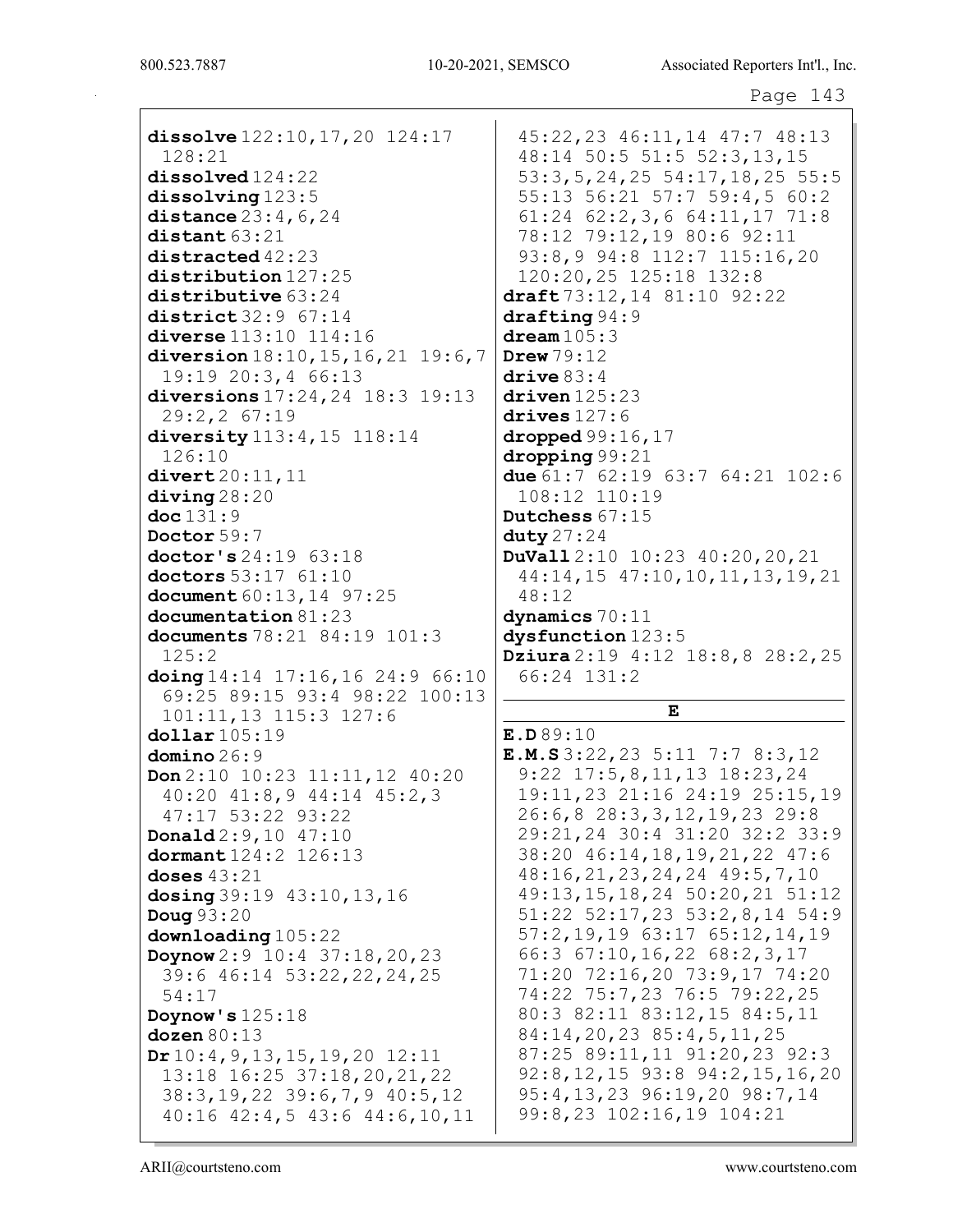| dissolve 122:10, 17, 20 124:17                      | 45:22,23 46:11,14 47:7 48:13                                       |
|-----------------------------------------------------|--------------------------------------------------------------------|
| 128:21                                              | 48:14 50:5 51:5 52:3,13,15                                         |
| $\texttt{dissolved}$ 124:22                         | $53:3, 5, 24, 25$ 54:17, 18, 25 55:                                |
| dis <b>solving</b> 123:5                            | 55:13 56:21 57:7 59:4,5 60:2                                       |
| distance $23:4$ , $6$ , $24$                        | $61:24$ $62:2,3,6$ $64:11,17$ $71:8$                               |
| distant 63:21                                       | 78:12 79:12,19 80:6 92:11                                          |
| $distanceed$ $42:23$                                | 93:8,9 94:8 112:7 115:16,20                                        |
| distribution 127:25                                 | 120:20,25 125:18 132:8                                             |
| $\mathtt{distributive}$ 63:24                       | draft $73:12, 14$ 81:10 92:22                                      |
| district 32:9 67:14                                 | draffting 94:9                                                     |
| <b>diverse</b> 113:10 114:16                        | $d$ ream $105:3$                                                   |
| diversion $18:10$ , $15$ , $16$ , $21$ $19:6$ , $7$ | Drew $79:12$                                                       |
| 19:19 20:3,4 66:13                                  | $\text{drive } 83:4$                                               |
| diversions 17:24, 24 18:3 19:13                     | $driven$ $125:23$                                                  |
| 29:2,2 67:19                                        | drives $127:6$                                                     |
| diversity 113:4, 15 118:14                          | dropped $99:16,17$                                                 |
| 126:10                                              | $\frac{d}{d}$                                                      |
| divert20:11,11                                      | due $61:7$ $62:19$ $63:7$ $64:21$ $102:$                           |
| diving28:20                                         | 108:12 110:19                                                      |
| $\texttt{doc}131:9$                                 | Dutchess 67:15                                                     |
| Doctor 59:7                                         | duty $27:24$                                                       |
| doctor's 24:19 63:18                                | <b>DuVall</b> $2:10$ 10:23 40:20, 20, 21                           |
| doctors 53:17 61:10                                 | $44:14, 15$ $47:10, 10, 11, 13, 19, 2$                             |
| document 60:13, 14 97:25                            | 48:12                                                              |
| documentation 81:23                                 | dynamics 70:11                                                     |
| documents 78:21 84:19 101:3                         | dysfunction 123:5                                                  |
| 125:2                                               | Dziura 2:19 $4:12$ $18:8,8$ $28:2,2$                               |
| doing 14:14 17:16, 16 24:9 66:10                    | 66:24 131:2                                                        |
| 69:25 89:15 93:4 98:22 100:13                       | E                                                                  |
| 101:11,13 115:3 127:6                               |                                                                    |
| <b>dollar</b> 105:19                                | E.D.89:10                                                          |
| ${\tt domino}\,26\!:\!9$                            | <b>E.M.S</b> 3:22, 23 5:11 7:7 8:3, 12                             |
| $\text{Don } 2:10$ $10:23$ $11:11,12$ $40:20$       | $9:22$ 17:5, 8, 11, 13 18:23, 24<br>19:11, 23 21:16 24:19 25:15, 1 |
| $40:20$ $41:8,9$ $44:14$ $45:2,3$                   |                                                                    |
| 47:17 53:22 93:22                                   | 26:6,8 28:3,3,12,19,23 29:8<br>29:21,24 30:4 31:20 32:2 33:        |
| $\texttt{Donald2:9,10}$ 47:10                       | 38:20 46:14, 18, 19, 21, 22 47:6                                   |
| dormant 124:2 126:13                                | 48:16,21,23,24,24 49:5,7,10                                        |
| $\mathtt{doeses}$ $43\mathtt{:}21$                  | $49:13, 15, 18, 24$ 50:20, 21 51:1                                 |
| $\Delta$ osing 39:19 43:10, 13, 16<br>Doug 93:20    | $51:22$ $52:17,23$ $53:2,8,14$ $54:$                               |
| downloading105:22                                   | $57:2, 19, 19$ 63:17 65:12, 14, 19                                 |
|                                                     | 66:3 67:10, 16, 22 68: 2, 3, 17                                    |
| Doynow 2:9 10:4 37:18,20,23                         | 71:20 72:16,20 73:9,17 74:20                                       |
| 39:6 46:14 53:22, 22, 24, 25<br>54:17               | 74:22 75:7,23 76:5 79:22,25                                        |
|                                                     | 80:3 82:11 83:12,15 84:5,11                                        |
| Doynow's $125:18$<br>$\texttt{dozen}\,80\!:\!13$    | 84:14,20,23 85:4,5,11,25                                           |
| Dr10:4, 9, 13, 15, 19, 20 12:11                     | 87:25 89:11,11 91:20,23 92:3                                       |
| 13:18 16:25 37:18, 20, 21, 22                       | $92:8, 12, 15$ $93:8$ $94:2, 15, 16, 2$                            |
| $38:3, 19, 22$ $39:6, 7, 9$ $40:5, 12$              | 95:4,13,23 96:19,20 98:7,14                                        |
|                                                     |                                                                    |
| $40:16$ $42:4,5$ $43:6$ $44:6,10,11$                | 99:8,23 102:16,19 104:21                                           |

## $\mathbf E$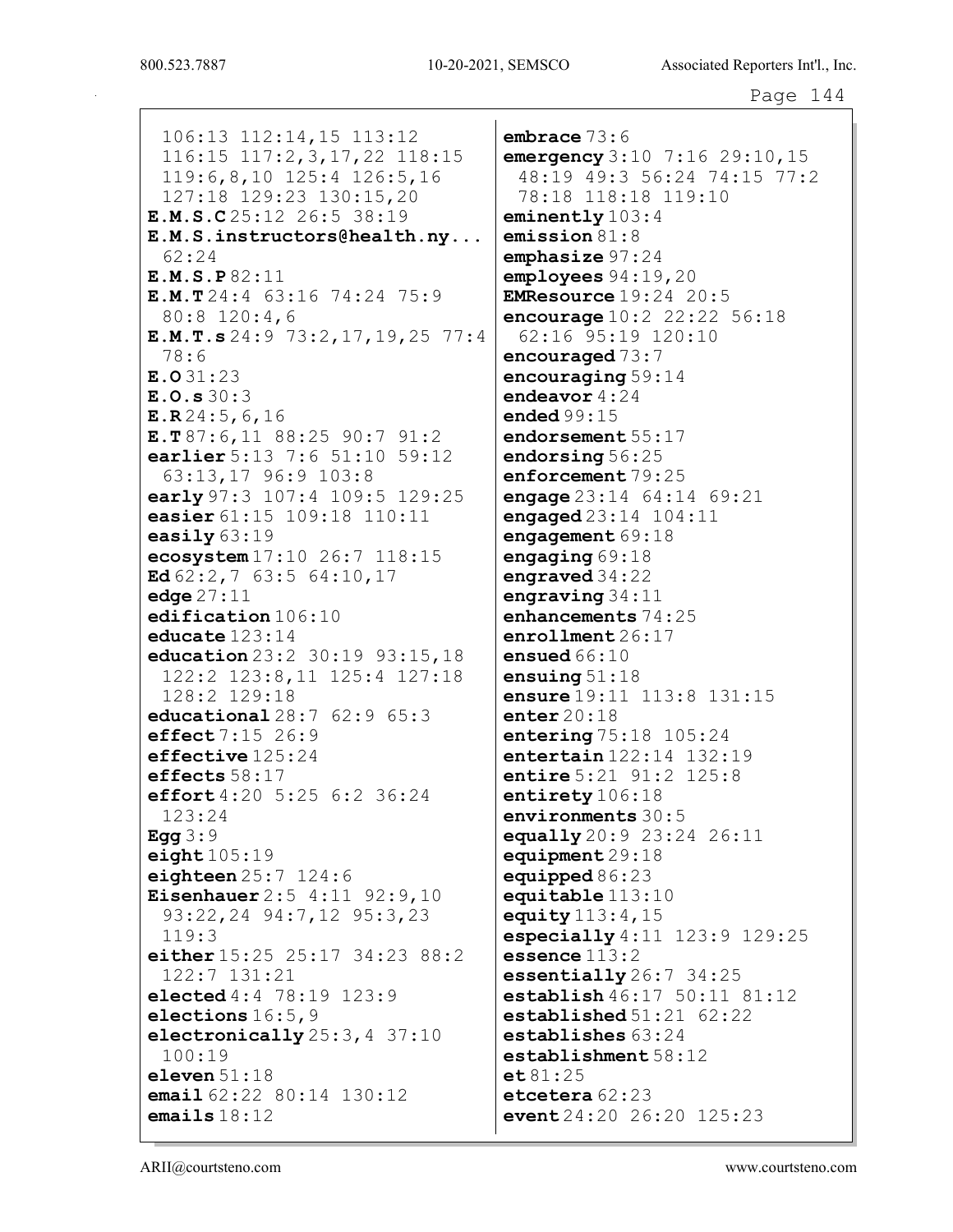106:13 112:14,15 113:12 116:15 117:2, 3, 17, 22 118:15 119:6,8,10 125:4 126:5,16 127:18 129:23 130:15,20 E.M.S.C25:12 26:5 38:19  $E.M.S.$  instructors@health.ny...  $62:24$ E.M.S.P82:11  $E.M.T 24:4 63:16 74:24 75:9$ 80:8 120:4,6  $E.M.T.s 24:9 73:2, 17, 19, 25 77:4$  $78:6$  $E.031:23$  $E.0.530:3$  $E.R24:5,6,16$  $E.T 87:6, 11 88:25 90:7 91:2$ earlier 5:13 7:6 51:10 59:12 63:13,17 96:9 103:8 early 97:3 107:4 109:5 129:25 easier 61:15 109:18 110:11 easily  $63:19$ ecosystem 17:10 26:7 118:15 Ed  $62:2,7$   $63:5$   $64:10,17$ edge  $27:11$ edification 106:10 educate  $123:14$ education 23:2 30:19 93:15, 18 122:2 123:8,11 125:4 127:18 128:2 129:18 **educational**  $28:762:965:3$ effect  $7:15$  26:9  $effective 125:24$ effects  $58:17$ effort 4:20 5:25 6:2 36:24  $123:24$ Egg  $3:9$  $eight105:19$ eighteen  $25:7$  124:6 **Eisenhauer**  $2:5$  4:11 92:9,10 93:22, 24 94:7, 12 95:3, 23  $119:3$ either 15:25 25:17 34:23 88:2 122:7 131:21 elected 4:4 78:19 123:9 elections  $16:5,9$ electronically 25:3, 4 37:10  $100:19$ eleven  $51:18$ email  $62:22$   $80:14$   $130:12$ emails  $18:12$ 

 $embrace 73:6$ emergency  $3:10$   $7:16$   $29:10$ ,  $15$ 48:19 49:3 56:24 74:15 77:2 78:18 118:18 119:10 eminently  $103:4$  $emission 81:8$ emphasize  $97:24$  $employees 94:19,20$ **EMResource**  $19:24$  20:5 encourage  $10:2$  22:22 56:18 62:16 95:19 120:10 encouraged  $73:7$ encouraging  $59:14$ endeavor  $4:24$ ended  $99:15$  $endorsement 55:17$ endorsing 56:25 enforcement 79:25 engage  $23:14$   $64:14$   $69:21$ engaged 23:14 104:11 engagement  $69:18$ engaging  $69:18$ engraved  $34:22$ engraving  $34:11$ enhancements 74:25  $enrollment 26:17$ ensued  $66:10$ ensuing  $51:18$ ensure 19:11 113:8 131:15  $enter20:18$ entering 75:18 105:24 entertain 122:14 132:19 entire 5:21 91:2 125:8 entirety 106:18 environments 30:5 equally 20:9 23:24 26:11 equipment  $29:18$ equipped 86:23  $equitable 113:10$ equity 113:4, 15 especially  $4:11$   $123:9$   $129:25$  $\texttt{essence} \, 113:2$ essentially 26:7 34:25 establish  $46:17$   $50:11$   $81:12$ established  $51:21$   $62:22$ establishes  $63:24$  $establishment 58:12$  $e$ t 81:25 etcetera 62:23 event  $24:20$   $26:20$   $125:23$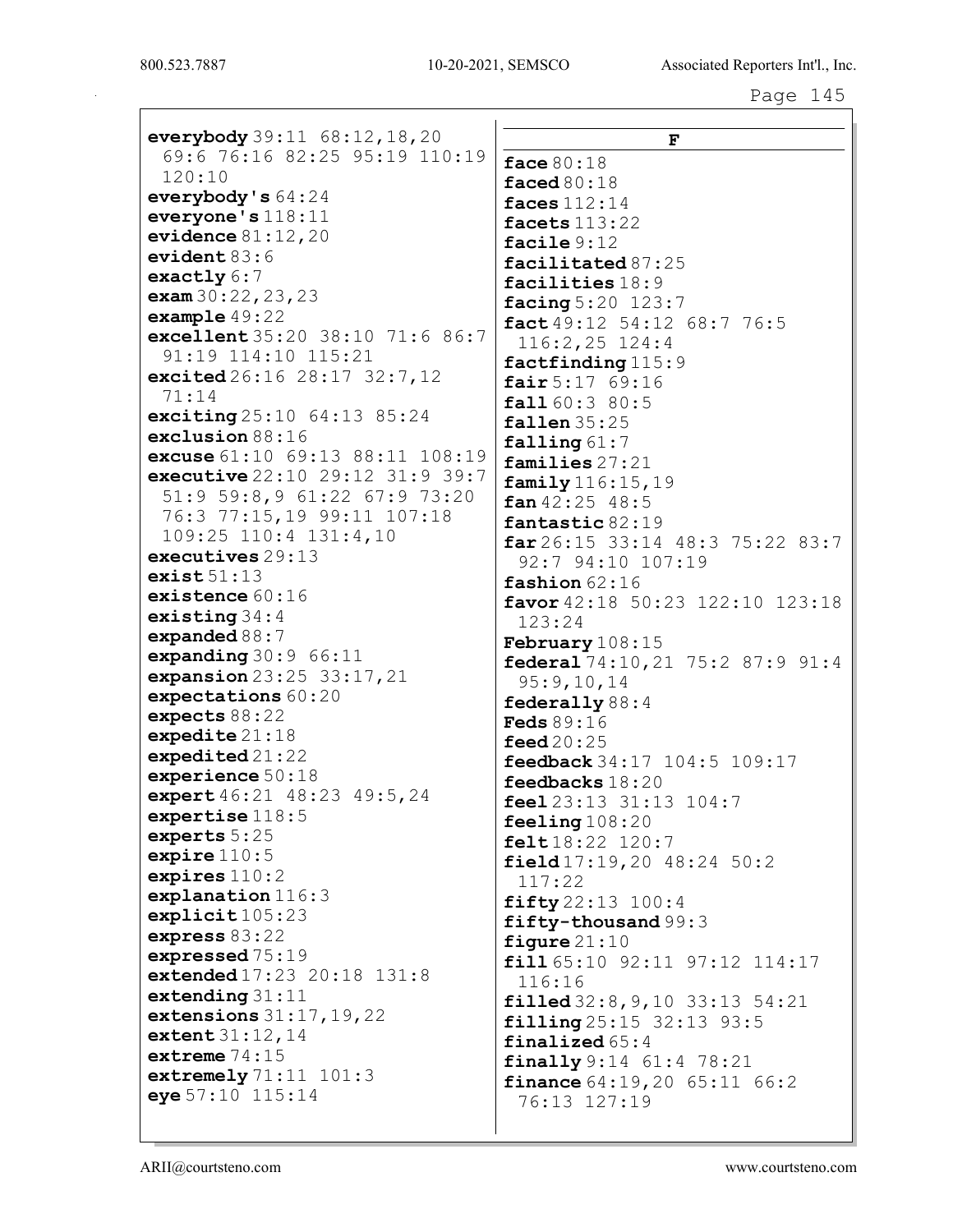| everybody $39:11 \ 68:12, 18, 20$   |                                                    |
|-------------------------------------|----------------------------------------------------|
| 69:6 76:16 82:25 95:19 110:19       | F                                                  |
| 120:10                              | face 80:18                                         |
| everybody's $64:24$                 | faced $80:18$                                      |
| everyone's $118:11$                 | faces $112:14$                                     |
| evidence $81:12,20$                 | facets 113:22                                      |
| evident $83:6$                      | facile $9:12$                                      |
| exactly $6:7$                       | facilitated 87:25                                  |
| exam $30:22,23,23$                  | facilities 18:9                                    |
| example $49:22$                     | facing 5:20 123:7                                  |
| excellent 35:20 38:10 71:6 86:7     | fact $49:12$ 54:12 68:7 76:5<br>$116:2,25$ $124:4$ |
| 91:19 114:10 115:21                 | factfinding 115:9                                  |
| excited $26:16$ $28:17$ $32:7$ , 12 | fair 5:1769:16                                     |
| 71:14                               | fall 60:3 80:5                                     |
| exciting $25:10$ $64:13$ $85:24$    | fallen $35:25$                                     |
| exclusion 88:16                     | falling 61:7                                       |
| excuse 61:10 69:13 88:11 108:19     | families 27:21                                     |
| executive 22:10 29:12 31:9 39:7     | family 116:15, 19                                  |
| 51:9 59:8,9 61:22 67:9 73:20        | $fan\ 42:25$ 48:5                                  |
| 76:3 77:15,19 99:11 107:18          | fantastic 82:19                                    |
| 109:25 110:4 131:4,10               | far 26:15 33:14 48:3 75:22 83:7                    |
| executives $29:13$                  | 92:7 94:10 107:19                                  |
| exist51:13                          | fashion $62:16$                                    |
| existence $60:16$                   | favor 42:18 50:23 122:10 123:18                    |
| existing $34:4$                     | 123:24                                             |
| expanded $88:7$                     | <b>February</b> $108:15$                           |
| expanding $30:9$ 66:11              | federal 74:10, 21 75:2 87:9 91:4                   |
| expansion $23:25$ $33:17,21$        | 95:9,10,14                                         |
| expectations 60:20                  | federally $88:4$                                   |
| expects $88:22$                     | <b>Feds</b> 89:16                                  |
| expedite 21:18                      | feed $20:25$                                       |
| expedited 21:22                     | feedback 34:17 104:5 109:17                        |
| experience $50:18$                  | feedbacks 18:20                                    |
| expert 46:21 48:23 49:5, 24         | feel 23:13 31:13 104:7                             |
| expertise $118:5$                   | feeling $108:20$                                   |
| experts 5:25<br>expire $110:5$      | felt18:22 120:7                                    |
| expires $110:2$                     | field $17:19,20$ $48:24$ $50:2$                    |
| explanation $116:3$                 | 117:22                                             |
| explicit105:23                      | fifty22:13 100:4                                   |
| express $83:22$                     | fifty-thousand 99:3                                |
| expressed 75:19                     | figure $21:10$                                     |
| extended 17:23 20:18 131:8          | fill 65:10 92:11 97:12 114:17                      |
| extending $31:11$                   | 116:16                                             |
| extensions $31:17,19,22$            | filled $32:8, 9, 10$ $33:13$ $54:21$               |
| extent 31:12, 14                    | filling 25:15 32:13 93:5<br>finalized $65:4$       |
| extreme $74:15$                     | $\{finally 9:14 61:4 78:21$                        |
| extremely $71:11$ $101:3$           | <b>finance</b> $64:19,20$ $65:11$ $66:2$           |
| eye 57:10 115:14                    | 76:13 127:19                                       |
|                                     |                                                    |
|                                     |                                                    |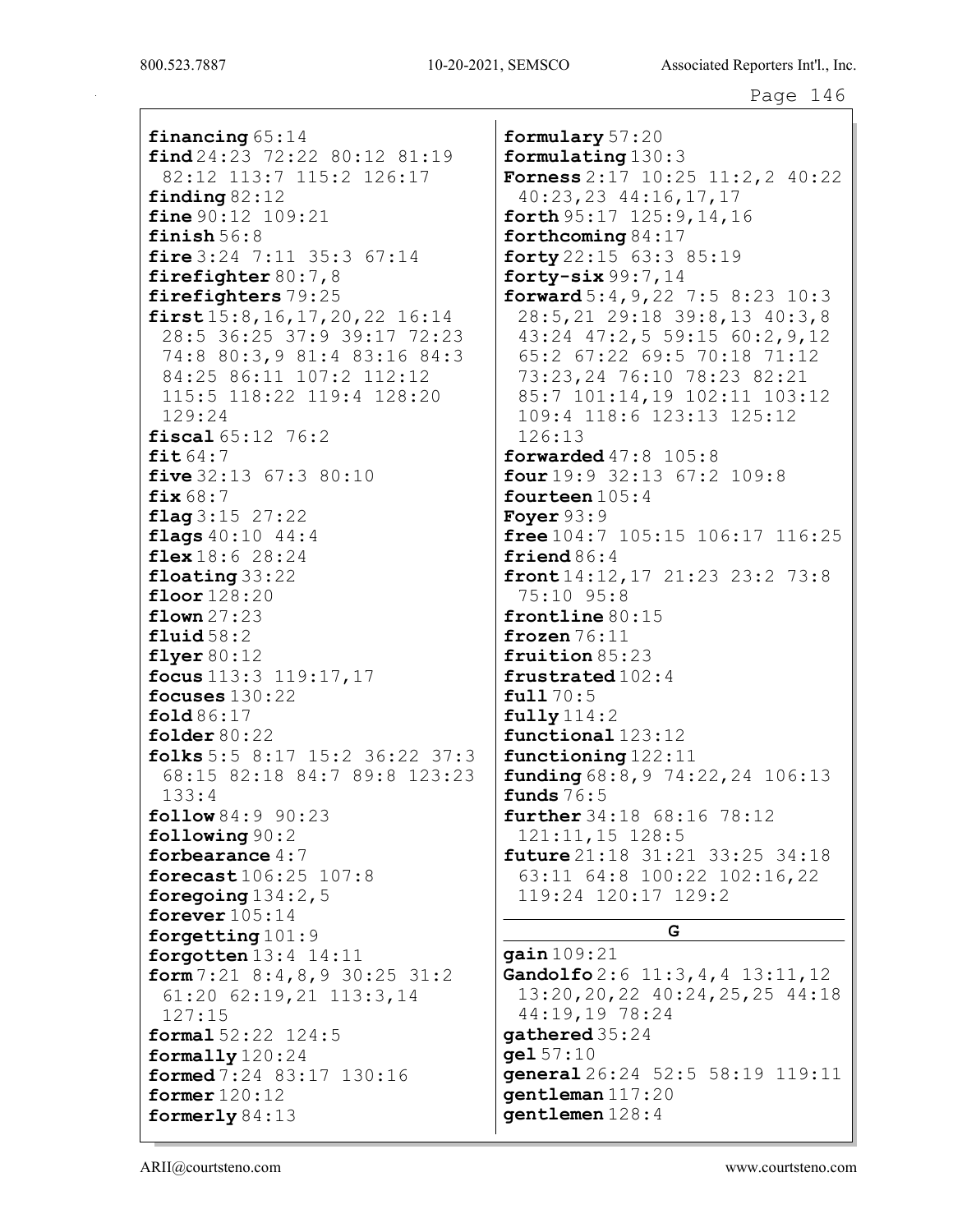financing 65:14  $find 24:23 72:22 80:12 81:19$ 82:12 113:7 115:2 126:17 finding  $82:12$ **fine**  $90:12$   $109:21$ finish  $56:8$ fire  $3:24$  7:11 35:3 67:14 firefighter  $80:7,8$ firefighters 79:25  $first15:8, 16, 17, 20, 22 16:14$ 28:5 36:25 37:9 39:17 72:23 74:8 80:3,9 81:4 83:16 84:3 84:25 86:11 107:2 112:12 115:5 118:22 119:4 128:20  $129:24$ fiscal 65:12 76:2 fit  $64:7$ five  $32:13$   $67:3$   $80:10$  $fix68:7$  $flaq3:15 27:22$ flags  $40:10$   $44:4$ flex  $18:6$  28:24  $\text{floating } 33:22$ floor  $128:20$ flown  $27:23$  $fluid~58:2$ flyer  $80:12$ focus 113:3 119:17, 17 focuses  $130:22$ fold  $86:17$ folder  $80:22$ folks 5:5 8:17 15:2 36:22 37:3 68:15 82:18 84:7 89:8 123:23  $133:4$  $follow 84:9 90:23$  $\texttt{following } 90:2$ forbearance  $4:7$ forecast 106:25 107:8 foregoing  $134:2$ , 5 forever  $105:14$ forgetting  $101:9$ forgotten  $13:4$   $14:11$ form  $7:21$   $8:4,8,9$   $30:25$   $31:2$  $61:20$   $62:19,21$   $113:3,14$  $127:15$ formal 52:22 124:5 formally  $120:24$ formed 7:24 83:17 130:16 former  $120:12$ formerly  $84:13$ 

formulary 57:20 formulating  $130:3$ **Forness**  $2:17$   $10:25$   $11:2,2$   $40:22$  $40:23,23$   $44:16,17,17$ forth  $95:17$   $125:9,14,16$ forthcoming  $84:17$ forty 22:15 63:3 85:19 forty- $six99:7,14$ forward  $5:4, 9, 22$  7:5 8:23 10:3 28:5, 21 29:18 39:8, 13 40:3, 8 43:24 47:2,5 59:15 60:2.9.12 65:2 67:22 69:5 70:18 71:12 73:23,24 76:10 78:23 82:21 85:7 101:14,19 102:11 103:12 109:4 118:6 123:13 125:12  $126:13$ forwarded  $47:8$   $105:8$ four  $19:9$  32:13 67:2 109:8 fourteen  $105:4$ Fover  $93:9$ free  $104:7$   $105:15$   $106:17$   $116:25$ friend  $86:4$ front  $14:12, 17$  21:23 23:2 73:8 75:10 95:8  $frontline 80:15$ frozen  $76:11$ fruition 85:23 frustrated 102:4  $ful170:5$  $fully$   $114:2$ functional 123:12 functioning  $122:11$ **funding**  $68:8, 9$   $74:22, 24$   $106:13$ funds  $76:5$ **further** 34:18 68:16 78:12  $121:11,15$   $128:5$ **future** 21:18 31:21 33:25 34:18 63:11 64:8 100:22 102:16,22 119:24 120:17 129:2 G  $qain109:21$ Gandolfo 2:6 11:3, 4, 4 13:11, 12 13:20, 20, 22 40:24, 25, 25 44:18 44:19,19 78:24 gathered 35:24  $gel 57:10$ general 26:24 52:5 58:19 119:11 gentleman 117:20  $q$ entlemen  $128:4$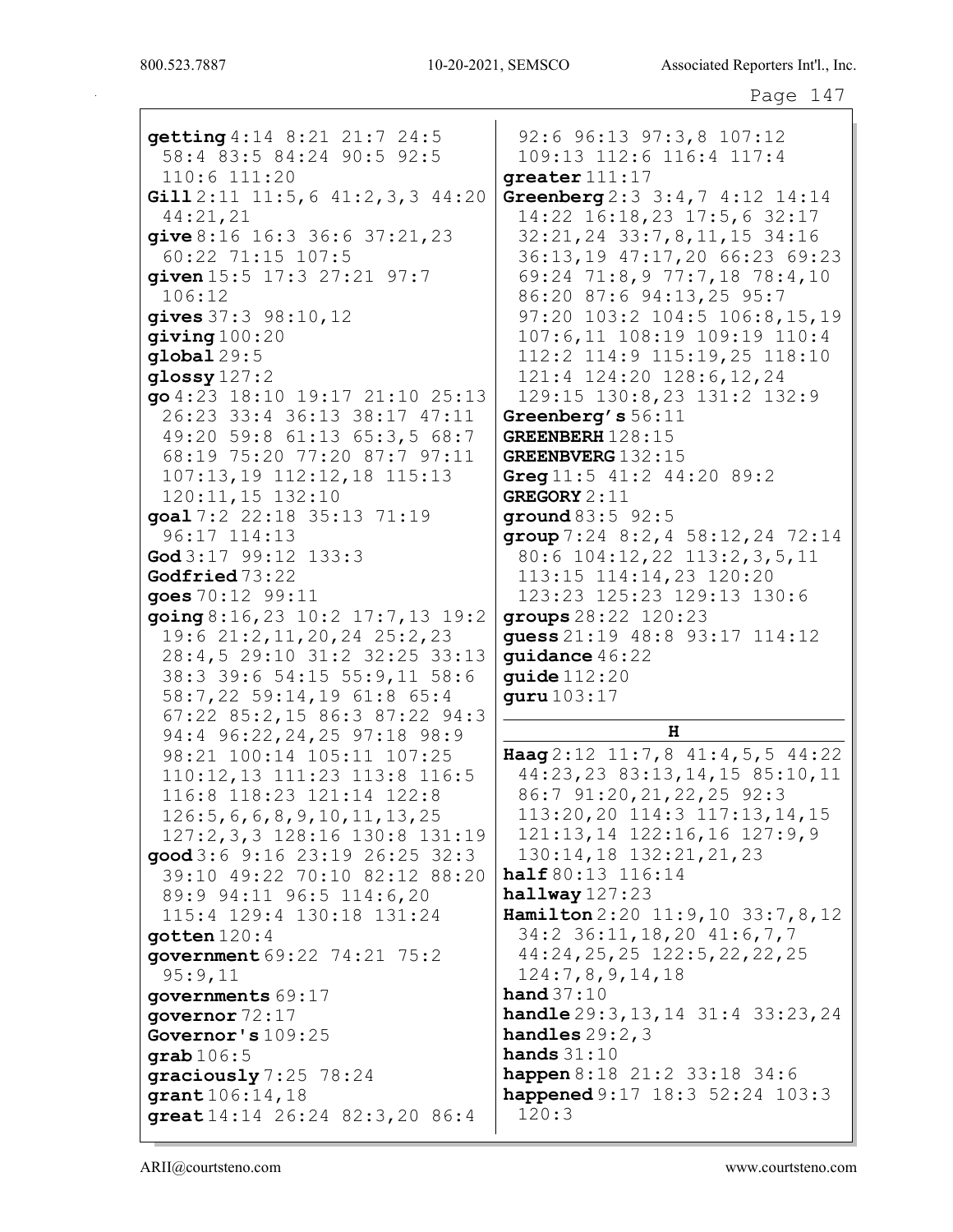| getting 4:14 8:21 21:7 24:5                                                                                                                                                                                                                                                                                                                                   | 92:6 96:13 97:3,8 107:12                                                                                                                                                                                                                                                                          |
|---------------------------------------------------------------------------------------------------------------------------------------------------------------------------------------------------------------------------------------------------------------------------------------------------------------------------------------------------------------|---------------------------------------------------------------------------------------------------------------------------------------------------------------------------------------------------------------------------------------------------------------------------------------------------|
| 58:4 83:5 84:24 90:5 92:5                                                                                                                                                                                                                                                                                                                                     | 109:13 112:6 116:4 117:4                                                                                                                                                                                                                                                                          |
| 110:6 111:20                                                                                                                                                                                                                                                                                                                                                  | greater 111:17                                                                                                                                                                                                                                                                                    |
| Gill $2:11$ $11:5,6$ $41:2,3,3$ $44:20$                                                                                                                                                                                                                                                                                                                       | Greenberg $2:3 \ 3:4,7 \ 4:12 \ 14:14$                                                                                                                                                                                                                                                            |
| 44:21,21                                                                                                                                                                                                                                                                                                                                                      | 14:22 16:18,23 17:5,6 32:17                                                                                                                                                                                                                                                                       |
| give 8:16 16:3 36:6 37:21, 23                                                                                                                                                                                                                                                                                                                                 | 32:21, 24 33:7, 8, 11, 15 34:16                                                                                                                                                                                                                                                                   |
| 60:22 71:15 107:5                                                                                                                                                                                                                                                                                                                                             | 36:13,19 47:17,20 66:23 69:23                                                                                                                                                                                                                                                                     |
| given 15:5 17:3 27:21 97:7                                                                                                                                                                                                                                                                                                                                    | 69:24 71:8,9 77:7,18 78:4,10                                                                                                                                                                                                                                                                      |
| 106:12                                                                                                                                                                                                                                                                                                                                                        | 86:20 87:6 94:13,25 95:7                                                                                                                                                                                                                                                                          |
| gives $37:3$ $98:10,12$                                                                                                                                                                                                                                                                                                                                       | 97:20 103:2 104:5 106:8,15,19                                                                                                                                                                                                                                                                     |
| giving 100:20                                                                                                                                                                                                                                                                                                                                                 | 107:6,11 108:19 109:19 110:4                                                                                                                                                                                                                                                                      |
| $q$ lobal $29:5$                                                                                                                                                                                                                                                                                                                                              | 112:2 114:9 115:19,25 118:10                                                                                                                                                                                                                                                                      |
| glossy $127:2$                                                                                                                                                                                                                                                                                                                                                | 121:4 124:20 128:6,12,24                                                                                                                                                                                                                                                                          |
| go 4:23 18:10 19:17 21:10 25:13                                                                                                                                                                                                                                                                                                                               | 129:15 130:8,23 131:2 132:9                                                                                                                                                                                                                                                                       |
| 26:23 33:4 36:13 38:17 47:11                                                                                                                                                                                                                                                                                                                                  | Greenberg's 56:11                                                                                                                                                                                                                                                                                 |
| 49:20 59:8 61:13 65:3,5 68:7                                                                                                                                                                                                                                                                                                                                  | GREENBERH 128:15                                                                                                                                                                                                                                                                                  |
| 68:19 75:20 77:20 87:7 97:11                                                                                                                                                                                                                                                                                                                                  | GREENBVERG 132:15                                                                                                                                                                                                                                                                                 |
| 107:13,19 112:12,18 115:13                                                                                                                                                                                                                                                                                                                                    | Greg $11:5$ $41:2$ $44:20$ $89:2$                                                                                                                                                                                                                                                                 |
| 120:11,15 132:10                                                                                                                                                                                                                                                                                                                                              | <b>GREGORY</b> 2:11                                                                                                                                                                                                                                                                               |
| goal 7:2 22:18 35:13 71:19                                                                                                                                                                                                                                                                                                                                    | ground $83:5$ 92:5                                                                                                                                                                                                                                                                                |
| 96:17 114:13                                                                                                                                                                                                                                                                                                                                                  | group $7:24$ 8:2, 4 58:12, 24 72:14                                                                                                                                                                                                                                                               |
| God $3:17$ 99:12 133:3                                                                                                                                                                                                                                                                                                                                        | 80:6 104:12, 22 113:2, 3, 5, 11                                                                                                                                                                                                                                                                   |
| Godfried 73:22                                                                                                                                                                                                                                                                                                                                                | 113:15 114:14,23 120:20                                                                                                                                                                                                                                                                           |
| goes 70:12 99:11                                                                                                                                                                                                                                                                                                                                              | 123:23 125:23 129:13 130:6                                                                                                                                                                                                                                                                        |
| $\frac{1}{9}$ and $8:16,23$ 10:2 17:7,13 19:2                                                                                                                                                                                                                                                                                                                 | groups 28:22 120:23                                                                                                                                                                                                                                                                               |
| 19:6 21:2, 11, 20, 24 25:2, 23                                                                                                                                                                                                                                                                                                                                | guess 21:19 48:8 93:17 114:12                                                                                                                                                                                                                                                                     |
| 28:4,5 29:10 31:2 32:25 33:13                                                                                                                                                                                                                                                                                                                                 | guidance 46:22                                                                                                                                                                                                                                                                                    |
| 38:3 39:6 54:15 55:9,11 58:6                                                                                                                                                                                                                                                                                                                                  | quide $112:20$                                                                                                                                                                                                                                                                                    |
| 58:7,22 59:14,19 61:8 65:4                                                                                                                                                                                                                                                                                                                                    | guru 103:17                                                                                                                                                                                                                                                                                       |
| 67:22 85:2,15 86:3 87:22 94:3<br>94:4 96:22, 24, 25 97:18 98:9<br>98:21 100:14 105:11 107:25<br>110:12,13 111:23 113:8 116:5<br>116:8 118:23 121:14 122:8<br>126:5, 6, 6, 8, 9, 10, 11, 13, 25<br>127:2, 3, 3 128:16 130:8 131:19<br>good 3:6 9:16 23:19 26:25 32:3<br>39:10 49:22 70:10 82:12 88:20<br>89:9 94:11 96:5 114:6,20<br>115:4 129:4 130:18 131:24 | H<br>Haag 2:12 11:7,8 41:4,5,5 44:22<br>44:23, 23 83:13, 14, 15 85:10, 11<br>86:7 91:20, 21, 22, 25 92:3<br>$113:20, 20$ $114:3$ $117:13, 14, 15$<br>$121:13, 14$ $122:16, 16$ $127:9, 9$<br>130:14,18 132:21,21,23<br>half 80:13 116:14<br>$halfway$ 127:23<br>Hamilton $2:20$ 11:9,10 33:7,8,12 |
| gotten $120:4$                                                                                                                                                                                                                                                                                                                                                | 34:2 36:11, 18, 20 41:6, 7, 7                                                                                                                                                                                                                                                                     |
| government 69:22 74:21 75:2                                                                                                                                                                                                                                                                                                                                   | 44:24,25,25 122:5,22,22,25                                                                                                                                                                                                                                                                        |
| 95:9,11                                                                                                                                                                                                                                                                                                                                                       | 124:7,8,9,14,18                                                                                                                                                                                                                                                                                   |
| governments 69:17                                                                                                                                                                                                                                                                                                                                             | hand $37:10$                                                                                                                                                                                                                                                                                      |
| qovernor $72:17$                                                                                                                                                                                                                                                                                                                                              | <b>handle</b> $29:3, 13, 14$ $31:4$ $33:23, 24$                                                                                                                                                                                                                                                   |
| Governor's 109:25                                                                                                                                                                                                                                                                                                                                             | handles $29:2,3$                                                                                                                                                                                                                                                                                  |
| $graph 106:5$                                                                                                                                                                                                                                                                                                                                                 | hands $31:10$                                                                                                                                                                                                                                                                                     |
| graciously 7:25 78:24                                                                                                                                                                                                                                                                                                                                         | happen 8:18 21:2 33:18 34:6                                                                                                                                                                                                                                                                       |
| grant 106:14, 18                                                                                                                                                                                                                                                                                                                                              | happened 9:17 18:3 52:24 103:3                                                                                                                                                                                                                                                                    |
| great $14:14$ $26:24$ $82:3,20$ $86:4$                                                                                                                                                                                                                                                                                                                        | 120:3                                                                                                                                                                                                                                                                                             |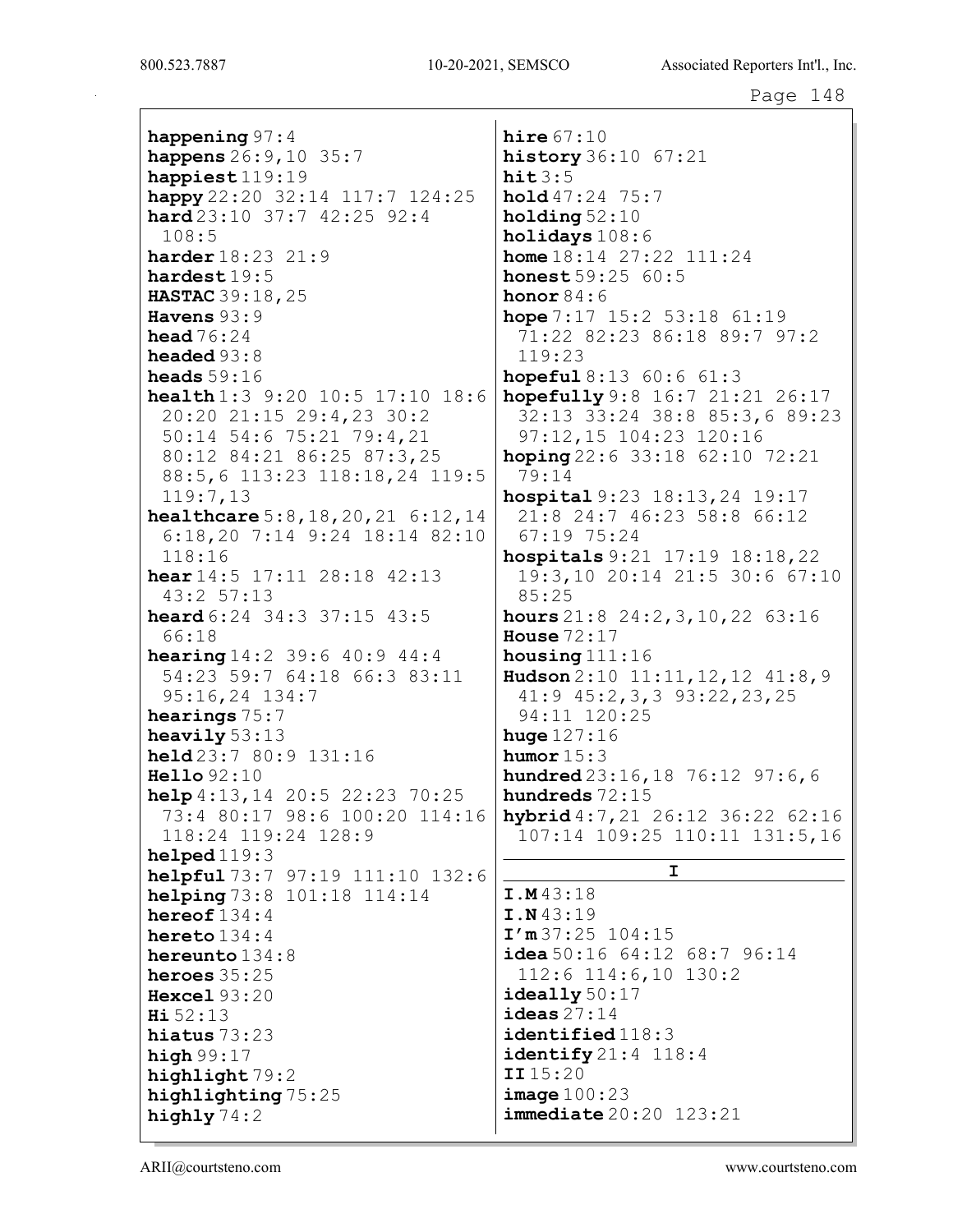800.523.7887

happening  $97:4$ happens  $26:9, 10$  35:7 happiest  $119:19$ happy  $22:20$   $32:14$   $117:7$   $124:25$ **hard**  $23:10$   $37:7$   $42:25$   $92:4$  $108:5$ harder 18:23 21:9  $\texttt{hards19:5}$ HASTAC 39:18, 25 Havens  $93:9$ head  $76:24$ headed  $93:8$ heads  $59:16$ health 1:3 9:20 10:5 17:10 18:6 20:20 21:15 29:4,23 30:2 50:14 54:6 75:21 79:4,21 80:12 84:21 86:25 87:3,25 88:5,6 113:23 118:18,24 119:5  $119:7,13$ healthcare  $5:8,18,20,21$   $6:12,14$  $6:18,20$  7:14 9:24 18:14 82:10  $118:16$ hear  $14:5$  17:11 28:18 42:13  $43:2$  57:13 **heard**  $6:24$   $34:3$   $37:15$   $43:5$ 66:18 **hearing**  $14:2$  39:6  $40:9$  44:4 54:23 59:7 64:18 66:3 83:11  $95:16,24$  134:7 hearings  $75:7$ heavily  $53:13$ held 23:7 80:9 131:16  $He11o92:10$ help  $4:13,14$  20:5 22:23 70:25 73:4 80:17 98:6 100:20 114:16 118:24 119:24 128:9  $helped119:3$ helpful 73:7 97:19 111:10 132:6 helping 73:8 101:18 114:14 hereof  $134:4$ hereto  $134:4$ hereunto  $134:8$ heroes  $35:25$ Hexcel  $93:20$  $H_1 52:13$ hiatus  $73:23$ high  $99:17$ highlight 79:2 highlighting 75:25 highly  $74:2$ 

hire  $67:10$ **history**  $36:10$   $67:21$  $hit3:5$ hold 47:24 75:7 holding  $52:10$ holidays  $108:6$ **home**  $18:14$  27:22  $111:24$ **honest**  $59:25$   $60:5$ honor  $84:6$ hope  $7:17$  15:2 53:18 61:19 71:22 82:23 86:18 89:7 97:2  $119:23$ **hopeful**  $8:13$   $60:6$   $61:3$ hopefully  $9:8$  16:7 21:21 26:17 32:13 33:24 38:8 85:3,6 89:23 97:12,15 104:23 120:16 hoping  $22:6$   $33:18$   $62:10$   $72:21$  $79:14$ hospital 9:23 18:13, 24 19:17 21:8 24:7 46:23 58:8 66:12  $67:1975:24$ hospitals 9:21 17:19 18:18, 22 19:3,10 20:14 21:5 30:6 67:10  $85:25$ hours  $21:8$   $24:2,3,10,22$   $63:16$ House  $72:17$ housing  $111:16$ Hudson 2:10 11:11, 12, 12 41:8, 9  $41:9$   $45:2,3,3$   $93:22,23,25$ 94:11 120:25 huge  $127:16$ humor  $15:3$ **hundred**  $23:16, 18$  76:12 97:6,6 hundreds 72:15 hybrid  $4:7,21$   $26:12$   $36:22$   $62:16$ 107:14 109:25 110:11 131:5,16  $\mathbf{I}$  $I.M43:18$  $I.N43:19$  $I'm37:25 104:15$ idea 50:16  $64:12$   $68:7$  96:14  $112:6$   $114:6$ , 10  $130:2$  $i$ deally  $50:17$ ideas  $27:14$ identified 118:3  $identity 21:4 118:4$  $II15:20$  $image 100:23$  $immediate$   $20:20$   $123:21$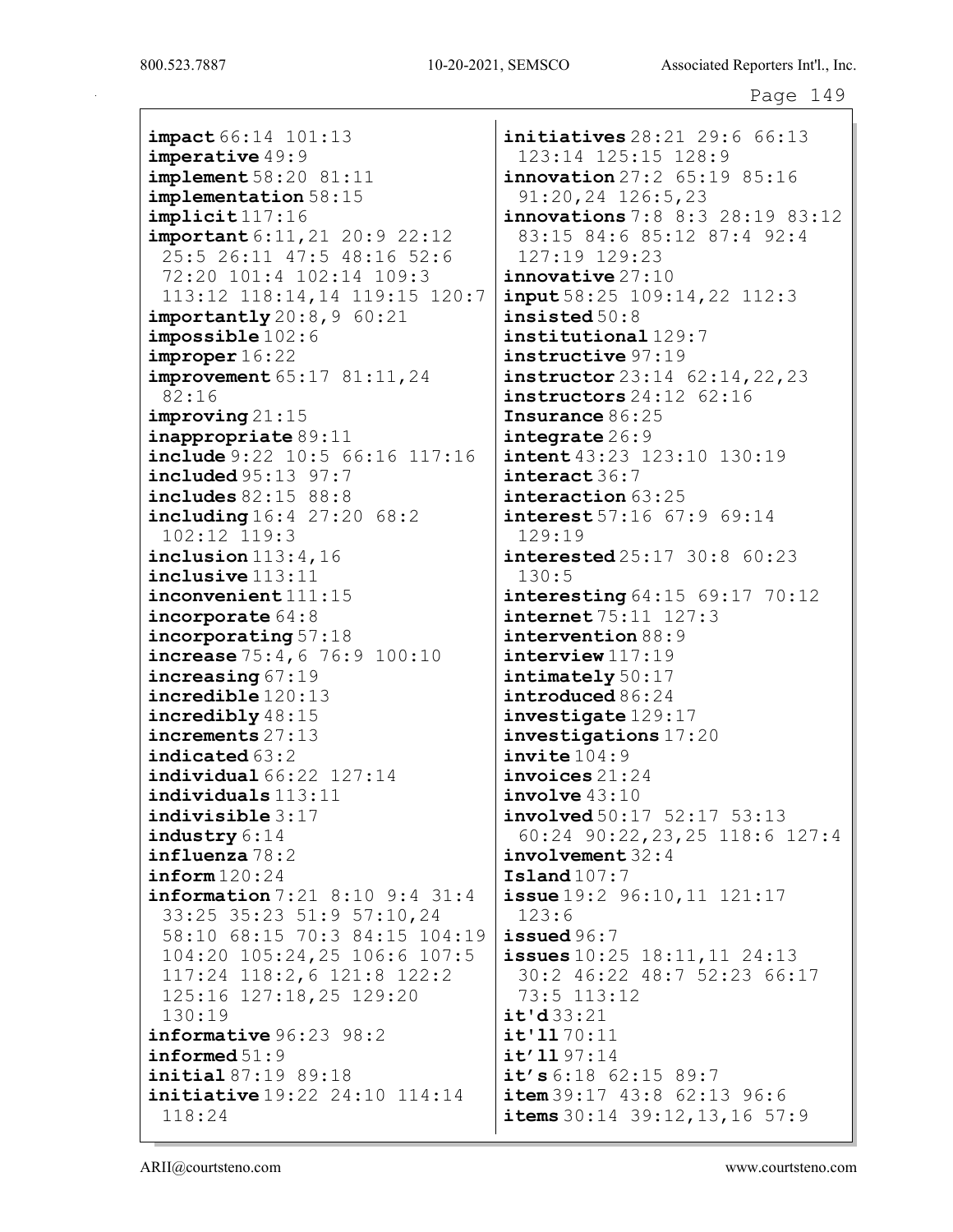impact 66:14 101:13 imperative 49:9 implement 58:20 81:11 implementation 58:15 implicit 117:16 important 6:11,21 20:9 22:12 25:5 26:11 47:5 48:16 52:6 72:20 101:4 102:14 109:3 113:12 118:14,14 119:15 120:7  $importantly 20:8,9 60:21$ impossible 102:6 improper 16:22 improvement 65:17 81:11,24 82:16 improving 21:15 inappropriate 89:11 include 9:22 10:5 66:16 117:16 included 95:13 97:7 includes 82:15 88:8 including 16:4 27:20 68:2 102:12 119:3 inclusion  $113:4,16$ inclusive 113:11 inconvenient 111:15 incorporate 64:8 incorporating 57:18 increase 75:4,6 76:9 100:10 increasing 67:19 incredible 120:13 incredibly 48:15 increments 27:13 indicated 63:2 individual 66:22 127:14 individuals 113:11 indivisible 3:17 industry 6:14 influenza 78:2 inform 120:24 information 7:21 8:10 9:4 31:4 33:25 35:23 51:9 57:10,24 58:10 68:15 70:3 84:15 104:19 104:20 105:24,25 106:6 107:5 117:24 118:2,6 121:8 122:2 125:16 127:18,25 129:20 130:19 informative 96:23 98:2 informed 51:9 initial 87:19 89:18 initiative 19:22 24:10 114:14 118:24

**initiatives** 28:21 29:6 66:13 123:14 125:15 128:9 innovation 27:2 65:19 85:16 91:20,24 126:5,23 innovations 7:8 8:3 28:19 83:12 83:15 84:6 85:12 87:4 92:4 127:19 129:23 innovative 27:10 input 58:25 109:14,22 112:3 insisted 50:8 institutional 129:7 instructive 97:19 instructor 23:14 62:14,22,23 instructors 24:12 62:16 Insurance 86:25 integrate 26:9 **intent** 43:23 123:10 130:19 interact 36:7 interaction 63:25  $interest 57:16 67:9 69:14$ 129:19 interested 25:17 30:8 60:23 130:5 interesting 64:15 69:17 70:12 internet 75:11 127:3 intervention 88:9 interview  $117:19$ intimately 50:17 introduced 86:24 investigate 129:17 investigations 17:20 invite  $104:9$ invoices 21:24  $involve 43:10$ involved 50:17 52:17 53:13 60:24 90:22,23,25 118:6 127:4 involvement 32:4 Island 107:7 issue 19:2 96:10,11 121:17 123:6 issued 96:7 **issues** 10:25 18:11, 11 24:13 30:2 46:22 48:7 52:23 66:17 73:5 113:12  $i$ t'd 33:21  $i$ t'1170:11 it'll 97:14 it's  $6:18$   $62:15$   $89:7$  $item 39:17 43:8 62:13 96:6$ items 30:14 39:12, 13, 16 57:9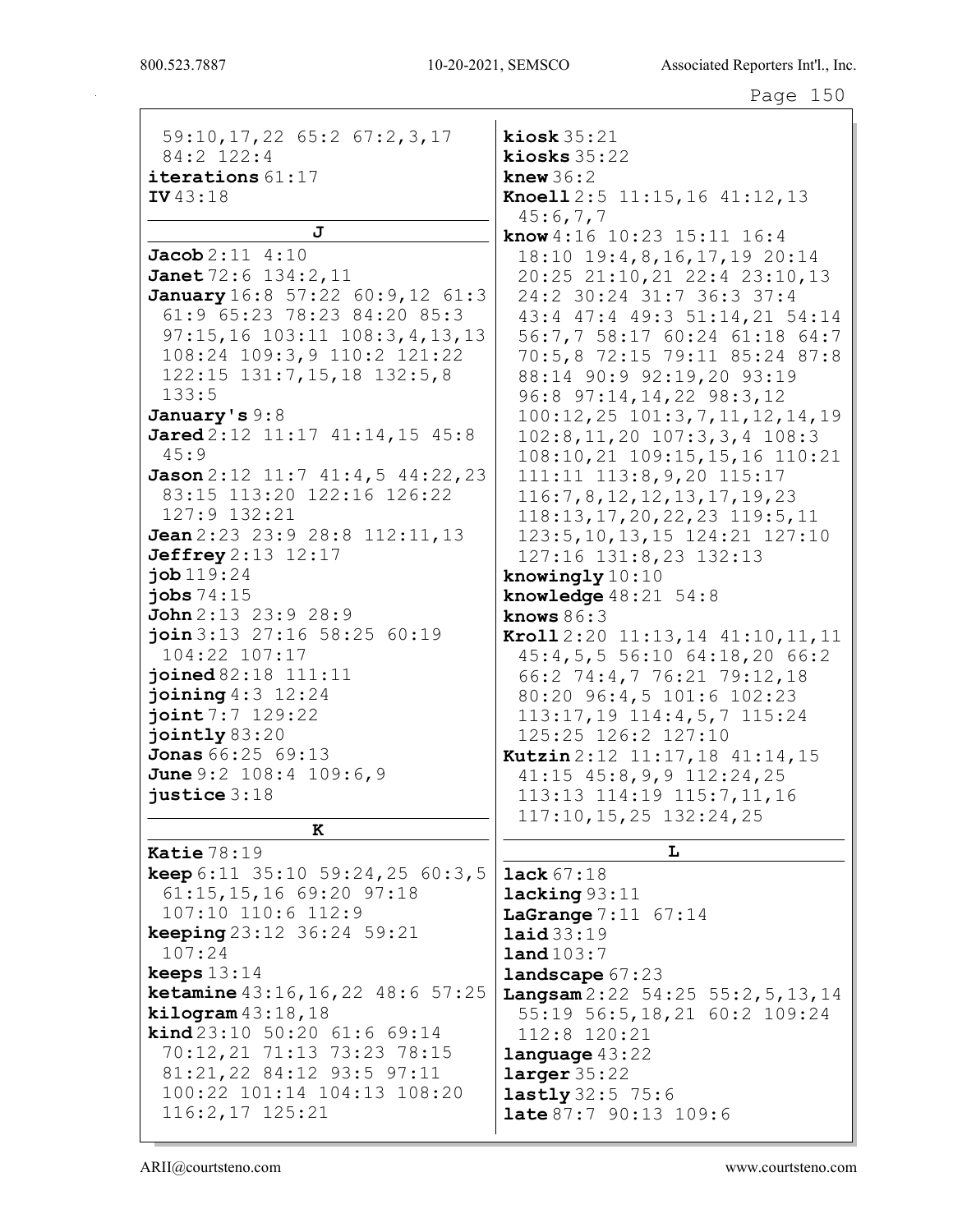٦

| 59:10, 17, 22 65:2 67:2, 3, 17                                            | kiosk $35:21$                              |
|---------------------------------------------------------------------------|--------------------------------------------|
| 84:2 122:4                                                                | kiosks $35:22$                             |
| iterations $61:17$                                                        | knew $36:2$                                |
| IV 43:18                                                                  | Knoell 2:5 11:15, 16 41:12, 13<br>45:6,7,7 |
| J                                                                         | know 4:16 10:23 15:11 16:4                 |
| $Jacob2:11$ 4:10                                                          | 18:10 19:4,8,16,17,19 20:14                |
| Janet 72:6 134:2, 11                                                      | 20:25 21:10,21 22:4 23:10,13               |
| January 16:8 57:22 60:9,12 61:3                                           | 24:2 30:24 31:7 36:3 37:4                  |
| 61:9 65:23 78:23 84:20 85:3                                               | 43:4 47:4 49:3 51:14,21 54:14              |
| 97:15,16 103:11 108:3,4,13,13                                             | 56:7,7 58:17 60:24 61:18 64:7              |
| 108:24 109:3, 9 110:2 121:22                                              | 70:5,8 72:15 79:11 85:24 87:8              |
| $122:15$ $131:7,15,18$ $132:5,8$                                          | 88:14 90:9 92:19,20 93:19                  |
| 133:5                                                                     | 96:8 97:14, 14, 22 98:3, 12                |
| January's 9:8                                                             | 100:12, 25 101:3, 7, 11, 12, 14, 19        |
| Jared 2:12 11:17 41:14,15 45:8                                            | $102:8, 11, 20$ $107:3, 3, 4$ $108:3$      |
| 45:9                                                                      | 108:10, 21 109:15, 15, 16 110:21           |
| Jason 2:12 11:7 41:4,5 44:22,23                                           | 111:11 113:8, 9, 20 115:17                 |
| 83:15 113:20 122:16 126:22                                                | 116:7,8,12,12,13,17,19,23                  |
| 127:9 132:21                                                              | $118:13, 17, 20, 22, 23$ 119:5, 11         |
| Jean 2:23 23:9 28:8 112:11, 13                                            | 123:5, 10, 13, 15 124: 21 127: 10          |
| <b>Jeffrey</b> 2:13 12:17                                                 | 127:16 131:8,23 132:13                     |
| job 119:24                                                                | knowingly 10:10                            |
| jobs $74:15$                                                              | knowledge $48:21$ 54:8                     |
| John 2:13 23:9 28:9                                                       | knows $86:3$                               |
| join 3:13 27:16 58:25 60:19                                               | Kroll 2:20 11:13, 14 41:10, 11, 11         |
| 104:22 107:17                                                             | 45:4,5,5 56:10 64:18,20 66:2               |
| joined 82:18 111:11                                                       | 66:2 74:4,7 76:21 79:12,18                 |
| joining $4:3$ $12:24$                                                     | 80:20 96:4,5 101:6 102:23                  |
| joint 7:7 129:22                                                          | 113:17,19 114:4,5,7 115:24                 |
| jointly 83:20                                                             | 125:25 126:2 127:10                        |
| Jonas 66:25 69:13                                                         | Kutzin 2:12 11:17, 18 41:14, 15            |
| June 9:2 108:4 109:6,9                                                    | $41:15$ $45:8,9,9$ $112:24,25$             |
| justice $3:18$                                                            | 113:13 114:19 115:7,11,16                  |
|                                                                           |                                            |
|                                                                           | $117:10, 15, 25$ $132:24, 25$              |
| к                                                                         |                                            |
| Katie $78:19$                                                             | L                                          |
| <b>keep</b> $6:11$ $35:10$ $59:24$ , $25$ $60:3$ , 5                      | <b>lack</b> $67:18$                        |
| $61:15, 15, 16$ 69:20 97:18                                               | lacking 93:11                              |
| 107:10 110:6 112:9                                                        | <b>LaGrange</b> $7:11$ 67:14               |
|                                                                           | laid33:19                                  |
| 107:24                                                                    | land 103:7                                 |
| keeps $13:14$                                                             | landscape 67:23                            |
| keeping 23:12 36:24 59:21<br><b>ketamine</b> $43:16, 16, 22$ $48:6$ 57:25 | Langsam $2:22$ 54:25 55:2, 5, 13, 14       |
| $\texttt{kilogram}$ 43:18,18<br><b>kind</b> $23:10$ 50:20 61:6 69:14      | 55:19 56:5,18,21 60:2 109:24               |
| 70:12,21 71:13 73:23 78:15                                                | 112:8 120:21                               |
| 81:21,22 84:12 93:5 97:11                                                 | language 43:22<br>larger 35:22             |
| 100:22 101:14 104:13 108:20                                               |                                            |
| 116:2,17 125:21                                                           | lastly 32:5 75:6<br>late 87:7 90:13 109:6  |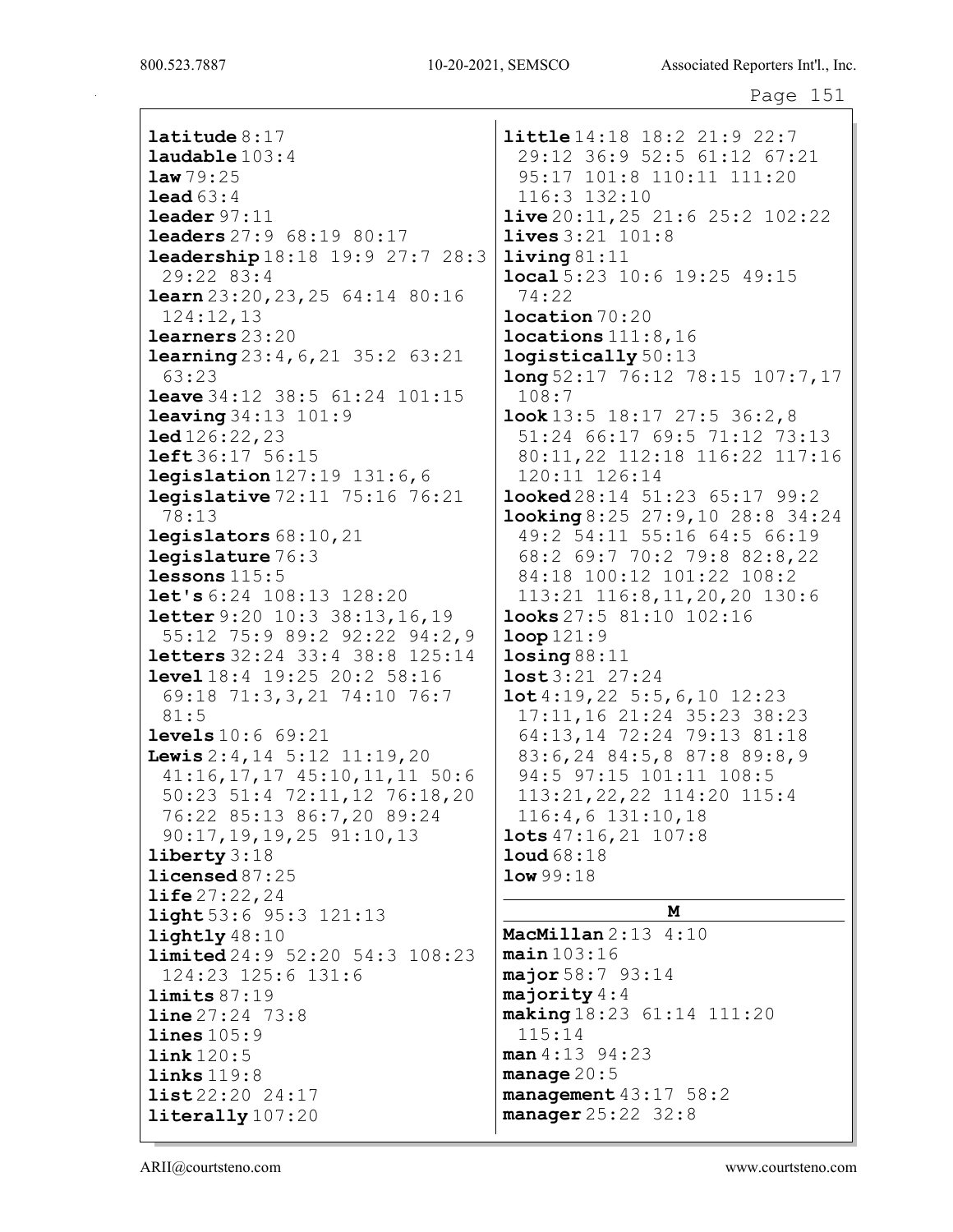latitude 8:17 laudable 103:4 law 79:25 lead 63:4 leader 97:11 leaders 27:9 68:19 80:17 leadership 18:18 19:9 27:7 28:3 29:22 83:4 learn 23:20,23,25 64:14 80:16 124:12,13 learners 23:20 learning 23:4,6,21 35:2 63:21 63:23 leave 34:12 38:5 61:24 101:15 leaving 34:13 101:9 led 126:22,23 left 36:17 56:15 legislation 127:19 131:6,6 legislative 72:11 75:16 76:21 78:13 legislators 68:10,21 legislature 76:3 lessons 115:5 let's 6:24 108:13 128:20 letter 9:20 10:3 38:13,16,19 55:12 75:9 89:2 92:22 94:2,9 letters 32:24 33:4 38:8 125:14 level 18:4 19:25 20:2 58:16 69:18 71:3,3,21 74:10 76:7 81:5 levels 10:6 69:21 Lewis 2:4, 14 5:12 11:19, 20 41:16,17,17 45:10,11,11 50:6 50:23 51:4 72:11,12 76:18,20 76:22 85:13 86:7,20 89:24 90:17,19,19,25 91:10,13 liberty 3:18 licensed 87:25 life 27:22,24 light 53:6 95:3 121:13 lightly 48:10 limited 24:9 52:20 54:3 108:23 124:23 125:6 131:6 limits 87:19 line 27:24 73:8 lines  $105:9$  $link 120:5$ links 119:8 list 22:20 24:17 literally 107:20 little 14:18 18:2 21:9 22:7 74:22 108:7 low 99:18 115:14

29:12 36:9 52:5 61:12 67:21 95:17 101:8 110:11 111:20 116:3 132:10 live 20:11,25 21:6 25:2 102:22 lives 3:21 101:8 living 81:11 local 5:23 10:6 19:25 49:15 location 70:20 locations 111:8,16 logistically 50:13 long 52:17 76:12 78:15 107:7,17 look 13:5 18:17 27:5 36:2,8 51:24 66:17 69:5 71:12 73:13 80:11,22 112:18 116:22 117:16 120:11 126:14 looked 28:14 51:23 65:17 99:2 looking 8:25 27:9,10 28:8 34:24 49:2 54:11 55:16 64:5 66:19 68:2 69:7 70:2 79:8 82:8,22 84:18 100:12 101:22 108:2 113:21 116:8,11,20,20 130:6 looks 27:5 81:10 102:16 loop 121:9  $\texttt{losing }88:11$ lost 3:21 27:24 lot 4:19,22 5:5,6,10 12:23 17:11,16 21:24 35:23 38:23 64:13,14 72:24 79:13 81:18 83:6,24 84:5,8 87:8 89:8,9 94:5 97:15 101:11 108:5 113:21,22,22 114:20 115:4 116:4,6 131:10,18 lots 47:16,21 107:8 loud 68:18

## M

MacMillan 2:13 4:10  $main$  103:16 major 58:7 93:14 majority 4:4 making 18:23 61:14 111:20 man 4:13 94:23 manage 20:5 management 43:17 58:2 manager 25:22 32:8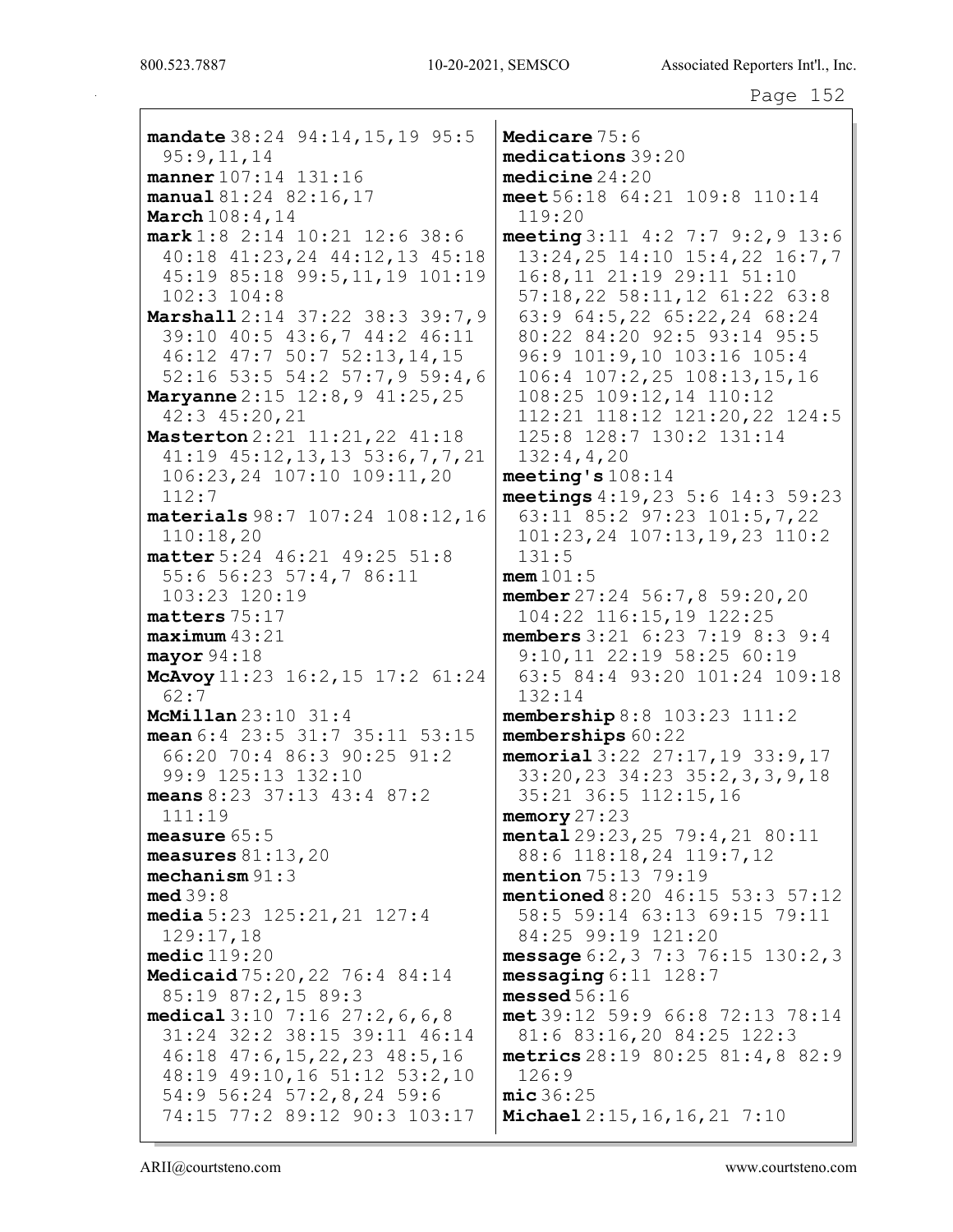mandate 38:24 94:14, 15, 19 95:5 Medicare 75:6 medications 39:20  $95:9,11,14$ manner 107:14 131:16  $$ meet 56:18 64:21 109:8 110:14 manual 81:24 82:16,17 **March** 108:4, 14  $119:20$ meeting 3:11 4:2 7:7 9:2, 9 13:6  $mark 1:8$  2:14 10:21 12:6 38:6 40:18 41:23, 24 44:12, 13 45:18 13:24,25 14:10 15:4,22 16:7,7 45:19 85:18 99:5,11,19 101:19 16:8,11 21:19 29:11 51:10  $102:3$   $104:8$ 57:18,22 58:11,12 61:22 63:8 Marshall 2:14 37:22 38:3 39:7,9 63:9 64:5,22 65:22,24 68:24 39:10 40:5 43:6,7 44:2 46:11 80:22 84:20 92:5 93:14 95:5 96:9 101:9,10 103:16 105:4 46:12 47:7 50:7 52:13,14,15 52:16 53:5 54:2 57:7,9 59:4,6 106:4 107:2,25 108:13,15,16 **Maryanne**  $2:15$   $12:8,9$   $41:25,25$ 108:25 109:12,14 110:12 42:3 45:20,21 112:21 118:12 121:20,22 124:5 Masterton 2:21 11:21, 22 41:18 125:8 128:7 130:2 131:14  $41:19$   $45:12$ ,  $13$ ,  $13$   $53:6$ ,  $7$ ,  $7$ ,  $21$  $132:4,4,20$  $meeting's 108:14$  $106:23, 24$   $107:10$   $109:11, 20$  $112:7$ meetings  $4:19,23\ 5:6\ 14:3\ 59:23$ 63:11 85:2 97:23 101:5,7,22 materials 98:7 107:24 108:12,16  $110:18,20$  $101:23, 24$   $107:13, 19, 23$   $110:2$ matter 5:24 46:21 49:25 51:8  $131:5$ 55:6 56:23 57:4,7 86:11  $mem 101:5$ 103:23 120:19 member  $27:24$  56:7,8 59:20,20 104:22 116:15,19 122:25  $matters 75:17$  $maximum 43:21$ members  $3:21$   $6:23$   $7:19$   $8:3$   $9:4$ 9:10,11 22:19 58:25 60:19  $mayor 94:18$ McAvoy 11:23 16:2, 15 17:2 61:24 63:5 84:4 93:20 101:24 109:18  $62:7$  $132:14$ **McMillan**  $23:10$   $31:4$ membership  $8:8$  103:23 111:2 mean 6:4 23:5 31:7 35:11 53:15 memberships 60:22 66:20 70:4 86:3 90:25 91:2 memorial  $3:22$   $27:17,19$   $33:9,17$ 99:9 125:13 132:10 33:20,23 34:23 35:2,3,3,9,18 means  $8:23$  37:13 43:4 87:2 35:21 36:5 112:15,16  $111:19$ memory  $27:23$ measure  $65:5$ mental 29:23, 25 79:4, 21 80:11 measures  $81:13,20$ 88:6 118:18,24 119:7,12  $mechanism 91:3$ **mention** 75:13 79:19  $med39:8$ mentioned 8:20 46:15 53:3 57:12 media  $5:23$   $125:21,21$   $127:4$ 58:5 59:14 63:13 69:15 79:11  $129:17.18$ 84:25 99:19 121:20  $\texttt{medic}$  $119:20$ message  $6:2,3$  7:3 76:15 130:2,3 Medicaid 75:20, 22 76:4 84:14  $messaging 6:11 128:7$ 85:19 87:2,15 89:3 messed  $56:16$ met 39:12 59:9 66:8 72:13 78:14 medical  $3:10$  7:16  $27:2,6,6,8$ 31:24 32:2 38:15 39:11 46:14 81:6 83:16,20 84:25 122:3  $46:18$   $47:6$ ,  $15$ ,  $22$ ,  $23$   $48:5$ ,  $16$ metrics  $28:19$   $80:25$   $81:4,8$   $82:9$ 48:19 49:10,16 51:12 53:2,10  $126:9$ 54:9 56:24 57:2,8,24 59:6  $mic36:25$ 74:15 77:2 89:12 90:3 103:17 Michael 2:15, 16, 16, 21 7:10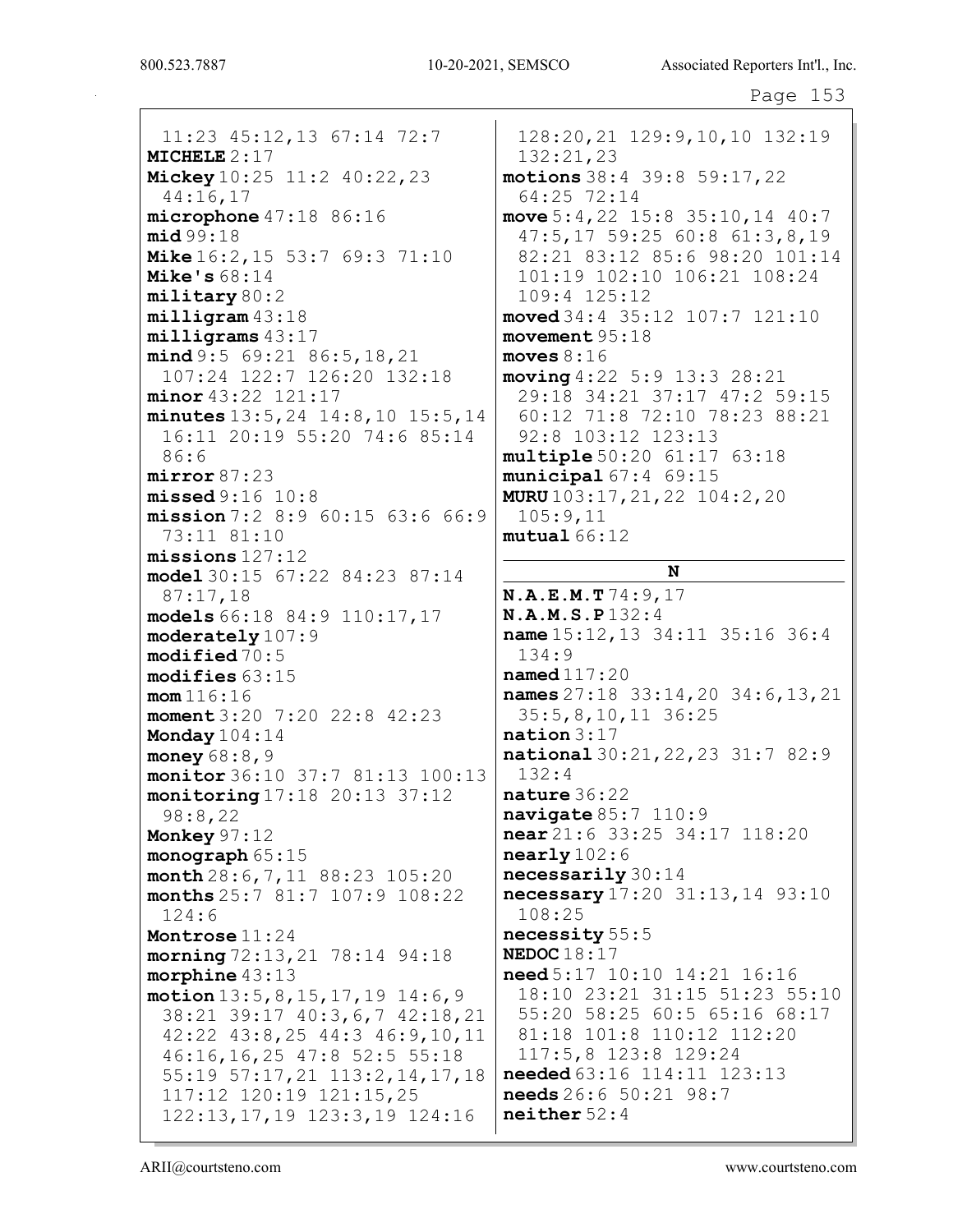11:23 45:12,13 67:14 72:7 MICHELE 2:17 **Mickey** 10:25 11:2 40:22, 23 44:16,17 microphone 47:18 86:16 mid 99:18 Mike 16:2,15 53:7 69:3 71:10 Mike's  $68:14$ military 80:2 milligram 43:18 milligrams 43:17 mind 9:5 69:21 86:5, 18, 21 107:24 122:7 126:20 132:18 minor 43:22 121:17 minutes 13:5,24 14:8,10 15:5,14 16:11 20:19 55:20 74:6 85:14 86:6 mirror 87:23 missed 9:16 10:8 mission 7:2 8:9 60:15 63:6 66:9 73:11 81:10 missions 127:12 model 30:15 67:22 84:23 87:14 87:17,18 models 66:18 84:9 110:17,17 moderately 107:9 modified 70:5 modifies 63:15 mom 116:16 moment 3:20 7:20 22:8 42:23 Monday 104:14 money 68:8,9 monitor 36:10 37:7 81:13 100:13 monitoring 17:18 20:13 37:12 98:8,22 Monkey 97:12 monograph 65:15 month 28:6,7,11 88:23 105:20 months 25:7 81:7 107:9 108:22 124:6 Montrose 11:24 morning 72:13,21 78:14 94:18 morphine 43:13 motion 13:5,8,15,17,19 14:6,9 38:21 39:17 40:3,6,7 42:18,21 42:22 43:8,25 44:3 46:9,10,11 46:16,16,25 47:8 52:5 55:18 55:19 57:17,21 113:2,14,17,18 117:12 120:19 121:15,25 122:13,17,19 123:3,19 124:16

128:20,21 129:9,10,10 132:19 132:21,23 motions 38:4 39:8 59:17,22 64:25 72:14 move 5:4,22 15:8 35:10,14 40:7 47:5,17 59:25 60:8 61:3,8,19 82:21 83:12 85:6 98:20 101:14 101:19 102:10 106:21 108:24 109:4 125:12 moved 34:4 35:12 107:7 121:10 movement 95:18 moves  $8:16$ moving 4:22 5:9 13:3 28:21 29:18 34:21 37:17 47:2 59:15 60:12 71:8 72:10 78:23 88:21 92:8 103:12 123:13 multiple 50:20 61:17 63:18 municipal 67:4 69:15 MURU 103:17,21,22 104:2,20 105:9,11  $mutual 66:12$ 

## N

N.A.E.M.T 74:9,17 N.A.M.S.P 132:4 name 15:12,13 34:11 35:16 36:4 134:9 named 117:20 names 27:18 33:14,20 34:6,13,21 35:5,8,10,11 36:25 nation 3:17 national 30:21,22,23 31:7 82:9 132:4 nature 36:22 navigate 85:7 110:9 near 21:6 33:25 34:17 118:20 nearly 102:6 necessarily 30:14 necessary 17:20 31:13,14 93:10 108:25 necessity 55:5 NEDOC 18:17 need 5:17 10:10 14:21 16:16 18:10 23:21 31:15 51:23 55:10 55:20 58:25 60:5 65:16 68:17 81:18 101:8 110:12 112:20 117:5,8 123:8 129:24 needed 63:16 114:11 123:13 needs 26:6 50:21 98:7 neither 52:4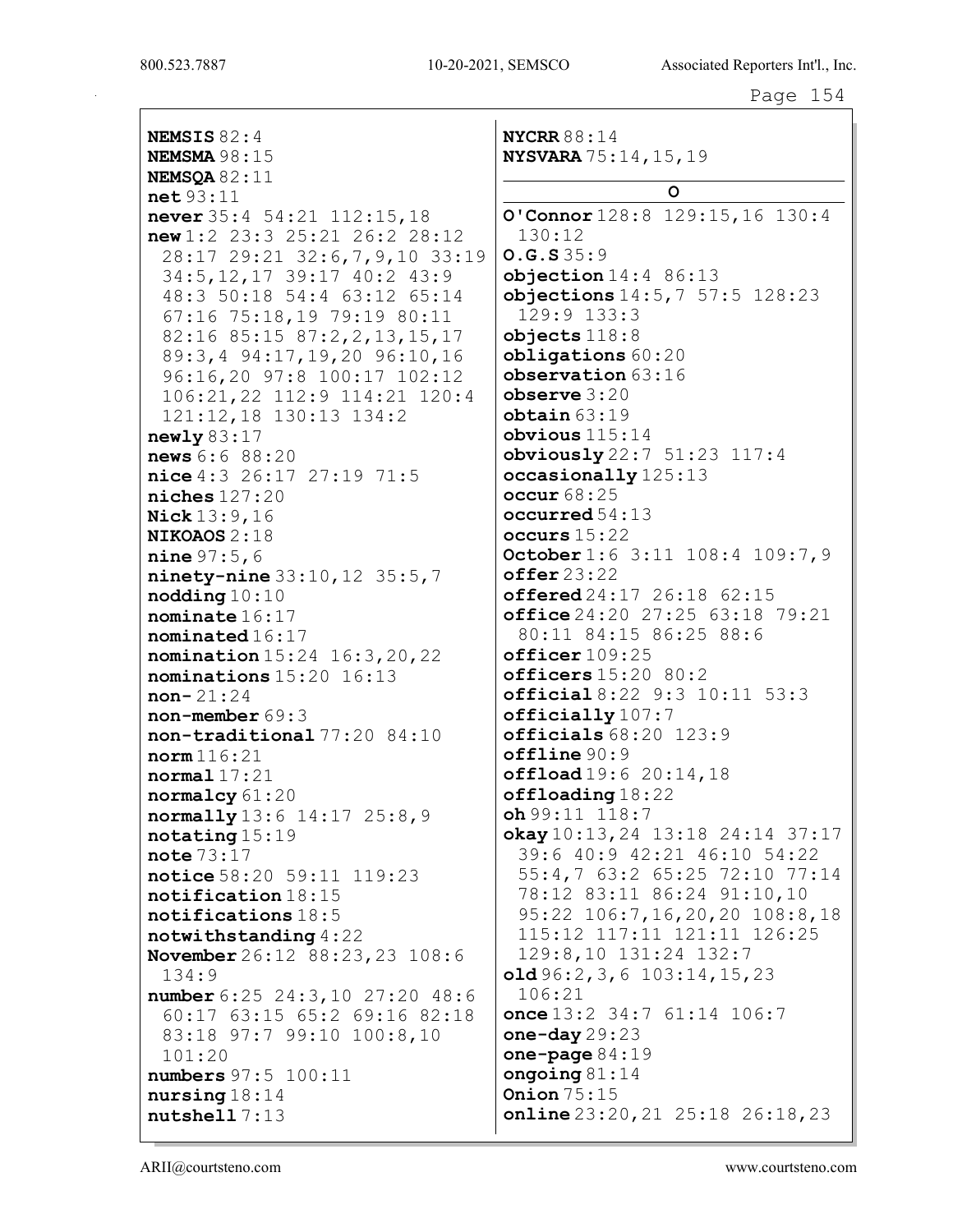NYCRR $88:14$ **NEMSIS 82:4 NEMSMA 98:15 NYSVARA** 75:14, 15, 19 NEMSOA  $82:11$  $\circ$  $net 93:11$ O'Connor  $128:8$   $129:15$ ,  $16$   $130:4$ never  $35:4$   $54:21$   $112:15$ , 18  $new1:2$  23:3 25:21 26:2 28:12  $130:12$  $0.G.S35:9$ 28:17 29:21 32:6, 7, 9, 10 33:19 34:5, 12, 17 39:17 40:2 43:9  $objection 14:4 86:13$ objections  $14:5, 7, 57:5, 128:23$ 48:3 50:18 54:4 63:12 65:14 129:9 133:3 67:16 75:18,19 79:19 80:11  $objects118:8$ 82:16 85:15 87:2, 2, 13, 15, 17 obligations 60:20 89:3,4 94:17,19,20 96:10,16 96:16,20 97:8 100:17 102:12  $$ 106:21,22 112:9 114:21 120:4  $$  $obtain 63:19$ 121:12,18 130:13 134:2  $obvious$   $115:14$  $newly 83:17$ obviously 22:7 51:23 117:4  $news 6:6 88:20$  $nice 4:3 26:17 27:19 71:5$ occasionally 125:13  $niches 127:20$  $occur68:25$ occurred  $54:13$ **Nick**  $13:9.16$ occurs  $15:22$ **NIKOAOS 2:18** October 1:6 3:11 108:4 109:7,9 **nine**  $97:5,6$  $offer<sub>23:22</sub>$ ninety-nine  $33:10, 12$   $35:5, 7$ offered  $24:17$   $26:18$   $62:15$  $\text{nodding}\,10:10$ office 24:20 27:25 63:18 79:21 nominate  $16:17$ nominated 16:17 80:11 84:15 86:25 88:6  $officer109:25$ nomination 15:24 16:3, 20, 22 officers  $15:20$  80:2 nominations 15:20 16:13 official 8:22 9:3 10:11 53:3  $non-21:24$  $officially107:7$  $non-member 69:3$ non-traditional 77:20 84:10  $officials 68:20 123:9$  $offline 90:9$  $norm 116:21$  $offload19:620:14,18$  $normal 17:21$  $offloading18:22$ normalcy 61:20  $oh99:11$   $118:7$ normally 13:6 14:17 25:8,9 okay  $10:13, 24$  13:18 24:14 37:17  $notating 15:19$ 39:6 40:9 42:21 46:10 54:22 note  $73:17$ notice 58:20 59:11 119:23 55:4,7 63:2 65:25 72:10 77:14 78:12 83:11 86:24 91:10,10 notification 18:15 notifications 18:5 95:22 106:7,16,20,20 108:8,18 115:12 117:11 121:11 126:25 notwithstanding  $4:22$ 129:8,10 131:24 132:7 **November** 26:12 88:23, 23 108:6  $old96:2,3,6103:14,15,23$  $134:9$  $106:21$ number 6:25 24:3,10 27:20 48:6 60:17 63:15 65:2 69:16 82:18 once  $13:2$   $34:7$   $61:14$   $106:7$ one-day  $29:23$ 83:18 97:7 99:10 100:8,10 one-page  $84:19$  $101:20$ ongoing  $81:14$ numbers 97:5 100:11 Onion  $75:15$  $nursing 18:14$  $online 23:20, 21 25:18 26:18, 23$  $nutshell$  7:13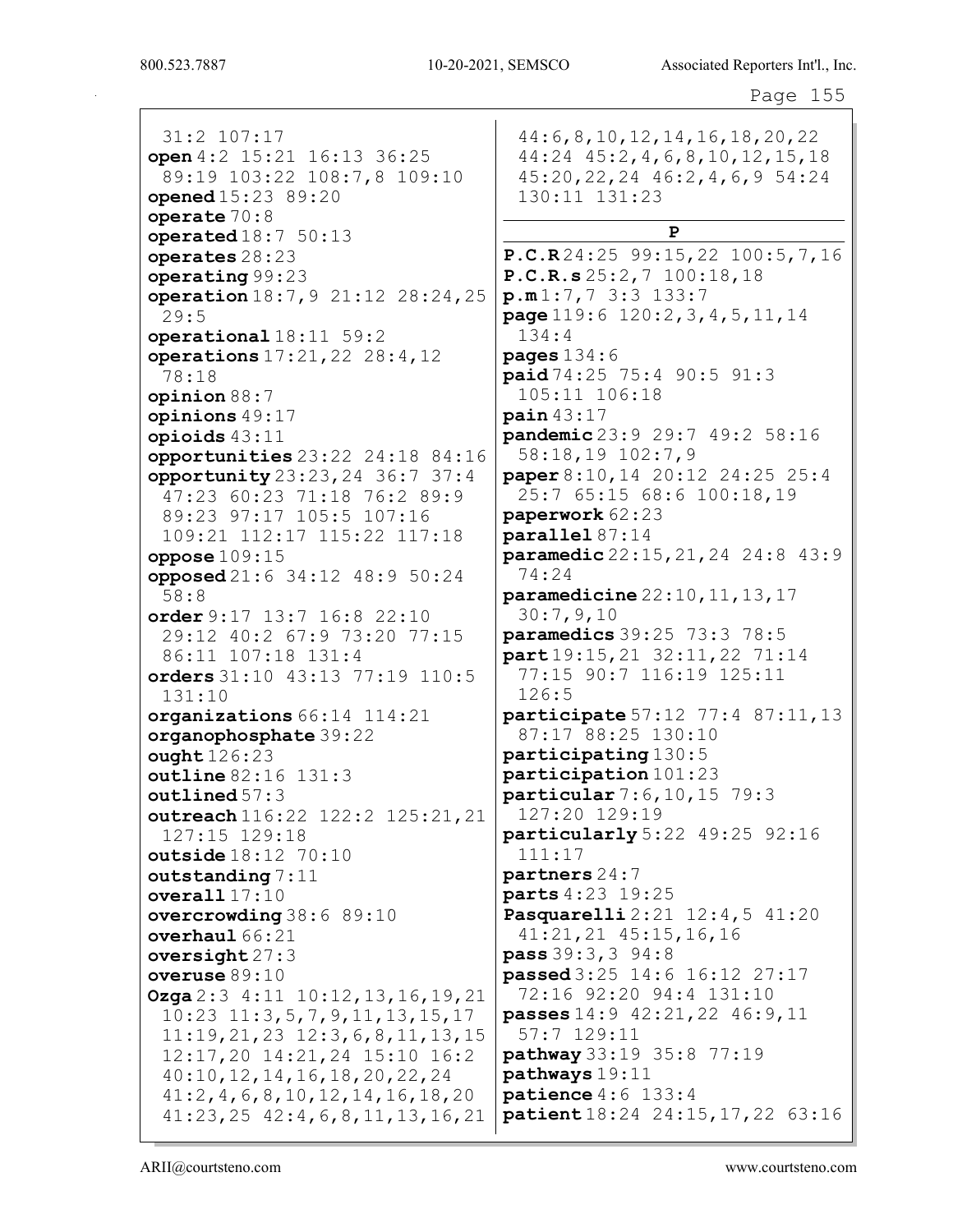800.523.7887 10-20-2021, SEMSCO Associated Reporters Int'l., Inc.

Page 155

| 31:2 107:17<br>open 4:2 15:21 16:13 36:25         | 44:6, 8, 10, 12, 14, 16, 18, 20, 22<br>$44:24$ $45:2$ , $4$ , $6$ , $8$ , $10$ , $12$ , $15$ , $18$ |
|---------------------------------------------------|-----------------------------------------------------------------------------------------------------|
| 89:19 103:22 108:7,8 109:10<br>opened 15:23 89:20 | $45:20, 22, 24$ $46:2, 4, 6, 9$ 54:24<br>130:11 131:23                                              |
| operate $70:8$                                    |                                                                                                     |
| operated $18:750:13$                              | P                                                                                                   |
| operates 28:23                                    | P.C.R24:2599:15,22100:5,7,16                                                                        |
| operating 99:23                                   | P.C.R.s 25:2, 7 100:18, 18                                                                          |
| operation 18:7, 9 21:12 28:24, 25<br>29:5         | p.m1:7,73:3133:7<br>page 119:6 120:2, 3, 4, 5, 11, 14                                               |
| operational 18:11 59:2                            | 134:4                                                                                               |
| operations 17:21, 22 28:4, 12<br>78:18            | pages $134:6$<br>paid 74:25 75:4 90:5 91:3                                                          |
| opinion 88:7                                      | 105:11 106:18                                                                                       |
| opinions 49:17                                    | $\texttt{pain}$ 43:17                                                                               |
| opioids $43:11$                                   | pandemic 23:9 29:7 49:2 58:16                                                                       |
| opportunities 23:22 24:18 84:16                   | 58:18,19 102:7,9                                                                                    |
| opportunity 23:23, 24 36:7 37:4                   | paper 8:10, 14 20:12 24:25 25:4                                                                     |
| 47:23 60:23 71:18 76:2 89:9                       | 25:7 65:15 68:6 100:18,19                                                                           |
| 89:23 97:17 105:5 107:16                          | paperwork 62:23                                                                                     |
| 109:21 112:17 115:22 117:18                       | parallel 87:14<br>paramedic 22:15, 21, 24 24:8 43:9                                                 |
| oppose $109:15$<br>opposed 21:6 34:12 48:9 50:24  | 74:24                                                                                               |
| 58:8                                              | paramedicine 22:10, 11, 13, 17                                                                      |
| order $9:17$ 13:7 16:8 22:10                      | 30:7,9,10                                                                                           |
| 29:12 40:2 67:9 73:20 77:15                       | paramedics 39:25 73:3 78:5                                                                          |
| 86:11 107:18 131:4                                | part 19:15, 21 32:11, 22 71:14                                                                      |
| orders 31:10 43:13 77:19 110:5                    | 77:15 90:7 116:19 125:11                                                                            |
| 131:10                                            | 126:5                                                                                               |
| organizations 66:14 114:21                        | participate 57:12 77:4 87:11, 13                                                                    |
| organophosphate 39:22                             | 87:17 88:25 130:10                                                                                  |
| ought 126:23                                      | participating 130:5                                                                                 |
| outline 82:16 131:3                               | participation 101:23                                                                                |
| outlined 57:3                                     | particular 7:6, 10, 15 79:3                                                                         |
| outreach 116:22 122:2 125:21, 21                  | 127:20 129:19                                                                                       |
| 127:15 129:18                                     | particularly 5:22 49:25 92:16                                                                       |
| outside 18:12 70:10                               | 111:17                                                                                              |
| outstanding $7:11$                                | partners 24:7<br>parts 4:23 19:25                                                                   |
| overall $17:10$                                   | Pasquarelli 2:21 12:4,5 41:20                                                                       |
| overcrowding 38:6 89:10<br>overhaul 66:21         | $41:21,21$ $45:15,16,16$                                                                            |
| oversight $27:3$                                  | pass 39:3, 3 94:8                                                                                   |
| overuse 89:10                                     | passed 3:25 14:6 16:12 27:17                                                                        |
| <b>Ozga</b> $2:3$ 4:11 10:12, 13, 16, 19, 21      | 72:16 92:20 94:4 131:10                                                                             |
| $10:23$ $11:3,5,7,9,11,13,15,17$                  | passes 14:9 42:21, 22 46:9, 11                                                                      |
| $11:19, 21, 23$ $12:3, 6, 8, 11, 13, 15$          | $57:7$ 129:11                                                                                       |
| 12:17,20 14:21,24 15:10 16:2                      | pathway 33:19 35:8 77:19                                                                            |
| 40:10, 12, 14, 16, 18, 20, 22, 24                 | pathways 19:11                                                                                      |
| 41:2, 4, 6, 8, 10, 12, 14, 16, 18, 20             | patience $4:6$ 133:4                                                                                |
| $41:23, 25$ $42:4, 6, 8, 11, 13, 16, 21$          | patient 18:24 24:15, 17, 22 63:16                                                                   |

ARII@courtsteno.com www.courtsteno.com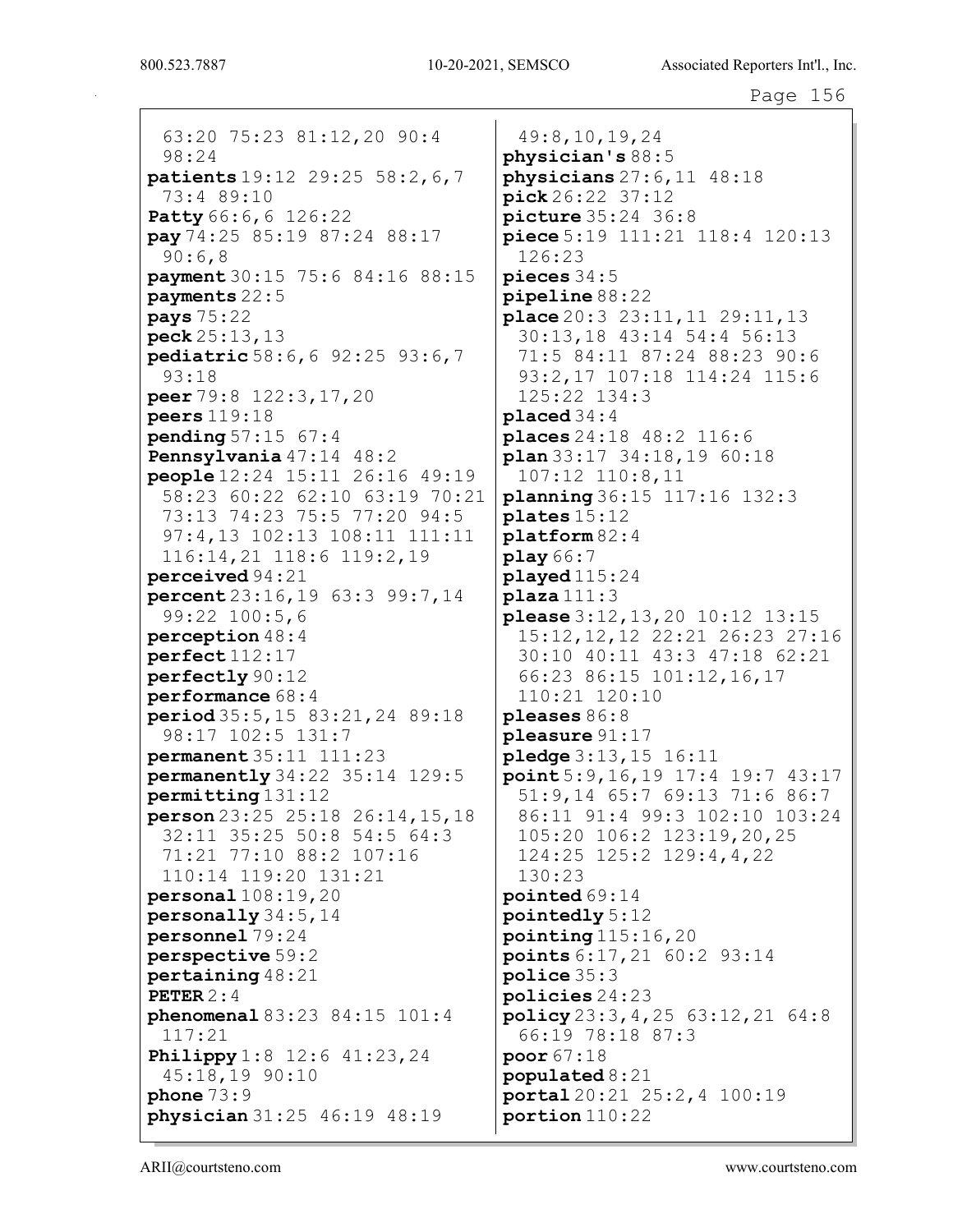63:20 75:23 81:12,20 90:4 98:24 patients 19:12 29:25 58:2,6,7 73:4 89:10 **Patty** 66:6, 6 126:22 pay 74:25 85:19 87:24 88:17 90:6,8 payment 30:15 75:6 84:16 88:15 payments 22:5 pays 75:22 peck 25:13,13 pediatric 58:6,6 92:25 93:6,7 93:18 peer 79:8 122:3,17,20 peers 119:18 pending 57:15 67:4 Pennsylvania 47:14 48:2 people 12:24 15:11 26:16 49:19 58:23 60:22 62:10 63:19 70:21 73:13 74:23 75:5 77:20 94:5 97:4,13 102:13 108:11 111:11 116:14,21 118:6 119:2,19 perceived 94:21 percent 23:16,19 63:3 99:7,14 99:22 100:5,6 perception 48:4 perfect 112:17 perfectly 90:12 performance 68:4 period 35:5,15 83:21,24 89:18 98:17 102:5 131:7 permanent 35:11 111:23 permanently 34:22 35:14 129:5 permitting 131:12 person 23:25 25:18 26:14,15,18 32:11 35:25 50:8 54:5 64:3 71:21 77:10 88:2 107:16 110:14 119:20 131:21 personal 108:19,20 personally 34:5,14 personnel 79:24 perspective 59:2 pertaining 48:21 PETER 2:4 phenomenal 83:23 84:15 101:4 117:21 **Philippy** 1:8 12:6 41:23, 24 45:18,19 90:10 phone 73:9 physician 31:25 46:19 48:19

49:8,10,19,24 physician's 88:5 physicians 27:6,11 48:18 pick 26:22 37:12 picture 35:24 36:8 piece 5:19 111:21 118:4 120:13 126:23 pieces 34:5 pipeline 88:22 place 20:3 23:11,11 29:11,13 30:13,18 43:14 54:4 56:13 71:5 84:11 87:24 88:23 90:6 93:2,17 107:18 114:24 115:6 125:22 134:3 placed 34:4 places 24:18 48:2 116:6 plan 33:17 34:18,19 60:18 107:12 110:8,11 planning 36:15 117:16 132:3 plates 15:12 platform 82:4 play 66:7 played 115:24 plaza 111:3 please 3:12,13,20 10:12 13:15 15:12,12,12 22:21 26:23 27:16 30:10 40:11 43:3 47:18 62:21 66:23 86:15 101:12,16,17 110:21 120:10 pleases 86:8 pleasure 91:17 pledge 3:13,15 16:11 point 5:9,16,19 17:4 19:7 43:17 51:9,14 65:7 69:13 71:6 86:7 86:11 91:4 99:3 102:10 103:24 105:20 106:2 123:19,20,25 124:25 125:2 129:4,4,22 130:23 pointed 69:14 pointedly 5:12 pointing 115:16,20 points 6:17,21 60:2 93:14 police 35:3 policies 24:23 policy 23:3,4,25 63:12,21 64:8 66:19 78:18 87:3 poor 67:18 populated 8:21 portal 20:21 25:2,4 100:19 portion 110:22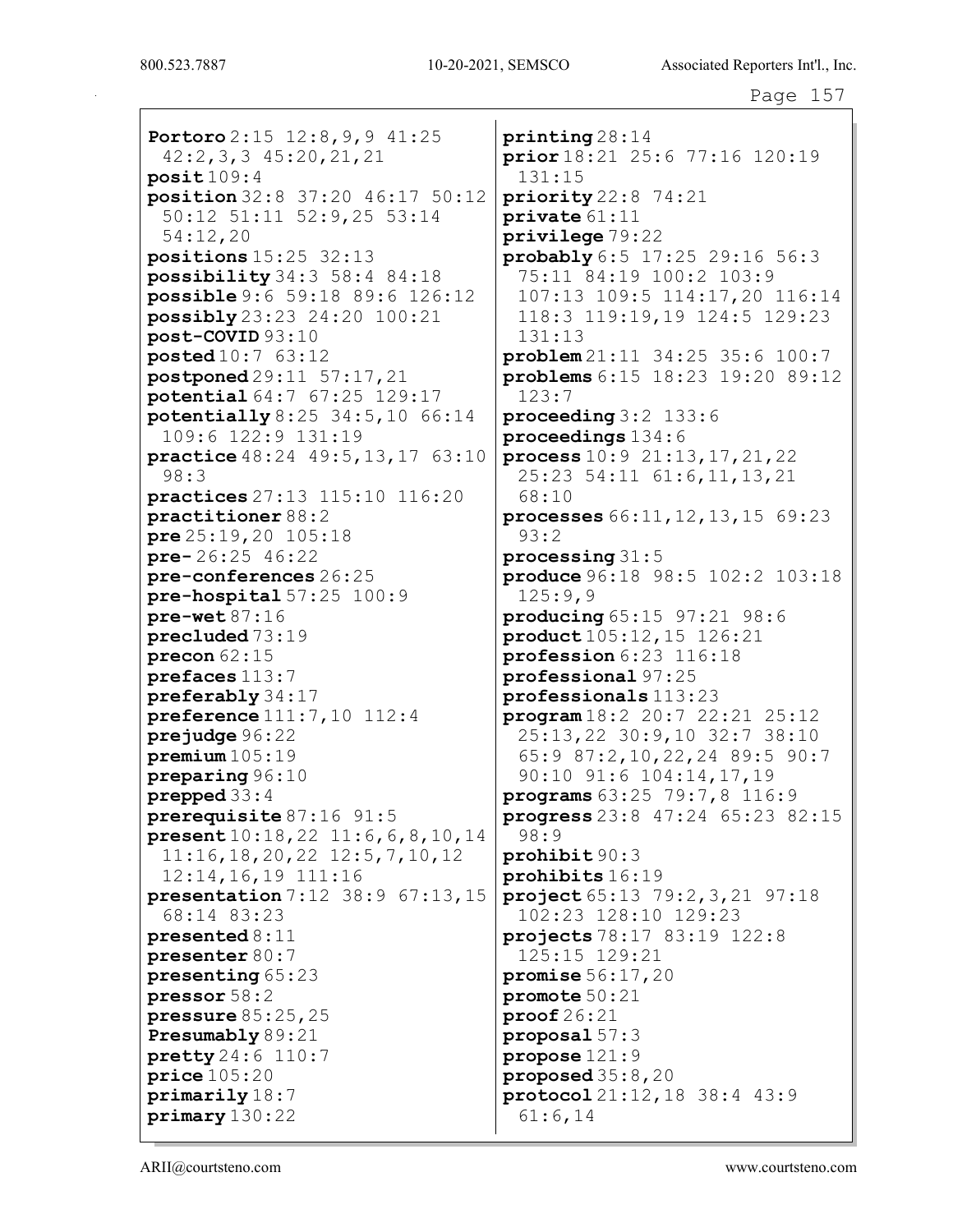Portoro 2:15 12:8, 9, 9 41:25 42:2,3,3 45:20,21,21 posit 109:4 position 32:8 37:20 46:17 50:12 50:12 51:11 52:9,25 53:14 54:12,20 positions 15:25 32:13 possibility 34:3 58:4 84:18 possible 9:6 59:18 89:6 126:12 possibly 23:23 24:20 100:21 post-COVID 93:10 posted 10:7 63:12 postponed 29:11 57:17,21 potential 64:7 67:25 129:17 potentially 8:25 34:5,10 66:14 109:6 122:9 131:19 practice 48:24 49:5,13,17 63:10 98:3 practices 27:13 115:10 116:20 practitioner 88:2 pre 25:19,20 105:18 pre- 26:25 46:22 pre-conferences 26:25 pre-hospital 57:25 100:9 pre-wet 87:16 precluded 73:19 precon 62:15 prefaces 113:7 preferably 34:17 preference 111:7,10 112:4 prejudge 96:22 premium 105:19 preparing 96:10 prepped 33:4 prerequisite 87:16 91:5 present 10:18,22 11:6,6,8,10,14 11:16,18,20,22 12:5,7,10,12 12:14,16,19 111:16 presentation 7:12 38:9 67:13,15 68:14 83:23 presented 8:11 presenter 80:7 presenting 65:23 pressor 58:2 pressure 85:25,25 Presumably 89:21 pretty 24:6 110:7 price 105:20 primarily 18:7 primary 130:22

printing 28:14 prior 18:21 25:6 77:16 120:19 131:15 priority 22:8 74:21 private 61:11 privilege 79:22 probably 6:5 17:25 29:16 56:3 75:11 84:19 100:2 103:9 107:13 109:5 114:17,20 116:14 118:3 119:19,19 124:5 129:23 131:13 problem 21:11 34:25 35:6 100:7 problems 6:15 18:23 19:20 89:12 123:7 proceeding 3:2 133:6 proceedings 134:6 process 10:9 21:13,17,21,22 25:23 54:11 61:6,11,13,21 68:10 processes 66:11,12,13,15 69:23 93:2 processing 31:5 produce 96:18 98:5 102:2 103:18 125:9,9 producing 65:15 97:21 98:6 product 105:12,15 126:21 profession 6:23 116:18 professional 97:25 professionals 113:23 program 18:2 20:7 22:21 25:12 25:13,22 30:9,10 32:7 38:10 65:9 87:2,10,22,24 89:5 90:7 90:10 91:6 104:14,17,19 programs 63:25 79:7,8 116:9 progress 23:8 47:24 65:23 82:15 98:9 prohibit 90:3 prohibits 16:19 project 65:13 79:2,3,21 97:18 102:23 128:10 129:23 projects 78:17 83:19 122:8 125:15 129:21 promise 56:17,20 promote 50:21 proof 26:21 proposal 57:3 propose 121:9 proposed 35:8,20 protocol 21:12,18 38:4 43:9 61:6,14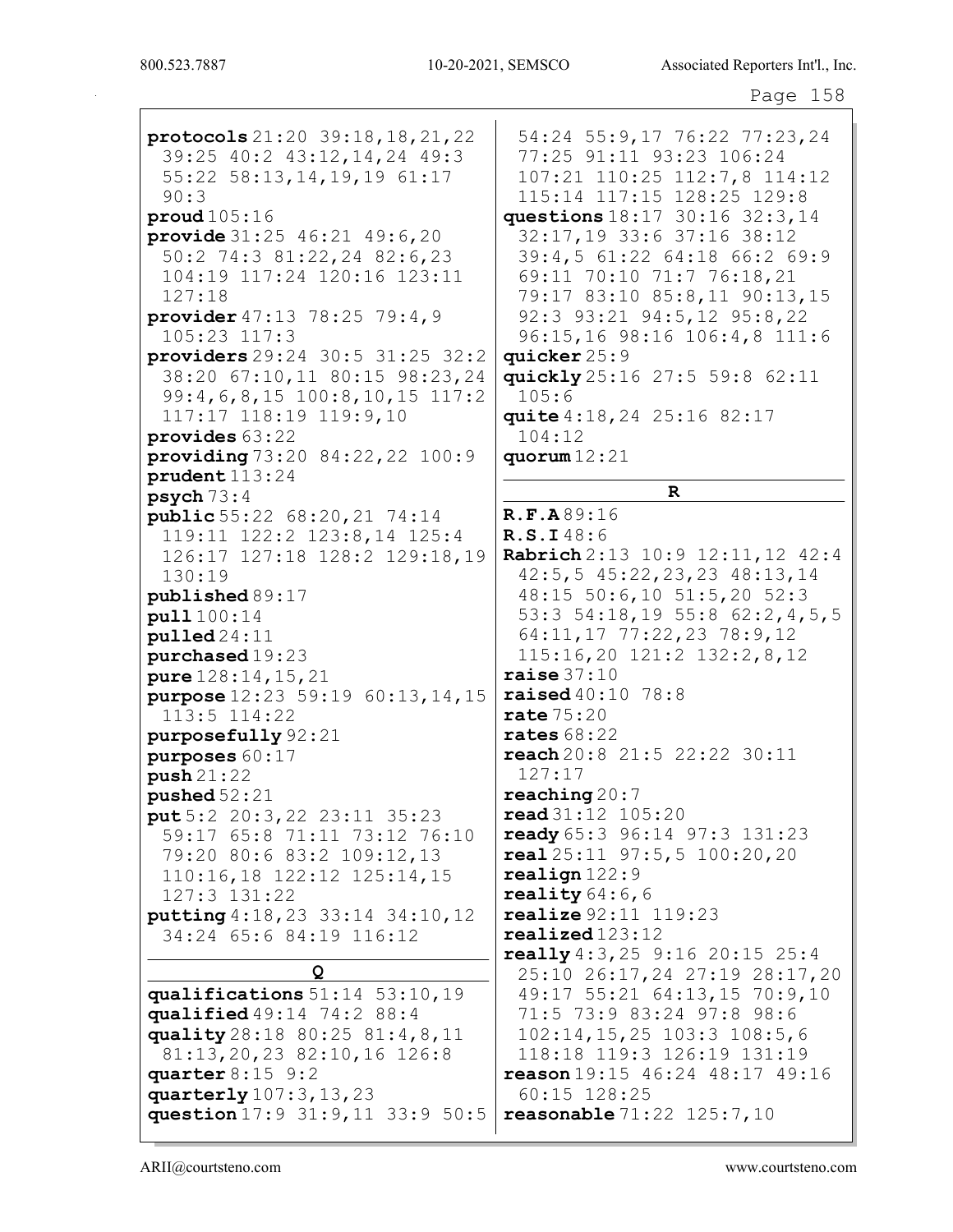protocols 21:20 39:18, 18, 21, 22 39:25 40:2 43:12,14,24 49:3  $55:22$   $58:13,14,19,19$   $61:17$  $90:3$  $prod105:16$ **provide**  $31:25$   $46:21$   $49:6,20$ 50:2 74:3 81:22, 24 82:6, 23 104:19 117:24 120:16 123:11  $127:18$ provider 47:13 78:25 79:4,9  $105:23$   $117:3$ providers  $29:24$   $30:5$   $31:25$   $32:2$ 38:20 67:10,11 80:15 98:23,24  $99:4,6,8,15$  100:8,10,15 117:2 117:17 118:19 119:9,10 provides 63:22 providing  $73:20$   $84:22$ ,  $22$   $100:9$  $prudent113:24$  $psych 73:4$ **public** 55:22 68:20, 21 74:14 119:11 122:2 123:8,14 125:4 126:17 127:18 128:2 129:18,19  $130:19$ published 89:17 pull 100:14  $p$ ulled  $24:11$  $pure$  hased  $19:23$ pure  $128:14, 15, 21$ **purpose**  $12:23$  59:19 60:13, 14, 15  $113:5$   $114:22$ purposefully 92:21 purposes  $60:17$  $push 21:22$ pushed  $52:21$  $put 5:2 20:3,22 23:11 35:23$ 59:17 65:8 71:11 73:12 76:10 79:20 80:6 83:2 109:12,13  $110:16,18$   $122:12$   $125:14,15$ 127:3 131:22 putting 4:18, 23 33:14 34:10, 12 34:24 65:6 84:19 116:12 Q qualifications  $51:14$   $53:10,19$ qualified  $49:14$   $74:2$   $88:4$ quality 28:18 80:25 81:4, 8, 11 81:13, 20, 23 82:10, 16 126:8 quarter  $8:15$  9:2 quarterly 107:3, 13, 23 question 17:9 31:9, 11 33:9 50:5 **reasonable** 71:22 125:7,10

54:24 55:9,17 76:22 77:23,24 77:25 91:11 93:23 106:24 107:21 110:25 112:7,8 114:12 115:14 117:15 128:25 129:8 questions  $18:17$   $30:16$   $32:3.14$ 32:17,19 33:6 37:16 38:12 39:4,5 61:22 64:18 66:2 69:9 69:11 70:10 71:7 76:18,21 79:17 83:10 85:8,11 90:13,15 92:3 93:21 94:5,12 95:8,22 96:15,16 98:16 106:4,8 111:6 quicker 25:9 quickly 25:16 27:5 59:8 62:11  $105:6$ quite 4:18, 24 25:16 82:17  $104:12$ quorum  $12:21$  $\mathbf R$ R.F.A89:16 R.S.I48:6 Rabrich 2:13 10:9 12:11, 12 42:4  $42:5, 5$   $45:22, 23, 23$   $48:13, 14$  $48:15$  50:6,10 51:5,20 52:3 53:3 54:18,19 55:8 62:2,4,5,5 64:11, 17 77:22, 23 78:9, 12  $115:16,20$   $121:2$   $132:2,8,12$ raise  $37:10$ **raised** 40:10 78:8  $rate75:20$ rates  $68:22$  $reach 20:8 21:5 22:22 30:11$  $127:17$  $reaching20:7$ read 31:12 105:20 ready  $65:3$   $96:14$   $97:3$   $131:23$  $real 25:11 97:5,5 100:20,20$  $real$ ign $122:9$ reality  $64:6$ , 6 **realize** 92:11 119:23  $realized$  $123:12$ really 4:3, 25 9:16 20:15 25:4 25:10 26:17,24 27:19 28:17,20 49:17 55:21 64:13,15 70:9,10 71:5 73:9 83:24 97:8 98:6  $102:14, 15, 25$   $103:3$   $108:5, 6$ 118:18 119:3 126:19 131:19 reason 19:15 46:24 48:17 49:16  $60:15$  128:25

ARII@courtsteno.com

www.courtsteno.com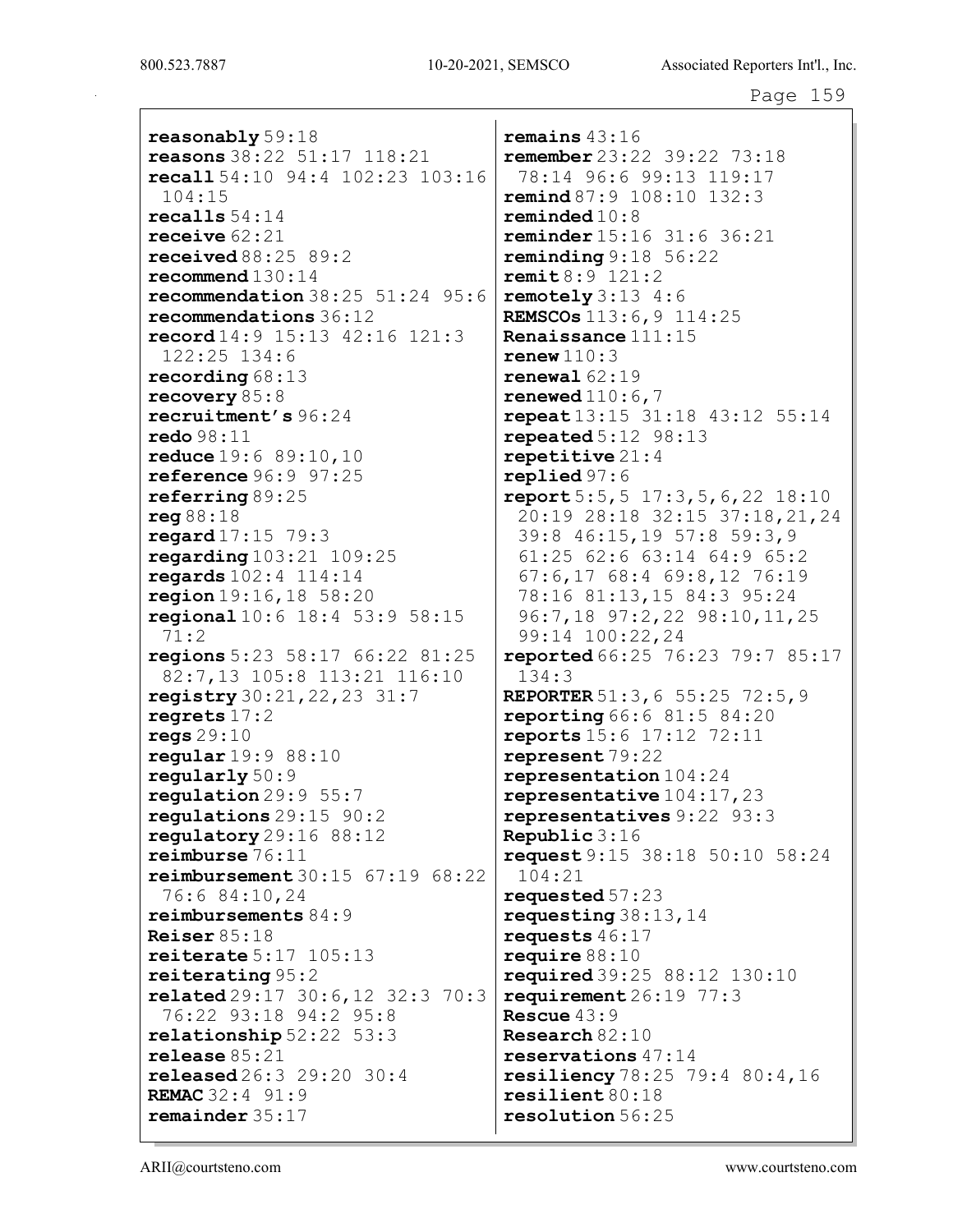reasonably 59:18 reasons 38:22 51:17 118:21 recall 54:10 94:4 102:23 103:16 104:15 recalls 54:14 receive 62:21 received 88:25 89:2 recommend 130:14 recommendation 38:25 51:24 95:6 recommendations 36:12 record 14:9 15:13 42:16 121:3 122:25 134:6 recording 68:13 recovery 85:8 recruitment's 96:24 redo 98:11 reduce 19:6 89:10,10 reference 96:9 97:25 referring 89:25 reg 88:18 regard 17:15 79:3 regarding 103:21 109:25 regards 102:4 114:14 region 19:16,18 58:20 regional 10:6 18:4 53:9 58:15 71:2 regions 5:23 58:17 66:22 81:25 82:7,13 105:8 113:21 116:10 registry 30:21,22,23 31:7 regrets 17:2 regs 29:10 regular 19:9 88:10 regularly 50:9 regulation 29:9 55:7 regulations 29:15 90:2 regulatory 29:16 88:12 reimburse 76:11 reimbursement 30:15 67:19 68:22 76:6 84:10,24 reimbursements 84:9 Reiser 85:18 reiterate 5:17 105:13 reiterating 95:2 related 29:17 30:6,12 32:3 70:3 76:22 93:18 94:2 95:8 relationship 52:22 53:3 release 85:21 released 26:3 29:20 30:4 REMAC 32:4 91:9 remainder 35:17

remains 43:16 remember 23:22 39:22 73:18 78:14 96:6 99:13 119:17 remind 87:9 108:10 132:3 reminded 10:8 reminder 15:16 31:6 36:21 reminding 9:18 56:22 remit 8:9 121:2 remotely  $3:13$  4:6 REMSCOs 113:6,9 114:25 Renaissance 111:15 renew  $110:3$ renewal 62:19 renewed  $110:6,7$ repeat 13:15 31:18 43:12 55:14 repeated 5:12 98:13 repetitive 21:4 replied 97:6 report 5:5,5 17:3,5,6,22 18:10 20:19 28:18 32:15 37:18,21,24 39:8 46:15,19 57:8 59:3,9 61:25 62:6 63:14 64:9 65:2 67:6,17 68:4 69:8,12 76:19 78:16 81:13,15 84:3 95:24 96:7,18 97:2,22 98:10,11,25 99:14 100:22,24 **reported** 66:25 76:23 79:7 85:17 134:3 REPORTER 51:3,6 55:25 72:5,9 **reporting** 66:6 81:5 84:20 reports 15:6 17:12 72:11 represent 79:22 representation 104:24 representative 104:17,23 representatives 9:22 93:3 Republic 3:16 request 9:15 38:18 50:10 58:24 104:21 requested 57:23 requesting 38:13,14 requests 46:17 require 88:10 required 39:25 88:12 130:10 requirement 26:19 77:3 Rescue 43:9 Research 82:10 reservations 47:14 resiliency 78:25 79:4 80:4,16 resilient 80:18 resolution 56:25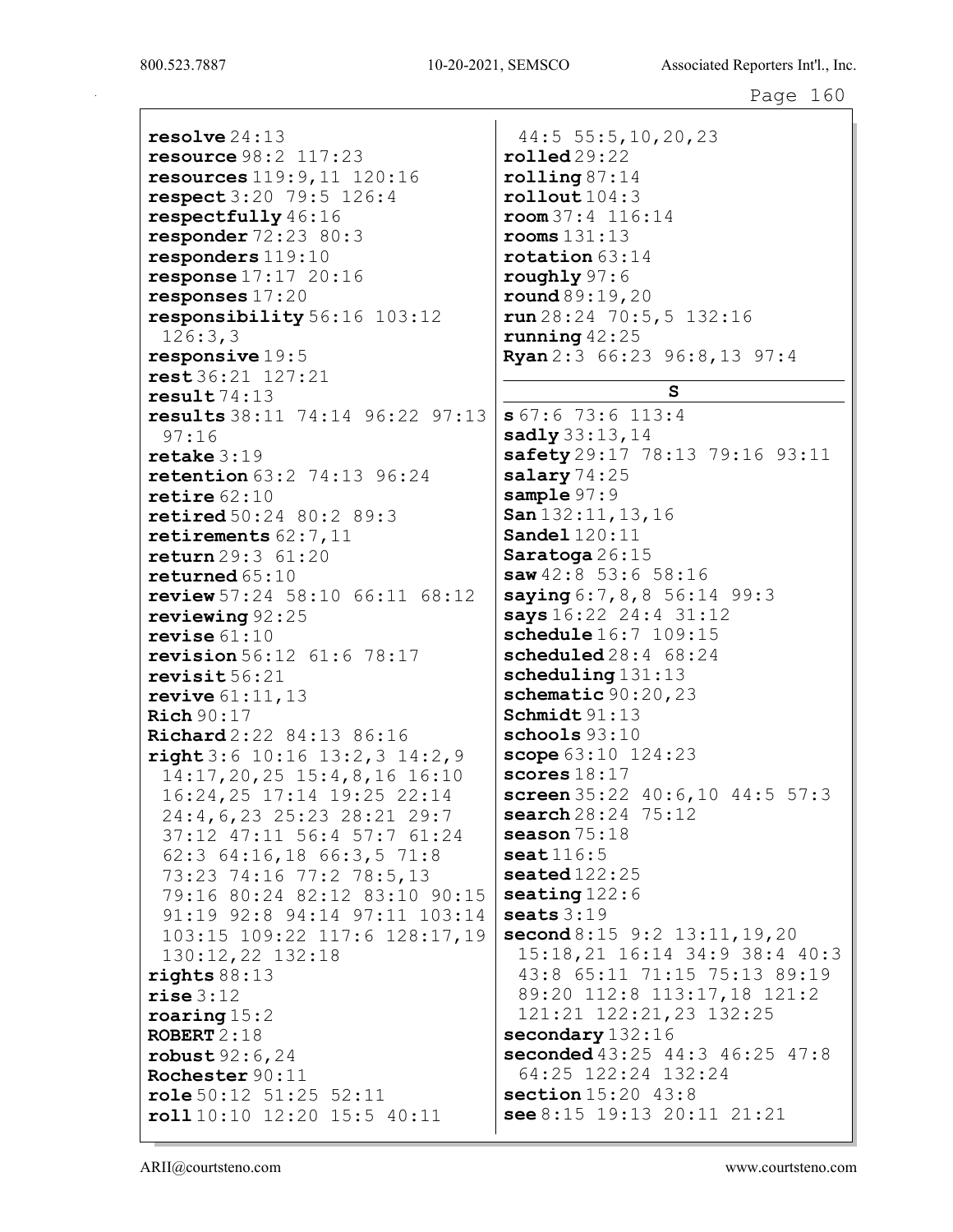800.523.7887 10-20-2021, SEMSCO Associated Reporters Int'l., Inc.

resolve 24:13 resource 98:2 117:23 resources 119:9,11 120:16 respect 3:20 79:5 126:4 respectfully 46:16 responder 72:23 80:3 responders 119:10 response 17:17 20:16 responses 17:20 responsibility 56:16 103:12 126:3,3 responsive 19:5 rest 36:21 127:21 result 74:13 results 38:11 74:14 96:22 97:13 97:16 retake 3:19 retention 63:2 74:13 96:24 retire 62:10 retired 50:24 80:2 89:3 retirements 62:7,11 return 29:3 61:20 returned 65:10 review 57:24 58:10 66:11 68:12 reviewing 92:25 revise 61:10 revision 56:12 61:6 78:17 revisit 56:21 revive 61:11,13 Rich 90:17 Richard 2:22 84:13 86:16 right 3:6 10:16 13:2,3 14:2,9 14:17,20,25 15:4,8,16 16:10 16:24,25 17:14 19:25 22:14 24:4,6,23 25:23 28:21 29:7 37:12 47:11 56:4 57:7 61:24 62:3 64:16,18 66:3,5 71:8 73:23 74:16 77:2 78:5,13 79:16 80:24 82:12 83:10 90:15 91:19 92:8 94:14 97:11 103:14 103:15 109:22 117:6 128:17,19 130:12,22 132:18 rights 88:13 rise 3:12 roaring 15:2 ROBERT  $2:18$ robust 92:6,24 Rochester 90:11 role 50:12 51:25 52:11 roll 10:10 12:20 15:5 40:11 44:5 55:5,10,20,23 rolled 29:22 rooms 131:13 roughly 97:6 salary 74:25 sample 97:9 scores  $18:17$ season 75:18 seat 116:5 seats  $3:19$ 

rolling 87:14  $rollout 104:3$ room 37:4 116:14 rotation 63:14 round 89:19,20 run 28:24 70:5,5 132:16 running  $42:25$ Ryan 2:3 66:23 96:8,13 97:4 S s 67:6 73:6 113:4 sadly 33:13, 14 safety 29:17 78:13 79:16 93:11 San 132:11,13,16 Sandel 120:11 Saratoga 26:15 saw 42:8 53:6 58:16  $saying 6:7,8,8 56:14 99:3$ says  $16:22$  24:4 31:12 schedule  $16:7$  109:15 scheduled 28:4 68:24 scheduling 131:13 schematic 90:20,23 Schmidt 91:13 schools 93:10 scope  $63:10$  124:23 screen 35:22 40:6,10 44:5 57:3 search 28:24 75:12 seated 122:25 seating  $122:6$ second  $8:15$  9:2 13:11, 19, 20 15:18,21 16:14 34:9 38:4 40:3 43:8 65:11 71:15 75:13 89:19 89:20 112:8 113:17,18 121:2 121:21 122:21,23 132:25 secondary 132:16 seconded 43:25 44:3 46:25 47:8 64:25 122:24 132:24 section 15:20 43:8 see 8:15 19:13 20:11 21:21

ARII@courtsteno.com www.courtsteno.com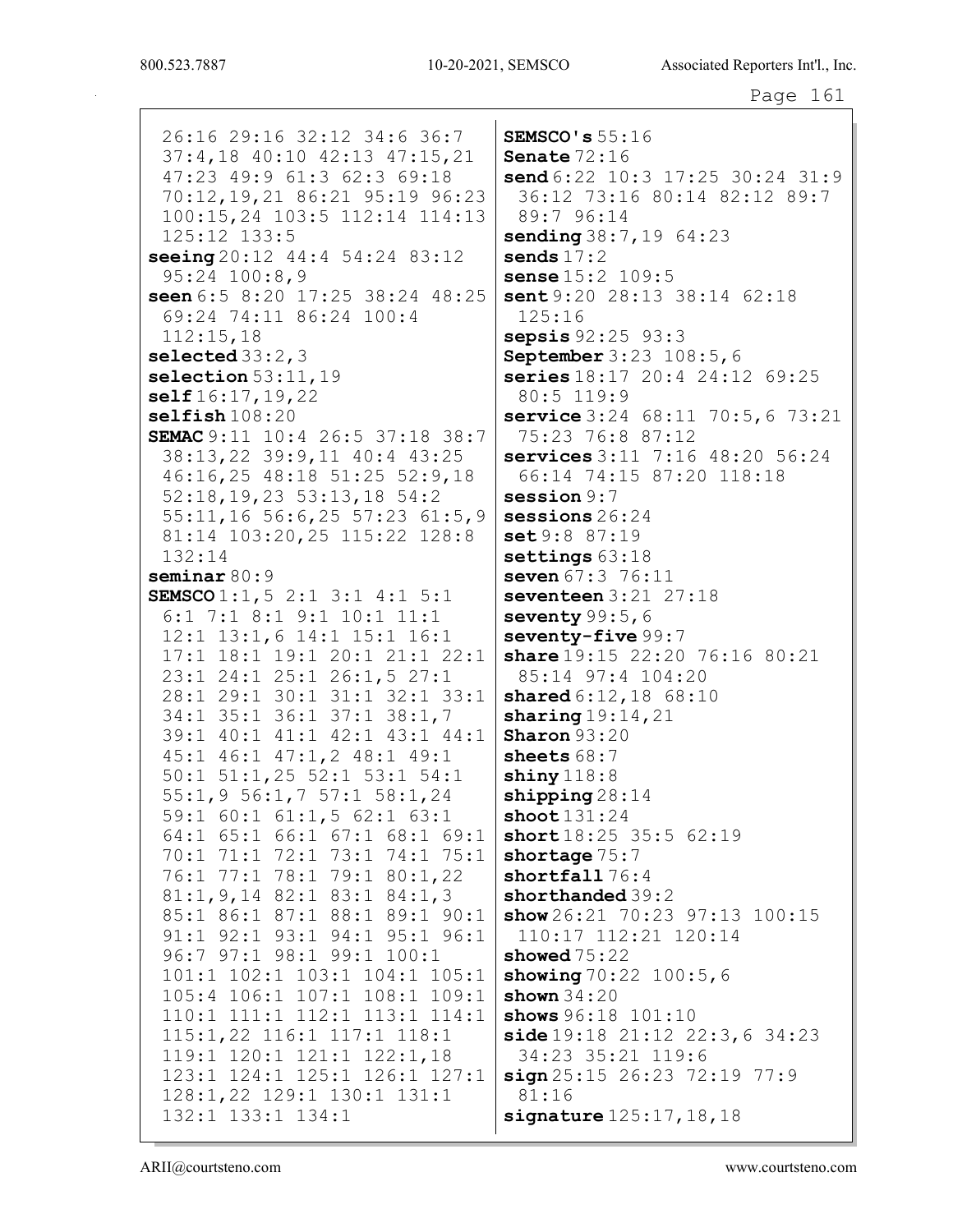26:16 29:16 32:12 34:6 36:7 37:4,18 40:10 42:13 47:15,21 47:23 49:9 61:3 62:3 69:18 70:12, 19, 21 86: 21 95: 19 96: 23 100:15,24 103:5 112:14 114:13 125:12 133:5 seeing  $20:12$   $44:4$   $54:24$   $83:12$  $95:24$  100:8,9 seen 6:5 8:20 17:25 38:24 48:25 69:24 74:11 86:24 100:4  $112:15.18$ selected  $33:2,3$ selection  $53:11,19$  $self16:17,19,22$  $selfish108:20$ SEMAC 9:11 10:4 26:5 37:18 38:7 38:13,22 39:9,11 40:4 43:25 46:16,25 48:18 51:25 52:9,18  $52:18, 19, 23$   $53:13, 18$   $54:2$ 55:11,16 56:6,25 57:23 61:5,9 81:14 103:20,25 115:22 128:8  $132:14$  $seminar 80:9$ SEMSCO  $1:1, 5$  2:1 3:1 4:1 5:1 6:1 7:1 8:1 9:1 10:1 11:1 12:1 13:1,6 14:1 15:1 16:1 17:1 18:1 19:1 20:1 21:1 22:1 23:1 24:1 25:1 26:1,5 27:1 28:1 29:1 30:1 31:1 32:1 33:1 34:1 35:1 36:1 37:1 38:1,7 39:1 40:1 41:1 42:1 43:1 44:1 45:1 46:1 47:1,2 48:1 49:1  $50:1$   $51:1$ ,  $25$   $52:1$   $53:1$   $54:1$ 55:1,9 56:1,7 57:1 58:1,24 59:1 60:1 61:1,5 62:1 63:1 64:1 65:1 66:1 67:1 68:1 69:1 70:1 71:1 72:1 73:1 74:1 75:1 76:1 77:1 78:1 79:1 80:1,22  $81:1, 9, 14$   $82:1$   $83:1$   $84:1, 3$ 85:1 86:1 87:1 88:1 89:1 90:1 91:1 92:1 93:1 94:1 95:1 96:1 96:7 97:1 98:1 99:1 100:1 101:1 102:1 103:1 104:1 105:1 105:4 106:1 107:1 108:1 109:1 110:1 111:1 112:1 113:1 114:1 115:1,22 116:1 117:1 118:1 119:1 120:1 121:1 122:1,18 123:1 124:1 125:1 126:1 127:1 128:1, 22 129:1 130:1 131:1 132:1 133:1 134:1

SEMSCO's  $55:16$ Senate  $72:16$ send  $6:22$  10:3 17:25 30:24 31:9 36:12 73:16 80:14 82:12 89:7 89:7 96:14 sending 38:7, 19 64:23 sends  $17:2$ sense  $15:2$   $109:5$ sent 9:20 28:13 38:14 62:18  $125:16$ **sepsis**  $92:25$   $93:3$ **September** 3:23 108:5,6 series 18:17 20:4 24:12 69:25 80:5 119:9 service 3:24 68:11 70:5,6 73:21 75:23 76:8 87:12 services  $3:11$  7:16  $48:20$  56:24 66:14 74:15 87:20 118:18  $s$ ession  $9:7$  $s$ essions  $26:24$ set 9:8 87:19 settings  $63:18$ seven 67:3 76:11 seventeen  $3:21$   $27:18$ seventy  $99:5,6$ seventy-five 99:7 share 19:15 22:20 76:16 80:21 85:14 97:4 104:20 shared 6:12, 18 68:10 sharing  $19:14,21$ **Sharon**  $93:20$ sheets  $68:7$  $\texttt{shiny118:8}$ shipping  $28:14$ shoot  $131:24$ short  $18:25$  35:5 62:19 shortage  $75:7$ shortfall  $76:4$ shorthanded 39:2 show  $26:21$  70:23 97:13 100:15 110:17 112:21 120:14 showed  $75:22$ showing  $70:22$   $100:5,6$ shown  $34:20$ shows 96:18 101:10 side  $19:18$   $21:12$   $22:3,6$   $34:23$ 34:23 35:21 119:6  $sign 25:15 26:23 72:19 77:9$  $81:16$  $square125:17,18,18$ 

ARII@courtsteno.com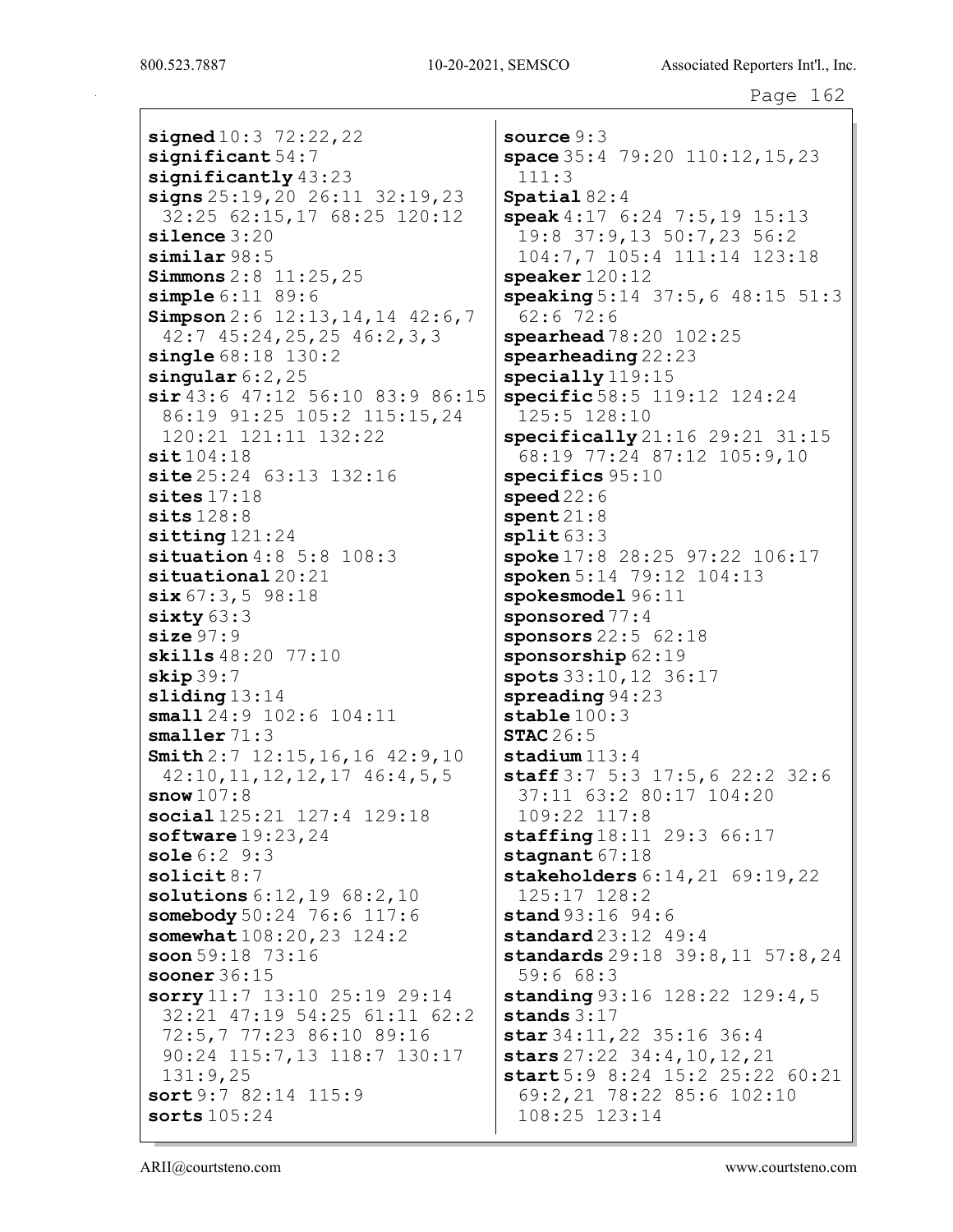signed  $10:3$   $72:22,22$  $s$ ignificant  $54:7$  $\sin\left(\frac{\pi}{2}\right)$  $signs 25:19, 20 26:11 32:19, 23$ 32:25 62:15,17 68:25 120:12  $\texttt{silence} 3:20$  $similar 98:5$ **Simmons**  $2:8$   $11:25$ ,  $25$  $simple 6:11 89:6$ Simpson  $2:6$  12:13, 14, 14 42:6, 7  $42:7$   $45:24$ ,  $25$ ,  $25$   $46:2$ ,  $3$ ,  $3$  $single 68:18 130:2$ singular  $6:2$ ,  $25$  $\sin 43:6$  47:12 56:10 83:9 86:15 86:19 91:25 105:2 115:15,24 120:21 121:11 132:22  $sit104:18$  $\text{site } 25:24$  63:13 132:16 sites  $17:18$  $sits 128:8$  $sitting 121:24$ situation  $4:8$  5:8  $108:3$  $situational 20:21$  $six 67:3, 5 98:18$  $sixty63:3$  $size 97:9$ skills 48:20 77:10  $skip 39:7$  $sliding 13:14$ small  $24:9$   $102:6$   $104:11$ smaller  $71:3$ **Smith**  $2:7$  12:15, 16, 16 42:9, 10  $42:10, 11, 12, 12, 17, 46:4, 5, 5$  $snow107:8$ social 125:21 127:4 129:18 software  $19:23,24$ sole  $6:2$   $9:3$  $solid8:7$ solutions  $6:12,19$   $68:2,10$ somebody 50:24 76:6 117:6 somewhat  $108:20, 23$   $124:2$ soon 59:18 73:16 sooner  $36:15$ sorry  $11:7$  13:10 25:19 29:14 32:21 47:19 54:25 61:11 62:2 72:5,7 77:23 86:10 89:16 90:24 115:7,13 118:7 130:17  $131:9,25$ sort 9:7 82:14 115:9 sorts  $105:24$ 

source  $9:3$ space  $35:4$   $79:20$   $110:12$ ,  $15$ ,  $23$  $111:3$ Spatial  $82:4$ speak  $4:17$  6:24 7:5,19 15:13 19:8 37:9,13 50:7,23 56:2 104:7,7 105:4 111:14 123:18  $\ensuremath{\texttt{speaker}}\,120\!:\!12$ speaking 5:14 37:5, 6 48:15 51:3  $62:6$  72:6  $\texttt{spearhead} 78:20 102:25$  $\texttt{spearheading}$  22:23  $specially 119:15$ specific 58:5 119:12 124:24  $125:5$   $128:10$  $specifically 21:16 29:21 31:15$ 68:19 77:24 87:12 105:9,10  $species 95:10$  $<sub>speed22:6</sub>$ </sub>  $\texttt{spent 21:8}$  $split 63:3$ spoke 17:8 28:25 97:22 106:17 spoken  $5:14$   $79:12$   $104:13$ spokesmodel 96:11 sponsored  $77:4$ sponsors  $22:5$   $62:18$ sponsorship  $62:19$ spots 33:10, 12 36:17  $s$ preading  $94:23$ stable  $100:3$ STAC  $26:5$  $\texttt{stadium113:4}$ **staff**  $3:7$  5:3 17:5,6 22:2 32:6 37:11 63:2 80:17 104:20  $109:22$   $117:8$ staffing 18:11 29:3 66:17 stagnant  $67:18$ stakeholders  $6:14,21$   $69:19,22$ 125:17 128:2  $stand 93:16 94:6$ standard  $23:12$   $49:4$ standards  $29:18$   $39:8$ ,  $11$   $57:8$ ,  $24$  $59:668:3$ standing  $93:16$   $128:22$   $129:4,5$ stands  $3:17$ star 34:11, 22 35:16 36:4 stars  $27:22$   $34:4$ ,  $10$ ,  $12$ ,  $21$ start 5:9 8:24 15:2 25:22 60:21 69:2,21 78:22 85:6 102:10 108:25 123:14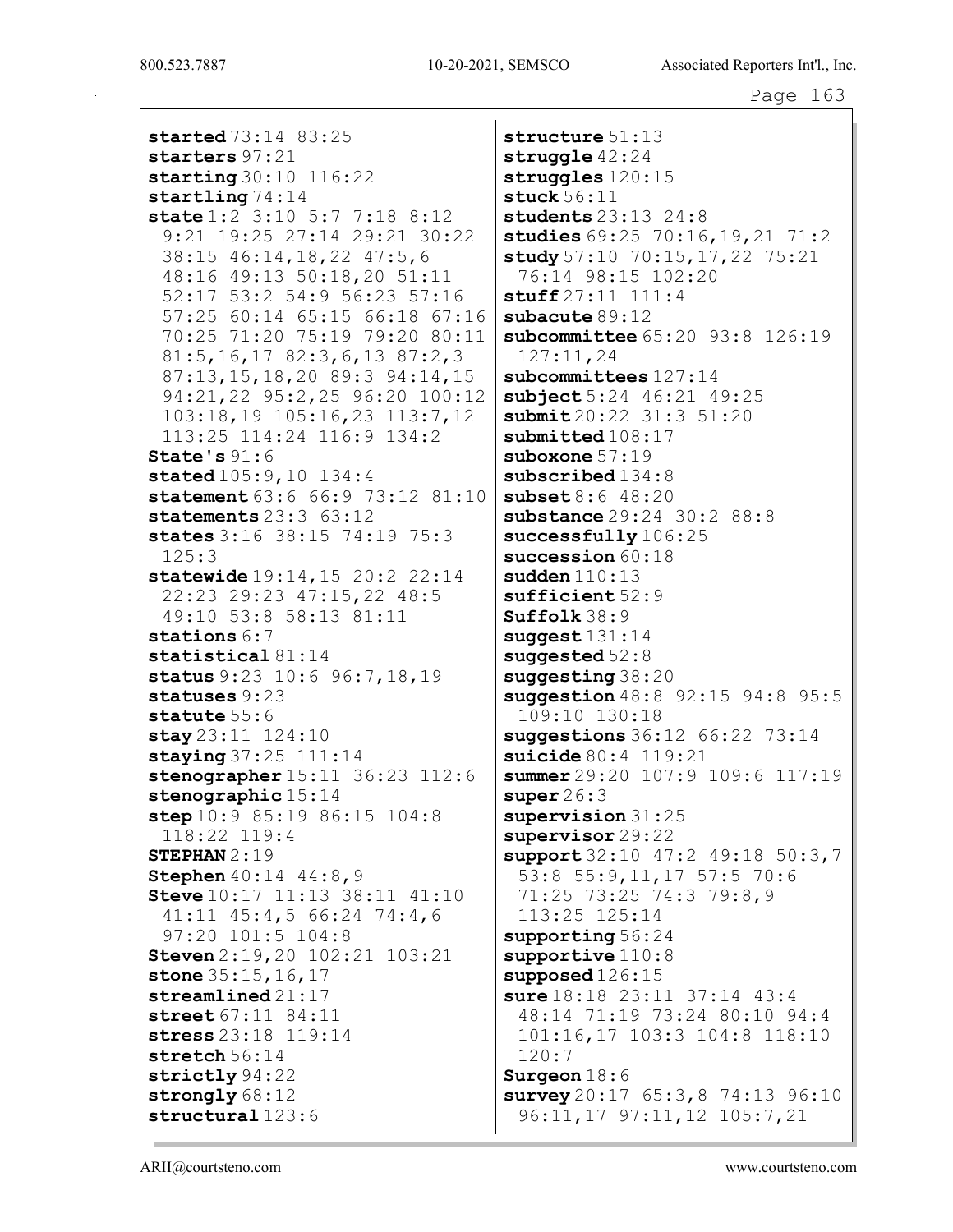started 73:14 83:25 starters 97:21 starting 30:10 116:22 startling 74:14 state 1:2 3:10 5:7 7:18 8:12 9:21 19:25 27:14 29:21 30:22 38:15 46:14,18,22 47:5,6 48:16 49:13 50:18,20 51:11 52:17 53:2 54:9 56:23 57:16 57:25 60:14 65:15 66:18 67:16 70:25 71:20 75:19 79:20 80:11 81:5,16,17 82:3,6,13 87:2,3 87:13,15,18,20 89:3 94:14,15 94:21,22 95:2,25 96:20 100:12 103:18,19 105:16,23 113:7,12 113:25 114:24 116:9 134:2 State's 91:6 stated  $105:9,10$  134:4 statement 63:6 66:9 73:12 81:10 statements 23:3 63:12 states 3:16 38:15 74:19 75:3 125:3 statewide 19:14,15 20:2 22:14 22:23 29:23 47:15,22 48:5 49:10 53:8 58:13 81:11 stations  $6:7$ statistical 81:14 status 9:23 10:6 96:7, 18, 19 statuses 9:23 statute 55:6 stay 23:11 124:10 staying 37:25 111:14 stenographer 15:11 36:23 112:6 stenographic 15:14 step 10:9 85:19 86:15 104:8 118:22 119:4 STEPHAN 2:19 Stephen 40:14 44:8,9 Steve 10:17 11:13 38:11 41:10 41:11 45:4,5 66:24 74:4,6 97:20 101:5 104:8 Steven 2:19,20 102:21 103:21 stone 35:15, 16, 17 streamlined 21:17 street 67:11 84:11 stress 23:18 119:14 stretch 56:14 strictly 94:22 strongly  $68:12$ structural 123:6

structure 51:13 struggle  $42:24$ struggles 120:15 stuck 56:11 students 23:13 24:8 studies 69:25 70:16, 19, 21 71:2 study 57:10 70:15, 17, 22 75:21 76:14 98:15 102:20 stuff 27:11 111:4 subacute 89:12 subcommittee 65:20 93:8 126:19 127:11,24 subcommittees  $127:14$ subject 5:24 46:21 49:25 submit 20:22 31:3 51:20 submitted  $108:17$ suboxone 57:19 subscribed  $134:8$ subset 8:6 48:20 substance 29:24 30:2 88:8 successfully  $106:25$ succession  $60:18$ sudden 110:13 sufficient 52:9 Suffolk 38:9  $s$ uggest  $131:14$ suggested 52:8 suggesting 38:20 suggestion 48:8 92:15 94:8 95:5 109:10 130:18 suggestions 36:12 66:22 73:14 suicide 80:4 119:21 summer 29:20 107:9 109:6 117:19 super  $26:3$ supervision 31:25 supervisor 29:22 support 32:10 47:2 49:18 50:3,7 53:8 55:9,11,17 57:5 70:6 71:25 73:25 74:3 79:8,9 113:25 125:14 supporting  $56:24$ supportive  $110:8$ supposed 126:15 sure 18:18 23:11 37:14 43:4 48:14 71:19 73:24 80:10 94:4 101:16,17 103:3 104:8 118:10 120:7 Surgeon 18:6 survey 20:17 65:3, 8 74:13 96:10 96:11,17 97:11,12 105:7,21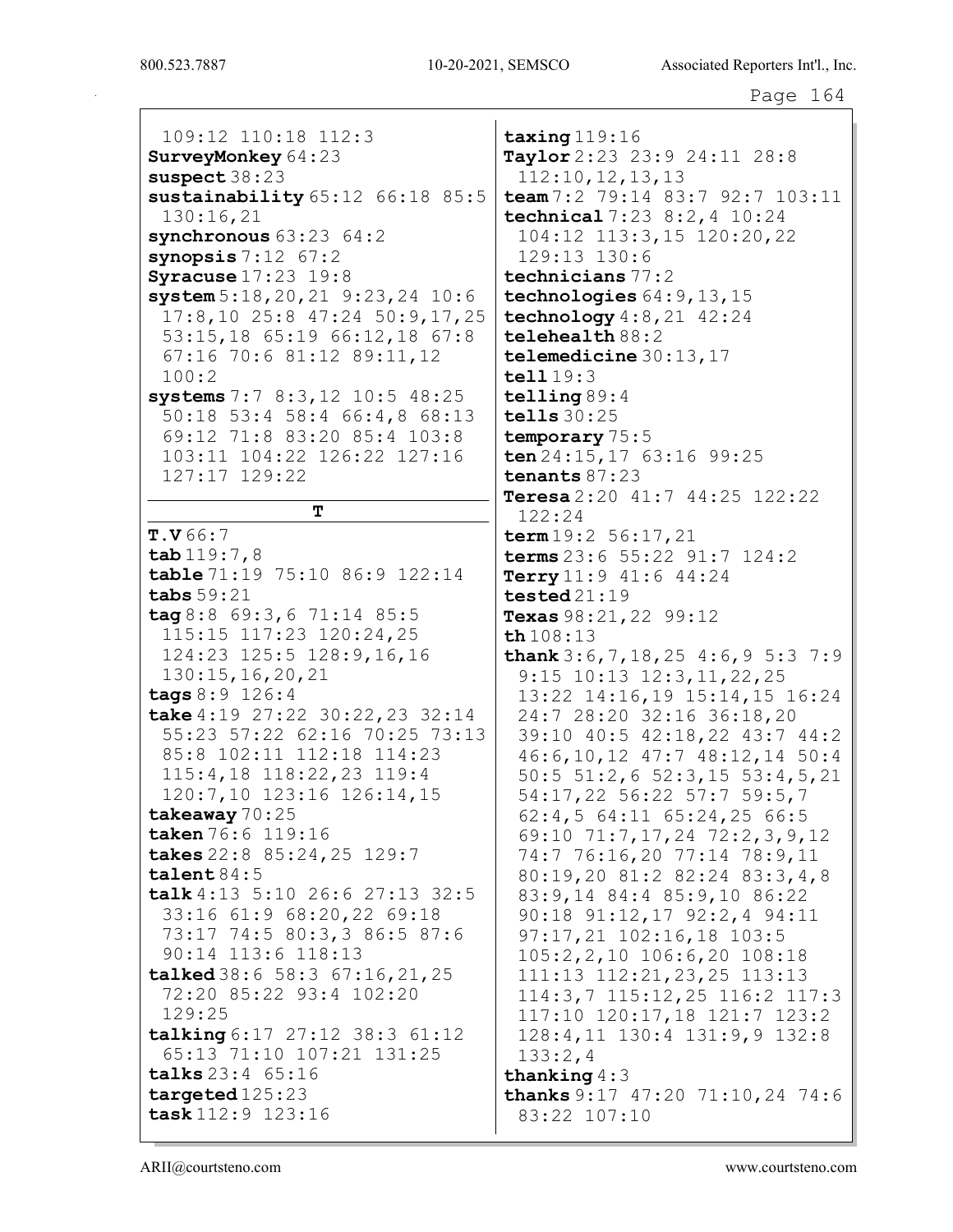109:12 110:18 112:3 SurveyMonkey 64:23 suspect 38:23 sustainability 65:12 66:18 85:5 130:16,21 synchronous 63:23 64:2 synopsis  $7:12$   $67:2$ Syracuse 17:23 19:8 system 5:18,20,21 9:23,24 10:6 17:8,10 25:8 47:24 50:9,17,25 53:15,18 65:19 66:12,18 67:8 67:16 70:6 81:12 89:11,12 100:2 systems 7:7 8:3,12 10:5 48:25 50:18 53:4 58:4 66:4,8 68:13 69:12 71:8 83:20 85:4 103:8 103:11 104:22 126:22 127:16 127:17 129:22 T T.V 66:7 tab 119:7,8 table 71:19 75:10 86:9 122:14 tabs 59:21 tag 8:8 69:3,6 71:14 85:5 115:15 117:23 120:24,25 124:23 125:5 128:9,16,16 130:15,16,20,21 tags 8:9 126:4 take 4:19 27:22 30:22,23 32:14 55:23 57:22 62:16 70:25 73:13 85:8 102:11 112:18 114:23 115:4,18 118:22,23 119:4 120:7,10 123:16 126:14,15 takeaway 70:25 taken 76:6 119:16 takes 22:8 85:24,25 129:7 talent 84:5 talk 4:13 5:10 26:6 27:13 32:5 33:16 61:9 68:20,22 69:18 73:17 74:5 80:3,3 86:5 87:6 90:14 113:6 118:13 talked 38:6 58:3 67:16,21,25 72:20 85:22 93:4 102:20 129:25 talking 6:17 27:12 38:3 61:12 65:13 71:10 107:21 131:25 talks 23:4 65:16 targeted 125:23 task 112:9 123:16 122:24

taxing 119:16 Taylor 2:23 23:9 24:11 28:8 112:10,12,13,13 team 7:2 79:14 83:7 92:7 103:11 technical 7:23 8:2,4 10:24 104:12 113:3,15 120:20,22 129:13 130:6 technicians 77:2 technologies  $64:9,13,15$ technology 4:8,21 42:24 telehealth 88:2 telemedicine 30:13,17 tell 19:3 telling 89:4 tells 30:25 temporary 75:5 ten 24:15, 17 63:16 99:25 tenants 87:23 Teresa  $2:20$   $41:7$   $44:25$   $122:22$  $term 19:2 56:17,21$ terms 23:6 55:22 91:7 124:2 Terry  $11:9$   $41:6$   $44:24$ tested 21:19 Texas 98:21, 22 99:12 th 108:13 thank  $3:6,7,18,25$  4:6, 9 5:3 7:9 9:15 10:13 12:3,11,22,25 13:22 14:16,19 15:14,15 16:24 24:7 28:20 32:16 36:18,20 39:10 40:5 42:18,22 43:7 44:2 46:6,10,12 47:7 48:12,14 50:4 50:5 51:2,6 52:3,15 53:4,5,21 54:17,22 56:22 57:7 59:5,7 62:4,5 64:11 65:24,25 66:5 69:10 71:7,17,24 72:2,3,9,12 74:7 76:16,20 77:14 78:9,11 80:19,20 81:2 82:24 83:3,4,8 83:9,14 84:4 85:9,10 86:22 90:18 91:12,17 92:2,4 94:11 97:17,21 102:16,18 103:5 105:2,2,10 106:6,20 108:18 111:13 112:21,23,25 113:13 114:3,7 115:12,25 116:2 117:3 117:10 120:17,18 121:7 123:2 128:4,11 130:4 131:9,9 132:8 133:2,4 thanking 4:3 thanks 9:17 47:20 71:10,24 74:6 83:22 107:10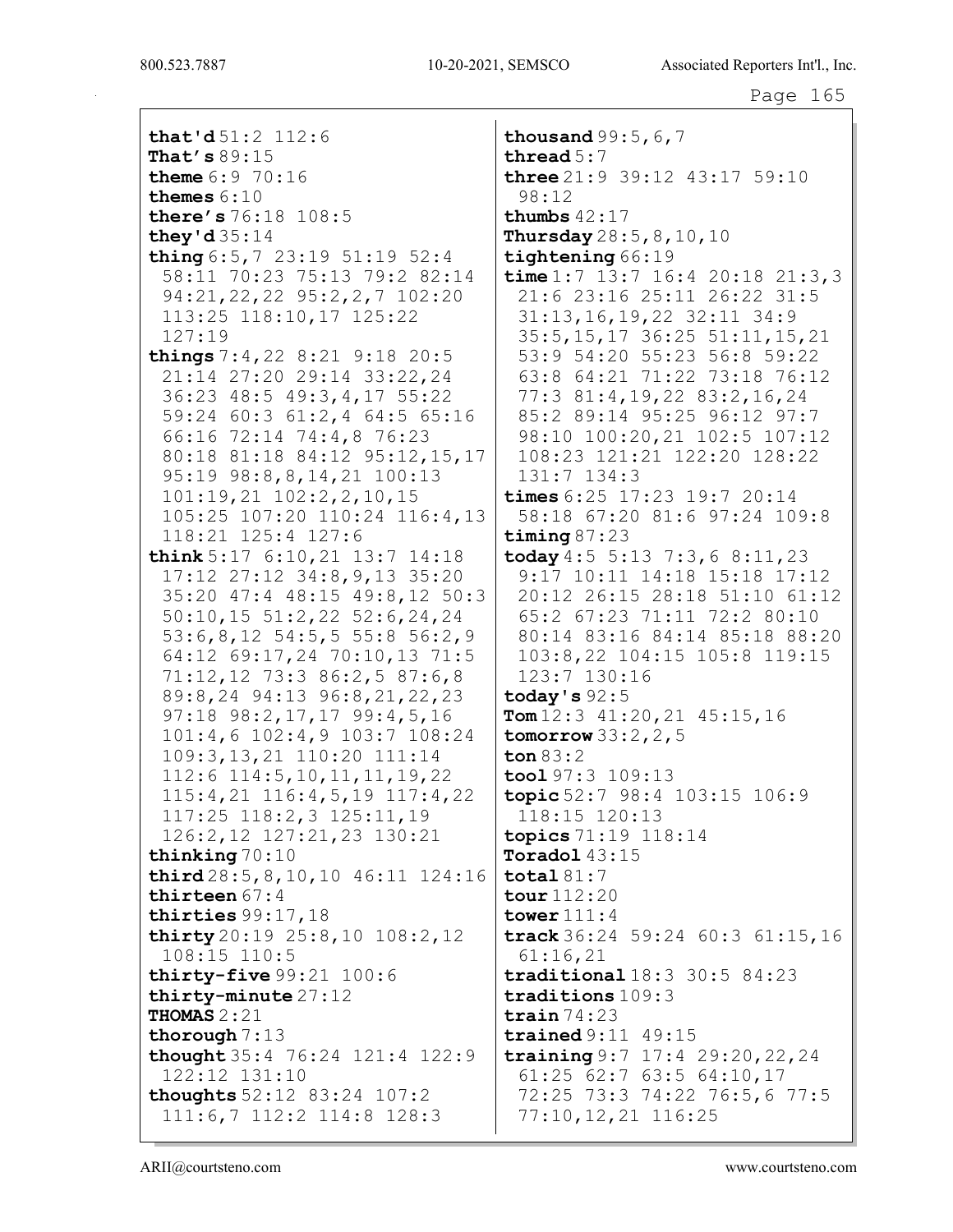that'd 51:2 112:6 That's 89:15 theme 6:9 70:16 themes 6:10 there's 76:18 108:5 they'd 35:14 thing 6:5,7 23:19 51:19 52:4 58:11 70:23 75:13 79:2 82:14 94:21,22,22 95:2,2,7 102:20 113:25 118:10,17 125:22 127:19 things 7:4,22 8:21 9:18 20:5 21:14 27:20 29:14 33:22,24 36:23 48:5 49:3,4,17 55:22 59:24 60:3 61:2,4 64:5 65:16 66:16 72:14 74:4,8 76:23 80:18 81:18 84:12 95:12,15,17 95:19 98:8,8,14,21 100:13 101:19,21 102:2,2,10,15 105:25 107:20 110:24 116:4,13 118:21 125:4 127:6 think 5:17 6:10,21 13:7 14:18 17:12 27:12 34:8,9,13 35:20 35:20 47:4 48:15 49:8,12 50:3 50:10,15 51:2,22 52:6,24,24 53:6,8,12 54:5,5 55:8 56:2,9 64:12 69:17,24 70:10,13 71:5 71:12,12 73:3 86:2,5 87:6,8 89:8,24 94:13 96:8,21,22,23 97:18 98:2,17,17 99:4,5,16 101:4,6 102:4,9 103:7 108:24 109:3,13,21 110:20 111:14 112:6 114:5,10,11,11,19,22 115:4,21 116:4,5,19 117:4,22 117:25 118:2,3 125:11,19 126:2,12 127:21,23 130:21 thinking 70:10 third 28:5,8,10,10 46:11 124:16 thirteen 67:4 thirties 99:17,18 thirty 20:19 25:8,10 108:2,12 108:15 110:5 thirty-five 99:21 100:6 thirty-minute 27:12 THOMAS 2:21 thorough 7:13 thought 35:4 76:24 121:4 122:9 122:12 131:10 thoughts 52:12 83:24 107:2 111:6,7 112:2 114:8 128:3

thousand  $99:5,6,7$ thread 5:7 three  $21:9$  39:12  $43:17$  59:10 98:12 thumbs  $42:17$ **Thursday**  $28:5, 8, 10, 10$ tightening 66:19 time  $1:7$  13:7 16:4 20:18 21:3,3 21:6 23:16 25:11 26:22 31:5 31:13,16,19,22 32:11 34:9 35:5,15,17 36:25 51:11,15,21 53:9 54:20 55:23 56:8 59:22 63:8 64:21 71:22 73:18 76:12 77:3 81:4,19,22 83:2,16,24 85:2 89:14 95:25 96:12 97:7 98:10 100:20,21 102:5 107:12 108:23 121:21 122:20 128:22 131:7 134:3 times 6:25 17:23 19:7 20:14 58:18 67:20 81:6 97:24 109:8 timing  $87:23$ today  $4:5 \ 5:13 \ 7:3,6 \ 8:11,23$ 9:17 10:11 14:18 15:18 17:12 20:12 26:15 28:18 51:10 61:12 65:2 67:23 71:11 72:2 80:10 80:14 83:16 84:14 85:18 88:20 103:8,22 104:15 105:8 119:15 123:7 130:16 today's  $92:5$  $\texttt{Tom} 12:3$   $41:20,21$   $45:15,16$ tomorrow  $33:2,2,5$ ton 83:2 tool 97:3 109:13 topic 52:7 98:4 103:15 106:9 118:15 120:13 topics 71:19 118:14 Toradol 43:15 total 81:7 tour 112:20 tower 111:4 track 36:24 59:24 60:3 61:15,16 61:16,21 traditional 18:3 30:5 84:23 traditions 109:3 train  $74:23$ trained 9:11 49:15 training 9:7 17:4 29:20,22,24 61:25 62:7 63:5 64:10,17 72:25 73:3 74:22 76:5,6 77:5 77:10,12,21 116:25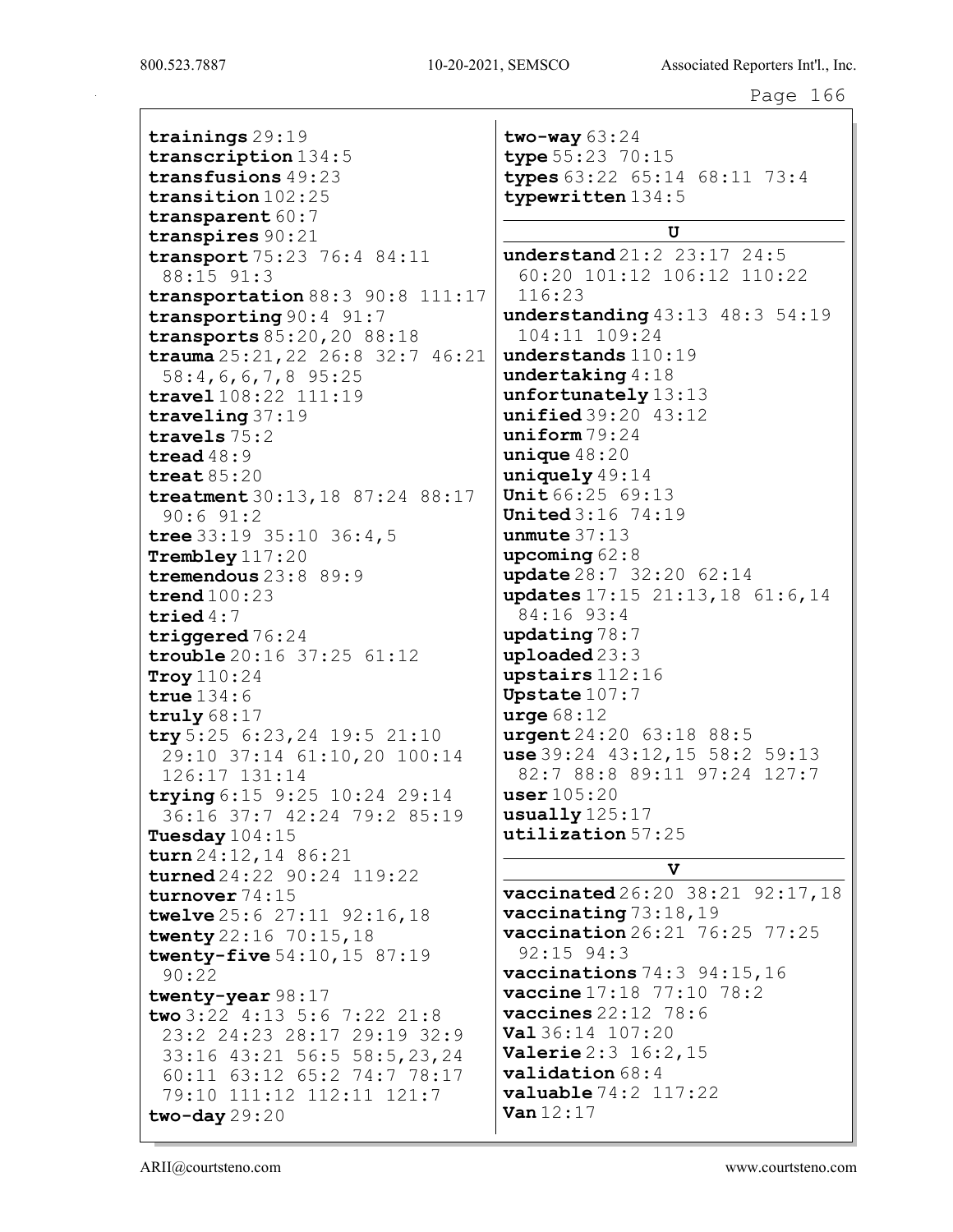trainings 29:19 transcription 134:5 transfusions 49:23 transition 102:25 transparent 60:7 transpires 90:21 transport 75:23 76:4 84:11 88:15 91:3 transportation 88:3 90:8 111:17 transporting 90:4 91:7 transports 85:20,20 88:18 trauma 25:21,22 26:8 32:7 46:21 58:4,6,6,7,8 95:25 travel 108:22 111:19 traveling 37:19 travels 75:2 tread 48:9 treat 85:20 treatment 30:13,18 87:24 88:17 90:6 91:2 tree 33:19 35:10 36:4,5 Trembley 117:20 tremendous 23:8 89:9 trend 100:23 tried 4:7 triggered  $76:24$ trouble 20:16 37:25 61:12 Troy 110:24 true 134:6 truly 68:17 try 5:25 6:23,24 19:5 21:10 29:10 37:14 61:10,20 100:14 126:17 131:14 trying 6:15 9:25 10:24 29:14 36:16 37:7 42:24 79:2 85:19 Tuesday 104:15 turn 24:12,14 86:21 turned 24:22 90:24 119:22 turnover 74:15 twelve 25:6 27:11 92:16,18 twenty 22:16 70:15,18 twenty-five 54:10,15 87:19 90:22 twenty-year 98:17 two 3:22 4:13 5:6 7:22 21:8 23:2 24:23 28:17 29:19 32:9 33:16 43:21 56:5 58:5,23,24 60:11 63:12 65:2 74:7 78:17 79:10 111:12 112:11 121:7 two-day 29:20

two-way 63:24 type 55:23 70:15 types 63:22 65:14 68:11 73:4 typewritten 134:5 U understand 21:2 23:17 24:5 60:20 101:12 106:12 110:22 116:23 understanding 43:13 48:3 54:19 104:11 109:24 understands 110:19 undertaking 4:18 unfortunately 13:13 unified 39:20 43:12 uniform 79:24 unique 48:20 uniquely 49:14 Unit 66:25 69:13 United 3:16 74:19 unmute  $37:13$ upcoming 62:8 update 28:7 32:20 62:14 updates 17:15 21:13,18 61:6,14 84:16 93:4 updating 78:7 uploaded 23:3 upstairs 112:16 Upstate 107:7 urge 68:12 urgent 24:20 63:18 88:5 use 39:24 43:12,15 58:2 59:13 82:7 88:8 89:11 97:24 127:7 user 105:20 usually 125:17 utilization 57:25

## V

vaccinated 26:20 38:21 92:17,18 vaccinating 73:18,19 vaccination 26:21 76:25 77:25 92:15 94:3 vaccinations 74:3 94:15,16 vaccine 17:18 77:10 78:2 vaccines 22:12 78:6 Val 36:14 107:20 Valerie 2:3 16:2,15 validation 68:4 valuable 74:2 117:22 Van 12:17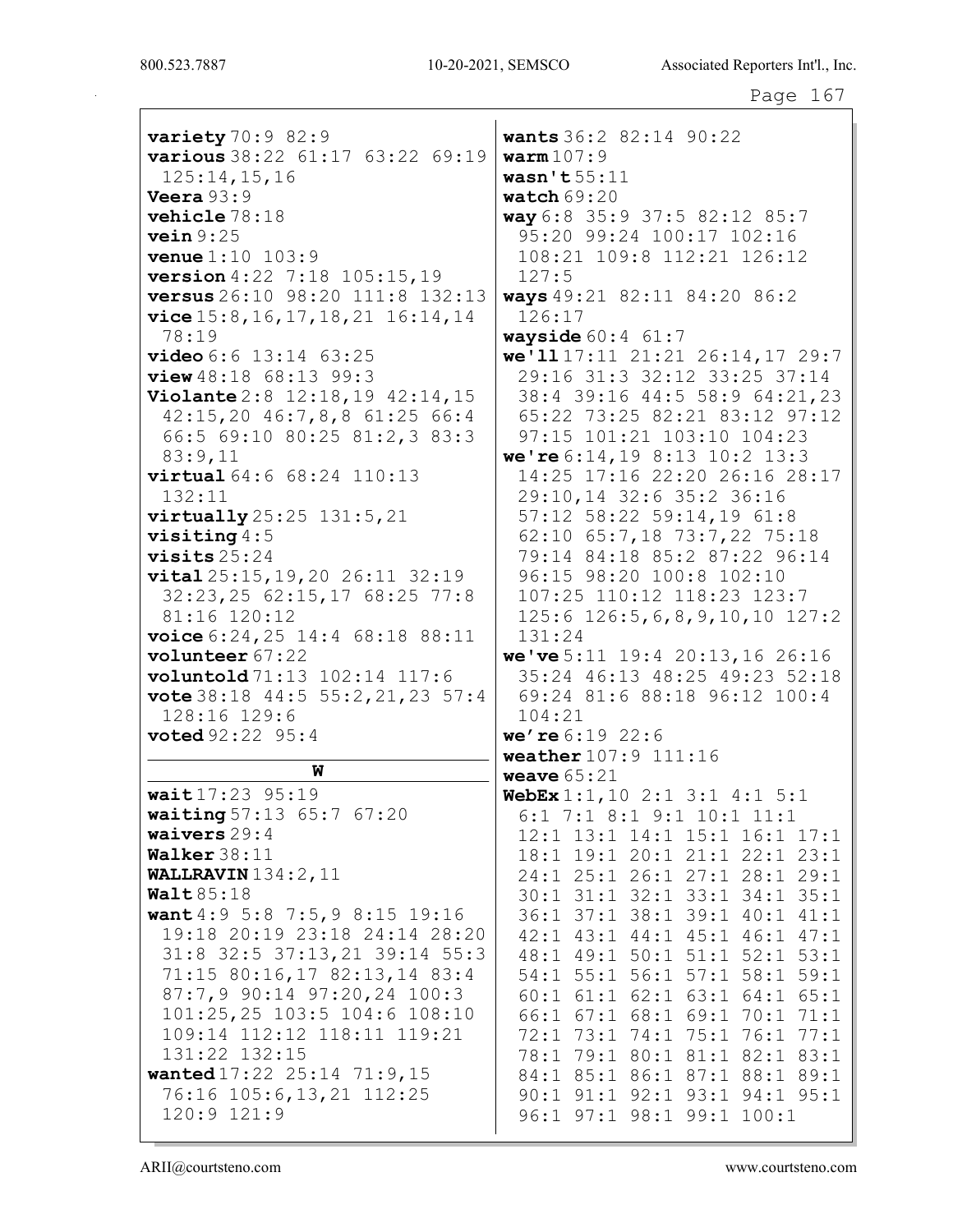| variety $70:982:9$                             | wants 36:2 82:14 90:22                             |
|------------------------------------------------|----------------------------------------------------|
| various 38:22 61:17 63:22 69:19                | warm107:9                                          |
| 125:14, 15, 16                                 | wasn't $55:11$                                     |
| Veera $93:9$                                   | watch $69:20$                                      |
| vehicle 78:18                                  | way 6:8 35:9 37:5 82:12 85:7                       |
| vein 9:25                                      | 95:20 99:24 100:17 102:16                          |
| <b>venue</b> 1:10 103:9                        | 108:21 109:8 112:21 126:12                         |
| version 4:22 7:18 105:15,19                    | 127:5                                              |
| versus 26:10 98:20 111:8 132:13                | ways 49:21 82:11 84:20 86:2                        |
| $vice$ 15:8, 16, 17, 18, 21 16:14, 14          | 126:17                                             |
| 78:19                                          | <b>wayside</b> $60:4$ $61:7$                       |
| video 6:6 13:14 63:25                          | we'll 17:11 21:21 26:14, 17 29:7                   |
| $view\ 48:18$ 68:13 99:3                       | 29:16 31:3 32:12 33:25 37:14                       |
| Violante 2:8 12:18, 19 42:14, 15               | 38:4 39:16 44:5 58:9 64:21,23                      |
| 42:15,20 46:7,8,8 61:25 66:4                   | 65:22 73:25 82:21 83:12 97:12                      |
| 66:5 69:10 80:25 81:2,3 83:3                   | 97:15 101:21 103:10 104:23                         |
| 83:9,11                                        | we're 6:14, 19 8:13 10:2 13:3                      |
| virtual 64:6 68:24 110:13                      | 14:25 17:16 22:20 26:16 28:17                      |
| 132:11                                         | 29:10,14 32:6 35:2 36:16                           |
| $virtually\,25:25\,131:5,21$                   | 57:12 58:22 59:14,19 61:8                          |
| visiting $4:5$                                 | 62:10 65:7,18 73:7,22 75:18                        |
| visits $25:24$                                 | 79:14 84:18 85:2 87:22 96:14                       |
| vital 25:15, 19, 20 26:11 32:19                | 96:15 98:20 100:8 102:10                           |
| 32:23, 25 62:15, 17 68:25 77:8<br>81:16 120:12 | 107:25 110:12 118:23 123:7                         |
| voice $6:24,25$ 14:4 $68:18$ 88:11             | $125:6$ $126:5, 6, 8, 9, 10, 10$ $127:2$<br>131:24 |
| volunteer 67:22                                | we've $5:11$ 19:4 20:13, 16 26:16                  |
| voluntold 71:13 102:14 117:6                   | 35:24 46:13 48:25 49:23 52:18                      |
| vote 38:18 44:5 55:2, 21, 23 57:4              | 69:24 81:6 88:18 96:12 100:4                       |
| 128:16 129:6                                   | 104:21                                             |
| <b>voted</b> 92:22 95:4                        | we're $6:19$ 22:6                                  |
|                                                | weather 107:9 111:16                               |
| W                                              | weave $65:21$                                      |
| wait 17:23 95:19                               | WebEx $1:1, 10$ 2:1 3:1 4:1 5:1                    |
| waiting 57:13 65:7 67:20                       | $6:1$ 7:1 8:1 9:1 10:1 11:1                        |
| waivers $29:4$                                 | 12:1 13:1 14:1 15:1 16:1 17:1                      |
| Walker 38:11                                   | 18:1 19:1 20:1 21:1 22:1 23:1                      |
| WALLRAVIN $134:2$ , $11$                       | 24:1 25:1 26:1 27:1 28:1 29:1                      |
| Walt $85:18$                                   | 30:1 31:1 32:1 33:1 34:1 35:1                      |
| want 4:9 5:8 7:5, 9 8:15 19:16                 | 36:1 37:1 38:1 39:1 40:1<br>41:1                   |
| 19:18 20:19 23:18 24:14 28:20                  | 42:1 43:1 44:1 45:1 46:1<br>47:1                   |
| 31:8 32:5 37:13, 21 39:14 55:3                 | 48:1 49:1 50:1 51:1 52:1 53:1                      |
| 71:15 80:16,17 82:13,14 83:4                   | 54:1 55:1 56:1 57:1 58:1 59:1                      |
| 87:7,9 90:14 97:20,24 100:3                    | 60:1 61:1 62:1 63:1 64:1 65:1                      |

8 102:10 8:23 123:7  $9, 10, 10 127:2$  $: 13, 16, 26:16$ 5 49:23 52:18  $96:12$   $100:4$  $16$  $:1$  4:1 5:1  $10:1$   $11:1$  $5:1$   $16:1$   $17:1$  $1:1$  22:1 23:1  $7:1$  28:1 29:1 3:1 34:1 35:1  $9:1$   $40:1$   $41:1$  $5:1$  46:1 47:1  $1:1$  52:1 53:1  $7:1$  58:1 59:1  $3:1$  64:1 65:1 66:1 67:1 68:1 69:1 70:1 71:1 72:1 73:1 74:1 75:1 76:1 77:1 78:1 79:1 80:1 81:1 82:1 83:1 84:1 85:1 86:1 87:1 88:1 89:1 90:1 91:1 92:1 93:1 94:1 95:1 96:1 97:1 98:1 99:1 100:1

ARII@courtsteno.com

131:22 132:15

120:9 121:9

 $101:25,25$  103:5 104:6 108:10

109:14 112:12 118:11 119:21

wanted 17:22 25:14 71:9,15

76:16 105:6,13,21 112:25

www.courtsteno.com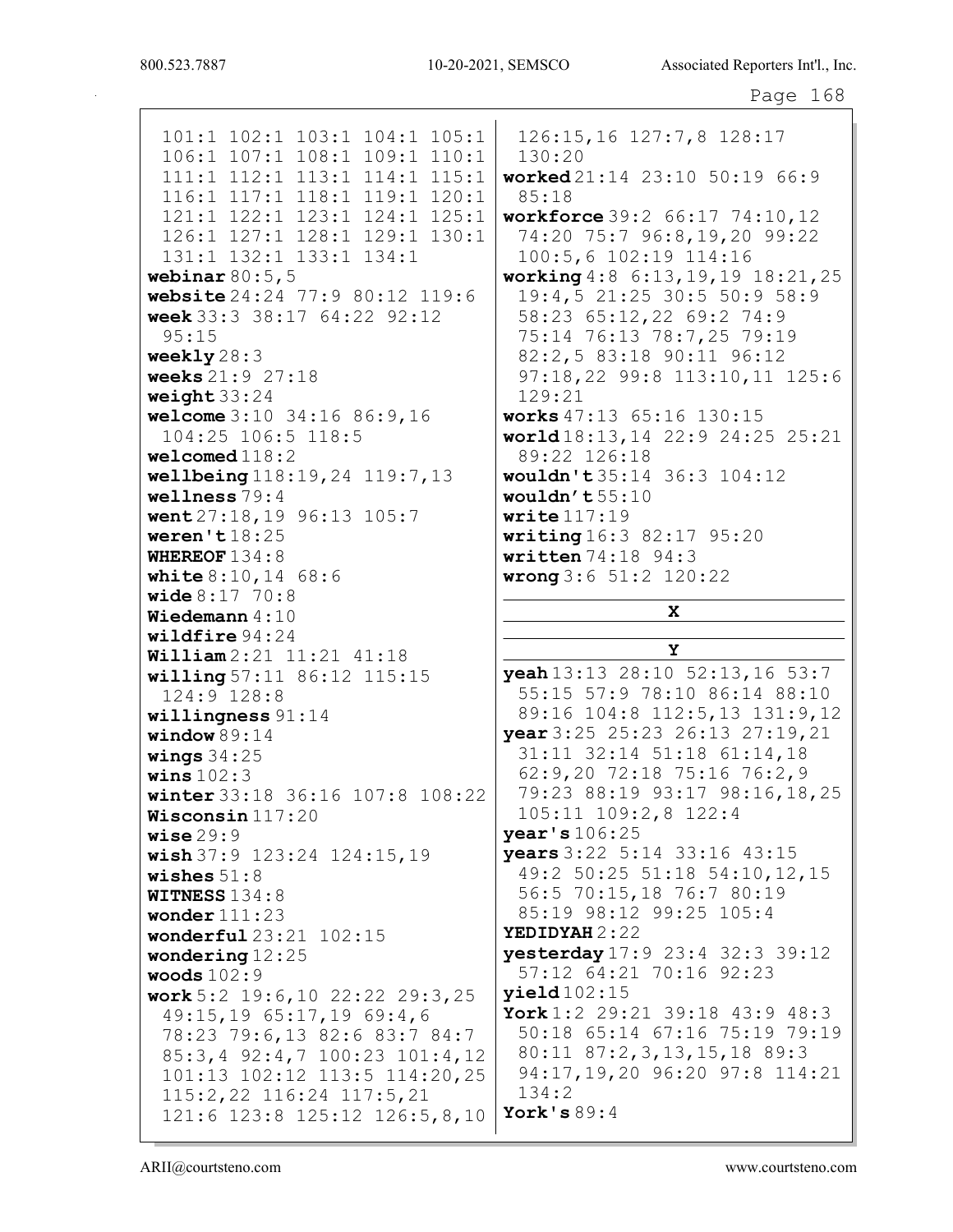X

Y

101:1 102:1 103:1 104:1 105:1 106:1 107:1 108:1 109:1 110:1 111:1 112:1 113:1 114:1 115:1 116:1 117:1 118:1 119:1 120:1 121:1 122:1 123:1 124:1 125:1 126:1 127:1 128:1 129:1 130:1 131:1 132:1 133:1 134:1 webinar  $80:5,5$ website 24:24 77:9 80:12 119:6 week 33:3 38:17 64:22 92:12 95:15 weekly 28:3 weeks 21:9 27:18 weight 33:24 welcome 3:10 34:16 86:9,16 104:25 106:5 118:5 welcomed 118:2 wellbeing 118:19,24 119:7,13 wellness 79:4 went 27:18,19 96:13 105:7 weren't 18:25 WHEREOF 134:8 **white 8:10, 14 68:6** wide 8:17 70:8 Wiedemann 4:10 wildfire 94:24 William 2:21 11:21 41:18 willing 57:11 86:12 115:15 124:9 128:8 willingness 91:14 window 89:14 wings  $34:25$ wins  $102:3$ winter 33:18 36:16 107:8 108:22 Wisconsin 117:20 wise  $29:9$ wish 37:9 123:24 124:15,19 wishes 51:8 WITNESS 134:8 wonder 111:23 wonderful 23:21 102:15 wondering 12:25 woods 102:9 work 5:2 19:6,10 22:22 29:3,25 49:15,19 65:17,19 69:4,6 78:23 79:6,13 82:6 83:7 84:7 85:3,4 92:4,7 100:23 101:4,12 101:13 102:12 113:5 114:20,25 115:2,22 116:24 117:5,21 121:6 123:8 125:12 126:5,8,10 126:15,16 127:7,8 128:17 130:20 worked 21:14 23:10 50:19 66:9 85:18 workforce 39:2 66:17 74:10,12 74:20 75:7 96:8,19,20 99:22 100:5,6 102:19 114:16 working 4:8 6:13,19,19 18:21,25 19:4,5 21:25 30:5 50:9 58:9 58:23 65:12,22 69:2 74:9 75:14 76:13 78:7,25 79:19 82:2,5 83:18 90:11 96:12 97:18,22 99:8 113:10,11 125:6 129:21 works 47:13 65:16 130:15 world 18:13,14 22:9 24:25 25:21 89:22 126:18 wouldn't 35:14 36:3 104:12 wouldn't 55:10 write  $117:19$ writing 16:3 82:17 95:20 written 74:18 94:3 wrong 3:6 51:2 120:22 yeah 13:13 28:10 52:13,16 53:7 55:15 57:9 78:10 86:14 88:10 89:16 104:8 112:5,13 131:9,12 year 3:25 25:23 26:13 27:19,21 31:11 32:14 51:18 61:14,18 62:9,20 72:18 75:16 76:2,9 79:23 88:19 93:17 98:16,18,25 105:11 109:2,8 122:4 year's 106:25 years 3:22 5:14 33:16 43:15 49:2 50:25 51:18 54:10,12,15 56:5 70:15,18 76:7 80:19 85:19 98:12 99:25 105:4 YEDIDYAH 2:22 yesterday 17:9 23:4 32:3 39:12 57:12 64:21 70:16 92:23 yield 102:15 York 1:2 29:21 39:18 43:9 48:3 50:18 65:14 67:16 75:19 79:19 80:11 87:2,3,13,15,18 89:3 94:17,19,20 96:20 97:8 114:21 134:2 York's 89:4